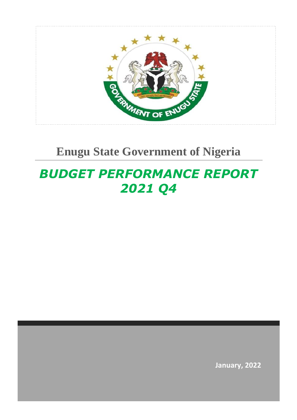

# *BUDGET PERFORMANCE REPORT 2021 Q4*

**January, 2022**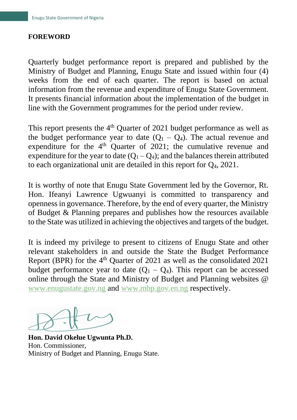# **FOREWORD**

Quarterly budget performance report is prepared and published by the Ministry of Budget and Planning, Enugu State and issued within four (4) weeks from the end of each quarter. The report is based on actual information from the revenue and expenditure of Enugu State Government. It presents financial information about the implementation of the budget in line with the Government programmes for the period under review.

This report presents the  $4<sup>th</sup>$  Ouarter of 2021 budget performance as well as the budget performance year to date  $(Q_1 - Q_4)$ . The actual revenue and expenditure for the  $4<sup>th</sup>$  Quarter of 2021; the cumulative revenue and expenditure for the year to date  $(Q_1 - Q_4)$ ; and the balances therein attributed to each organizational unit are detailed in this report for Q4, 2021.

It is worthy of note that Enugu State Government led by the Governor, Rt. Hon. Ifeanyi Lawrence Ugwuanyi is committed to transparency and openness in governance. Therefore, by the end of every quarter, the Ministry of Budget & Planning prepares and publishes how the resources available to the State was utilized in achieving the objectives and targets of the budget.

It is indeed my privilege to present to citizens of Enugu State and other relevant stakeholders in and outside the State the Budget Performance Report (BPR) for the  $4<sup>th</sup>$  Quarter of 2021 as well as the consolidated 2021 budget performance year to date  $(Q_1 - Q_4)$ . This report can be accessed online through the State and Ministry of Budget and Planning websites @ [www.enugustate.gov.ng](about:blank) and [www.mbp.gov.en.ng](about:blank) respectively.

**Hon. David Okelue Ugwunta Ph.D.** Hon. Commissioner, Ministry of Budget and Planning, Enugu State.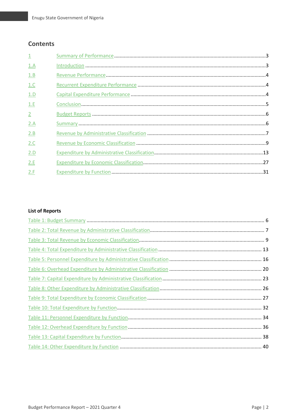# **Contents**

| $\perp$     |  |
|-------------|--|
| 1.A         |  |
| 1.B         |  |
| 1.C         |  |
| 1.D         |  |
| 1.E         |  |
| $2^{\circ}$ |  |
| 2.A         |  |
| 2.B         |  |
| 2.C         |  |
| 2.D         |  |
| 2.E         |  |
| 2.F         |  |

# **List of Reports**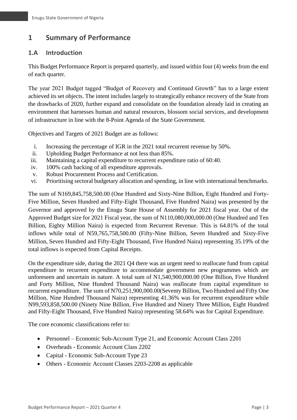# <span id="page-3-0"></span>**1 Summary of Performance**

# <span id="page-3-1"></span>**1.A Introduction**

This Budget Performance Report is prepared quarterly, and issued within four (4) weeks from the end of each quarter.

The year 2021 Budget tagged "Budget of Recovery and Continued Growth" has to a large extent achieved its set objects. The intent includes largely to strategically enhance recovery of the State from the drawbacks of 2020, further expand and consolidate on the foundation already laid in creating an environment that harnesses human and natural resources, blossom social services, and development of infrastructure in line with the 8-Point Agenda of the State Government.

Objectives and Targets of 2021 Budget are as follows:

- i. Increasing the percentage of IGR in the 2021 total recurrent revenue by 50%.
- ii. Upholding Budget Performance at not less than 85%.
- iii. Maintaining a capital expenditure to recurrent expenditure ratio of 60:40.
- iv. 100% cash backing of all expenditure approvals.
- v. Robust Procurement Process and Certification.
- vi. Prioritising sectoral budgetary allocation and spending, in line with international benchmarks.

The sum of N169,845,758,500.00 (One Hundred and Sixty-Nine Billion, Eight Hundred and Forty-Five Million, Seven Hundred and Fifty-Eight Thousand, Five Hundred Naira) was presented by the Governor and approved by the Enugu State House of Assembly for 2021 fiscal year. Out of the Approved Budget size for 2021 Fiscal year, the sum of N110,080,000,000.00 (One Hundred and Ten Billion, Eighty Million Naira) is expected from Recurrent Revenue. This is 64.81% of the total inflows while total of N59,765,758,500.00 (Fifty-Nine Billion, Seven Hundred and Sixty-Five Million, Seven Hundred and Fifty-Eight Thousand, Five Hundred Naira) representing 35.19% of the total inflows is expected from Capital Receipts.

On the expenditure side, during the 2021 Q4 there was an urgent need to reallocate fund from capital expenditure to recurrent expenditure to accommodate government new programmes which are unforeseen and uncertain in nature. A total sum of N1,540,900,000.00 (One Billion, Five Hundred and Forty Million, Nine Hundred Thousand Naira) was reallocate from capital expenditure to recurrent expenditure. The sum of N70,251,900,000.00(Seventy Billion, Two Hundred and Fifty One Million, Nine Hundred Thousand Naira) representing 41.36% was for recurrent expenditure while N99,593,858,500.00 (Ninety Nine Billion, Five Hundred and Ninety Three Million, Eight Hundred and Fifty-Eight Thousand, Five Hundred Naira) representing 58.64% was for Capital Expenditure.

The core economic classifications refer to:

- Personnel Economic Sub-Account Type 21, and Economic Account Class 2201
- Overheads Economic Account Class 2202
- Capital Economic Sub-Account Type 23
- Others Economic Account Classes 2203-2208 as applicable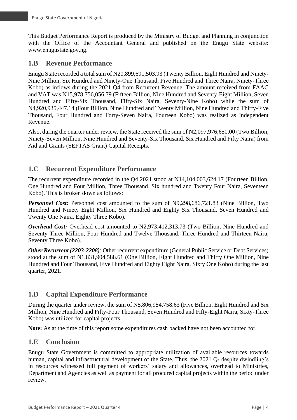This Budget Performance Report is produced by the Ministry of Budget and Planning in conjunction with the Office of the Accountant General and published on the Enugu State website: www.enugustate.gov.ng.

# <span id="page-4-0"></span>**1.B Revenue Performance**

Enugu State recorded a total sum of N20,899,691,503.93 (Twenty Billion, Eight Hundred and Ninety-Nine Million, Six Hundred and Ninety-One Thousand, Five Hundred and Three Naira, Ninety-Three Kobo) as inflows during the 2021 Q4 from Recurrent Revenue. The amount received from FAAC and VAT was N15,978,756,056.79 (Fifteen Billion, Nine Hundred and Seventy-Eight Million, Seven Hundred and Fifty-Six Thousand, Fifty-Six Naira, Seventy-Nine Kobo) while the sum of N4,920,935,447.14 (Four Billion, Nine Hundred and Twenty Million, Nine Hundred and Thirty-Five Thousand, Four Hundred and Forty-Seven Naira, Fourteen Kobo) was realized as Independent Revenue.

Also, during the quarter under review, the State received the sum of N2,097,976,650.00 (Two Billion, Ninety-Seven Million, Nine Hundred and Seventy-Six Thousand, Six Hundred and Fifty Naira) from Aid and Grants (SEFTAS Grant) Capital Receipts.

# <span id="page-4-1"></span>**1.C Recurrent Expenditure Performance**

The recurrent expenditure recorded in the Q4 2021 stood at N14,104,003,624.17 (Fourteen Billion, One Hundred and Four Million, Three Thousand, Six hundred and Twenty Four Naira, Seventeen Kobo). This is broken down as follows:

*Personnel Cost:* Personnel cost amounted to the sum of N9,298,686,721.83 (Nine Billion, Two Hundred and Ninety Eight Million, Six Hundred and Eighty Six Thousand, Seven Hundred and Twenty One Naira, Eighty Three Kobo).

<span id="page-4-2"></span>*Overhead Cost:* Overhead cost amounted to N2,973,412,313.73 (Two Billion, Nine Hundred and Seventy Three Million, Four Hundred and Twelve Thousand, Three Hundred and Thirteen Naira, Seventy Three Kobo).

*Other Recurrent (2203-2208)*: Other recurrent expenditure (General Public Service or Debt Services) stood at the sum of N1,831,904,588.61 (One Billion, Eight Hundred and Thirty One Million, Nine Hundred and Four Thousand, Five Hundred and Eighty Eight Naira, Sixty One Kobo) during the last quarter, 2021.

# **1.D Capital Expenditure Performance**

During the quarter under review, the sum of N5,806,954,758.63 (Five Billion, Eight Hundred and Six Million, Nine Hundred and Fifty-Four Thousand, Seven Hundred and Fifty-Eight Naira, Sixty-Three Kobo) was utilized for capital projects.

**Note:** As at the time of this report some expenditures cash backed have not been accounted for.

# <span id="page-4-3"></span>**1.E Conclusion**

Enugu State Government is committed to appropriate utilization of available resources towards human, capital and infrastructural development of the State. Thus, the 2021 O<sub>4</sub> despite dwindling's in resources witnessed full payment of workers' salary and allowances, overhead to Ministries, Department and Agencies as well as payment for all procured capital projects within the period under review.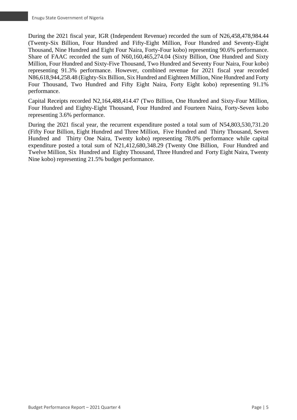During the 2021 fiscal year, IGR (Independent Revenue) recorded the sum of N26,458,478,984.44 (Twenty-Six Billion, Four Hundred and Fifty-Eight Million, Four Hundred and Seventy-Eight Thousand, Nine Hundred and Eight Four Naira, Forty-Four kobo) representing 90.6% performance. Share of FAAC recorded the sum of N60,160,465,274.04 (Sixty Billion, One Hundred and Sixty Million, Four Hundred and Sixty-Five Thousand, Two Hundred and Seventy Four Naira, Four kobo) representing 91.3% performance. However, combined revenue for 2021 fiscal year recorded N86,618,944,258.48 (Eighty-Six Billion, Six Hundred and Eighteen Million, Nine Hundred and Forty Four Thousand, Two Hundred and Fifty Eight Naira, Forty Eight kobo) representing 91.1% performance.

Capital Receipts recorded N2,164,488,414.47 (Two Billion, One Hundred and Sixty-Four Million, Four Hundred and Eighty-Eight Thousand, Four Hundred and Fourteen Naira, Forty-Seven kobo representing 3.6% performance.

During the 2021 fiscal year, the recurrent expenditure posted a total sum of N54,803,530,731.20 (Fifty Four Billion, Eight Hundred and Three Million, Five Hundred and Thirty Thousand, Seven Hundred and Thirty One Naira, Twenty kobo) representing 78.0% performance while capital expenditure posted a total sum of N21,412,680,348.29 (Twenty One Billion, Four Hundred and Twelve Million, Six Hundred and Eighty Thousand, Three Hundred and Forty Eight Naira, Twenty Nine kobo) representing 21.5% budget performance.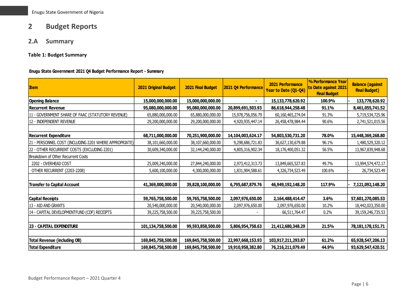# **2 Budget Reports**

# **2.A Summary**

**Table 1: Budget Summary**

#### **Enugu State Government 2021 Q4 Budget Performance Report - Summary**

<span id="page-6-2"></span><span id="page-6-1"></span><span id="page-6-0"></span>

| <b>Item</b>                                            | <b>2021 Original Budget</b> | 2021 Final Budget  | 2021 Q4 Performance | 2021 Performance<br>Year to Date (Q1-Q4) | % Performance Year<br>to Date against 2021<br><b>Final Budget</b> | <b>Balance (against</b><br><b>Final Budget)</b> |
|--------------------------------------------------------|-----------------------------|--------------------|---------------------|------------------------------------------|-------------------------------------------------------------------|-------------------------------------------------|
| <b>Opening Balance</b>                                 | 15,000,000,000.00           | 15,000,000,000.00  |                     | 15,133,778,620.92                        | 100.9%                                                            | 133,778,620.92                                  |
| <b>Recurrent Revenue</b>                               | 95,080,000,000.00           | 95,080,000,000.00  | 20,899,691,503.93   | 86,618,944,258.48                        | 91.1%                                                             | 8,461,055,741.52                                |
| 11 - GOVERNMENT SHARE OF FAAC (STATUTORY REVENUE)      | 65,880,000,000.00           | 65,880,000,000.00  | 15,978,756,056.79   | 60,160,465,274.04                        | 91.3%                                                             | 5,719,534,725.96                                |
| 12 - INDEPENDENT REVENUE                               | 29,200,000,000.00           | 29,200,000,000.00  | 4,920,935,447.14    | 26,458,478,984.44                        | 90.6%                                                             | 2,741,521,015.56                                |
|                                                        |                             |                    |                     |                                          |                                                                   |                                                 |
| <b>Recurrent Expenditure</b>                           | 68,711,000,000.00           | 70,251,900,000.00  | 14,104,003,624.17   | 54,803,530,731.20                        | 78.0%                                                             | 15,448,369,268.80                               |
| 21 - PERSONNEL COST (INCLUDING 2201 WHERE APPROPRIATE) | 38,101,660,000.00           | 38,107,660,000.00  | 9,298,686,721.83    | 36,627,130,679.88                        | 96.1%                                                             | 1,480,529,320.12                                |
| 22 - OTHER RECURRENT COSTS (EXCLUDING 2201)            | 30,609,340,000.00           | 32,144,240,000.00  | 4,805,316,902.34    | 18,176,400,051.32                        | 56.5%                                                             | 13,967,839,948.68                               |
| Breakdown of Other Recurrent Costs                     |                             |                    |                     |                                          |                                                                   |                                                 |
| 2202 - OVERHEAD COST                                   | 25,009,240,000.00           | 27,844,240,000.00  | 2,973,412,313.73    | 13,849,665,527.83                        | 49.7%                                                             | 13,994,574,472.17                               |
| OTHER RECURRENT (2203-2208)                            | 5,600,100,000.00            | 4,300,000,000.00   | 1,831,904,588.61    | 4,326,734,523.49                         | 100.6%                                                            | 26,734,523.49                                   |
|                                                        |                             |                    |                     |                                          |                                                                   |                                                 |
| <b>Transfer to Capital Account</b>                     | 41,369,000,000.00           | 39,828,100,000.00  | 6,795,687,879.76    | 46,949,192,148.20                        | 117.9%                                                            | 7,121,092,148.20                                |
|                                                        |                             |                    |                     |                                          |                                                                   |                                                 |
| <b>Capital Receipts</b>                                | 59,765,758,500.00           | 59,765,758,500.00  | 2,097,976,650.00    | 2,164,488,414.47                         | 3.6%                                                              | 57,601,270,085.53                               |
| 13 - AID AND GRANTS                                    | 20,540,000,000.00           | 20,540,000,000.00  | 2,097,976,650.00    | 2,097,976,650.00                         | 10.2%                                                             | 18,442,023,350.00                               |
| 14 - CAPITAL DEVELOPMENTFUND (CDF) RECEIPTS            | 39,225,758,500.00           | 39,225,758,500.00  |                     | 66,511,764.47                            | 0.2%                                                              | 39,159,246,735.53                               |
|                                                        |                             |                    |                     |                                          |                                                                   |                                                 |
| <b>23 - CAPITAL EXPENDITURE</b>                        | 101,134,758,500.00          | 99,593,858,500.00  | 5,806,954,758.63    | 21,412,680,348.29                        | 21.5%                                                             | 78, 181, 178, 151. 71                           |
|                                                        |                             |                    |                     |                                          |                                                                   |                                                 |
| <b>Total Revenue (including OB)</b>                    | 169,845,758,500.00          | 169,845,758,500.00 | 22,997,668,153.93   | 103,917,211,293.87                       | 61.2%                                                             | 65,928,547,206.13                               |
| <b>Total Expenditure</b>                               | 169,845,758,500.00          | 169,845,758,500.00 | 19,910,958,382.80   | 76,216,211,079.49                        | 44.9%                                                             | 93,629,547,420.51                               |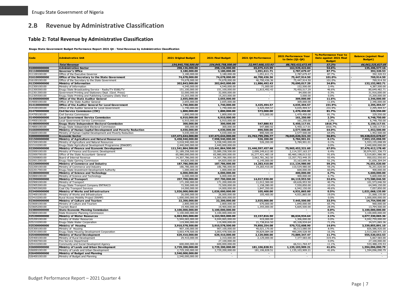# **2.B Revenue by Administrative Classification**

#### **Table 2: Total Revenue by Administrative Classification**

**Enugu State Government Budget Performance Report 2021 Q4 - Total Revenue by Administrative Classification**

<span id="page-7-1"></span><span id="page-7-0"></span>

| Code                         | Adminstrative Unit                                                                  | <b>2021 Original Budget</b>       | 2021 Final Budget                 | 2021 Q4 Performance           | <b>2021 Performance Year</b><br>to Date (Q1-Q4) | % Performance Year to<br>Date against 2021 Final<br><b>Budget</b> | <b>Balance (against Final</b><br><b>Budget</b> ) |
|------------------------------|-------------------------------------------------------------------------------------|-----------------------------------|-----------------------------------|-------------------------------|-------------------------------------------------|-------------------------------------------------------------------|--------------------------------------------------|
|                              | <b>Total Revenue</b>                                                                | 154,845,758,500.00                | 154,845,758,500.00                | 22,997,668,153.93             | 88,783,432,672.95                               | 57.3%                                                             | 66,062,325,827.05                                |
| 010000000000                 | Administration Sector                                                               | 298,136,000.00                    | 298,136,000.00                    | 65,075,415.99                 | 162,929,422.84                                  | 54.6%                                                             | 135,206,577.16                                   |
| 011100000000                 | Governor's Office                                                                   | 3,180,000.00                      | 3,180,000.00                      | 1,051,611.71                  | 2,787,679.47                                    | 87.7%                                                             | 392,320.53                                       |
| 011100100100                 | Office of the Executive Governor                                                    | 3,180,000.00                      | 3,180,000.00                      | 1,051,611.71                  | 2,787,679.47                                    | 87.7%                                                             | 392,320.53                                       |
| 016100000000                 | Office of the Secretary to the State Government                                     | 74,678,000.00                     | 74,678,000.00                     | 46,700,436.36                 | 75,447,914.50                                   | 101.0%                                                            | 769,914.50                                       |
| 016100100100                 | Office of the Secretary to the State Government                                     | 74,678,000.00                     | 74,678,000.00                     | 46,700,436.36                 | 75,447,914.50                                   | 101.0%                                                            | 769,914.50                                       |
| 012300000000<br>012300100100 | Ministry of Information<br>Ministry of Information                                  | 202,843,000.00<br>4,540,000.00    | 202,843,000.00<br>4,540,000.00    | 11,886,492.43<br>71,000.00    | 70,690,017.29<br>152,500.00                     | 34.8%<br>3.4%                                                     | 132, 152, 982. 71<br>4,387,500.00                |
| 012300300100                 | Enugu State Broadcasting Service - Radio/TV ESBS/TV                                 | 151,100,000.00                    | 151,100,000.00                    | 11,815,492.43                 | 70,450,517.29                                   | 46.6%                                                             | 80,649,482.71                                    |
| 012301300100                 | Government Printing and Stationery Dept. (Govt. Press)                              | 32,000,000.00                     | 32,000,000.00                     |                               | 84,000.00                                       | 0.3%                                                              | 31,916,000.00                                    |
| 012305500100                 | Enugu State Printing and Publishing Company (Daily Star)                            | 15,203,000.00                     | 15,203,000.00                     | $\sim$                        | 3,000.00                                        | 0.0%                                                              | 15,200,000.00                                    |
| 014000000000                 | Office of the State Auditor General                                                 | 2,655,000.00                      | 2,655,000.00                      | $\sim$                        | 309,000.00                                      | 11.6%                                                             | 2,346,000.00                                     |
| 014000100100                 | Office of the State Auditor General                                                 | 2,655,000.00                      | 2,655,000.00                      |                               | 309,000.00                                      | 11.6%                                                             | 2,346,000.00                                     |
| 014100000000                 | Office of the Auditor General for Local Government                                  | 1,740,000.00                      | 1,740,000.00                      | 3,425,494.57                  | 4,035,494.57                                    | 231.9%                                                            | 2,295,494.57                                     |
| 014100100100                 | Office of the Auditor General for Local Government                                  | 1,740,000.00                      | 1,740,000.00                      | 3,425,494.57                  | 4,035,494.57                                    | 231.9%                                                            | 2,295,494.57                                     |
| 014700000000                 | Civil Service Commission (CSC)                                                      | 1,800,000.00                      | 1,800,000.00                      | 573,000.00                    | 1,470,450.00                                    | 81.7%                                                             | 329,550.00                                       |
| 014700100100                 | Civil Service Commission                                                            | 1,800,000.00                      | 1,800,000.00                      | 573,000.00                    | 1,470,450.00                                    | 81.7%                                                             | 329,550.00                                       |
| 014900000000                 | Local Government Service Commission                                                 | 6,910,000.00                      | 6,910,000.00                      |                               | 161,250.00                                      | 2.3%                                                              | 6,748,750.00                                     |
| 014900100100<br>014800000000 | Local Government Service Commission<br>Enugu State Independent Electoral Commission | 6,910,000.00<br>300,000.00        | 6,910,000.00<br>300,000.00        | $\sim$<br>547,880.92          | 161,250.00                                      | 2.3%<br>1816.7%                                                   | 6,748,750.00                                     |
| 014800100100                 | Enugu State Independent Electoral Commission                                        | 300,000.00                        | 300,000.00                        | 547,880.92                    | 5,450,117.01<br>5,450,117.01                    | 1816.7%                                                           | 5,150,117.01<br>5,150,117.01                     |
| 016600000000                 | Ministry of Human Capital Development and Poverty Reduction                         | 4,030,000.00                      | 4,030,000.00                      | 890,500.00                    | 2,577,500.00                                    | 64.0%                                                             | 1,452,500.00                                     |
| 016600100100                 | Ministry of Human Capital Development and Poverty Reduction                         | 4,030,000.00                      | 4,030,000.00                      | 890,500.00                    | 2,577,500.00                                    | 64.0%                                                             | 1,452,500.00                                     |
| 020000000000                 | <b>Economic Sector</b>                                                              | 137,473,644,000.00                | 137,473,644,000.00                | 21,762,799,296.77             | 78,045,620,321.33                               | 56.8%                                                             | 59,428,023,678.67                                |
| 021500000000                 | Ministry of Agriculture and Natural Resources                                       | 5,458,940,000.00                  | 7,998,940,000.00                  | 526,200.00                    | 5,784,901.01                                    | 0.1%                                                              | 7,993,155,098.99                                 |
| 021500100100                 | Ministry of Agriculture and Natural Resources                                       | 3.018.940.000.00                  | 5,558,940,000.00                  | 526,200.00                    | 5,784,901.01                                    | 0.1%                                                              | 5,553,155,098.99                                 |
| 021510200100                 | Enugu State Agricultural Development Programme (ENADEP)                             | 2,440,000,000.00                  | 2,440,000,000.00                  |                               |                                                 | 0.0%                                                              | 2,440,000,000.00                                 |
| 022000000000                 | Ministry of Finance and Economic Development                                        | 111,541,864,500.00                | 113,441,864,500.00                | 21,446,597,457.68             | 75,965,452,321.60                               | 67.0%                                                             | 37,476,412,178.40                                |
| 022000100100                 | Ministry of Finance and Economic Development                                        | 31,189,258,500.00                 | 33,089,258,500.00                 | 2,099,249,612.00              | 2,114,337,163.27                                | 6.4%                                                              | 30,974,921,336.73                                |
| 022000700100                 | Office of the State Accountant- General                                             | 65,980,000,000.00                 | 65,980,000,000.00                 | 16,277,421,483.18             | 60,460,198,013.02                               | 91.6%                                                             | 5,519,801,986.98                                 |
| 022000800100                 | Board of Internal Revenue                                                           | 14,307,786,000.00                 | 14,307,786,000.00                 | 3,063,781,362.50              | 13,357,753,449.35                               | 93.4%                                                             | 950,032,550.65                                   |
| 022001200100<br>022200000000 | Enugu State Gaming Commission<br>Ministry of Commerce and Industry                  | 64,820,000.00<br>187,786,000.00   | 64,820,000.00<br>187,786,000.00   | 6,145,000.00<br>14,283,410.00 | 33,163,695.96<br>111,134,980.00                 | 51.2%<br>59.2%                                                    | 31,656,304.04<br>76,651,020.00                   |
| 022200100100                 | Ministry of Commerce and Industry                                                   | 186,786,000.00                    | 186,786,000.00                    | 14,283,410.00                 | 110,534,980.00                                  | 59.2%                                                             | 76,251,020.00                                    |
| 022201700100                 | Enugu State Investment Development Authority                                        | 1,000,000.00                      | 1,000,000.00                      | $\sim$                        | 600,000.00                                      | 60.0%                                                             | 400,000.00                                       |
| 022800000000                 | Ministry of Science and Technology                                                  | 6,000,000.00                      | 6,000,000.00                      | $\sim$                        | 400,000.00                                      | 6.7%                                                              | 5,600,000.00                                     |
| 022800100100                 | Ministry of Science and Technology                                                  | 6,000,000.00                      | 6,000,000.00                      | $\sim$                        | 400,000.00                                      | 6.7%                                                              | 5,600,000.00                                     |
| 022900000000                 | Ministry of Transport                                                               | 257,700,000.00                    | 257,700,000.00                    | 14,017,930.00                 | 84,119,953.50                                   | 32.6%                                                             | 173,580,046.50                                   |
| 022900100100                 | Ministry of Transport                                                               | 171,200,000.00                    | 171,200,000.00                    | 11,012,300.00                 | 69,626,953.50                                   | 40.7%                                                             | 101,573,046.50                                   |
| 022905300100                 | Enugu State Transport Company ENTRACO                                               | 72,500,000.00                     | 72,500,000.00                     | 1,158,280.00                  | 7,550,850.00                                    | 10.4%                                                             | 64,949,150.00                                    |
| 022905300200                 | Coal City Transport Services                                                        | 14,000,000.00                     | 14,000,000.00                     | 1,847,350.00                  | 6,942,150.00                                    | 49.6%                                                             | 7,057,850.00                                     |
| 023400000000                 | Ministry of Works and Infrastructure                                                | 1,026,000,000.00                  | 1,026,000,000.00                  | 105,400.00                    | 4,931,865.00                                    | 0.5%                                                              | 1,021,068,135.00                                 |
| 023400100100                 | Ministry of Works and Infrastructure                                                | 26,000,000.00                     | 26,000,000.00                     | 105,400.00                    | 4,931,865.00                                    | 19.0%<br>0.0%                                                     | 21,068,135.00                                    |
| 023410200100<br>023600000000 | Rural Access Mobility Project (RAMP)<br>Ministry of Culture and Tourism             | 1,000,000,000.00<br>22,200,000.00 | 1,000,000,000.00<br>22,200,000.00 | 2,025,000.00                  | 7,445,500.00                                    | 33.5%                                                             | 1,000,000,000.00<br>14,754,500.00                |
| 023600100100                 | Ministry of Culture and Tourism                                                     | 2,800,000.00                      | 2,800,000,00                      | 670,000.00                    | 1,840,000.00                                    | 65.7%                                                             | 960,000.00                                       |
| 023605200100                 | Tourism Board                                                                       | 19,400,000.00                     | 19,400,000.00                     | 1,355,000.00                  | 5,605,500.00                                    | 28.9%                                                             | 13,794,500.00                                    |
| 023800000000                 | State Economic Planning Commission                                                  | 3,100,000,000.00                  | 3,100,000,000.00                  | $\sim$                        | $\sim$                                          | 0.0%                                                              | 3,100,000,000.00                                 |
| 023800100100                 | State Economic Planning Commission                                                  | 3,100,000,000.00                  | 3,100,000,000.00                  |                               |                                                 | 0.0%                                                              | 3,100,000,000.00                                 |
| 025200000000                 | Ministry of Water Resources                                                         | 6,063,965,000.00                  | 4,163,965,000.00                  | 22,157,816.50                 | 86,634,934.64                                   | 2.1%                                                              | 4,077,330,065.36                                 |
| 025200100100                 | Ministry of Water Resources                                                         | 5,944,065,000.00                  | 4,044,065,000.00                  | 419,000.00                    | 1,306,000.00                                    | 0.0%                                                              | 4,042,759,000.00                                 |
| 025210200100                 | Enugu State Water Corporation                                                       | 119,900,000.00                    | 119,900,000.00                    | 21,738,816.50                 | 85,328,934.64                                   | 71.2%                                                             | 34,571,065.36                                    |
| 025300000000                 | Ministry of Housing                                                                 | 3,910,578,500.00                  | 3,910,578,500.00                  | 79,850,254.08                 | 570,722,608.90                                  | 14.6%                                                             | 3,339,855,891.10                                 |
| 025300100100                 | Ministry of Housing                                                                 | 907,100,000.00                    | 907,100,000.00                    | 40,021,170.00                 | 80,513,080.00                                   | 8.9%                                                              | 826,586,920.00                                   |
| 025301000100                 | Enugu State Housing Development Corporation                                         | 3,003,478,500.00                  | 3,003,478,500.00                  | 39,829,084.08                 | 490,209,528.90                                  | 16.3%                                                             | 2,513,268,971.10                                 |
| 025400000000<br>025400100100 | Ministry of Rural Development<br>Ministry of Rural Development                      | 629,410,000.00                    | 629,410,000.00<br>2,310,000.00    | 2,129,000.00                  | 73,889,347.47                                   | 11.7%<br>319.4%                                                   | 555,520,652.53<br>5,067,583.00                   |
| 025400700100                 | Fire Service Department                                                             | 29,410,000.00                     | 27,100,000.00                     | 2,129,000.00<br>$\sim$        | 7,377,583.00<br>$\sim$                          | 0.0%                                                              | 27,100,000.00                                    |
| 025410200100                 | Community and Social Developmnt Agency                                              | 600,000,000.00                    | 600,000,000.00                    |                               | 66,511,764.47                                   | 11.1%                                                             | 533,488,235.53                                   |
| 026000000000                 | Ministry of Lands and Urban Development                                             | 2,729,200,000.00                  | 2,729,200,000.00                  | 181,106,828.51                | 1,135,103,909.21                                | 41.6%                                                             | 1,594,096,090.79                                 |
| 026000100100                 | Ministry of Lands and Urban Development                                             | 2.729.200.000.00                  | 2,729,200,000.00                  | 181,106,828.51                | 1,135,103,909.21                                | 41.6%                                                             | 1,594,096,090.79                                 |
| 026400000000                 | Ministry of Budget and Planning                                                     | 2.540.000.000.00                  | $\sim$                            | $\sim$                        | $\sim$                                          |                                                                   | $\sim$                                           |
| 026400100100                 | Ministry of Budget and Planning                                                     | 2,540,000,000.00                  | $\sim$                            | $\sim$                        | $\sim$                                          |                                                                   | $\sim$                                           |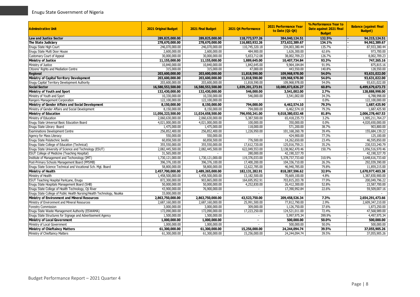| <b>Adminstrative Unit</b>                                              | <b>2021 Original Budget</b> | 2021 Final Budget | 2021 Q4 Performance | <b>2021 Performance Year</b><br>to Date (Q1-Q4) | % Performance Year to<br>Date against 2021 Final<br><b>Budget</b> | <b>Balance (against Final</b><br><b>Budget</b> ) |
|------------------------------------------------------------------------|-----------------------------|-------------------|---------------------|-------------------------------------------------|-------------------------------------------------------------------|--------------------------------------------------|
| <b>Law and Justice Sector</b>                                          | 289,825,000.00              | 289,825,000.00    | 118,773,577.26      | 384,040,124.51                                  | 132.5%                                                            | 94,215,124.51                                    |
| The State Judiciary                                                    | 278,670,000.00              | 278,670,000.00    | 116,883,932.26      | 373,632,389.67                                  | 134.1%                                                            | 94,962,389.67                                    |
| Enugu State High Court                                                 | 246,070,000.00              | 246,070,000.00    | 110,745,320.18      | 334,003,380.44                                  | 135.7%                                                            | 87,933,380.44                                    |
| Enugu State Multi Door House                                           | 2,600,000.00                | 2,600,000.00      | 484,900.00          | 1,626,300.00                                    | 62.6%                                                             | 973,700.00                                       |
| <b>Customary Court of Appeal</b>                                       | 30,000,000.00               | 30,000,000.00     | 5,653,712.08        | 38,002,709.23                                   | 126.7%                                                            | 8,002,709.23                                     |
| <b>Ministry of Justice</b>                                             | 11,155,000.00               | 11,155,000.00     | 1,889,645.00        | 10,407,734.84                                   | 93.3%                                                             | 747,265.16                                       |
| Ministry of Justice                                                    | 10,840,000.00               | 10,840,000.00     | 1,842,645.00        | 9,964,184.84                                    | 91.9%                                                             | 875,815.16                                       |
| Citizens' Rights and Mediation Centre                                  | 315,000.00                  | 315,000.00        | 47,000.00           | 443,550.00                                      | 140.8%                                                            | 128,550.00                                       |
| <b>Regional</b>                                                        | 203,600,000.00              | 203,600,000.00    | 11,818,590.00       | 109,968,978.00                                  | 54.0%                                                             | 93,631,022.00                                    |
| Ministry of Capital Territory Development                              | 203,600,000.00              | 203,600,000.00    | 11,818,590.00       | 109,968,978.00                                  | 54.0%                                                             | 93,631,022.00                                    |
| Enugu Capital Territory Development Authority                          | 203,600,000.00              | 203,600,000.00    | 11,818,590.00       | 109,968,978.00                                  | 54.0%                                                             | 93,631,022.00                                    |
| <b>Social Sector</b>                                                   | 16,580,553,500.00           | 16,580,553,500.00 | 1,039,201,273.91    | 10,080,873,826.27                               | 60.8%                                                             | 6,499,679,673.73                                 |
| Ministry of Youth and Sport                                            | 132,430,000.00              | 132,430,000.00    | 546,000.00          | 3,541,002.00                                    | 2.7%                                                              | 128,888,998.00                                   |
| Ministry of Youth and Sport                                            | 10,330,000.00               | 10,330,000.00     | 546,000.00          | 3,541,002.00                                    | 34.3%                                                             | 6,788,998.00                                     |
| Rangers Management Corporation                                         | 122,100,000.00              | 122,100,000.00    |                     |                                                 | 0.0%                                                              | 122,100,000.00                                   |
| Ministry of Gender Affairs and Social Development                      | 8,150,000.00                | 8,150,000.00      | 794,000.00          | 6,462,574.10                                    | 79.3%                                                             | 1,687,425.90                                     |
| Ministry of Gender Affairs and Social Development                      | 8,150,000,00                | 8,150,000,00      | 794,000.00          | 6,462,574.10                                    | 79.3%                                                             | 1,687,425.90                                     |
| <b>Ministry of Education</b>                                           | 11,056,223,500.00           | 11,024,658,500.00 | 796,950,241.00      | 9,018,380,032.48                                | 81.8%                                                             | 2,006,278,467.53                                 |
| Ministry of Education                                                  | 2,060,630,000.00            | 2,060,630,000.00  | 5,387,500.00        | 65,418,235.73                                   | 3.2%                                                              | 1,995,211,764.27                                 |
| Enugu State Universal Basic Education Board                            | 4,021,000,000.00            | 4,021,000,000.00  | 100,000.00          | 350,000.00                                      | 0.0%                                                              | 4,020,650,000.00                                 |
| Enugu State Library Board                                              | 1,475,000.00                | 1,475,000.00      | 118,000.00          | 571,200.00                                      | 38.7%                                                             | 903,800.00                                       |
| <b>Examinations Development Centre</b>                                 | 256,852,400.00              | 256,852,400.00    | 1,226,950.00        | 101,168,260.78                                  | 39.4%                                                             | 155,684,139.22                                   |
| Agency for Mass Literacy                                               | 550,000.00                  | 550,000.00        |                     | 424,900.00                                      | 77.3%                                                             | 125,100.00                                       |
| Enugu State Polytechnic Iwollo                                         | 60,858,500.00               | 60,858,500.00     | 776,500.00          | 14,262,650.00                                   | 23.4%                                                             | 46,595,850.00                                    |
| Enugu State College of Education (Technical)                           | 355,550,000.00              | 355,550,000.00    | 17,612,720.00       | 125,016,759.21                                  | 35.2%                                                             | 230,533,240.79                                   |
| Enugu State University of Science and Technology (ESUT)                | 2,082,445,500.00            | 2,082,445,500.00  | 622,049,553.00      | 3.138.962.470.46                                | 150.7%                                                            | 1,056,516,970,46                                 |
| <b>ESUT College of Medicine (Teaching Hospital)</b>                    | 31,565,000.00               |                   | 280,000.00          | 42,190,327.70                                   |                                                                   | 42,190,327.70                                    |
| Institute of Management and Techonology (IMT)                          | 1,730,121,000.00            | 1,730,121,000.00  | 119,376,033,00      | 5,378,737,733.60                                | 310.9%                                                            | 3,648,616,733.60                                 |
| Post-Primary Schools Management Board (PPSMB)                          | 396,376,100.00              | 396,376,100.00    | 17,400,200.00       | 104,336,710.00                                  | 26.3%                                                             | 292,039,390.00                                   |
| Enugu State Science Technical and Vocational Sch. Mgt. Board           | 58,800,000.00               | 58,800,000.00     | 12,622,785.00       | 46,940,785.00                                   | 79.8%                                                             | 11,859,215.00                                    |
| <b>Ministry of Health</b>                                              | 2,457,700,000.00            | 2,489,265,000.00  | 182, 131, 282. 91   | 818,287,596.62                                  | 32.9%                                                             | 1,670,977,403.38                                 |
| Ministry of Health                                                     | 1,458,500,000.00            | 1,458,500,000.00  | 13,182,500.00       | 70,669,100.00                                   | 4.8%                                                              | 1,387,830,900.00                                 |
| ESUT Teaching Hospital ParkLane, Enugu                                 | 872,300,000.00              | 903,865,000.00    | 164,695,952.91      | 703,815,203.78                                  | 77.9%                                                             | 200,049,796.22                                   |
| Enugu State Hospitals Management Board (SHB)                           | 50,000,000.00               | 50,000,000.00     | 4,252,830.00        | 26,412,300.00                                   | 52.8%                                                             | 23,587,700.00                                    |
| Enugu State College of Health Technology, Oji River                    | 43,900,000.00               | 76,900,000.00     | $\mathbf{r}$        | 17,390,992.84                                   | 22.6%                                                             | 59,509,007.16                                    |
| Enugu State College of Public Health Nursing/Health Technology, Nsukka | 33,000,000.00               |                   |                     |                                                 |                                                                   |                                                  |
| Ministry of Environment and Mineral Resources                          | 2,863,750,000.00            | 2,863,750,000.00  | 43,523,750.00       | 209,458,526.34                                  | 7.3%                                                              | 2,654,291,473.66                                 |
| Ministry of Environment and Mineral Resources                          | 2,687,160,000.00            | 2,687,160,000.00  | 25,991,500.00       | 77,812,790.00                                   | 2.9%                                                              | 2,609,347,210.00                                 |
| <b>Forestry Commission</b>                                             | 3,000,000.00                | 3,000,000.00      | 309,000.00          | 1,126,750.00                                    | 37.6%                                                             | 1,873,250.00                                     |
| Enugu State Waste Management Authority (ESWAMA)                        | 172,090,000.00              | 172,090,000.00    | 17,223,250.00       | 124,521,011.00                                  | 72.4%                                                             | 47,568,989.00                                    |
| Enugu State Structures for Signage and Advertisement Agency            | 1,500,000.00                | 1,500,000.00      |                     | 5,997,975.34                                    | 399.9%                                                            | 4,497,975.34                                     |
| Ministry of Local Government                                           | 1,000,000.00                | 1,000,000.00      | $\blacksquare$      | 500,000.00                                      | 50.0%                                                             | 500,000.00                                       |
| Ministry of Local Government                                           | 1,000,000.00                | 1,000,000.00      |                     | 500,000.00                                      | 50.0%                                                             | 500,000.00                                       |
| <b>Ministry of Chieftaincy Matters</b>                                 | 61,300,000.00               | 61,300,000.00     | 15,256,000.00       | 24,244,094.74                                   | 39.5%                                                             | 37,055,905.26                                    |
| Ministry of Chieftaincy Matters                                        | 61,300,000.00               | 61,300,000.00     | 15,256,000.00       | 24,244,094.74                                   | 39.5%                                                             | 37,055,905.26                                    |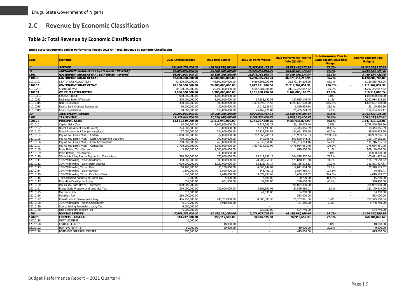# **2.C Revenue by Economic Classification**

#### **Table 3: Total Revenue by Economic Classification**

**Enugu State Government Budget Performance Report 2021 Q4 - Total Revenue by Economic Classification**

<span id="page-9-1"></span><span id="page-9-0"></span>

| <b>Code</b>       | <b>Economic</b>                                     | <b>2021 Original Budget</b> | 2021 Final Budget  | 2021 Q4 Performance      | 2021 Performance Year to<br>Date (01-04) | % Performance Year to<br>Date against 2021 Final<br><b>Budget</b> | <b>Balance (against Final</b><br><b>Budget</b> ) |
|-------------------|-----------------------------------------------------|-----------------------------|--------------------|--------------------------|------------------------------------------|-------------------------------------------------------------------|--------------------------------------------------|
|                   | <b>REVENUE</b>                                      | 154,845,758,500,00          | 154,845,758,500.00 | 22,997,668,153,93        | 88,783,432,672,95                        | 57.3%                                                             | 66.062.325.827.05                                |
| 11                | <b>GOVERNMENT SHARE OF FAAC (STATUTORY REVENUE)</b> | 65,880,000,000.00           | 65,880,000,000,00  | 15,978,756,056.79        | 60,160,465,274.04                        | 91.3%                                                             | 5,719,534,725.96                                 |
| 1101              | <b>GOVERNMENT SHARE OF FAAC (STATUTORY REVENUE)</b> | 65,880,000,000.00           | 65,880,000,000.00  | 15,978,756,056.79        | 60,160,465,274.04                        | 91.3%                                                             | 5,719,534,725.96                                 |
| 110101            | <b>GOVERNMENT SHARE OF FAAC</b>                     | 42,800,000,000.00           | 42,800,000,000.00  | 9,260,305,293.93         | 36,679,114,216.96                        | 85.7%                                                             | 6,120,885,783.04                                 |
| 11010101          | STATUTORY ALLOCATION                                | 42,800,000,000.00           | 42,800,000,000.00  | 9,260,305,293.93         | 36,679,114,216.96                        | 85.7%                                                             | 6,120,885,783.04                                 |
| 110102            | <b>GOVERNMENT SHARE OF VAT</b>                      | 20,100,000,000.00           | 20,100,000,000.00  | 5,617,281,986.06         | 21,312,262,857.32                        | 106.0%                                                            | 1,212,262,857.32                                 |
| 11010201          | SHARE OF VAT                                        | 20,100,000,000.00           | 20,100,000,000.00  | 5,617,281,986.06         | 21,312,262,857.32                        | 106.0%                                                            | 1,212,262,857.32                                 |
| 110103            | <b>OTHER FAAC TRANSFERS</b>                         | 2,980,000,000.00            | 2,980,000,000.00   | 1,101,168,776.80         | 2,169,088,199.76                         | 72.8%                                                             | 810,911,800.24                                   |
| 11010303          | <b>EXCESS CRUDE</b>                                 | 1,000,000,000.00            | 1,000,000,000.00   |                          |                                          | 0.0%                                                              | 1,000,000,000.00                                 |
| 11010313          | Exchange Rate Difference                            | 1,500,000,000.00            | 1,500,000,000.00   | 38, 388, 157. 53         | 137,085,176.45                           | 9.1%                                                              | 1,362,914,823.55                                 |
| 11010315          | Non Oil Revenue                                     | 300,000,000.00              | 300,000,000.00     | 1,034,295,314.58         | 1,999,637,608.58                         | 666.5%                                                            | 1,699,637,608.58                                 |
| 11010318          | Excess Bank Charges Recovered                       | 30,000,000.00               | 30,000,000.00      | 3,019,529.80             | 6,899,639.84                             | 23.0%                                                             | 23,100,360.16                                    |
| 11010319          | Forex Equalization                                  | 150,000,000.00              | 150,000,000.00     | 25,465,774.89            | 25,465,774.89                            | 17.0%                                                             | 124,534,225.11                                   |
| $\frac{12}{1201}$ | <b>INDEPENDENT REVENUE</b>                          | 29,200,000,000.00           | 29,200,000,000.00  | 4,920,935,447.14         | 26,458,478,984.44                        | 90.6%                                                             | 2,741,521,015.56                                 |
|                   | <b>TAX REVENUE</b>                                  | 11,531,649,000.00           | 11,516,949,000.00  | 2,741,307,680.25         | 9,969,635,874.99                         | 86.6%                                                             | 1,547,313,125.01                                 |
| 120101            | <b>PERSONAL TAXES</b>                               | 11,531,649,000.00           | 11,516,949,000.00  | 2,741,307,680.25         | 9,969,635,874.99                         | 86.6%                                                             | 1,547,313,125.01                                 |
| 12010101          | Capital Gains Tax                                   | 18,000,000.00               | 2,800,000,000.00   | 3,537,263.27             | 21,190,203.44                            | 0.8%                                                              | 2,778,809,796.56                                 |
| 12010102          | Direct Assessment Tax (Current)                     | 224.000.000.00              | 18.000.000.00      | 7,911,193.00             | 56,444,066.39                            | 313.6%                                                            | 38,444,066.39                                    |
| 12010103          | Direct Assessment Tax (Arrears/Late)                | 27,000,000.00               | 224,000,000.00     | 72,124,554.84            | 134,451,576.40                           | 60.0%                                                             | 89,548,423.60                                    |
| 12010104          | Pay As You Earn (PAYE) - Federal                    | 2,800,000,000.00            | 27,000,000.00      | 782,560,285.14           | 3,375,909,706.83                         | 12503.4%                                                          | 3,348,909,706.83                                 |
| 12010105          | Pay As You Earn (PAYE) - State (Adjustment Voucher) | 700,000,000.00              | 700,000,000.00     | 549,395.41               | 590,820,444.45                           | 84.4%                                                             | 109,179,555.55                                   |
| 12010106          | Pay As You Earn (PAYE) - Local Government           | 260,000,000.00              | 260,000,000.00     | 36,836,951.03            | 148,283,764.16                           | 57.0%                                                             | 111,716,235.84                                   |
| 12010107          | Pay As You Earn (PAYE) - Companies                  | 3,700,000,000.00            | 3,700,000,000.00   | 1,607,334,959.99         | 4,475,054,451.78                         | 120.9%                                                            | 775,054,451.78                                   |
| 12010108          | Pools Betting Tax (Current)                         | 3,400,000.00                | 1,000,000,000.00   | $\sim$                   | 810,000.00                               | 0.1%                                                              | 999,190,000.00                                   |
| 12010109          | Pools Betting Tax (Arrears)                         |                             | 40,000,000.00      |                          |                                          | 0.0%                                                              | 40,000,000.00                                    |
| 12010110          | 5% Withholding Tax on Payment to Contractors        | 370,300,000.00              | 370,000,000.00     | 83,013,096.13            | 264,378,567.54                           | 71.5%                                                             | 105,621,432.46                                   |
| 12010111          | 10% Withholding Tax on Dividends                    | 300,000,000.00              | 300,000,000.00     | 28,203,256.36            | 123,840,451.38                           | 41.3%                                                             | 176, 159, 548.62                                 |
| 12010112          | 10% Withholding Tax on Bank Interest                | 1.020.000.000.00            | 1,020,000,000.00   | 93,126,437.14            | 306,138,572.13                           | 30.0%                                                             | 713,861,427.87                                   |
| 12010113          | 10% Withholding Tax on Rent                         | 50,200,000.00               | 50,200,000.00      | 4,306,944.81             | 14,871,884.68                            | 29.6%                                                             | 35,328,115.32                                    |
| 12010114          | 10% Withholding Tax on Royalty                      | 1,800,000.00                | 1,800,000.00       | 348,401.16               | 1,854,980.47                             | 103.1%                                                            | 54,980.47                                        |
| 12010115          | 10% Withholding Tax on Director's Fees              | 1,640,000.00                | 1,640,000.00       | 3,671,253.63             | 5,650,183.67                             | 344.5%                                                            | 4,010,183.67                                     |
| 12010116          | Tax Collection Agent Debit/Rural Tax                | 5,000.00                    | 5,000.00           | 3,500.00                 | 20,700.00                                | 414.0%                                                            | 15,700.00                                        |
| 12010117          | Education Development Levy                          | 631,000.00                  | 631,000.00         | 39,700.00                | 290,600.00                               | 46.1%                                                             | 340,400.00                                       |
| 12010120          | Pay as You Earn (PAYE) - (Arrears)                  | 1,000,000,000,00            | $\sim$             | $\sim$                   | 395,054,800.00                           |                                                                   | 395,054,800.00                                   |
| 12010121          | Enugu State Property and Land Use Tax               | 300,000,000.00              | 250,000,000.00     | 8,291,850.01             | 27,829,380.01                            | 11.1%                                                             | 222,170,619.99                                   |
| 12010125          | Mortuary Levy                                       | 510,000.00                  | $\sim$             | 42,330.00                | 164,710.00                               |                                                                   | 164,710.00                                       |
| 12010126          | Penalties Tax                                       | 250,000,000.00              | $\sim$             | $\sim$                   | 583,000.00                               |                                                                   | 583,000.00                                       |
| 12010127          | Infrastructural Development Levy                    | 486,253,000.00              | 746,763,000.00     | 8,886,308.33             | 25,237,841.66                            | 3.4%                                                              | 721,525,158.34                                   |
| 12010128          | 10% Withholding Tax on Consultancy                  | 6,910,000.00                | 6,910,000.00       | $\sim$                   | 161,250.00                               | 2.3%                                                              | 6,748,750.00                                     |
| 12010129          | Sports Betting Proprietors Lucky Tax                | 6,000,000.00                | $\sim$             | $\sim$                   |                                          |                                                                   |                                                  |
| 12010130          | Loto Proprietors Weekly Tax                         | 5,000,000.00                | $\sim$             | 520,000.00               | 594,740.00                               |                                                                   | 594,740.00                                       |
| 1202              | <b>NON-TAX REVENUE</b>                              | 17,668,351,000.00           | 17,683,051,000.00  | 2,179,627,766.89         | 16,488,843,109.45                        | 93.2%                                                             | 1,194,207,890.55                                 |
| 120201            | <b>LICENCES - GENERAL</b>                           | 343,717,500.00              | 358,117,500.00     | 30,026,625.00            | 97,910,659.33                            | 27.3%                                                             | 260, 206, 840.67                                 |
| 12020118          | <b>MEAT LICENSES</b>                                | 10,000.00                   |                    | $\sim$                   | $\overline{\phantom{a}}$                 |                                                                   |                                                  |
| 12020120          | <b>FISHING PERMITS</b>                              |                             | 10,000.00          | $\sim$                   |                                          | 0.0%                                                              | 10,000.00                                        |
| 12020122          | <b>HUNTING PERMITS</b>                              | 50,000.00                   | 50,000.00          | $\sim$                   | 10,000.00                                | 20.0%                                                             | 40,000.00                                        |
| 12020128          | BOREHOLE DRILLING LICENSES                          | 550,000.00                  |                    | $\overline{\phantom{a}}$ | 415,000.00                               |                                                                   | 415,000.00                                       |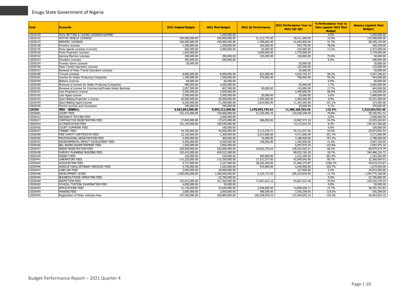| Code     | <b>Economic</b>                                          | 2021 Original Budget | 2021 Final Budget        | 2021 Q4 Performance | 2021 Performance Year to<br>Date (01-04) | % Performance Year to<br>Date against 2021 Final<br><b>Budget</b> | <b>Balance (against Final</b><br><b>Budget</b> ) |
|----------|----------------------------------------------------------|----------------------|--------------------------|---------------------|------------------------------------------|-------------------------------------------------------------------|--------------------------------------------------|
| 12020129 | POOL BETTING & CASINO LICENSES/GAMING                    |                      | 1,050,000.00             |                     |                                          | $0.0\%$                                                           | 1,050,000.00                                     |
| 12020132 | MOTOR VEHICLE LICENSES                                   | 184,000,000.00       | 184,000,000.00           | 21,212,775.00       | 29,411,400.00                            | 16.0%                                                             | 154,588,600.00                                   |
| 12020133 | DRIVERS' LICENSES                                        | 100.000.000.00       | 100,000,000.00           | 1,788,850.00        | 41,694,850.00                            | 41.7%                                                             | 58,305,150.00                                    |
| 12020138 | <b>Forestry Licenses</b>                                 | 1,200,000.00         | 1,200,000.00             | 264,000.00          | 943,750.00                               | 78.6%                                                             | 256,250.00                                       |
| 12020145 | Pools Agents Licenses (Current)                          | 600,000.00           | 4,000,000.00             | 26,000.00           | 526,600.00                               | 13.2%                                                             | 3,473,400.00                                     |
| 12020150 | Pools Proprietor Licenses                                | 1.050.000.00         | $\sim$                   | 2,000,000.00        | 2,779,000.00                             |                                                                   | 2.779.000.00                                     |
| 12020152 | Gaming Machine Licenses                                  | 200,000.00           | 200,000.00               | 150,000.00          | 150,000.00                               | 75.0%                                                             | 50,000.00                                        |
| 12020153 | Snookers Licenses                                        | 200,000,00           | 200,000.00               | $\sim$              | $\sim$                                   | 0.0%                                                              | 200,000.00                                       |
| 12020154 | Forestry Game Licenses                                   | 50,000.00            | $\sim$                   | $\sim$              | 20,000.00                                |                                                                   | 20,000.00                                        |
| 12020156 | Mass Transit Operators Licenses                          |                      | $\sim$                   | $\sim$              | 125,000.00                               |                                                                   | 125,000.00                                       |
| 12020157 | Renewal of Mass Transit Operators Licenses               |                      | $\overline{\phantom{a}}$ | $\sim$              | 55,000.00                                |                                                                   | 55,000.00                                        |
| 12020180 | <b>Tricycle Licenses</b>                                 | 8,000,000.00         | 8,000,000.00             | 822,000.00          | 4,652,753.37                             | 58.2%                                                             | 3,347,246.63                                     |
| 12020181 | License for Water Producing Companies                    | 1,300,000.00         | 1,300,000.00             | 379,000.00          | 706,000.00                               | 54.3%                                                             | 594,000.00                                       |
| 12020184 | <b>Buthers Licences</b>                                  | 60,000.00            | 60,000.00                | $\sim$              |                                          | 0.0%                                                              | 60,000.00                                        |
| 12020189 | Renewal of License for Water Producing Companies         | 900,000.00           | 2,650,000.00             | $\sim$              | 45,000.00                                | 1.7%                                                              | 2,605,000.00                                     |
| 12020190 | Renewal of License for Commercial/Private Water Borehole | 2,007,500.00         | 807,500.00               | 40,000.00           | 143,000.00                               | 17.7%                                                             | 664,500.00                                       |
| 12020191 | Loto Proprietors License                                 | 3,500,000.00         | 3,500,000.00             | $\sim$              | 2,400,000.00                             | 68.6%                                                             | 1,100,000.00                                     |
| 12020192 | Loto Ageat License                                       | 3,500,000.00         | 3,500,000.00             | 20,000.00           | 20,000.00                                | 0.6%                                                              | 3,480,000.00                                     |
| 12020193 | Sport Betting Proprictor s License                       | 30,000,000.00        | 36,000,000.00            | 1,505,000.00        | 2,469,000.00                             | 6.9%                                                              | 33,531,000.00                                    |
| 12020194 | Sport Betting Agent License                              | 6,200,000.00         | 11,200,000.00            | 1,819,000.00        | 11,324,305.96                            | 101.1%                                                            | 124,305.96                                       |
| 12020195 | Permit Licences and Concession                           | 340,000.00           | 390,000.00               | $\sim$              | 20,000.00                                | 5.1%                                                              | 370,000.00                                       |
| 120204   | <b>FEES - GENERAL</b>                                    | 9,962,892,000.00     | 9,963,212,000.00         | 1,478,093,739.44    | 11,486,266,553.46                        | 115.3%                                                            | 1,523,054,553.46                                 |
| 12020401 | <b>COURT FEES</b>                                        | 152,215,000.00       | 150,000,000.00           | 21,220,405.25       | 119,649,548.48                           | 79.8%                                                             | 30,350,451.52                                    |
| 12020412 | <b>RESEARCH TESTING FEES</b>                             |                      | 2.000.000.00             | $\sim$              |                                          | 0.0%                                                              | 2,000,000.00                                     |
| 12020417 | CONTRACTOR REGISTRATION FEES                             | 17,843,000.00        | 27,623,000.00            | 286,050.00          | 14,987,573.18                            | 54.3%                                                             | 12,635,426.82                                    |
| 12020424 | <b>ACCREDITATION FEES</b>                                | 161.140.000.00       | 158,540,000,00           | $\sim$              | 13,112,633.32                            | 8.3%                                                              | 145,427,366.68                                   |
| 12020426 | <b>COURT SUMMONS FEES</b>                                |                      | 100,000.00               |                     |                                          | 0.0%                                                              | 100,000.00                                       |
| 12020427 | <b>TENDER FEES</b>                                       | 44,706,000.00        | 46,006,000.00            | 3,113,278.71        | 25,131,937.46                            | 54.6%                                                             | 20,874,062.54                                    |
| 12020428 | FIRE SAFETY CERTIFICATE FEES                             | 22,100,000.00        | 1,300,000.00             | 2,013,000.00        | 4,571,600.00                             | 351.7%                                                            | 3,271,600.00                                     |
| 12020430 | PROFESSIONAL REGISTRATION FEES                           | 4,400,000.00         | 400,000.00               | 76,000.00           | 3,188,900.00                             | 797.2%                                                            | 2,788,900.00                                     |
| 12020431 | ENVIRONMENTAL IMPACT ASSESSMENT FEES                     | 6,500,000.00         | 6,500,000.00             | 148,000.00          | 1,402,850.00                             | 21.6%                                                             | 5,097,150.00                                     |
| 12020436 | BILL BOARD ADVERTISEMENT FEES                            | 1,500,000.00         | 3,900,000.00             |                     | 5,997,975.34                             | 153.8%                                                            | 2,097,975.34                                     |
| 12020437 | DEEDS REGISTRATION FEES                                  | 220,000,000.00       | 220,000,000.00           | 34,052,370.64       | 150,024,025.21                           | 68.2%                                                             | 69,975,974.79                                    |
| 12020438 | SURVEY/ PLANNING/ BUILDING FEES                          | 192,410,000.00       | 429,522,000.00           |                     | 89,035,765.28                            | 20.7%                                                             | 340,486,234.72                                   |
| 12020439 | <b>AGENCY FEES</b>                                       | 220,000.00           | 220,000.00               | 300,960.00          | 1,522,260.00                             | 691.9%                                                            | 1,302,260.00                                     |
| 12020441 | <b>LABORATORY FEES</b>                                   | 115,220,000.00       | 115,350,000.00           | 17,531,077.00       | 93,049,045.99                            | 80.7%                                                             | 22.300.954.01                                    |
| 12020442 | <b>ASSOCIATION FEES</b>                                  | 4,727,000.00         | 2,227,000.00             | 38,265,400.00       | 51,846,275.87                            | 2328.1%                                                           | 49,619,275.87                                    |
| 12020446 | AGRICULTURAL/VETINARY SERVICES FEES                      | 5,750,000.00         | 1,620,000.00             | 434,800.00          | 3,299,950.00                             | 203.7%                                                            | 1,679,950.00                                     |
| 12020447 | <b>LAND USE FEES</b>                                     | 2,000,000.00         | 30,000,000.00            |                     | 127,500.00                               | 0.4%                                                              | 29,872,500.00                                    |
| 12020448 | <b>DEVELOPMENT LEVIES</b>                                | 1,500,000,000.00     | 1,500,000,000.00         | 5,125,773.50        | 205,224,834.00                           | 13.7%                                                             | 1,294,775,166.00                                 |
| 12020449 | <b>BUSINESS/TRADE OPERATING FEES</b>                     |                      | 52,700,000.00            |                     |                                          | 0.0%                                                              | 52,700,000.00                                    |
| 12020450 | <b>INSPECTION FEES</b>                                   | 155,615,000.00       | 321,360,000.00           | 71,067,622.10       | 93,067,521.46                            | 29.0%                                                             | 228, 292, 478.54                                 |
| 12020452 | SCHOOL/ TUITION/ EXAMINATION FEES                        | 4,000,000.00         | 50,000.00                |                     |                                          | 0.0%                                                              | 50,000.00                                        |
| 12020453 | <b>APPLICATIONS FEES</b>                                 | 41,140,000.00        | 53,640,000.00            | 2,048,600.00        | 14,858,646.17                            | 27.7%                                                             | 38,781,353.83                                    |
| 12020454 | <b>PARKING FEES</b>                                      | 3,000,000,00         | 3.000.000.00             | 398,590.00          | 3,556,299.00                             | 118.5%                                                            | 556,299.00                                       |
| 12020455 | Registration of Motor Vehicles Fees                      | 107,500,000.00       | 100,800,000.00           | 100,328,878.10      | 127,464,053.10                           | 126.5%                                                            | 26,664,053.10                                    |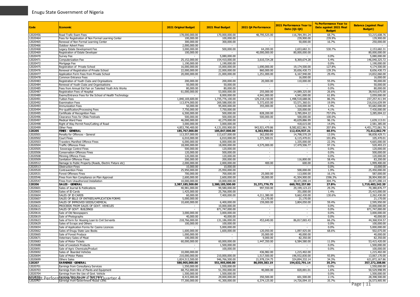| Code                 | <b>Economic</b>                                                                    | <b>2021 Original Budget</b>   | 2021 Final Budget             | 2021 Q4 Performance      | 2021 Performance Year to<br>Date (Q1-Q4) | % Performance Year to<br>Date against 2021 Final<br><b>Budget</b> | <b>Balance (against Final</b><br><b>Budget</b> ) |
|----------------------|------------------------------------------------------------------------------------|-------------------------------|-------------------------------|--------------------------|------------------------------------------|-------------------------------------------------------------------|--------------------------------------------------|
| 12020456             | Road Trafic Exam Fees                                                              | 178,000,000.00                | 170,000,000.00                | 48,795,525.00            | 116,784,391.24                           | 68.7%                                                             | 53,215,608.76                                    |
| 12020464             | Fees for Registration of Non Formal Learning Center                                | 100,000.00                    | 100,000.00                    | $\overline{\phantom{a}}$ | 239,900.00                               | 239.9%                                                            | 139,900.00                                       |
| 12020465             | Renewal of Non Formal Learning Center                                              | 300,000.00                    | 300,000.00                    | $\sim$                   | 50,000.00                                | 16.7%                                                             | 250,000.00                                       |
| 12020466             | Outdoor Advert Fees                                                                | 2,000,000.00                  |                               | $\sim$                   |                                          |                                                                   |                                                  |
| 2020468              | Legacy Estate Development Fee                                                      | 3,000,000,00                  | 500,000.00                    | 64,200.00                | 2,653,682.31                             | 530.7%                                                            | 2,153,682.31                                     |
| 12020469<br>12020470 | Registration of Estate Developer<br>Survey Fee                                     | 100,000.00                    | 5.080.000.00                  | 40,000,000.00            | 80,000,000.00                            | 0.0%                                                              | 80,000,000.00<br>5,080,000.00                    |
| 12020471             | Computerization Fee                                                                | 25,152,000.00                 | 154,410,000.00                | 3,610,724.28             | 8,369,674.28                             | 5.4%                                                              | 146,040,325.72                                   |
| 12020472             | Mortgage Fee                                                                       | 1,190,000.00                  | 1,190,000.00                  |                          |                                          | 0.0%                                                              | 1,190,000.00                                     |
| 2020475              | Registration of Private School                                                     | 16,000,000.00                 | 15,000,000.00                 | 1,690,000.00             | 19,174,500.00                            | 127.8%                                                            | 4,174,500.00                                     |
| 2020476              | Renewal of Registration of Private School                                          | 22,000,000.00                 | 22,000,000.00                 | 860,000.00               | 30,656,430.73                            | 139.3%                                                            | 8,656,430.73                                     |
| 12020477             | Application Form Fees from Private School                                          | 20,000,000.00                 | 21,000,000.00                 | 1,251,000.00             | 6,167,940.00                             | 29.4%                                                             | 14,832,060.00                                    |
| 12020478             | Common Entrance Fees                                                               |                               |                               | $\sim$                   | 16,000.00                                |                                                                   | 16,000.00                                        |
| 12020483             | Registration of Youth Clubs and Orgnisations                                       | 200,000.00                    | 200,000.00                    | 20,000.00                | 110,000.00                               | 55.0%                                                             | 90,000.00                                        |
| 12020484             | Renewal of Youth Clubs and Organisatioins                                          | 50,000.00                     | 50,000.00                     |                          | $\overline{\phantom{a}}$                 | 0.0%                                                              | 50,000.00                                        |
| 12020485             | Fees from Annual Ext Fair on Talented Youth Arts Works                             | 80,000.00                     | 80,000.00                     | $\sim$                   | $\sim$                                   | 0.0%                                                              | 80,000.00                                        |
| 12020487             | Registration Fees of Hospital                                                      | 61,000,000.00                 | 53,000,000.00                 | 255,000.00               | 14,089,325.00                            | 26.6%                                                             | 38,910,675.00                                    |
| 2020489              | Exams/Entrance Fees for the School of Health Technology                            |                               | 8,000,000.00                  | 4,941,000.00             | 4,941,000.00                             | 61.8%                                                             | 3,059,000.00                                     |
| 12020491             | <b>Tuition Fees</b>                                                                | 1,840,169,600.00              | 1,735,776,100.00              | 129,218,150.00           | 1,498,518,688.06                         | 86.3%                                                             | 237,257,411.94                                   |
| 12020492             | <b>Examination Fees</b>                                                            | 113,974,000.00                | 269,588,000.00                | 5,372,655.00             | 53,571,360.01                            | 19.9%                                                             | 216,016,639.99                                   |
| 12020493             | <b>Immunization Fees</b>                                                           | 50,000.00                     | 95,000,000.00                 | 355,000.00               | 1,318,000.00                             | 1.4%                                                              | 93,682,000.00                                    |
| 12020494             | Pre-qualification/Processing Fees                                                  | 7,750,000.00                  | 7,750,000.00                  |                          | 320,000.00                               | 4.1%<br>757.0%                                                    | 7,430,000.00                                     |
| 2020495<br>12020496  | Certificate of Recognition Fees<br>Clearance Fees for Ofala Festivals              | 6,500,000.00<br>500,000.00    | 500,000.00<br>500,000.00      | 828,200.00<br>500,000.00 | 3,785,004.22<br>500,000.00               | 100.0%                                                            | 3,285,004.22                                     |
| 12020497             | <b>Medical Ward Fees</b>                                                           | 46,000,000.00                 | 42,279,000.00                 |                          | 40,639,886.99                            | 96.1%                                                             | 1,639,113.01                                     |
| 2020498              | Right of Way Permit Fees/Cutting of Road                                           | 3,000,000,00                  | 3,000,000.00                  | $\overline{\phantom{a}}$ | 418,615.00                               | 14.0%                                                             | 2,581,385.00                                     |
| 12020499             | Other Fees                                                                         | 4,853,790,400.00              | 4,131,050,900.00              | 943.921.479.86           | 8,582,822,961.76                         | 207.8%                                                            | 4,451,772,061.76                                 |
| L20205               | <b>FINES - GENERAL</b>                                                             | 185,767,000.00                | 185,847,000,00                | 6,363,950.01             | 112,434,937.21                           | 60.5%                                                             | 73,412,062.79                                    |
| 12020501             | Penalty for Offences - General                                                     | 113,557,000.00                | 113,637,000.00                | 362,050.00               | 14,798,570.29                            | 13.0%                                                             | 98,838,429.71                                    |
| 12020502             | Court Fines                                                                        | 6,010,000.00                  | 6,010,000.00                  | 1,371,500.01             | 6,115,470.01                             | 101.8%                                                            | 105,470.01                                       |
| 2020503              | Travelers Manifest Offence Fines                                                   | 6,000,000.00                  | 6,000,000.00                  |                          | 1,335,000.00                             | 22.3%                                                             | 4,665,000.00                                     |
| 12020504             | <b>Traffic Offences Fines</b>                                                      | 18,000,000.00                 | 18,000,000.00                 | 4,575,000.00             | 17,479,506.77                            | 97.1%                                                             | 520,493.23                                       |
| 12020505             | Sewerage Control Fines                                                             | 500,000.00                    | 120,000.00                    | $\sim$                   |                                          | 0.0%                                                              | 120,000.00                                       |
| 2020506              | Conservation Offences Fines                                                        | 120,000.00                    | 500,000.00                    | $\sim$                   | $\blacksquare$                           | 0.0%                                                              | 500,000.00                                       |
| 12020508             | Minning Offence Fines                                                              | 120,000.00                    | 120,000.00                    | $\sim$                   | $\sim$                                   | 0.0%                                                              | 120,000.00                                       |
| 12020509             | Sanitation Offences Fines                                                          | 200,000.00                    | 200,000.00                    | $\sim$                   | 116,800.00                               | 58.4%                                                             | 83,200.00                                        |
| 12020512             | Damage to Public Property (Roads, Electric Fixture etc)                            | 2,000,000.00                  | 2,000,000.00                  | 400.00                   | 600.00                                   | 0.0%                                                              | 1,999,400.00                                     |
| 2020513              | <b>Obstruction Fines</b>                                                           | 10,000.00                     | 10,000.00                     | $\overline{\phantom{a}}$ |                                          | 0.0%                                                              | 10,000.00                                        |
| 2020520              | <b>Contravention Fines</b>                                                         | 25,950,000.00                 | 25,950,000.00                 |                          | 500,000.00                               | 1.9%                                                              | 25,450,000.00                                    |
| 12020531             | Forest Offenses Fines                                                              | 700,000.00                    | 700,000.00                    | 25,000.00                | 113,000.00                               | 16.1%<br>1596.3%                                                  | 587,000.00                                       |
| 12020546<br>2020547  | Fines from Non Compliance on Plan Approval<br>Fines from Unauthorized Installation | 2,600,000.00<br>10,000,000.00 | 2,600,000.00<br>10,000,000.00 | 30,000.00                | 41,504,900.00<br>30,471,090.14           | 304.7%                                                            | 38,904,900.00<br>20,471,090.14                   |
| 120206               | SALES - GENERAL                                                                    | 2,387,185,500.00              | 2,380,185,500.00              | 31,371,776.75            | 660,702,257.80                           | 27.8%                                                             | 1,719,483,242.20                                 |
| 2020601              | Sales of Journal & Publications                                                    | 40,981,000.00                 | 99,580,000.00                 | 997,550.00               | 29,199,123.23                            | 29.3%                                                             | 70,380,876.77                                    |
| 12020603             | Sales of ID Cards                                                                  | 1,425,000.00                  | 25,766,000.00                 |                          | 351,000.00                               | 1.4%                                                              | 25,415,000.00                                    |
| 12020604             | SALES OF ID CARDS                                                                  | 60,000.00                     | 7,400,000.00                  | 4,211,380.00             | 9,662,430.00                             | 130.6%                                                            | 2,262,430.00                                     |
| 2020607              | SALES OF BILLS OF ENTRIES/APPLICATION FORMS                                        | 5,000,000.00                  |                               | 21,170.00                | 21,170.00                                |                                                                   | 21,170.00                                        |
| 12020609             | SALES OF IMPROVED SEEDS/CHEMICAL                                                   | 10,600,000.00                 | 6,400,000.00                  | 159,000.00               | 3,804,050.00                             | 59.4%                                                             | 2,595,950.00                                     |
| 2020612              | PROCEEDS FROM SALES OF GOVT. VEHICLES                                              |                               | 10,000,000.00                 | $\overline{\phantom{a}}$ |                                          | 0.0%                                                              | 10,000,000.00                                    |
| 12020615             | SALES OF GOVT. BUILDINGS                                                           | $\sim$                        | 871,747,000.00                | $\sim$                   | $\sim$                                   | 0.0%                                                              | 871,747,000.00                                   |
| 12020616             | Sale of Old Newspapers                                                             | 3,000,000.00                  | 3,000,000.00                  | $\sim$                   | ÷.                                       | 0.0%                                                              | 3,000,000.00                                     |
| 2020619              | Sale of Photographs                                                                | 40,000.00                     | 40,000.00                     |                          |                                          | 0.0%                                                              | 40,000.00                                        |
| 12020623             | Sale of form for Housing Loan to Civil Servants                                    | 218,766,000.00                | 131,186,000.00                | 453,640.00               | 86,817,065.43                            | 66.2%                                                             | 44,368,934.57                                    |
| 12020629             | Sales of Scraps and Others                                                         | 100,000.00                    | 100,000,00                    |                          |                                          | 0.0%                                                              | 100,000.00                                       |
| 2020654              | Sale of Application Forms for Casino Licences                                      |                               | 5,000,000.00                  | $\sim$                   |                                          | 0.0%                                                              | 5,000,000.00                                     |
| 12020662             | Sales of Enugu State Law Books                                                     | 1,600,000.00                  | 1,600,000.00                  | 120,050.00               | 1,097,925.00                             | 68.6%                                                             | 502,075.00                                       |
| 12020665             | Sale of Forest Produce                                                             | 1,000,000.00                  |                               | 20,000.00                | 40,000.00                                |                                                                   | 40,000.00                                        |
| 12020671             | Veterinary Sales of Meat                                                           | 100,000.00                    | $\sim$                        | 9,000.00                 | 82,350.00                                |                                                                   | 82,350.00                                        |
| 12020683             | Sale of Motor Tickets                                                              | 60,000,000.00                 | 60,000,000.00                 | 1,447,350.00             | 6,584,580.00                             | 11.0%                                                             | 53,415,420.00                                    |
| 12020088<br>12020691 | Sale of Livestock Products<br>Sale of Agric Chemicals/Product                      | $\sim$                        | 1,500,000.00<br>100,000.00    | $\sim$                   | $\sim$                                   | U.U%<br>0.0%                                                      | 1,500,000.00<br>100,000.00                       |
| 12020692             | Sales of Boarded Vehicles                                                          | 10,000,000.00                 |                               | 436,982.00               | 1,215,402.00                             |                                                                   | 1,215,402.00                                     |
| 12020694             | Sale of Motor Plates                                                               | 210,000,000.00                | 210,000,000.00                | 1,517,500.00             | 196,932,830.00                           | 93.8%                                                             | 13,067,170.00                                    |
| 12020699             | Others Sales                                                                       | 1,824,513,500.00              | 946,766,500.00                | 21,978,154.75            | 324,894,332.14                           | 34.3%                                                             | 621,872,167.86                                   |
| 120207               | EA RNINGS - GENERA L                                                               | 580,905,000.00                | 551,905,000.00                | 86,059,383.19            | 194,632,791.14                           | 35.3%                                                             | 357,272,208.86                                   |
| 12020701             | Earnings from Consultancy Services                                                 | 1,550,000.00                  | 1,550,000.00                  | $\sim$                   | $\sim$                                   | 0.0%                                                              | 1,550,000.00                                     |
| 12020703             | Earnings from Hire of Plants and Equipment                                         | 68,752,000.00                 | 51,350,000.00                 | 40,000.00                | 820,001.01                               | 1.6%                                                              | 50,529,998.99                                    |
| 12020704             | Earnings from the Use of Govt. Vehicle                                             | 1,500,000.00                  | 1,500,000.00                  | $\sim$                   | $\sim$                                   | 0.0%                                                              | 1,500,000.00                                     |
| 49999951 Perfor      | Farningsfr@paphelyke of Gont: Halls∩uarter ∆                                       | 8,415,000.00                  | 29,000,000.00                 | 350,500.00               | 601,500.00                               | 2.1%                                                              | 28,398,500.00                                    |
| 12020707             | Earnings from Government House Clinic                                              | 77,300,000.00                 | 41,300,000.00                 | 6,374,125.00             | 14,726,094.10                            | 35.7%                                                             | 26,573,905.90                                    |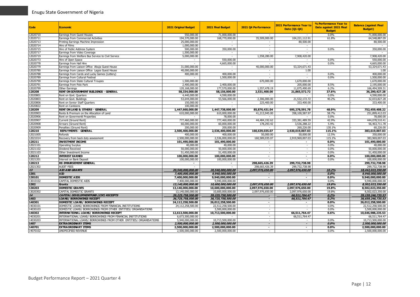| 12020710<br>Earnings from Guest Houses<br>550,000.00<br>71,000,000.00<br>$0.0\%$<br>71,000,000.00<br>$\sim$<br>12020711<br>Earnings from Commercial Activities<br>194,370,000.00<br>168,770,000.00<br>35,509,000.00<br>104,221,112.91<br>61.8%<br>64,548,887.09<br>12020713<br>Printing Earnings Machine Impression<br>25,000,000.00<br>80,500.00<br>80,500.00<br>$\sim$<br>$\sim$<br>12020714<br>Hire of Films<br>1,000,000.00<br>$\overline{a}$<br>$\sim$<br>350,000.00<br>12020715<br>Hire of Public Address System<br>500,000.00<br>350,000.00<br>0.0%<br>$\sim$<br>$\sim$<br>12020717<br>Earnings from Video Coverage<br>1,500,000.00<br>1,558,280.00<br>7,908,420.00<br>7,908,420.00<br>12020719<br>Earnings from Welfare Bus Service to Civil Service<br>5,000,000.00<br>$\sim$<br>12020773<br>550,000.00<br>0.0%<br>550,000.00<br>Hire of Open Space<br>12020778<br>Earnings from Hall Hire<br>4,665,000.00<br>0.0%<br>4,665,000.00<br>$\sim$<br>12020779<br>Earnings from Liaison Office Abuja Guest House<br>31,000,000.00<br>40,000,000.00<br>53,324,671.43<br>53,324,671.43<br>12020780<br>40,000,000.00<br>Earnings from Liaison Office Lagos Guest House<br>1.00<br>1.00<br>$\sim$<br>$\sim$<br>400,000.00<br>400,000.00<br>12020788<br>400,000.00<br>0.0%<br>Earnings from Cards and Lucky Games (Lottery)<br>$\sim$<br>1,500,000.00<br>12020789<br>Earnings from Cultural Festival<br>1,500,000.00<br>0.0%<br>$\sim$<br>$\sim$<br>$\sim$<br>12020790<br>1,500,000.00<br>Earnings from State Cultural Troupes<br>670,000.00<br>1,670,000.00<br>1,670,000.00<br>12020791<br>2,400,000.00<br>2,400,000.00<br>205,000.00<br>8.5%<br>2,195,000.00<br>Earnings from Polo Park<br>$\sim$<br>1,557,478.19<br>166,494,509.31<br>12020799<br>120,168,000.00<br>177,570,000.00<br>11,075,490.69<br>6.2%<br>Other Earnings<br>120208<br>37.6%<br>RENT ON GOVERNMENT BUILDINGS - GENERAL<br>58,334,000.00<br>58,156,000.00<br>2,531,400.00<br>21,865,572.72<br>36,290,427.28<br>12020801<br>4,440,000.00<br>4,590,000.00<br>0.0%<br>4,590,000.00<br>Rent on Govt. Quarters<br>2,306,000.00<br>21,532,172.72<br>12020803<br>53,644,000.00<br>53,566,000.00<br>40.2%<br>32,033,827.28<br>Rent on Govt. Buildings<br>12020806<br>150,000.00<br>225,400.00<br>333,400.00<br>333,400.00<br>Rent on Senior Staff Quarters<br>100,000.00<br>12020822<br>Rent on Canteens<br>$\sim$<br>1,447,660,000.00<br>1,447,738,000.00<br>85,876,431.04<br>695,278,591.78<br>48.0%<br>752,459,408.22<br>120209<br><b>RENT ON LAND &amp; OTHERS - GENERAL</b><br>12020903<br>610,000,000.00<br>610,000,000.00<br>41,213,945.00<br>358,100,587.97<br>58.7%<br>251,899,412.03<br>Rents & Premium on the Allocation of Land<br>12020906<br>78,000.00<br>0.0%<br>78,000.00<br>Rent on Govermentt Properties<br>12020907<br>777,460,000.00<br>777,460,000.00<br>44,484,192.62<br>333, 381, 489.59<br>42.9%<br>444,078,510.41<br>Current (Ground Rent)<br>12020908<br>60,000,000.00<br>178,293.42<br>5.9%<br>56,463,711.78<br>Arrears (Ground Rent)<br>60,000,000.00<br>3,536,288.22<br>130.1%<br>12020909<br>Penalties (Ground Rent)<br>200,000.00<br>200,000.00<br>260,226.00<br>60.226.00<br>120210<br>2,500,400,000.00<br>160,639,035.07<br>2,920,019,007.03<br>115.1%<br>383,619,007.03<br><b>REPAYMENTS - GENERAL</b><br>2,536,400,000.00<br>12021005<br>400,000,00<br>12.5%<br>Refunds<br>400,000.00<br>50,000.00<br>50,000.00<br>350,000.00<br>2,500,000,000.00<br>2,536,000,000.00<br>160,589,035.07<br>2,919,969,007.03<br>115.1%<br>383,969,007.03<br>12021014<br>Recovery from back duty assessment<br>120211<br>101,490,000.00<br>101,490,000.00<br>0.0%<br>101,490,000.00<br><b>INVESTMENT INCOME</b><br>$\blacksquare$<br>$\blacksquare$<br>12021101<br>40.000.00<br><b>Operating Surplus</b><br>40,000.00<br>40,000.00<br>0.0%<br>$\sim$<br>$\overline{\phantom{a}}$<br>50,000,000.00<br>50,000,000.00<br>0.0%<br>50,000,000.00<br>12021102<br>Dividend Received<br>$\sim$<br>$\sim$<br>12021103<br>Other Investment Income<br>51.450.000.00<br>51,450,000.00<br>0.0%<br>51.450.000.00<br>$\sim$<br>$\overline{\phantom{a}}$<br>120212<br>100,000,000,00<br>0.0%<br>100,000,000.00<br><b>INTEREST EARNED</b><br>100,000,000.00<br>$\sim$<br>$\sim$<br>12021201<br>100,000,000,00<br><b>Interest on Bank Deposit</b><br>100,000,000.00<br>100,000,000.00<br>0.0%<br>120213<br>299,732,738.98<br><b>RE-IMBURSEMENT GENERAL</b><br>298,665,426.39<br>299,732,738.98<br>$\overline{a}$<br>$\sim$<br>299,732,738.98<br>12021302<br><b>AUDIT FEES</b><br>298,665,426.39<br>299,732,738.98<br>13<br><b>AID AND GRANTS</b><br>20,540,000,000.00<br>20,540,000,000,00<br>2,097,976,650.00<br>2,097,976,650.00<br>10.2%<br>18,442,023,350.00<br>1301<br><b>AID</b><br>7,400,000,000.00<br>9,940,000,000,00<br>$0.0\%$<br>9,940,000,000.00<br>$\overline{\phantom{a}}$<br>130101<br><b>DOMESTIC AIDS</b><br>0.0%<br>7,400,000,000.00<br>9,940,000,000.00<br>9,940,000,000.00<br>$\sim$<br>$\sim$<br>CAPITAL DOMESTIC AIDS<br>13010102<br>7,400,000,000.00<br>9,940,000,000.00<br>0.0%<br>9.940.000.000.00<br>1302<br>2,097,976,650.00<br>19,8%<br>Grants<br>13,140,000,000.00<br>10,600,000,000.00<br>2,097,976,650.00<br>8,502,023,350.00<br>130203<br><b>DOMESTIC GRANTS</b><br>13,140,000,000.00<br>10,600,000,000.00<br>2,097,976,650.00<br>2,097,976,650.00<br>19.8%<br>8,502,023,350.00<br>13020302<br>CAPITAL DOMESTIC GRANTS<br>13,140,000,000.00<br>10,600,000,000.00<br>2,097,976,650.00<br>2,097,976,650.00<br>19.8%<br>8,502,023,350.00<br>14<br>CAPITAL DEVELOPMENTFUND (CDF) RECEIPTS<br>39,225,758,500.00<br>39,225,758,500.00<br>66,511,764.47<br>0.2%<br>39,159,246,735,53<br>1403<br><b>LOANS/ BORROWINGS RECEIPT</b><br>36,725,758,500.00<br>36,725,758,500.00<br>36,659,246,735.53<br>66,511,764.47<br>0.2%<br>$\overline{\phantom{a}}$<br>140301<br>DOMESTIC LOANS/ BORROWINGS RECEIPT<br>24,112,258,500.00<br>26,012,258,500.00<br>26,012,258,500.00<br>0.0%<br>$\overline{\phantom{a}}$<br>$\overline{\phantom{a}}$<br>DOMESTIC LOANS/ BORROWINGS FROM FINANCIAL INSTITUTIONS<br>14030101<br>24,112,258,500.00<br>22,512,258,500.00<br>0.0%<br>22,512,258,500.00<br>$\sim$<br>$\overline{a}$<br>DOMESTIC LOANS/ BORROWINGS FROM OTHER ENTITIES/ ORGANISATIONS<br>14030103<br>3,500,000,000.00<br>0.0%<br>3,500,000,000.00<br>$\sim$<br>$\sim$<br>140302<br>12,613,500,000.00<br>INTERNATIONAL LOANS/ BORROWINGS RECEIPT<br>10,713,500,000.00<br>66,511,764.47<br>0.6%<br>10,646,988,235.53<br>$\blacksquare$<br>14030201<br>INTERNATIONAL LOANS/ BORROWINGS FROM FINANCIAL INSTITUTIONS<br>6,673,500,000.00<br>66,511,764.47<br>66,511,764.47<br>$\sim$<br>14030203<br>INTERNATIONAL LOANS/ BORROWINGS FROM OTHER ENTITIES/ ORGANISATIONS<br>5,940,000,000.00<br>10,713,500,000.00<br>0.0%<br>10,713,500,000.00<br>$\overline{a}$<br>1407<br><b>EXTRA ORDINA RY ITEMS</b><br>2,500,000,000.00<br>2,500,000,000.00<br>$\overline{\phantom{a}}$<br>$0.0\%$<br>2,500,000,000.00<br>$\sim$<br>140701<br><b>EXTRA ORDINARY ITEMS</b><br>2,500,000,000.00<br>2,500,000,000.00<br>$\sim$<br>0.0%<br>2,500,000,000.00<br>$\blacksquare$<br>14070102<br>UNSPECIFIED REVENUE<br>2,500,000,000.00<br>2,500,000,000.00<br>0.0%<br>2,500,000,000.00<br>$\sim$<br>$\sim$ | <b>Code</b> | <b>Economic</b> | <b>2021 Original Budget</b> | 2021 Final Budget | 2021 Q4 Performance | 2021 Performance Year to<br>Date (Q1-Q4) | % Performance Year to<br>Date against 2021 Final<br><b>Budget</b> | <b>Balance (against Final</b><br><b>Budget</b> ) |
|-----------------------------------------------------------------------------------------------------------------------------------------------------------------------------------------------------------------------------------------------------------------------------------------------------------------------------------------------------------------------------------------------------------------------------------------------------------------------------------------------------------------------------------------------------------------------------------------------------------------------------------------------------------------------------------------------------------------------------------------------------------------------------------------------------------------------------------------------------------------------------------------------------------------------------------------------------------------------------------------------------------------------------------------------------------------------------------------------------------------------------------------------------------------------------------------------------------------------------------------------------------------------------------------------------------------------------------------------------------------------------------------------------------------------------------------------------------------------------------------------------------------------------------------------------------------------------------------------------------------------------------------------------------------------------------------------------------------------------------------------------------------------------------------------------------------------------------------------------------------------------------------------------------------------------------------------------------------------------------------------------------------------------------------------------------------------------------------------------------------------------------------------------------------------------------------------------------------------------------------------------------------------------------------------------------------------------------------------------------------------------------------------------------------------------------------------------------------------------------------------------------------------------------------------------------------------------------------------------------------------------------------------------------------------------------------------------------------------------------------------------------------------------------------------------------------------------------------------------------------------------------------------------------------------------------------------------------------------------------------------------------------------------------------------------------------------------------------------------------------------------------------------------------------------------------------------------------------------------------------------------------------------------------------------------------------------------------------------------------------------------------------------------------------------------------------------------------------------------------------------------------------------------------------------------------------------------------------------------------------------------------------------------------------------------------------------------------------------------------------------------------------------------------------------------------------------------------------------------------------------------------------------------------------------------------------------------------------------------------------------------------------------------------------------------------------------------------------------------------------------------------------------------------------------------------------------------------------------------------------------------------------------------------------------------------------------------------------------------------------------------------------------------------------------------------------------------------------------------------------------------------------------------------------------------------------------------------------------------------------------------------------------------------------------------------------------------------------------------------------------------------------------------------------------------------------------------------------------------------------------------------------------------------------------------------------------------------------------------------------------------------------------------------------------------------------------------------------------------------------------------------------------------------------------------------------------------------------------------------------------------------------------------------------------------------------------------------------------------------------------------------------------------------------------------------------------------------------------------------------------------------------------------------------------------------------------------------------------------------------------------------------------------------------------------------------------------------------------------------------------------------------------------------------------------------------------------------------------------------------------------------------------------------------------------------------------------------------------------------------------------------------------------------------------------------------------------------------------------------------------------------------------------------------------------------------------------------------------------------------------------------------------------------------------------------------------------------------------------------------------------------------------------------------------------------------------------------------------------------------------------------------------------------------------------------------------------------------------------------------------------------------------------------------------------------------------------------------------------------------------------------------------------------------------------------------------------------------------------------------------------------------------------------------------------------------------------------------------------------------------------------------------------------------------------------------------------------------------------------------------------------------------------------------------------------------------------------------------------------------------------------------|-------------|-----------------|-----------------------------|-------------------|---------------------|------------------------------------------|-------------------------------------------------------------------|--------------------------------------------------|
|                                                                                                                                                                                                                                                                                                                                                                                                                                                                                                                                                                                                                                                                                                                                                                                                                                                                                                                                                                                                                                                                                                                                                                                                                                                                                                                                                                                                                                                                                                                                                                                                                                                                                                                                                                                                                                                                                                                                                                                                                                                                                                                                                                                                                                                                                                                                                                                                                                                                                                                                                                                                                                                                                                                                                                                                                                                                                                                                                                                                                                                                                                                                                                                                                                                                                                                                                                                                                                                                                                                                                                                                                                                                                                                                                                                                                                                                                                                                                                                                                                                                                                                                                                                                                                                                                                                                                                                                                                                                                                                                                                                                                                                                                                                                                                                                                                                                                                                                                                                                                                                                                                                                                                                                                                                                                                                                                                                                                                                                                                                                                                                                                                                                                                                                                                                                                                                                                                                                                                                                                                                                                                                                                                                                                                                                                                                                                                                                                                                                                                                                                                                                                                                                                                                                                                                                                                                                                                                                                                                                                                                                                                                                                                                                                                                                 |             |                 |                             |                   |                     |                                          |                                                                   |                                                  |
|                                                                                                                                                                                                                                                                                                                                                                                                                                                                                                                                                                                                                                                                                                                                                                                                                                                                                                                                                                                                                                                                                                                                                                                                                                                                                                                                                                                                                                                                                                                                                                                                                                                                                                                                                                                                                                                                                                                                                                                                                                                                                                                                                                                                                                                                                                                                                                                                                                                                                                                                                                                                                                                                                                                                                                                                                                                                                                                                                                                                                                                                                                                                                                                                                                                                                                                                                                                                                                                                                                                                                                                                                                                                                                                                                                                                                                                                                                                                                                                                                                                                                                                                                                                                                                                                                                                                                                                                                                                                                                                                                                                                                                                                                                                                                                                                                                                                                                                                                                                                                                                                                                                                                                                                                                                                                                                                                                                                                                                                                                                                                                                                                                                                                                                                                                                                                                                                                                                                                                                                                                                                                                                                                                                                                                                                                                                                                                                                                                                                                                                                                                                                                                                                                                                                                                                                                                                                                                                                                                                                                                                                                                                                                                                                                                                                 |             |                 |                             |                   |                     |                                          |                                                                   |                                                  |
|                                                                                                                                                                                                                                                                                                                                                                                                                                                                                                                                                                                                                                                                                                                                                                                                                                                                                                                                                                                                                                                                                                                                                                                                                                                                                                                                                                                                                                                                                                                                                                                                                                                                                                                                                                                                                                                                                                                                                                                                                                                                                                                                                                                                                                                                                                                                                                                                                                                                                                                                                                                                                                                                                                                                                                                                                                                                                                                                                                                                                                                                                                                                                                                                                                                                                                                                                                                                                                                                                                                                                                                                                                                                                                                                                                                                                                                                                                                                                                                                                                                                                                                                                                                                                                                                                                                                                                                                                                                                                                                                                                                                                                                                                                                                                                                                                                                                                                                                                                                                                                                                                                                                                                                                                                                                                                                                                                                                                                                                                                                                                                                                                                                                                                                                                                                                                                                                                                                                                                                                                                                                                                                                                                                                                                                                                                                                                                                                                                                                                                                                                                                                                                                                                                                                                                                                                                                                                                                                                                                                                                                                                                                                                                                                                                                                 |             |                 |                             |                   |                     |                                          |                                                                   |                                                  |
|                                                                                                                                                                                                                                                                                                                                                                                                                                                                                                                                                                                                                                                                                                                                                                                                                                                                                                                                                                                                                                                                                                                                                                                                                                                                                                                                                                                                                                                                                                                                                                                                                                                                                                                                                                                                                                                                                                                                                                                                                                                                                                                                                                                                                                                                                                                                                                                                                                                                                                                                                                                                                                                                                                                                                                                                                                                                                                                                                                                                                                                                                                                                                                                                                                                                                                                                                                                                                                                                                                                                                                                                                                                                                                                                                                                                                                                                                                                                                                                                                                                                                                                                                                                                                                                                                                                                                                                                                                                                                                                                                                                                                                                                                                                                                                                                                                                                                                                                                                                                                                                                                                                                                                                                                                                                                                                                                                                                                                                                                                                                                                                                                                                                                                                                                                                                                                                                                                                                                                                                                                                                                                                                                                                                                                                                                                                                                                                                                                                                                                                                                                                                                                                                                                                                                                                                                                                                                                                                                                                                                                                                                                                                                                                                                                                                 |             |                 |                             |                   |                     |                                          |                                                                   |                                                  |
|                                                                                                                                                                                                                                                                                                                                                                                                                                                                                                                                                                                                                                                                                                                                                                                                                                                                                                                                                                                                                                                                                                                                                                                                                                                                                                                                                                                                                                                                                                                                                                                                                                                                                                                                                                                                                                                                                                                                                                                                                                                                                                                                                                                                                                                                                                                                                                                                                                                                                                                                                                                                                                                                                                                                                                                                                                                                                                                                                                                                                                                                                                                                                                                                                                                                                                                                                                                                                                                                                                                                                                                                                                                                                                                                                                                                                                                                                                                                                                                                                                                                                                                                                                                                                                                                                                                                                                                                                                                                                                                                                                                                                                                                                                                                                                                                                                                                                                                                                                                                                                                                                                                                                                                                                                                                                                                                                                                                                                                                                                                                                                                                                                                                                                                                                                                                                                                                                                                                                                                                                                                                                                                                                                                                                                                                                                                                                                                                                                                                                                                                                                                                                                                                                                                                                                                                                                                                                                                                                                                                                                                                                                                                                                                                                                                                 |             |                 |                             |                   |                     |                                          |                                                                   |                                                  |
|                                                                                                                                                                                                                                                                                                                                                                                                                                                                                                                                                                                                                                                                                                                                                                                                                                                                                                                                                                                                                                                                                                                                                                                                                                                                                                                                                                                                                                                                                                                                                                                                                                                                                                                                                                                                                                                                                                                                                                                                                                                                                                                                                                                                                                                                                                                                                                                                                                                                                                                                                                                                                                                                                                                                                                                                                                                                                                                                                                                                                                                                                                                                                                                                                                                                                                                                                                                                                                                                                                                                                                                                                                                                                                                                                                                                                                                                                                                                                                                                                                                                                                                                                                                                                                                                                                                                                                                                                                                                                                                                                                                                                                                                                                                                                                                                                                                                                                                                                                                                                                                                                                                                                                                                                                                                                                                                                                                                                                                                                                                                                                                                                                                                                                                                                                                                                                                                                                                                                                                                                                                                                                                                                                                                                                                                                                                                                                                                                                                                                                                                                                                                                                                                                                                                                                                                                                                                                                                                                                                                                                                                                                                                                                                                                                                                 |             |                 |                             |                   |                     |                                          |                                                                   |                                                  |
|                                                                                                                                                                                                                                                                                                                                                                                                                                                                                                                                                                                                                                                                                                                                                                                                                                                                                                                                                                                                                                                                                                                                                                                                                                                                                                                                                                                                                                                                                                                                                                                                                                                                                                                                                                                                                                                                                                                                                                                                                                                                                                                                                                                                                                                                                                                                                                                                                                                                                                                                                                                                                                                                                                                                                                                                                                                                                                                                                                                                                                                                                                                                                                                                                                                                                                                                                                                                                                                                                                                                                                                                                                                                                                                                                                                                                                                                                                                                                                                                                                                                                                                                                                                                                                                                                                                                                                                                                                                                                                                                                                                                                                                                                                                                                                                                                                                                                                                                                                                                                                                                                                                                                                                                                                                                                                                                                                                                                                                                                                                                                                                                                                                                                                                                                                                                                                                                                                                                                                                                                                                                                                                                                                                                                                                                                                                                                                                                                                                                                                                                                                                                                                                                                                                                                                                                                                                                                                                                                                                                                                                                                                                                                                                                                                                                 |             |                 |                             |                   |                     |                                          |                                                                   |                                                  |
|                                                                                                                                                                                                                                                                                                                                                                                                                                                                                                                                                                                                                                                                                                                                                                                                                                                                                                                                                                                                                                                                                                                                                                                                                                                                                                                                                                                                                                                                                                                                                                                                                                                                                                                                                                                                                                                                                                                                                                                                                                                                                                                                                                                                                                                                                                                                                                                                                                                                                                                                                                                                                                                                                                                                                                                                                                                                                                                                                                                                                                                                                                                                                                                                                                                                                                                                                                                                                                                                                                                                                                                                                                                                                                                                                                                                                                                                                                                                                                                                                                                                                                                                                                                                                                                                                                                                                                                                                                                                                                                                                                                                                                                                                                                                                                                                                                                                                                                                                                                                                                                                                                                                                                                                                                                                                                                                                                                                                                                                                                                                                                                                                                                                                                                                                                                                                                                                                                                                                                                                                                                                                                                                                                                                                                                                                                                                                                                                                                                                                                                                                                                                                                                                                                                                                                                                                                                                                                                                                                                                                                                                                                                                                                                                                                                                 |             |                 |                             |                   |                     |                                          |                                                                   |                                                  |
|                                                                                                                                                                                                                                                                                                                                                                                                                                                                                                                                                                                                                                                                                                                                                                                                                                                                                                                                                                                                                                                                                                                                                                                                                                                                                                                                                                                                                                                                                                                                                                                                                                                                                                                                                                                                                                                                                                                                                                                                                                                                                                                                                                                                                                                                                                                                                                                                                                                                                                                                                                                                                                                                                                                                                                                                                                                                                                                                                                                                                                                                                                                                                                                                                                                                                                                                                                                                                                                                                                                                                                                                                                                                                                                                                                                                                                                                                                                                                                                                                                                                                                                                                                                                                                                                                                                                                                                                                                                                                                                                                                                                                                                                                                                                                                                                                                                                                                                                                                                                                                                                                                                                                                                                                                                                                                                                                                                                                                                                                                                                                                                                                                                                                                                                                                                                                                                                                                                                                                                                                                                                                                                                                                                                                                                                                                                                                                                                                                                                                                                                                                                                                                                                                                                                                                                                                                                                                                                                                                                                                                                                                                                                                                                                                                                                 |             |                 |                             |                   |                     |                                          |                                                                   |                                                  |
|                                                                                                                                                                                                                                                                                                                                                                                                                                                                                                                                                                                                                                                                                                                                                                                                                                                                                                                                                                                                                                                                                                                                                                                                                                                                                                                                                                                                                                                                                                                                                                                                                                                                                                                                                                                                                                                                                                                                                                                                                                                                                                                                                                                                                                                                                                                                                                                                                                                                                                                                                                                                                                                                                                                                                                                                                                                                                                                                                                                                                                                                                                                                                                                                                                                                                                                                                                                                                                                                                                                                                                                                                                                                                                                                                                                                                                                                                                                                                                                                                                                                                                                                                                                                                                                                                                                                                                                                                                                                                                                                                                                                                                                                                                                                                                                                                                                                                                                                                                                                                                                                                                                                                                                                                                                                                                                                                                                                                                                                                                                                                                                                                                                                                                                                                                                                                                                                                                                                                                                                                                                                                                                                                                                                                                                                                                                                                                                                                                                                                                                                                                                                                                                                                                                                                                                                                                                                                                                                                                                                                                                                                                                                                                                                                                                                 |             |                 |                             |                   |                     |                                          |                                                                   |                                                  |
|                                                                                                                                                                                                                                                                                                                                                                                                                                                                                                                                                                                                                                                                                                                                                                                                                                                                                                                                                                                                                                                                                                                                                                                                                                                                                                                                                                                                                                                                                                                                                                                                                                                                                                                                                                                                                                                                                                                                                                                                                                                                                                                                                                                                                                                                                                                                                                                                                                                                                                                                                                                                                                                                                                                                                                                                                                                                                                                                                                                                                                                                                                                                                                                                                                                                                                                                                                                                                                                                                                                                                                                                                                                                                                                                                                                                                                                                                                                                                                                                                                                                                                                                                                                                                                                                                                                                                                                                                                                                                                                                                                                                                                                                                                                                                                                                                                                                                                                                                                                                                                                                                                                                                                                                                                                                                                                                                                                                                                                                                                                                                                                                                                                                                                                                                                                                                                                                                                                                                                                                                                                                                                                                                                                                                                                                                                                                                                                                                                                                                                                                                                                                                                                                                                                                                                                                                                                                                                                                                                                                                                                                                                                                                                                                                                                                 |             |                 |                             |                   |                     |                                          |                                                                   |                                                  |
|                                                                                                                                                                                                                                                                                                                                                                                                                                                                                                                                                                                                                                                                                                                                                                                                                                                                                                                                                                                                                                                                                                                                                                                                                                                                                                                                                                                                                                                                                                                                                                                                                                                                                                                                                                                                                                                                                                                                                                                                                                                                                                                                                                                                                                                                                                                                                                                                                                                                                                                                                                                                                                                                                                                                                                                                                                                                                                                                                                                                                                                                                                                                                                                                                                                                                                                                                                                                                                                                                                                                                                                                                                                                                                                                                                                                                                                                                                                                                                                                                                                                                                                                                                                                                                                                                                                                                                                                                                                                                                                                                                                                                                                                                                                                                                                                                                                                                                                                                                                                                                                                                                                                                                                                                                                                                                                                                                                                                                                                                                                                                                                                                                                                                                                                                                                                                                                                                                                                                                                                                                                                                                                                                                                                                                                                                                                                                                                                                                                                                                                                                                                                                                                                                                                                                                                                                                                                                                                                                                                                                                                                                                                                                                                                                                                                 |             |                 |                             |                   |                     |                                          |                                                                   |                                                  |
|                                                                                                                                                                                                                                                                                                                                                                                                                                                                                                                                                                                                                                                                                                                                                                                                                                                                                                                                                                                                                                                                                                                                                                                                                                                                                                                                                                                                                                                                                                                                                                                                                                                                                                                                                                                                                                                                                                                                                                                                                                                                                                                                                                                                                                                                                                                                                                                                                                                                                                                                                                                                                                                                                                                                                                                                                                                                                                                                                                                                                                                                                                                                                                                                                                                                                                                                                                                                                                                                                                                                                                                                                                                                                                                                                                                                                                                                                                                                                                                                                                                                                                                                                                                                                                                                                                                                                                                                                                                                                                                                                                                                                                                                                                                                                                                                                                                                                                                                                                                                                                                                                                                                                                                                                                                                                                                                                                                                                                                                                                                                                                                                                                                                                                                                                                                                                                                                                                                                                                                                                                                                                                                                                                                                                                                                                                                                                                                                                                                                                                                                                                                                                                                                                                                                                                                                                                                                                                                                                                                                                                                                                                                                                                                                                                                                 |             |                 |                             |                   |                     |                                          |                                                                   |                                                  |
|                                                                                                                                                                                                                                                                                                                                                                                                                                                                                                                                                                                                                                                                                                                                                                                                                                                                                                                                                                                                                                                                                                                                                                                                                                                                                                                                                                                                                                                                                                                                                                                                                                                                                                                                                                                                                                                                                                                                                                                                                                                                                                                                                                                                                                                                                                                                                                                                                                                                                                                                                                                                                                                                                                                                                                                                                                                                                                                                                                                                                                                                                                                                                                                                                                                                                                                                                                                                                                                                                                                                                                                                                                                                                                                                                                                                                                                                                                                                                                                                                                                                                                                                                                                                                                                                                                                                                                                                                                                                                                                                                                                                                                                                                                                                                                                                                                                                                                                                                                                                                                                                                                                                                                                                                                                                                                                                                                                                                                                                                                                                                                                                                                                                                                                                                                                                                                                                                                                                                                                                                                                                                                                                                                                                                                                                                                                                                                                                                                                                                                                                                                                                                                                                                                                                                                                                                                                                                                                                                                                                                                                                                                                                                                                                                                                                 |             |                 |                             |                   |                     |                                          |                                                                   |                                                  |
|                                                                                                                                                                                                                                                                                                                                                                                                                                                                                                                                                                                                                                                                                                                                                                                                                                                                                                                                                                                                                                                                                                                                                                                                                                                                                                                                                                                                                                                                                                                                                                                                                                                                                                                                                                                                                                                                                                                                                                                                                                                                                                                                                                                                                                                                                                                                                                                                                                                                                                                                                                                                                                                                                                                                                                                                                                                                                                                                                                                                                                                                                                                                                                                                                                                                                                                                                                                                                                                                                                                                                                                                                                                                                                                                                                                                                                                                                                                                                                                                                                                                                                                                                                                                                                                                                                                                                                                                                                                                                                                                                                                                                                                                                                                                                                                                                                                                                                                                                                                                                                                                                                                                                                                                                                                                                                                                                                                                                                                                                                                                                                                                                                                                                                                                                                                                                                                                                                                                                                                                                                                                                                                                                                                                                                                                                                                                                                                                                                                                                                                                                                                                                                                                                                                                                                                                                                                                                                                                                                                                                                                                                                                                                                                                                                                                 |             |                 |                             |                   |                     |                                          |                                                                   |                                                  |
|                                                                                                                                                                                                                                                                                                                                                                                                                                                                                                                                                                                                                                                                                                                                                                                                                                                                                                                                                                                                                                                                                                                                                                                                                                                                                                                                                                                                                                                                                                                                                                                                                                                                                                                                                                                                                                                                                                                                                                                                                                                                                                                                                                                                                                                                                                                                                                                                                                                                                                                                                                                                                                                                                                                                                                                                                                                                                                                                                                                                                                                                                                                                                                                                                                                                                                                                                                                                                                                                                                                                                                                                                                                                                                                                                                                                                                                                                                                                                                                                                                                                                                                                                                                                                                                                                                                                                                                                                                                                                                                                                                                                                                                                                                                                                                                                                                                                                                                                                                                                                                                                                                                                                                                                                                                                                                                                                                                                                                                                                                                                                                                                                                                                                                                                                                                                                                                                                                                                                                                                                                                                                                                                                                                                                                                                                                                                                                                                                                                                                                                                                                                                                                                                                                                                                                                                                                                                                                                                                                                                                                                                                                                                                                                                                                                                 |             |                 |                             |                   |                     |                                          |                                                                   |                                                  |
|                                                                                                                                                                                                                                                                                                                                                                                                                                                                                                                                                                                                                                                                                                                                                                                                                                                                                                                                                                                                                                                                                                                                                                                                                                                                                                                                                                                                                                                                                                                                                                                                                                                                                                                                                                                                                                                                                                                                                                                                                                                                                                                                                                                                                                                                                                                                                                                                                                                                                                                                                                                                                                                                                                                                                                                                                                                                                                                                                                                                                                                                                                                                                                                                                                                                                                                                                                                                                                                                                                                                                                                                                                                                                                                                                                                                                                                                                                                                                                                                                                                                                                                                                                                                                                                                                                                                                                                                                                                                                                                                                                                                                                                                                                                                                                                                                                                                                                                                                                                                                                                                                                                                                                                                                                                                                                                                                                                                                                                                                                                                                                                                                                                                                                                                                                                                                                                                                                                                                                                                                                                                                                                                                                                                                                                                                                                                                                                                                                                                                                                                                                                                                                                                                                                                                                                                                                                                                                                                                                                                                                                                                                                                                                                                                                                                 |             |                 |                             |                   |                     |                                          |                                                                   |                                                  |
|                                                                                                                                                                                                                                                                                                                                                                                                                                                                                                                                                                                                                                                                                                                                                                                                                                                                                                                                                                                                                                                                                                                                                                                                                                                                                                                                                                                                                                                                                                                                                                                                                                                                                                                                                                                                                                                                                                                                                                                                                                                                                                                                                                                                                                                                                                                                                                                                                                                                                                                                                                                                                                                                                                                                                                                                                                                                                                                                                                                                                                                                                                                                                                                                                                                                                                                                                                                                                                                                                                                                                                                                                                                                                                                                                                                                                                                                                                                                                                                                                                                                                                                                                                                                                                                                                                                                                                                                                                                                                                                                                                                                                                                                                                                                                                                                                                                                                                                                                                                                                                                                                                                                                                                                                                                                                                                                                                                                                                                                                                                                                                                                                                                                                                                                                                                                                                                                                                                                                                                                                                                                                                                                                                                                                                                                                                                                                                                                                                                                                                                                                                                                                                                                                                                                                                                                                                                                                                                                                                                                                                                                                                                                                                                                                                                                 |             |                 |                             |                   |                     |                                          |                                                                   |                                                  |
|                                                                                                                                                                                                                                                                                                                                                                                                                                                                                                                                                                                                                                                                                                                                                                                                                                                                                                                                                                                                                                                                                                                                                                                                                                                                                                                                                                                                                                                                                                                                                                                                                                                                                                                                                                                                                                                                                                                                                                                                                                                                                                                                                                                                                                                                                                                                                                                                                                                                                                                                                                                                                                                                                                                                                                                                                                                                                                                                                                                                                                                                                                                                                                                                                                                                                                                                                                                                                                                                                                                                                                                                                                                                                                                                                                                                                                                                                                                                                                                                                                                                                                                                                                                                                                                                                                                                                                                                                                                                                                                                                                                                                                                                                                                                                                                                                                                                                                                                                                                                                                                                                                                                                                                                                                                                                                                                                                                                                                                                                                                                                                                                                                                                                                                                                                                                                                                                                                                                                                                                                                                                                                                                                                                                                                                                                                                                                                                                                                                                                                                                                                                                                                                                                                                                                                                                                                                                                                                                                                                                                                                                                                                                                                                                                                                                 |             |                 |                             |                   |                     |                                          |                                                                   |                                                  |
|                                                                                                                                                                                                                                                                                                                                                                                                                                                                                                                                                                                                                                                                                                                                                                                                                                                                                                                                                                                                                                                                                                                                                                                                                                                                                                                                                                                                                                                                                                                                                                                                                                                                                                                                                                                                                                                                                                                                                                                                                                                                                                                                                                                                                                                                                                                                                                                                                                                                                                                                                                                                                                                                                                                                                                                                                                                                                                                                                                                                                                                                                                                                                                                                                                                                                                                                                                                                                                                                                                                                                                                                                                                                                                                                                                                                                                                                                                                                                                                                                                                                                                                                                                                                                                                                                                                                                                                                                                                                                                                                                                                                                                                                                                                                                                                                                                                                                                                                                                                                                                                                                                                                                                                                                                                                                                                                                                                                                                                                                                                                                                                                                                                                                                                                                                                                                                                                                                                                                                                                                                                                                                                                                                                                                                                                                                                                                                                                                                                                                                                                                                                                                                                                                                                                                                                                                                                                                                                                                                                                                                                                                                                                                                                                                                                                 |             |                 |                             |                   |                     |                                          |                                                                   |                                                  |
|                                                                                                                                                                                                                                                                                                                                                                                                                                                                                                                                                                                                                                                                                                                                                                                                                                                                                                                                                                                                                                                                                                                                                                                                                                                                                                                                                                                                                                                                                                                                                                                                                                                                                                                                                                                                                                                                                                                                                                                                                                                                                                                                                                                                                                                                                                                                                                                                                                                                                                                                                                                                                                                                                                                                                                                                                                                                                                                                                                                                                                                                                                                                                                                                                                                                                                                                                                                                                                                                                                                                                                                                                                                                                                                                                                                                                                                                                                                                                                                                                                                                                                                                                                                                                                                                                                                                                                                                                                                                                                                                                                                                                                                                                                                                                                                                                                                                                                                                                                                                                                                                                                                                                                                                                                                                                                                                                                                                                                                                                                                                                                                                                                                                                                                                                                                                                                                                                                                                                                                                                                                                                                                                                                                                                                                                                                                                                                                                                                                                                                                                                                                                                                                                                                                                                                                                                                                                                                                                                                                                                                                                                                                                                                                                                                                                 |             |                 |                             |                   |                     |                                          |                                                                   |                                                  |
|                                                                                                                                                                                                                                                                                                                                                                                                                                                                                                                                                                                                                                                                                                                                                                                                                                                                                                                                                                                                                                                                                                                                                                                                                                                                                                                                                                                                                                                                                                                                                                                                                                                                                                                                                                                                                                                                                                                                                                                                                                                                                                                                                                                                                                                                                                                                                                                                                                                                                                                                                                                                                                                                                                                                                                                                                                                                                                                                                                                                                                                                                                                                                                                                                                                                                                                                                                                                                                                                                                                                                                                                                                                                                                                                                                                                                                                                                                                                                                                                                                                                                                                                                                                                                                                                                                                                                                                                                                                                                                                                                                                                                                                                                                                                                                                                                                                                                                                                                                                                                                                                                                                                                                                                                                                                                                                                                                                                                                                                                                                                                                                                                                                                                                                                                                                                                                                                                                                                                                                                                                                                                                                                                                                                                                                                                                                                                                                                                                                                                                                                                                                                                                                                                                                                                                                                                                                                                                                                                                                                                                                                                                                                                                                                                                                                 |             |                 |                             |                   |                     |                                          |                                                                   |                                                  |
|                                                                                                                                                                                                                                                                                                                                                                                                                                                                                                                                                                                                                                                                                                                                                                                                                                                                                                                                                                                                                                                                                                                                                                                                                                                                                                                                                                                                                                                                                                                                                                                                                                                                                                                                                                                                                                                                                                                                                                                                                                                                                                                                                                                                                                                                                                                                                                                                                                                                                                                                                                                                                                                                                                                                                                                                                                                                                                                                                                                                                                                                                                                                                                                                                                                                                                                                                                                                                                                                                                                                                                                                                                                                                                                                                                                                                                                                                                                                                                                                                                                                                                                                                                                                                                                                                                                                                                                                                                                                                                                                                                                                                                                                                                                                                                                                                                                                                                                                                                                                                                                                                                                                                                                                                                                                                                                                                                                                                                                                                                                                                                                                                                                                                                                                                                                                                                                                                                                                                                                                                                                                                                                                                                                                                                                                                                                                                                                                                                                                                                                                                                                                                                                                                                                                                                                                                                                                                                                                                                                                                                                                                                                                                                                                                                                                 |             |                 |                             |                   |                     |                                          |                                                                   |                                                  |
|                                                                                                                                                                                                                                                                                                                                                                                                                                                                                                                                                                                                                                                                                                                                                                                                                                                                                                                                                                                                                                                                                                                                                                                                                                                                                                                                                                                                                                                                                                                                                                                                                                                                                                                                                                                                                                                                                                                                                                                                                                                                                                                                                                                                                                                                                                                                                                                                                                                                                                                                                                                                                                                                                                                                                                                                                                                                                                                                                                                                                                                                                                                                                                                                                                                                                                                                                                                                                                                                                                                                                                                                                                                                                                                                                                                                                                                                                                                                                                                                                                                                                                                                                                                                                                                                                                                                                                                                                                                                                                                                                                                                                                                                                                                                                                                                                                                                                                                                                                                                                                                                                                                                                                                                                                                                                                                                                                                                                                                                                                                                                                                                                                                                                                                                                                                                                                                                                                                                                                                                                                                                                                                                                                                                                                                                                                                                                                                                                                                                                                                                                                                                                                                                                                                                                                                                                                                                                                                                                                                                                                                                                                                                                                                                                                                                 |             |                 |                             |                   |                     |                                          |                                                                   |                                                  |
|                                                                                                                                                                                                                                                                                                                                                                                                                                                                                                                                                                                                                                                                                                                                                                                                                                                                                                                                                                                                                                                                                                                                                                                                                                                                                                                                                                                                                                                                                                                                                                                                                                                                                                                                                                                                                                                                                                                                                                                                                                                                                                                                                                                                                                                                                                                                                                                                                                                                                                                                                                                                                                                                                                                                                                                                                                                                                                                                                                                                                                                                                                                                                                                                                                                                                                                                                                                                                                                                                                                                                                                                                                                                                                                                                                                                                                                                                                                                                                                                                                                                                                                                                                                                                                                                                                                                                                                                                                                                                                                                                                                                                                                                                                                                                                                                                                                                                                                                                                                                                                                                                                                                                                                                                                                                                                                                                                                                                                                                                                                                                                                                                                                                                                                                                                                                                                                                                                                                                                                                                                                                                                                                                                                                                                                                                                                                                                                                                                                                                                                                                                                                                                                                                                                                                                                                                                                                                                                                                                                                                                                                                                                                                                                                                                                                 |             |                 |                             |                   |                     |                                          |                                                                   |                                                  |
|                                                                                                                                                                                                                                                                                                                                                                                                                                                                                                                                                                                                                                                                                                                                                                                                                                                                                                                                                                                                                                                                                                                                                                                                                                                                                                                                                                                                                                                                                                                                                                                                                                                                                                                                                                                                                                                                                                                                                                                                                                                                                                                                                                                                                                                                                                                                                                                                                                                                                                                                                                                                                                                                                                                                                                                                                                                                                                                                                                                                                                                                                                                                                                                                                                                                                                                                                                                                                                                                                                                                                                                                                                                                                                                                                                                                                                                                                                                                                                                                                                                                                                                                                                                                                                                                                                                                                                                                                                                                                                                                                                                                                                                                                                                                                                                                                                                                                                                                                                                                                                                                                                                                                                                                                                                                                                                                                                                                                                                                                                                                                                                                                                                                                                                                                                                                                                                                                                                                                                                                                                                                                                                                                                                                                                                                                                                                                                                                                                                                                                                                                                                                                                                                                                                                                                                                                                                                                                                                                                                                                                                                                                                                                                                                                                                                 |             |                 |                             |                   |                     |                                          |                                                                   |                                                  |
|                                                                                                                                                                                                                                                                                                                                                                                                                                                                                                                                                                                                                                                                                                                                                                                                                                                                                                                                                                                                                                                                                                                                                                                                                                                                                                                                                                                                                                                                                                                                                                                                                                                                                                                                                                                                                                                                                                                                                                                                                                                                                                                                                                                                                                                                                                                                                                                                                                                                                                                                                                                                                                                                                                                                                                                                                                                                                                                                                                                                                                                                                                                                                                                                                                                                                                                                                                                                                                                                                                                                                                                                                                                                                                                                                                                                                                                                                                                                                                                                                                                                                                                                                                                                                                                                                                                                                                                                                                                                                                                                                                                                                                                                                                                                                                                                                                                                                                                                                                                                                                                                                                                                                                                                                                                                                                                                                                                                                                                                                                                                                                                                                                                                                                                                                                                                                                                                                                                                                                                                                                                                                                                                                                                                                                                                                                                                                                                                                                                                                                                                                                                                                                                                                                                                                                                                                                                                                                                                                                                                                                                                                                                                                                                                                                                                 |             |                 |                             |                   |                     |                                          |                                                                   |                                                  |
|                                                                                                                                                                                                                                                                                                                                                                                                                                                                                                                                                                                                                                                                                                                                                                                                                                                                                                                                                                                                                                                                                                                                                                                                                                                                                                                                                                                                                                                                                                                                                                                                                                                                                                                                                                                                                                                                                                                                                                                                                                                                                                                                                                                                                                                                                                                                                                                                                                                                                                                                                                                                                                                                                                                                                                                                                                                                                                                                                                                                                                                                                                                                                                                                                                                                                                                                                                                                                                                                                                                                                                                                                                                                                                                                                                                                                                                                                                                                                                                                                                                                                                                                                                                                                                                                                                                                                                                                                                                                                                                                                                                                                                                                                                                                                                                                                                                                                                                                                                                                                                                                                                                                                                                                                                                                                                                                                                                                                                                                                                                                                                                                                                                                                                                                                                                                                                                                                                                                                                                                                                                                                                                                                                                                                                                                                                                                                                                                                                                                                                                                                                                                                                                                                                                                                                                                                                                                                                                                                                                                                                                                                                                                                                                                                                                                 |             |                 |                             |                   |                     |                                          |                                                                   |                                                  |
|                                                                                                                                                                                                                                                                                                                                                                                                                                                                                                                                                                                                                                                                                                                                                                                                                                                                                                                                                                                                                                                                                                                                                                                                                                                                                                                                                                                                                                                                                                                                                                                                                                                                                                                                                                                                                                                                                                                                                                                                                                                                                                                                                                                                                                                                                                                                                                                                                                                                                                                                                                                                                                                                                                                                                                                                                                                                                                                                                                                                                                                                                                                                                                                                                                                                                                                                                                                                                                                                                                                                                                                                                                                                                                                                                                                                                                                                                                                                                                                                                                                                                                                                                                                                                                                                                                                                                                                                                                                                                                                                                                                                                                                                                                                                                                                                                                                                                                                                                                                                                                                                                                                                                                                                                                                                                                                                                                                                                                                                                                                                                                                                                                                                                                                                                                                                                                                                                                                                                                                                                                                                                                                                                                                                                                                                                                                                                                                                                                                                                                                                                                                                                                                                                                                                                                                                                                                                                                                                                                                                                                                                                                                                                                                                                                                                 |             |                 |                             |                   |                     |                                          |                                                                   |                                                  |
|                                                                                                                                                                                                                                                                                                                                                                                                                                                                                                                                                                                                                                                                                                                                                                                                                                                                                                                                                                                                                                                                                                                                                                                                                                                                                                                                                                                                                                                                                                                                                                                                                                                                                                                                                                                                                                                                                                                                                                                                                                                                                                                                                                                                                                                                                                                                                                                                                                                                                                                                                                                                                                                                                                                                                                                                                                                                                                                                                                                                                                                                                                                                                                                                                                                                                                                                                                                                                                                                                                                                                                                                                                                                                                                                                                                                                                                                                                                                                                                                                                                                                                                                                                                                                                                                                                                                                                                                                                                                                                                                                                                                                                                                                                                                                                                                                                                                                                                                                                                                                                                                                                                                                                                                                                                                                                                                                                                                                                                                                                                                                                                                                                                                                                                                                                                                                                                                                                                                                                                                                                                                                                                                                                                                                                                                                                                                                                                                                                                                                                                                                                                                                                                                                                                                                                                                                                                                                                                                                                                                                                                                                                                                                                                                                                                                 |             |                 |                             |                   |                     |                                          |                                                                   |                                                  |
|                                                                                                                                                                                                                                                                                                                                                                                                                                                                                                                                                                                                                                                                                                                                                                                                                                                                                                                                                                                                                                                                                                                                                                                                                                                                                                                                                                                                                                                                                                                                                                                                                                                                                                                                                                                                                                                                                                                                                                                                                                                                                                                                                                                                                                                                                                                                                                                                                                                                                                                                                                                                                                                                                                                                                                                                                                                                                                                                                                                                                                                                                                                                                                                                                                                                                                                                                                                                                                                                                                                                                                                                                                                                                                                                                                                                                                                                                                                                                                                                                                                                                                                                                                                                                                                                                                                                                                                                                                                                                                                                                                                                                                                                                                                                                                                                                                                                                                                                                                                                                                                                                                                                                                                                                                                                                                                                                                                                                                                                                                                                                                                                                                                                                                                                                                                                                                                                                                                                                                                                                                                                                                                                                                                                                                                                                                                                                                                                                                                                                                                                                                                                                                                                                                                                                                                                                                                                                                                                                                                                                                                                                                                                                                                                                                                                 |             |                 |                             |                   |                     |                                          |                                                                   |                                                  |
|                                                                                                                                                                                                                                                                                                                                                                                                                                                                                                                                                                                                                                                                                                                                                                                                                                                                                                                                                                                                                                                                                                                                                                                                                                                                                                                                                                                                                                                                                                                                                                                                                                                                                                                                                                                                                                                                                                                                                                                                                                                                                                                                                                                                                                                                                                                                                                                                                                                                                                                                                                                                                                                                                                                                                                                                                                                                                                                                                                                                                                                                                                                                                                                                                                                                                                                                                                                                                                                                                                                                                                                                                                                                                                                                                                                                                                                                                                                                                                                                                                                                                                                                                                                                                                                                                                                                                                                                                                                                                                                                                                                                                                                                                                                                                                                                                                                                                                                                                                                                                                                                                                                                                                                                                                                                                                                                                                                                                                                                                                                                                                                                                                                                                                                                                                                                                                                                                                                                                                                                                                                                                                                                                                                                                                                                                                                                                                                                                                                                                                                                                                                                                                                                                                                                                                                                                                                                                                                                                                                                                                                                                                                                                                                                                                                                 |             |                 |                             |                   |                     |                                          |                                                                   |                                                  |
|                                                                                                                                                                                                                                                                                                                                                                                                                                                                                                                                                                                                                                                                                                                                                                                                                                                                                                                                                                                                                                                                                                                                                                                                                                                                                                                                                                                                                                                                                                                                                                                                                                                                                                                                                                                                                                                                                                                                                                                                                                                                                                                                                                                                                                                                                                                                                                                                                                                                                                                                                                                                                                                                                                                                                                                                                                                                                                                                                                                                                                                                                                                                                                                                                                                                                                                                                                                                                                                                                                                                                                                                                                                                                                                                                                                                                                                                                                                                                                                                                                                                                                                                                                                                                                                                                                                                                                                                                                                                                                                                                                                                                                                                                                                                                                                                                                                                                                                                                                                                                                                                                                                                                                                                                                                                                                                                                                                                                                                                                                                                                                                                                                                                                                                                                                                                                                                                                                                                                                                                                                                                                                                                                                                                                                                                                                                                                                                                                                                                                                                                                                                                                                                                                                                                                                                                                                                                                                                                                                                                                                                                                                                                                                                                                                                                 |             |                 |                             |                   |                     |                                          |                                                                   |                                                  |
|                                                                                                                                                                                                                                                                                                                                                                                                                                                                                                                                                                                                                                                                                                                                                                                                                                                                                                                                                                                                                                                                                                                                                                                                                                                                                                                                                                                                                                                                                                                                                                                                                                                                                                                                                                                                                                                                                                                                                                                                                                                                                                                                                                                                                                                                                                                                                                                                                                                                                                                                                                                                                                                                                                                                                                                                                                                                                                                                                                                                                                                                                                                                                                                                                                                                                                                                                                                                                                                                                                                                                                                                                                                                                                                                                                                                                                                                                                                                                                                                                                                                                                                                                                                                                                                                                                                                                                                                                                                                                                                                                                                                                                                                                                                                                                                                                                                                                                                                                                                                                                                                                                                                                                                                                                                                                                                                                                                                                                                                                                                                                                                                                                                                                                                                                                                                                                                                                                                                                                                                                                                                                                                                                                                                                                                                                                                                                                                                                                                                                                                                                                                                                                                                                                                                                                                                                                                                                                                                                                                                                                                                                                                                                                                                                                                                 |             |                 |                             |                   |                     |                                          |                                                                   |                                                  |
|                                                                                                                                                                                                                                                                                                                                                                                                                                                                                                                                                                                                                                                                                                                                                                                                                                                                                                                                                                                                                                                                                                                                                                                                                                                                                                                                                                                                                                                                                                                                                                                                                                                                                                                                                                                                                                                                                                                                                                                                                                                                                                                                                                                                                                                                                                                                                                                                                                                                                                                                                                                                                                                                                                                                                                                                                                                                                                                                                                                                                                                                                                                                                                                                                                                                                                                                                                                                                                                                                                                                                                                                                                                                                                                                                                                                                                                                                                                                                                                                                                                                                                                                                                                                                                                                                                                                                                                                                                                                                                                                                                                                                                                                                                                                                                                                                                                                                                                                                                                                                                                                                                                                                                                                                                                                                                                                                                                                                                                                                                                                                                                                                                                                                                                                                                                                                                                                                                                                                                                                                                                                                                                                                                                                                                                                                                                                                                                                                                                                                                                                                                                                                                                                                                                                                                                                                                                                                                                                                                                                                                                                                                                                                                                                                                                                 |             |                 |                             |                   |                     |                                          |                                                                   |                                                  |
|                                                                                                                                                                                                                                                                                                                                                                                                                                                                                                                                                                                                                                                                                                                                                                                                                                                                                                                                                                                                                                                                                                                                                                                                                                                                                                                                                                                                                                                                                                                                                                                                                                                                                                                                                                                                                                                                                                                                                                                                                                                                                                                                                                                                                                                                                                                                                                                                                                                                                                                                                                                                                                                                                                                                                                                                                                                                                                                                                                                                                                                                                                                                                                                                                                                                                                                                                                                                                                                                                                                                                                                                                                                                                                                                                                                                                                                                                                                                                                                                                                                                                                                                                                                                                                                                                                                                                                                                                                                                                                                                                                                                                                                                                                                                                                                                                                                                                                                                                                                                                                                                                                                                                                                                                                                                                                                                                                                                                                                                                                                                                                                                                                                                                                                                                                                                                                                                                                                                                                                                                                                                                                                                                                                                                                                                                                                                                                                                                                                                                                                                                                                                                                                                                                                                                                                                                                                                                                                                                                                                                                                                                                                                                                                                                                                                 |             |                 |                             |                   |                     |                                          |                                                                   |                                                  |
|                                                                                                                                                                                                                                                                                                                                                                                                                                                                                                                                                                                                                                                                                                                                                                                                                                                                                                                                                                                                                                                                                                                                                                                                                                                                                                                                                                                                                                                                                                                                                                                                                                                                                                                                                                                                                                                                                                                                                                                                                                                                                                                                                                                                                                                                                                                                                                                                                                                                                                                                                                                                                                                                                                                                                                                                                                                                                                                                                                                                                                                                                                                                                                                                                                                                                                                                                                                                                                                                                                                                                                                                                                                                                                                                                                                                                                                                                                                                                                                                                                                                                                                                                                                                                                                                                                                                                                                                                                                                                                                                                                                                                                                                                                                                                                                                                                                                                                                                                                                                                                                                                                                                                                                                                                                                                                                                                                                                                                                                                                                                                                                                                                                                                                                                                                                                                                                                                                                                                                                                                                                                                                                                                                                                                                                                                                                                                                                                                                                                                                                                                                                                                                                                                                                                                                                                                                                                                                                                                                                                                                                                                                                                                                                                                                                                 |             |                 |                             |                   |                     |                                          |                                                                   |                                                  |
|                                                                                                                                                                                                                                                                                                                                                                                                                                                                                                                                                                                                                                                                                                                                                                                                                                                                                                                                                                                                                                                                                                                                                                                                                                                                                                                                                                                                                                                                                                                                                                                                                                                                                                                                                                                                                                                                                                                                                                                                                                                                                                                                                                                                                                                                                                                                                                                                                                                                                                                                                                                                                                                                                                                                                                                                                                                                                                                                                                                                                                                                                                                                                                                                                                                                                                                                                                                                                                                                                                                                                                                                                                                                                                                                                                                                                                                                                                                                                                                                                                                                                                                                                                                                                                                                                                                                                                                                                                                                                                                                                                                                                                                                                                                                                                                                                                                                                                                                                                                                                                                                                                                                                                                                                                                                                                                                                                                                                                                                                                                                                                                                                                                                                                                                                                                                                                                                                                                                                                                                                                                                                                                                                                                                                                                                                                                                                                                                                                                                                                                                                                                                                                                                                                                                                                                                                                                                                                                                                                                                                                                                                                                                                                                                                                                                 |             |                 |                             |                   |                     |                                          |                                                                   |                                                  |
|                                                                                                                                                                                                                                                                                                                                                                                                                                                                                                                                                                                                                                                                                                                                                                                                                                                                                                                                                                                                                                                                                                                                                                                                                                                                                                                                                                                                                                                                                                                                                                                                                                                                                                                                                                                                                                                                                                                                                                                                                                                                                                                                                                                                                                                                                                                                                                                                                                                                                                                                                                                                                                                                                                                                                                                                                                                                                                                                                                                                                                                                                                                                                                                                                                                                                                                                                                                                                                                                                                                                                                                                                                                                                                                                                                                                                                                                                                                                                                                                                                                                                                                                                                                                                                                                                                                                                                                                                                                                                                                                                                                                                                                                                                                                                                                                                                                                                                                                                                                                                                                                                                                                                                                                                                                                                                                                                                                                                                                                                                                                                                                                                                                                                                                                                                                                                                                                                                                                                                                                                                                                                                                                                                                                                                                                                                                                                                                                                                                                                                                                                                                                                                                                                                                                                                                                                                                                                                                                                                                                                                                                                                                                                                                                                                                                 |             |                 |                             |                   |                     |                                          |                                                                   |                                                  |
|                                                                                                                                                                                                                                                                                                                                                                                                                                                                                                                                                                                                                                                                                                                                                                                                                                                                                                                                                                                                                                                                                                                                                                                                                                                                                                                                                                                                                                                                                                                                                                                                                                                                                                                                                                                                                                                                                                                                                                                                                                                                                                                                                                                                                                                                                                                                                                                                                                                                                                                                                                                                                                                                                                                                                                                                                                                                                                                                                                                                                                                                                                                                                                                                                                                                                                                                                                                                                                                                                                                                                                                                                                                                                                                                                                                                                                                                                                                                                                                                                                                                                                                                                                                                                                                                                                                                                                                                                                                                                                                                                                                                                                                                                                                                                                                                                                                                                                                                                                                                                                                                                                                                                                                                                                                                                                                                                                                                                                                                                                                                                                                                                                                                                                                                                                                                                                                                                                                                                                                                                                                                                                                                                                                                                                                                                                                                                                                                                                                                                                                                                                                                                                                                                                                                                                                                                                                                                                                                                                                                                                                                                                                                                                                                                                                                 |             |                 |                             |                   |                     |                                          |                                                                   |                                                  |
|                                                                                                                                                                                                                                                                                                                                                                                                                                                                                                                                                                                                                                                                                                                                                                                                                                                                                                                                                                                                                                                                                                                                                                                                                                                                                                                                                                                                                                                                                                                                                                                                                                                                                                                                                                                                                                                                                                                                                                                                                                                                                                                                                                                                                                                                                                                                                                                                                                                                                                                                                                                                                                                                                                                                                                                                                                                                                                                                                                                                                                                                                                                                                                                                                                                                                                                                                                                                                                                                                                                                                                                                                                                                                                                                                                                                                                                                                                                                                                                                                                                                                                                                                                                                                                                                                                                                                                                                                                                                                                                                                                                                                                                                                                                                                                                                                                                                                                                                                                                                                                                                                                                                                                                                                                                                                                                                                                                                                                                                                                                                                                                                                                                                                                                                                                                                                                                                                                                                                                                                                                                                                                                                                                                                                                                                                                                                                                                                                                                                                                                                                                                                                                                                                                                                                                                                                                                                                                                                                                                                                                                                                                                                                                                                                                                                 |             |                 |                             |                   |                     |                                          |                                                                   |                                                  |
|                                                                                                                                                                                                                                                                                                                                                                                                                                                                                                                                                                                                                                                                                                                                                                                                                                                                                                                                                                                                                                                                                                                                                                                                                                                                                                                                                                                                                                                                                                                                                                                                                                                                                                                                                                                                                                                                                                                                                                                                                                                                                                                                                                                                                                                                                                                                                                                                                                                                                                                                                                                                                                                                                                                                                                                                                                                                                                                                                                                                                                                                                                                                                                                                                                                                                                                                                                                                                                                                                                                                                                                                                                                                                                                                                                                                                                                                                                                                                                                                                                                                                                                                                                                                                                                                                                                                                                                                                                                                                                                                                                                                                                                                                                                                                                                                                                                                                                                                                                                                                                                                                                                                                                                                                                                                                                                                                                                                                                                                                                                                                                                                                                                                                                                                                                                                                                                                                                                                                                                                                                                                                                                                                                                                                                                                                                                                                                                                                                                                                                                                                                                                                                                                                                                                                                                                                                                                                                                                                                                                                                                                                                                                                                                                                                                                 |             |                 |                             |                   |                     |                                          |                                                                   |                                                  |
|                                                                                                                                                                                                                                                                                                                                                                                                                                                                                                                                                                                                                                                                                                                                                                                                                                                                                                                                                                                                                                                                                                                                                                                                                                                                                                                                                                                                                                                                                                                                                                                                                                                                                                                                                                                                                                                                                                                                                                                                                                                                                                                                                                                                                                                                                                                                                                                                                                                                                                                                                                                                                                                                                                                                                                                                                                                                                                                                                                                                                                                                                                                                                                                                                                                                                                                                                                                                                                                                                                                                                                                                                                                                                                                                                                                                                                                                                                                                                                                                                                                                                                                                                                                                                                                                                                                                                                                                                                                                                                                                                                                                                                                                                                                                                                                                                                                                                                                                                                                                                                                                                                                                                                                                                                                                                                                                                                                                                                                                                                                                                                                                                                                                                                                                                                                                                                                                                                                                                                                                                                                                                                                                                                                                                                                                                                                                                                                                                                                                                                                                                                                                                                                                                                                                                                                                                                                                                                                                                                                                                                                                                                                                                                                                                                                                 |             |                 |                             |                   |                     |                                          |                                                                   |                                                  |
|                                                                                                                                                                                                                                                                                                                                                                                                                                                                                                                                                                                                                                                                                                                                                                                                                                                                                                                                                                                                                                                                                                                                                                                                                                                                                                                                                                                                                                                                                                                                                                                                                                                                                                                                                                                                                                                                                                                                                                                                                                                                                                                                                                                                                                                                                                                                                                                                                                                                                                                                                                                                                                                                                                                                                                                                                                                                                                                                                                                                                                                                                                                                                                                                                                                                                                                                                                                                                                                                                                                                                                                                                                                                                                                                                                                                                                                                                                                                                                                                                                                                                                                                                                                                                                                                                                                                                                                                                                                                                                                                                                                                                                                                                                                                                                                                                                                                                                                                                                                                                                                                                                                                                                                                                                                                                                                                                                                                                                                                                                                                                                                                                                                                                                                                                                                                                                                                                                                                                                                                                                                                                                                                                                                                                                                                                                                                                                                                                                                                                                                                                                                                                                                                                                                                                                                                                                                                                                                                                                                                                                                                                                                                                                                                                                                                 |             |                 |                             |                   |                     |                                          |                                                                   |                                                  |
|                                                                                                                                                                                                                                                                                                                                                                                                                                                                                                                                                                                                                                                                                                                                                                                                                                                                                                                                                                                                                                                                                                                                                                                                                                                                                                                                                                                                                                                                                                                                                                                                                                                                                                                                                                                                                                                                                                                                                                                                                                                                                                                                                                                                                                                                                                                                                                                                                                                                                                                                                                                                                                                                                                                                                                                                                                                                                                                                                                                                                                                                                                                                                                                                                                                                                                                                                                                                                                                                                                                                                                                                                                                                                                                                                                                                                                                                                                                                                                                                                                                                                                                                                                                                                                                                                                                                                                                                                                                                                                                                                                                                                                                                                                                                                                                                                                                                                                                                                                                                                                                                                                                                                                                                                                                                                                                                                                                                                                                                                                                                                                                                                                                                                                                                                                                                                                                                                                                                                                                                                                                                                                                                                                                                                                                                                                                                                                                                                                                                                                                                                                                                                                                                                                                                                                                                                                                                                                                                                                                                                                                                                                                                                                                                                                                                 |             |                 |                             |                   |                     |                                          |                                                                   |                                                  |
|                                                                                                                                                                                                                                                                                                                                                                                                                                                                                                                                                                                                                                                                                                                                                                                                                                                                                                                                                                                                                                                                                                                                                                                                                                                                                                                                                                                                                                                                                                                                                                                                                                                                                                                                                                                                                                                                                                                                                                                                                                                                                                                                                                                                                                                                                                                                                                                                                                                                                                                                                                                                                                                                                                                                                                                                                                                                                                                                                                                                                                                                                                                                                                                                                                                                                                                                                                                                                                                                                                                                                                                                                                                                                                                                                                                                                                                                                                                                                                                                                                                                                                                                                                                                                                                                                                                                                                                                                                                                                                                                                                                                                                                                                                                                                                                                                                                                                                                                                                                                                                                                                                                                                                                                                                                                                                                                                                                                                                                                                                                                                                                                                                                                                                                                                                                                                                                                                                                                                                                                                                                                                                                                                                                                                                                                                                                                                                                                                                                                                                                                                                                                                                                                                                                                                                                                                                                                                                                                                                                                                                                                                                                                                                                                                                                                 |             |                 |                             |                   |                     |                                          |                                                                   |                                                  |
|                                                                                                                                                                                                                                                                                                                                                                                                                                                                                                                                                                                                                                                                                                                                                                                                                                                                                                                                                                                                                                                                                                                                                                                                                                                                                                                                                                                                                                                                                                                                                                                                                                                                                                                                                                                                                                                                                                                                                                                                                                                                                                                                                                                                                                                                                                                                                                                                                                                                                                                                                                                                                                                                                                                                                                                                                                                                                                                                                                                                                                                                                                                                                                                                                                                                                                                                                                                                                                                                                                                                                                                                                                                                                                                                                                                                                                                                                                                                                                                                                                                                                                                                                                                                                                                                                                                                                                                                                                                                                                                                                                                                                                                                                                                                                                                                                                                                                                                                                                                                                                                                                                                                                                                                                                                                                                                                                                                                                                                                                                                                                                                                                                                                                                                                                                                                                                                                                                                                                                                                                                                                                                                                                                                                                                                                                                                                                                                                                                                                                                                                                                                                                                                                                                                                                                                                                                                                                                                                                                                                                                                                                                                                                                                                                                                                 |             |                 |                             |                   |                     |                                          |                                                                   |                                                  |
|                                                                                                                                                                                                                                                                                                                                                                                                                                                                                                                                                                                                                                                                                                                                                                                                                                                                                                                                                                                                                                                                                                                                                                                                                                                                                                                                                                                                                                                                                                                                                                                                                                                                                                                                                                                                                                                                                                                                                                                                                                                                                                                                                                                                                                                                                                                                                                                                                                                                                                                                                                                                                                                                                                                                                                                                                                                                                                                                                                                                                                                                                                                                                                                                                                                                                                                                                                                                                                                                                                                                                                                                                                                                                                                                                                                                                                                                                                                                                                                                                                                                                                                                                                                                                                                                                                                                                                                                                                                                                                                                                                                                                                                                                                                                                                                                                                                                                                                                                                                                                                                                                                                                                                                                                                                                                                                                                                                                                                                                                                                                                                                                                                                                                                                                                                                                                                                                                                                                                                                                                                                                                                                                                                                                                                                                                                                                                                                                                                                                                                                                                                                                                                                                                                                                                                                                                                                                                                                                                                                                                                                                                                                                                                                                                                                                 |             |                 |                             |                   |                     |                                          |                                                                   |                                                  |
|                                                                                                                                                                                                                                                                                                                                                                                                                                                                                                                                                                                                                                                                                                                                                                                                                                                                                                                                                                                                                                                                                                                                                                                                                                                                                                                                                                                                                                                                                                                                                                                                                                                                                                                                                                                                                                                                                                                                                                                                                                                                                                                                                                                                                                                                                                                                                                                                                                                                                                                                                                                                                                                                                                                                                                                                                                                                                                                                                                                                                                                                                                                                                                                                                                                                                                                                                                                                                                                                                                                                                                                                                                                                                                                                                                                                                                                                                                                                                                                                                                                                                                                                                                                                                                                                                                                                                                                                                                                                                                                                                                                                                                                                                                                                                                                                                                                                                                                                                                                                                                                                                                                                                                                                                                                                                                                                                                                                                                                                                                                                                                                                                                                                                                                                                                                                                                                                                                                                                                                                                                                                                                                                                                                                                                                                                                                                                                                                                                                                                                                                                                                                                                                                                                                                                                                                                                                                                                                                                                                                                                                                                                                                                                                                                                                                 |             |                 |                             |                   |                     |                                          |                                                                   |                                                  |
|                                                                                                                                                                                                                                                                                                                                                                                                                                                                                                                                                                                                                                                                                                                                                                                                                                                                                                                                                                                                                                                                                                                                                                                                                                                                                                                                                                                                                                                                                                                                                                                                                                                                                                                                                                                                                                                                                                                                                                                                                                                                                                                                                                                                                                                                                                                                                                                                                                                                                                                                                                                                                                                                                                                                                                                                                                                                                                                                                                                                                                                                                                                                                                                                                                                                                                                                                                                                                                                                                                                                                                                                                                                                                                                                                                                                                                                                                                                                                                                                                                                                                                                                                                                                                                                                                                                                                                                                                                                                                                                                                                                                                                                                                                                                                                                                                                                                                                                                                                                                                                                                                                                                                                                                                                                                                                                                                                                                                                                                                                                                                                                                                                                                                                                                                                                                                                                                                                                                                                                                                                                                                                                                                                                                                                                                                                                                                                                                                                                                                                                                                                                                                                                                                                                                                                                                                                                                                                                                                                                                                                                                                                                                                                                                                                                                 |             |                 |                             |                   |                     |                                          |                                                                   |                                                  |
|                                                                                                                                                                                                                                                                                                                                                                                                                                                                                                                                                                                                                                                                                                                                                                                                                                                                                                                                                                                                                                                                                                                                                                                                                                                                                                                                                                                                                                                                                                                                                                                                                                                                                                                                                                                                                                                                                                                                                                                                                                                                                                                                                                                                                                                                                                                                                                                                                                                                                                                                                                                                                                                                                                                                                                                                                                                                                                                                                                                                                                                                                                                                                                                                                                                                                                                                                                                                                                                                                                                                                                                                                                                                                                                                                                                                                                                                                                                                                                                                                                                                                                                                                                                                                                                                                                                                                                                                                                                                                                                                                                                                                                                                                                                                                                                                                                                                                                                                                                                                                                                                                                                                                                                                                                                                                                                                                                                                                                                                                                                                                                                                                                                                                                                                                                                                                                                                                                                                                                                                                                                                                                                                                                                                                                                                                                                                                                                                                                                                                                                                                                                                                                                                                                                                                                                                                                                                                                                                                                                                                                                                                                                                                                                                                                                                 |             |                 |                             |                   |                     |                                          |                                                                   |                                                  |
|                                                                                                                                                                                                                                                                                                                                                                                                                                                                                                                                                                                                                                                                                                                                                                                                                                                                                                                                                                                                                                                                                                                                                                                                                                                                                                                                                                                                                                                                                                                                                                                                                                                                                                                                                                                                                                                                                                                                                                                                                                                                                                                                                                                                                                                                                                                                                                                                                                                                                                                                                                                                                                                                                                                                                                                                                                                                                                                                                                                                                                                                                                                                                                                                                                                                                                                                                                                                                                                                                                                                                                                                                                                                                                                                                                                                                                                                                                                                                                                                                                                                                                                                                                                                                                                                                                                                                                                                                                                                                                                                                                                                                                                                                                                                                                                                                                                                                                                                                                                                                                                                                                                                                                                                                                                                                                                                                                                                                                                                                                                                                                                                                                                                                                                                                                                                                                                                                                                                                                                                                                                                                                                                                                                                                                                                                                                                                                                                                                                                                                                                                                                                                                                                                                                                                                                                                                                                                                                                                                                                                                                                                                                                                                                                                                                                 |             |                 |                             |                   |                     |                                          |                                                                   |                                                  |
|                                                                                                                                                                                                                                                                                                                                                                                                                                                                                                                                                                                                                                                                                                                                                                                                                                                                                                                                                                                                                                                                                                                                                                                                                                                                                                                                                                                                                                                                                                                                                                                                                                                                                                                                                                                                                                                                                                                                                                                                                                                                                                                                                                                                                                                                                                                                                                                                                                                                                                                                                                                                                                                                                                                                                                                                                                                                                                                                                                                                                                                                                                                                                                                                                                                                                                                                                                                                                                                                                                                                                                                                                                                                                                                                                                                                                                                                                                                                                                                                                                                                                                                                                                                                                                                                                                                                                                                                                                                                                                                                                                                                                                                                                                                                                                                                                                                                                                                                                                                                                                                                                                                                                                                                                                                                                                                                                                                                                                                                                                                                                                                                                                                                                                                                                                                                                                                                                                                                                                                                                                                                                                                                                                                                                                                                                                                                                                                                                                                                                                                                                                                                                                                                                                                                                                                                                                                                                                                                                                                                                                                                                                                                                                                                                                                                 |             |                 |                             |                   |                     |                                          |                                                                   |                                                  |
|                                                                                                                                                                                                                                                                                                                                                                                                                                                                                                                                                                                                                                                                                                                                                                                                                                                                                                                                                                                                                                                                                                                                                                                                                                                                                                                                                                                                                                                                                                                                                                                                                                                                                                                                                                                                                                                                                                                                                                                                                                                                                                                                                                                                                                                                                                                                                                                                                                                                                                                                                                                                                                                                                                                                                                                                                                                                                                                                                                                                                                                                                                                                                                                                                                                                                                                                                                                                                                                                                                                                                                                                                                                                                                                                                                                                                                                                                                                                                                                                                                                                                                                                                                                                                                                                                                                                                                                                                                                                                                                                                                                                                                                                                                                                                                                                                                                                                                                                                                                                                                                                                                                                                                                                                                                                                                                                                                                                                                                                                                                                                                                                                                                                                                                                                                                                                                                                                                                                                                                                                                                                                                                                                                                                                                                                                                                                                                                                                                                                                                                                                                                                                                                                                                                                                                                                                                                                                                                                                                                                                                                                                                                                                                                                                                                                 |             |                 |                             |                   |                     |                                          |                                                                   |                                                  |
|                                                                                                                                                                                                                                                                                                                                                                                                                                                                                                                                                                                                                                                                                                                                                                                                                                                                                                                                                                                                                                                                                                                                                                                                                                                                                                                                                                                                                                                                                                                                                                                                                                                                                                                                                                                                                                                                                                                                                                                                                                                                                                                                                                                                                                                                                                                                                                                                                                                                                                                                                                                                                                                                                                                                                                                                                                                                                                                                                                                                                                                                                                                                                                                                                                                                                                                                                                                                                                                                                                                                                                                                                                                                                                                                                                                                                                                                                                                                                                                                                                                                                                                                                                                                                                                                                                                                                                                                                                                                                                                                                                                                                                                                                                                                                                                                                                                                                                                                                                                                                                                                                                                                                                                                                                                                                                                                                                                                                                                                                                                                                                                                                                                                                                                                                                                                                                                                                                                                                                                                                                                                                                                                                                                                                                                                                                                                                                                                                                                                                                                                                                                                                                                                                                                                                                                                                                                                                                                                                                                                                                                                                                                                                                                                                                                                 |             |                 |                             |                   |                     |                                          |                                                                   |                                                  |
|                                                                                                                                                                                                                                                                                                                                                                                                                                                                                                                                                                                                                                                                                                                                                                                                                                                                                                                                                                                                                                                                                                                                                                                                                                                                                                                                                                                                                                                                                                                                                                                                                                                                                                                                                                                                                                                                                                                                                                                                                                                                                                                                                                                                                                                                                                                                                                                                                                                                                                                                                                                                                                                                                                                                                                                                                                                                                                                                                                                                                                                                                                                                                                                                                                                                                                                                                                                                                                                                                                                                                                                                                                                                                                                                                                                                                                                                                                                                                                                                                                                                                                                                                                                                                                                                                                                                                                                                                                                                                                                                                                                                                                                                                                                                                                                                                                                                                                                                                                                                                                                                                                                                                                                                                                                                                                                                                                                                                                                                                                                                                                                                                                                                                                                                                                                                                                                                                                                                                                                                                                                                                                                                                                                                                                                                                                                                                                                                                                                                                                                                                                                                                                                                                                                                                                                                                                                                                                                                                                                                                                                                                                                                                                                                                                                                 |             |                 |                             |                   |                     |                                          |                                                                   |                                                  |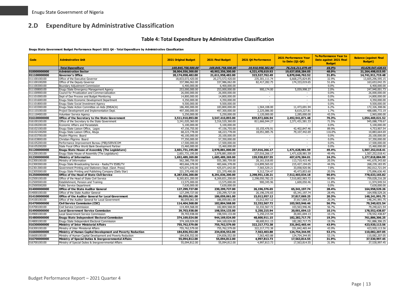# **2.D Expenditure by Administrative Classification**

#### **Table 4: Total Expenditure by Administrative Classification**

#### **Enugu State Government Budget Performance Report 2021 Q4 - Total Expenditure by Administrative Classification**

<span id="page-13-1"></span><span id="page-13-0"></span>

| <b>Total Expenditure</b><br>169,845,758,500.00<br>169,845,758,500.00<br>19,910,958,382.80<br>76,216,211,079.49<br>48.0%<br>010000000000<br><b>Administration Sector</b><br>38,004,556,300.00<br>40,902,356,300.00<br>4,321,478,619.93<br>19,637,858,284.05<br>21,264,498,015.95<br>011100000000<br>20,174,058,482.00<br>21,611,958,482.00<br>323,527,762.49<br>31.8%<br>14,741,911,719.48<br><b>Governor's Office</b><br>6,870,046,762.52<br>32.9%<br>13,605,296,595.15<br>011100100100<br>Office of the Executive Governor<br>18,833,072,420.00<br>20,273,572,420.00<br>235,301,111.74<br>6,668,275,824.85<br>337,986,062.00<br>337,986,062.00<br>51.6%<br>163,653,042.35<br>011100100200<br>Office of the Deputy Governor<br>82,417,282.75<br>174,333,019.65<br>0.0%<br>6,400,000.00<br>011100300100<br>Boundary Adjustment Commission<br>6,400,000.00<br>6,400,000.00<br>$\sim$<br>900.174.00<br>5,059,998.27<br>2.0%<br>247,940,001.73<br>011100800100<br>253,000,000.00<br>253,000,000.00<br>Enugu State Emergency Management Agency<br>011100900100<br>26,000,000.00<br>26,000,000.00<br>0.0%<br>26,000,000.00<br>Council for Privatization and Commercialization<br>0.0%<br>14,800,000.00<br>011101000100<br>Dept of Due Process and Budget Monitoring<br>14,800,000.00<br>14,800,000.00<br>$\sim$<br>$\sim$<br>4,350,000.00<br>011101600100<br>Enuqu State Economic Development Department<br>4,350,000.00<br>4,350,000.00<br>0.0%<br>$\sim$<br>$\sim$<br>9,500,000.00<br>9,500,000.00<br>0.0%<br>9,500,000.00<br>011101800100<br>Enugu State Social Investment Agency<br>$\sim$<br>1,564,108.00<br>11,473,691.94<br>6.2%<br>172,326,308.06<br>011103300100<br>Enugu State Action Committee on Aids (ENSACA)<br>186,400,000.00<br>183,800,000.00<br>497,300,000.00<br>011110100100<br>Project Development and Implementation Dept.<br>497,300,000.00<br>2,225,086.00<br>8,619,227.81<br>1.7%<br>488,680,772.19<br>43.5%<br>2.965.000.00<br>011118400100<br>5,250,000.00<br>5,250,000.00<br>1,120,000.00<br>2,285,000.00<br>Volunteer Service Agency<br>016100000000<br>Office of the Secretary to the State Government<br>3,511,910,893.00<br>3,547,410,893.00<br>839,872,606.94<br>2,492,941,871.48<br>70.3%<br>1,054,469,021.52<br>3,241,020,360.00<br>3,316,520,360.00<br>811,666,044.27<br>2,371,431,581.33<br>71.5%<br>945,088,778.67<br>016100100100<br>Office of the Secretary to the State Government<br>0.0%<br>5,100,000.00<br>016100200100<br>Economic Affairs and Parastatals<br>5,100,000.00<br>5,100,000.00<br>016102100100<br>Enugu State Liaison Office, Lagos<br>47,156,755.00<br>47,156,755.00<br>10,155,476.91<br>42,402,847.46<br>89.9%<br>4,753,907.54<br>116.0%<br>10,883,664.69<br>016102100200<br>Enugu State Liaison Office, Abuja<br>68,223,778.00<br>68,223,778.00<br>18,051,085.76<br>79,107,442.69<br>016103700100<br>Muslim Pilgrims Board<br>40,100,000.00<br>20,100,000.00<br>0.0%<br>20,100,000.00<br>$\sim$<br>$\overline{\phantom{a}}$<br>77,350,000.00<br>Christian Pilgrims Board<br>57,350,000.00<br>0.0%<br>57,350,000.00<br>016103800100<br>$\sim$<br>$\sim$<br>17,500,000.00<br>17,500,000.00<br>0.0%<br>17,500,000.00<br>016105200100<br>Performance Improvement Bureau (PIB)/SERVICOM<br>$\sim$<br>0.0%<br>016105200200<br>State Focal Office World Bank Development Partner<br>15,460,000.00<br>15,460,000.00<br>15,460,000.00<br>$\overline{a}$<br>011200000000<br>237,016,266.17<br>1,471,628,981.59<br>49.4%<br><b>Enugu State House of Assembly (The Legislature)</b><br>2,601,731,195.00<br>2,978,881,000.00<br>1,507,252,018.41<br>011200100100<br>2,601,731,195.00<br>2,978,881,000.00<br>237,016,266.17<br>1,471,628,981.59<br>49.4%<br>1,507,252,018.41<br>Enugu State House of Assembly (The Legislature)<br>24.2%<br>012300000000<br>1,692,489,269.00<br>1,685,489,269.00<br>159,938,837.55<br>407,670,384.01<br>1,277,818,884.99<br><b>Ministry of Information</b><br>012300100100<br>Ministry of Information<br>562,380,759.00<br>555,380,759.00<br>28.161.018.85<br>113,710,415.40<br>20.5%<br>441.670.343.60<br>Enugu State Broadcasting Service - Radio/TV ESBS/TV<br>483,666,378.00<br>114,899,565.02<br>215,427,194.05<br>44.5%<br>268,239,183.95<br>012300300100<br>483,666,378.00<br>425,071,642.00<br>7.8%<br>012301300100<br>Government Printing and Stationery Dept. (Govt. Press)<br>425,071,642.00<br>7,565,529.21<br>33,058,920.96<br>392,012,721.04<br>221,370,490.00<br>45,473,853.60<br>20.5%<br>175,896,636.40<br>012305500100<br>Enuqu State Printing and Publishing Company (Daily Star)<br>221,370,490.00<br>9,312,724.47<br>012500000000<br>8,287,036,200.00<br>2,298,951,128.21<br>7,512,403,034.18<br>90.6%<br>778,633,165.82<br><b>Office of the Head of State Civil Service</b><br>8,291,036,200.00<br>Office of the Head of State Civil Service<br>8,265,831,200.00<br>8,269,831,200.00<br>2,298,050,782.25<br>7,510,802,983.72<br>90.8%<br>759,028,216.28<br>012500100100<br>11,974,949.54<br>012500500100<br>Establishment, Pension and Training<br>13,575,000.00<br>13,575,000.00<br>900,345.96<br>1,600,050.46<br>11.8%<br>7,630,000.00<br>0.0%<br>7.630.000.00<br>012500500200<br>Public Service Department<br>7,630,000.00<br>$\sim$<br>014000000000<br>127,299,727.00<br>230,299,727.00<br>26,196,376.65<br>65, 341, 197. 74<br>28.4%<br>164,958,529.26<br><b>Office of the State Auditor General</b><br>127,299,727.00<br>230,299,727.00<br>65,341,197.74<br>28.4%<br>164,958,529.26<br>014000100100<br>Office of the State Auditor General<br>26,196,376.65<br>20.3%<br>014100000000<br>Office of the Auditor General for Local Government<br>86.059.061.00<br>186,059,061.00<br>15,012,957.12<br>37,817,069,25<br>148,241,991.75<br>86,059,061.00<br>186,059,061.00<br>15,012,957.12<br>37,817,069.25<br>20.3%<br>148,241,991.75<br>014100100100<br>Office of the Auditor General for Local Government<br>014700000000<br>114,404,568.00<br>182,804,568.00<br>32,332,567.72<br>103,563,946.46<br>56.7%<br>79,240,621.54<br><b>Civil Service Commission (CSC)</b><br>182,804,568.00<br>103,563,946.46<br>56.7%<br>79,240,621.54<br>014700100100<br><b>Civil Service Commission</b><br>114,404,568.00<br>32,332,567.72<br>014900000000<br>39,703,938.00<br>198,554,133.00<br>20,001,694.13<br>10.1%<br>178,552,438.87<br><b>Local Government Service Commission</b><br>5,250,215.94<br>014900100100<br>39,703,938.00<br>198,554,133.00<br>5,250,215.94<br>20,001,694.13<br>10.1%<br>178, 552, 438.87<br>Local Government Service Commission<br>014800000000<br>48,600,911.15<br>182, 282, 717. 75<br>19.3%<br>761,886,306.25<br><b>Enugu State Independent Electoral Commission</b><br>374,169,024.00<br>944,169,024.00<br>014800100100<br>Enugu State Independent Electoral Commission<br>374,169,024.00<br>944,169,024.00<br>48,600,911.15<br>182, 282, 717. 75<br>19.3%<br>761,886,306.25<br>016300000000<br>755,762,579.00<br>755,762,579.00<br>322,217,772.38<br>331,842,465.44<br>43.9%<br>423,920,113.56<br>Ministry of Inter Ministerial Affairs<br>755,762,579.00<br>755,762,579.00<br>322, 217, 772. 38<br>331,842,465.44<br>43.9%<br>423,920,113.56<br>016300100100<br>Ministry of Inter Ministerial Affairs<br>016600000000<br>Ministry of Human Capital Development and Poverty Reduction<br>184,836,552.00<br>234,836,552.00<br>7,563,403.88<br>124,754,344.95<br>53.1%<br>110,082,207.05<br>016600100100<br>184,836,552.00<br>234,836,552.00<br>7,563,403.88<br>124,754,344.95<br>53.1%<br>110,082,207.05<br>Ministry of Human Capital Development and Poverty Reduction<br>016700000000<br>55,094,812.00<br>4,997,813.73<br>17,563,814.55<br>31.9%<br>37,530,997.45<br>Ministry of Special Duties & Inergovernmental Affairs<br>55,094,812.00<br>55,094,812.00<br>37,530,997.45<br>016700100100<br>Ministry of Special Duties & Inergovernmental Affairs<br>55,094,812.00<br>4,997,813.73<br>17,563,814.55<br>31.9% | Code | <b>Adminstrative Unit</b> | 2021 Original Budget | 2021 Final Budget | 2021 Q4 Performance | <b>2021 Performance Year</b><br>to Date (Q1-Q4) | % Performance Year to<br>Date against 2021 Final<br><b>Budget</b> | <b>Balance (against Final</b><br><b>Budget</b> ) |
|----------------------------------------------------------------------------------------------------------------------------------------------------------------------------------------------------------------------------------------------------------------------------------------------------------------------------------------------------------------------------------------------------------------------------------------------------------------------------------------------------------------------------------------------------------------------------------------------------------------------------------------------------------------------------------------------------------------------------------------------------------------------------------------------------------------------------------------------------------------------------------------------------------------------------------------------------------------------------------------------------------------------------------------------------------------------------------------------------------------------------------------------------------------------------------------------------------------------------------------------------------------------------------------------------------------------------------------------------------------------------------------------------------------------------------------------------------------------------------------------------------------------------------------------------------------------------------------------------------------------------------------------------------------------------------------------------------------------------------------------------------------------------------------------------------------------------------------------------------------------------------------------------------------------------------------------------------------------------------------------------------------------------------------------------------------------------------------------------------------------------------------------------------------------------------------------------------------------------------------------------------------------------------------------------------------------------------------------------------------------------------------------------------------------------------------------------------------------------------------------------------------------------------------------------------------------------------------------------------------------------------------------------------------------------------------------------------------------------------------------------------------------------------------------------------------------------------------------------------------------------------------------------------------------------------------------------------------------------------------------------------------------------------------------------------------------------------------------------------------------------------------------------------------------------------------------------------------------------------------------------------------------------------------------------------------------------------------------------------------------------------------------------------------------------------------------------------------------------------------------------------------------------------------------------------------------------------------------------------------------------------------------------------------------------------------------------------------------------------------------------------------------------------------------------------------------------------------------------------------------------------------------------------------------------------------------------------------------------------------------------------------------------------------------------------------------------------------------------------------------------------------------------------------------------------------------------------------------------------------------------------------------------------------------------------------------------------------------------------------------------------------------------------------------------------------------------------------------------------------------------------------------------------------------------------------------------------------------------------------------------------------------------------------------------------------------------------------------------------------------------------------------------------------------------------------------------------------------------------------------------------------------------------------------------------------------------------------------------------------------------------------------------------------------------------------------------------------------------------------------------------------------------------------------------------------------------------------------------------------------------------------------------------------------------------------------------------------------------------------------------------------------------------------------------------------------------------------------------------------------------------------------------------------------------------------------------------------------------------------------------------------------------------------------------------------------------------------------------------------------------------------------------------------------------------------------------------------------------------------------------------------------------------------------------------------------------------------------------------------------------------------------------------------------------------------------------------------------------------------------------------------------------------------------------------------------------------------------------------------------------------------------------------------------------------------------------------------------------------------------------------------------------------------------------------------------------------------------------------------------------------------------------------------------------------------------------------------------------------------------------------------------------------------------------------------------------------------------------------------------------------------------------------------------------------------------------------------------------------------------------------------------------------------------------------------------------------------------------------------------------------------------------------------------------------------------------------------------------------------------------------------------------------------------------------------------------------------------------------------------------------------------------------------------------------------------------------------------------------------------------------------------------------------------------------------------------------------------------------------------------------------------------------------------------------------------------------------------------------------------------------------------------------------------------------------------------------------------------------------------------------------------------------------------------------------------------------------------------------------------------------------------------------------------------------------|------|---------------------------|----------------------|-------------------|---------------------|-------------------------------------------------|-------------------------------------------------------------------|--------------------------------------------------|
|                                                                                                                                                                                                                                                                                                                                                                                                                                                                                                                                                                                                                                                                                                                                                                                                                                                                                                                                                                                                                                                                                                                                                                                                                                                                                                                                                                                                                                                                                                                                                                                                                                                                                                                                                                                                                                                                                                                                                                                                                                                                                                                                                                                                                                                                                                                                                                                                                                                                                                                                                                                                                                                                                                                                                                                                                                                                                                                                                                                                                                                                                                                                                                                                                                                                                                                                                                                                                                                                                                                                                                                                                                                                                                                                                                                                                                                                                                                                                                                                                                                                                                                                                                                                                                                                                                                                                                                                                                                                                                                                                                                                                                                                                                                                                                                                                                                                                                                                                                                                                                                                                                                                                                                                                                                                                                                                                                                                                                                                                                                                                                                                                                                                                                                                                                                                                                                                                                                                                                                                                                                                                                                                                                                                                                                                                                                                                                                                                                                                                                                                                                                                                                                                                                                                                                                                                                                                                                                                                                                                                                                                                                                                                                                                                                                                                                                                                                                                                                                                                                                                                                                                                                                                                                                                                                                                                                                                                                                                        |      |                           |                      |                   |                     |                                                 | 44.9%                                                             | 93,629,547,420.51                                |
|                                                                                                                                                                                                                                                                                                                                                                                                                                                                                                                                                                                                                                                                                                                                                                                                                                                                                                                                                                                                                                                                                                                                                                                                                                                                                                                                                                                                                                                                                                                                                                                                                                                                                                                                                                                                                                                                                                                                                                                                                                                                                                                                                                                                                                                                                                                                                                                                                                                                                                                                                                                                                                                                                                                                                                                                                                                                                                                                                                                                                                                                                                                                                                                                                                                                                                                                                                                                                                                                                                                                                                                                                                                                                                                                                                                                                                                                                                                                                                                                                                                                                                                                                                                                                                                                                                                                                                                                                                                                                                                                                                                                                                                                                                                                                                                                                                                                                                                                                                                                                                                                                                                                                                                                                                                                                                                                                                                                                                                                                                                                                                                                                                                                                                                                                                                                                                                                                                                                                                                                                                                                                                                                                                                                                                                                                                                                                                                                                                                                                                                                                                                                                                                                                                                                                                                                                                                                                                                                                                                                                                                                                                                                                                                                                                                                                                                                                                                                                                                                                                                                                                                                                                                                                                                                                                                                                                                                                                                                        |      |                           |                      |                   |                     |                                                 |                                                                   |                                                  |
|                                                                                                                                                                                                                                                                                                                                                                                                                                                                                                                                                                                                                                                                                                                                                                                                                                                                                                                                                                                                                                                                                                                                                                                                                                                                                                                                                                                                                                                                                                                                                                                                                                                                                                                                                                                                                                                                                                                                                                                                                                                                                                                                                                                                                                                                                                                                                                                                                                                                                                                                                                                                                                                                                                                                                                                                                                                                                                                                                                                                                                                                                                                                                                                                                                                                                                                                                                                                                                                                                                                                                                                                                                                                                                                                                                                                                                                                                                                                                                                                                                                                                                                                                                                                                                                                                                                                                                                                                                                                                                                                                                                                                                                                                                                                                                                                                                                                                                                                                                                                                                                                                                                                                                                                                                                                                                                                                                                                                                                                                                                                                                                                                                                                                                                                                                                                                                                                                                                                                                                                                                                                                                                                                                                                                                                                                                                                                                                                                                                                                                                                                                                                                                                                                                                                                                                                                                                                                                                                                                                                                                                                                                                                                                                                                                                                                                                                                                                                                                                                                                                                                                                                                                                                                                                                                                                                                                                                                                                                        |      |                           |                      |                   |                     |                                                 |                                                                   |                                                  |
|                                                                                                                                                                                                                                                                                                                                                                                                                                                                                                                                                                                                                                                                                                                                                                                                                                                                                                                                                                                                                                                                                                                                                                                                                                                                                                                                                                                                                                                                                                                                                                                                                                                                                                                                                                                                                                                                                                                                                                                                                                                                                                                                                                                                                                                                                                                                                                                                                                                                                                                                                                                                                                                                                                                                                                                                                                                                                                                                                                                                                                                                                                                                                                                                                                                                                                                                                                                                                                                                                                                                                                                                                                                                                                                                                                                                                                                                                                                                                                                                                                                                                                                                                                                                                                                                                                                                                                                                                                                                                                                                                                                                                                                                                                                                                                                                                                                                                                                                                                                                                                                                                                                                                                                                                                                                                                                                                                                                                                                                                                                                                                                                                                                                                                                                                                                                                                                                                                                                                                                                                                                                                                                                                                                                                                                                                                                                                                                                                                                                                                                                                                                                                                                                                                                                                                                                                                                                                                                                                                                                                                                                                                                                                                                                                                                                                                                                                                                                                                                                                                                                                                                                                                                                                                                                                                                                                                                                                                                                        |      |                           |                      |                   |                     |                                                 |                                                                   |                                                  |
|                                                                                                                                                                                                                                                                                                                                                                                                                                                                                                                                                                                                                                                                                                                                                                                                                                                                                                                                                                                                                                                                                                                                                                                                                                                                                                                                                                                                                                                                                                                                                                                                                                                                                                                                                                                                                                                                                                                                                                                                                                                                                                                                                                                                                                                                                                                                                                                                                                                                                                                                                                                                                                                                                                                                                                                                                                                                                                                                                                                                                                                                                                                                                                                                                                                                                                                                                                                                                                                                                                                                                                                                                                                                                                                                                                                                                                                                                                                                                                                                                                                                                                                                                                                                                                                                                                                                                                                                                                                                                                                                                                                                                                                                                                                                                                                                                                                                                                                                                                                                                                                                                                                                                                                                                                                                                                                                                                                                                                                                                                                                                                                                                                                                                                                                                                                                                                                                                                                                                                                                                                                                                                                                                                                                                                                                                                                                                                                                                                                                                                                                                                                                                                                                                                                                                                                                                                                                                                                                                                                                                                                                                                                                                                                                                                                                                                                                                                                                                                                                                                                                                                                                                                                                                                                                                                                                                                                                                                                                        |      |                           |                      |                   |                     |                                                 |                                                                   |                                                  |
|                                                                                                                                                                                                                                                                                                                                                                                                                                                                                                                                                                                                                                                                                                                                                                                                                                                                                                                                                                                                                                                                                                                                                                                                                                                                                                                                                                                                                                                                                                                                                                                                                                                                                                                                                                                                                                                                                                                                                                                                                                                                                                                                                                                                                                                                                                                                                                                                                                                                                                                                                                                                                                                                                                                                                                                                                                                                                                                                                                                                                                                                                                                                                                                                                                                                                                                                                                                                                                                                                                                                                                                                                                                                                                                                                                                                                                                                                                                                                                                                                                                                                                                                                                                                                                                                                                                                                                                                                                                                                                                                                                                                                                                                                                                                                                                                                                                                                                                                                                                                                                                                                                                                                                                                                                                                                                                                                                                                                                                                                                                                                                                                                                                                                                                                                                                                                                                                                                                                                                                                                                                                                                                                                                                                                                                                                                                                                                                                                                                                                                                                                                                                                                                                                                                                                                                                                                                                                                                                                                                                                                                                                                                                                                                                                                                                                                                                                                                                                                                                                                                                                                                                                                                                                                                                                                                                                                                                                                                                        |      |                           |                      |                   |                     |                                                 |                                                                   |                                                  |
|                                                                                                                                                                                                                                                                                                                                                                                                                                                                                                                                                                                                                                                                                                                                                                                                                                                                                                                                                                                                                                                                                                                                                                                                                                                                                                                                                                                                                                                                                                                                                                                                                                                                                                                                                                                                                                                                                                                                                                                                                                                                                                                                                                                                                                                                                                                                                                                                                                                                                                                                                                                                                                                                                                                                                                                                                                                                                                                                                                                                                                                                                                                                                                                                                                                                                                                                                                                                                                                                                                                                                                                                                                                                                                                                                                                                                                                                                                                                                                                                                                                                                                                                                                                                                                                                                                                                                                                                                                                                                                                                                                                                                                                                                                                                                                                                                                                                                                                                                                                                                                                                                                                                                                                                                                                                                                                                                                                                                                                                                                                                                                                                                                                                                                                                                                                                                                                                                                                                                                                                                                                                                                                                                                                                                                                                                                                                                                                                                                                                                                                                                                                                                                                                                                                                                                                                                                                                                                                                                                                                                                                                                                                                                                                                                                                                                                                                                                                                                                                                                                                                                                                                                                                                                                                                                                                                                                                                                                                                        |      |                           |                      |                   |                     |                                                 |                                                                   |                                                  |
|                                                                                                                                                                                                                                                                                                                                                                                                                                                                                                                                                                                                                                                                                                                                                                                                                                                                                                                                                                                                                                                                                                                                                                                                                                                                                                                                                                                                                                                                                                                                                                                                                                                                                                                                                                                                                                                                                                                                                                                                                                                                                                                                                                                                                                                                                                                                                                                                                                                                                                                                                                                                                                                                                                                                                                                                                                                                                                                                                                                                                                                                                                                                                                                                                                                                                                                                                                                                                                                                                                                                                                                                                                                                                                                                                                                                                                                                                                                                                                                                                                                                                                                                                                                                                                                                                                                                                                                                                                                                                                                                                                                                                                                                                                                                                                                                                                                                                                                                                                                                                                                                                                                                                                                                                                                                                                                                                                                                                                                                                                                                                                                                                                                                                                                                                                                                                                                                                                                                                                                                                                                                                                                                                                                                                                                                                                                                                                                                                                                                                                                                                                                                                                                                                                                                                                                                                                                                                                                                                                                                                                                                                                                                                                                                                                                                                                                                                                                                                                                                                                                                                                                                                                                                                                                                                                                                                                                                                                                                        |      |                           |                      |                   |                     |                                                 |                                                                   |                                                  |
|                                                                                                                                                                                                                                                                                                                                                                                                                                                                                                                                                                                                                                                                                                                                                                                                                                                                                                                                                                                                                                                                                                                                                                                                                                                                                                                                                                                                                                                                                                                                                                                                                                                                                                                                                                                                                                                                                                                                                                                                                                                                                                                                                                                                                                                                                                                                                                                                                                                                                                                                                                                                                                                                                                                                                                                                                                                                                                                                                                                                                                                                                                                                                                                                                                                                                                                                                                                                                                                                                                                                                                                                                                                                                                                                                                                                                                                                                                                                                                                                                                                                                                                                                                                                                                                                                                                                                                                                                                                                                                                                                                                                                                                                                                                                                                                                                                                                                                                                                                                                                                                                                                                                                                                                                                                                                                                                                                                                                                                                                                                                                                                                                                                                                                                                                                                                                                                                                                                                                                                                                                                                                                                                                                                                                                                                                                                                                                                                                                                                                                                                                                                                                                                                                                                                                                                                                                                                                                                                                                                                                                                                                                                                                                                                                                                                                                                                                                                                                                                                                                                                                                                                                                                                                                                                                                                                                                                                                                                                        |      |                           |                      |                   |                     |                                                 |                                                                   |                                                  |
|                                                                                                                                                                                                                                                                                                                                                                                                                                                                                                                                                                                                                                                                                                                                                                                                                                                                                                                                                                                                                                                                                                                                                                                                                                                                                                                                                                                                                                                                                                                                                                                                                                                                                                                                                                                                                                                                                                                                                                                                                                                                                                                                                                                                                                                                                                                                                                                                                                                                                                                                                                                                                                                                                                                                                                                                                                                                                                                                                                                                                                                                                                                                                                                                                                                                                                                                                                                                                                                                                                                                                                                                                                                                                                                                                                                                                                                                                                                                                                                                                                                                                                                                                                                                                                                                                                                                                                                                                                                                                                                                                                                                                                                                                                                                                                                                                                                                                                                                                                                                                                                                                                                                                                                                                                                                                                                                                                                                                                                                                                                                                                                                                                                                                                                                                                                                                                                                                                                                                                                                                                                                                                                                                                                                                                                                                                                                                                                                                                                                                                                                                                                                                                                                                                                                                                                                                                                                                                                                                                                                                                                                                                                                                                                                                                                                                                                                                                                                                                                                                                                                                                                                                                                                                                                                                                                                                                                                                                                                        |      |                           |                      |                   |                     |                                                 |                                                                   |                                                  |
|                                                                                                                                                                                                                                                                                                                                                                                                                                                                                                                                                                                                                                                                                                                                                                                                                                                                                                                                                                                                                                                                                                                                                                                                                                                                                                                                                                                                                                                                                                                                                                                                                                                                                                                                                                                                                                                                                                                                                                                                                                                                                                                                                                                                                                                                                                                                                                                                                                                                                                                                                                                                                                                                                                                                                                                                                                                                                                                                                                                                                                                                                                                                                                                                                                                                                                                                                                                                                                                                                                                                                                                                                                                                                                                                                                                                                                                                                                                                                                                                                                                                                                                                                                                                                                                                                                                                                                                                                                                                                                                                                                                                                                                                                                                                                                                                                                                                                                                                                                                                                                                                                                                                                                                                                                                                                                                                                                                                                                                                                                                                                                                                                                                                                                                                                                                                                                                                                                                                                                                                                                                                                                                                                                                                                                                                                                                                                                                                                                                                                                                                                                                                                                                                                                                                                                                                                                                                                                                                                                                                                                                                                                                                                                                                                                                                                                                                                                                                                                                                                                                                                                                                                                                                                                                                                                                                                                                                                                                                        |      |                           |                      |                   |                     |                                                 |                                                                   |                                                  |
|                                                                                                                                                                                                                                                                                                                                                                                                                                                                                                                                                                                                                                                                                                                                                                                                                                                                                                                                                                                                                                                                                                                                                                                                                                                                                                                                                                                                                                                                                                                                                                                                                                                                                                                                                                                                                                                                                                                                                                                                                                                                                                                                                                                                                                                                                                                                                                                                                                                                                                                                                                                                                                                                                                                                                                                                                                                                                                                                                                                                                                                                                                                                                                                                                                                                                                                                                                                                                                                                                                                                                                                                                                                                                                                                                                                                                                                                                                                                                                                                                                                                                                                                                                                                                                                                                                                                                                                                                                                                                                                                                                                                                                                                                                                                                                                                                                                                                                                                                                                                                                                                                                                                                                                                                                                                                                                                                                                                                                                                                                                                                                                                                                                                                                                                                                                                                                                                                                                                                                                                                                                                                                                                                                                                                                                                                                                                                                                                                                                                                                                                                                                                                                                                                                                                                                                                                                                                                                                                                                                                                                                                                                                                                                                                                                                                                                                                                                                                                                                                                                                                                                                                                                                                                                                                                                                                                                                                                                                                        |      |                           |                      |                   |                     |                                                 |                                                                   |                                                  |
|                                                                                                                                                                                                                                                                                                                                                                                                                                                                                                                                                                                                                                                                                                                                                                                                                                                                                                                                                                                                                                                                                                                                                                                                                                                                                                                                                                                                                                                                                                                                                                                                                                                                                                                                                                                                                                                                                                                                                                                                                                                                                                                                                                                                                                                                                                                                                                                                                                                                                                                                                                                                                                                                                                                                                                                                                                                                                                                                                                                                                                                                                                                                                                                                                                                                                                                                                                                                                                                                                                                                                                                                                                                                                                                                                                                                                                                                                                                                                                                                                                                                                                                                                                                                                                                                                                                                                                                                                                                                                                                                                                                                                                                                                                                                                                                                                                                                                                                                                                                                                                                                                                                                                                                                                                                                                                                                                                                                                                                                                                                                                                                                                                                                                                                                                                                                                                                                                                                                                                                                                                                                                                                                                                                                                                                                                                                                                                                                                                                                                                                                                                                                                                                                                                                                                                                                                                                                                                                                                                                                                                                                                                                                                                                                                                                                                                                                                                                                                                                                                                                                                                                                                                                                                                                                                                                                                                                                                                                                        |      |                           |                      |                   |                     |                                                 |                                                                   |                                                  |
|                                                                                                                                                                                                                                                                                                                                                                                                                                                                                                                                                                                                                                                                                                                                                                                                                                                                                                                                                                                                                                                                                                                                                                                                                                                                                                                                                                                                                                                                                                                                                                                                                                                                                                                                                                                                                                                                                                                                                                                                                                                                                                                                                                                                                                                                                                                                                                                                                                                                                                                                                                                                                                                                                                                                                                                                                                                                                                                                                                                                                                                                                                                                                                                                                                                                                                                                                                                                                                                                                                                                                                                                                                                                                                                                                                                                                                                                                                                                                                                                                                                                                                                                                                                                                                                                                                                                                                                                                                                                                                                                                                                                                                                                                                                                                                                                                                                                                                                                                                                                                                                                                                                                                                                                                                                                                                                                                                                                                                                                                                                                                                                                                                                                                                                                                                                                                                                                                                                                                                                                                                                                                                                                                                                                                                                                                                                                                                                                                                                                                                                                                                                                                                                                                                                                                                                                                                                                                                                                                                                                                                                                                                                                                                                                                                                                                                                                                                                                                                                                                                                                                                                                                                                                                                                                                                                                                                                                                                                                        |      |                           |                      |                   |                     |                                                 |                                                                   |                                                  |
|                                                                                                                                                                                                                                                                                                                                                                                                                                                                                                                                                                                                                                                                                                                                                                                                                                                                                                                                                                                                                                                                                                                                                                                                                                                                                                                                                                                                                                                                                                                                                                                                                                                                                                                                                                                                                                                                                                                                                                                                                                                                                                                                                                                                                                                                                                                                                                                                                                                                                                                                                                                                                                                                                                                                                                                                                                                                                                                                                                                                                                                                                                                                                                                                                                                                                                                                                                                                                                                                                                                                                                                                                                                                                                                                                                                                                                                                                                                                                                                                                                                                                                                                                                                                                                                                                                                                                                                                                                                                                                                                                                                                                                                                                                                                                                                                                                                                                                                                                                                                                                                                                                                                                                                                                                                                                                                                                                                                                                                                                                                                                                                                                                                                                                                                                                                                                                                                                                                                                                                                                                                                                                                                                                                                                                                                                                                                                                                                                                                                                                                                                                                                                                                                                                                                                                                                                                                                                                                                                                                                                                                                                                                                                                                                                                                                                                                                                                                                                                                                                                                                                                                                                                                                                                                                                                                                                                                                                                                                        |      |                           |                      |                   |                     |                                                 |                                                                   |                                                  |
|                                                                                                                                                                                                                                                                                                                                                                                                                                                                                                                                                                                                                                                                                                                                                                                                                                                                                                                                                                                                                                                                                                                                                                                                                                                                                                                                                                                                                                                                                                                                                                                                                                                                                                                                                                                                                                                                                                                                                                                                                                                                                                                                                                                                                                                                                                                                                                                                                                                                                                                                                                                                                                                                                                                                                                                                                                                                                                                                                                                                                                                                                                                                                                                                                                                                                                                                                                                                                                                                                                                                                                                                                                                                                                                                                                                                                                                                                                                                                                                                                                                                                                                                                                                                                                                                                                                                                                                                                                                                                                                                                                                                                                                                                                                                                                                                                                                                                                                                                                                                                                                                                                                                                                                                                                                                                                                                                                                                                                                                                                                                                                                                                                                                                                                                                                                                                                                                                                                                                                                                                                                                                                                                                                                                                                                                                                                                                                                                                                                                                                                                                                                                                                                                                                                                                                                                                                                                                                                                                                                                                                                                                                                                                                                                                                                                                                                                                                                                                                                                                                                                                                                                                                                                                                                                                                                                                                                                                                                                        |      |                           |                      |                   |                     |                                                 |                                                                   |                                                  |
|                                                                                                                                                                                                                                                                                                                                                                                                                                                                                                                                                                                                                                                                                                                                                                                                                                                                                                                                                                                                                                                                                                                                                                                                                                                                                                                                                                                                                                                                                                                                                                                                                                                                                                                                                                                                                                                                                                                                                                                                                                                                                                                                                                                                                                                                                                                                                                                                                                                                                                                                                                                                                                                                                                                                                                                                                                                                                                                                                                                                                                                                                                                                                                                                                                                                                                                                                                                                                                                                                                                                                                                                                                                                                                                                                                                                                                                                                                                                                                                                                                                                                                                                                                                                                                                                                                                                                                                                                                                                                                                                                                                                                                                                                                                                                                                                                                                                                                                                                                                                                                                                                                                                                                                                                                                                                                                                                                                                                                                                                                                                                                                                                                                                                                                                                                                                                                                                                                                                                                                                                                                                                                                                                                                                                                                                                                                                                                                                                                                                                                                                                                                                                                                                                                                                                                                                                                                                                                                                                                                                                                                                                                                                                                                                                                                                                                                                                                                                                                                                                                                                                                                                                                                                                                                                                                                                                                                                                                                                        |      |                           |                      |                   |                     |                                                 |                                                                   |                                                  |
|                                                                                                                                                                                                                                                                                                                                                                                                                                                                                                                                                                                                                                                                                                                                                                                                                                                                                                                                                                                                                                                                                                                                                                                                                                                                                                                                                                                                                                                                                                                                                                                                                                                                                                                                                                                                                                                                                                                                                                                                                                                                                                                                                                                                                                                                                                                                                                                                                                                                                                                                                                                                                                                                                                                                                                                                                                                                                                                                                                                                                                                                                                                                                                                                                                                                                                                                                                                                                                                                                                                                                                                                                                                                                                                                                                                                                                                                                                                                                                                                                                                                                                                                                                                                                                                                                                                                                                                                                                                                                                                                                                                                                                                                                                                                                                                                                                                                                                                                                                                                                                                                                                                                                                                                                                                                                                                                                                                                                                                                                                                                                                                                                                                                                                                                                                                                                                                                                                                                                                                                                                                                                                                                                                                                                                                                                                                                                                                                                                                                                                                                                                                                                                                                                                                                                                                                                                                                                                                                                                                                                                                                                                                                                                                                                                                                                                                                                                                                                                                                                                                                                                                                                                                                                                                                                                                                                                                                                                                                        |      |                           |                      |                   |                     |                                                 |                                                                   |                                                  |
|                                                                                                                                                                                                                                                                                                                                                                                                                                                                                                                                                                                                                                                                                                                                                                                                                                                                                                                                                                                                                                                                                                                                                                                                                                                                                                                                                                                                                                                                                                                                                                                                                                                                                                                                                                                                                                                                                                                                                                                                                                                                                                                                                                                                                                                                                                                                                                                                                                                                                                                                                                                                                                                                                                                                                                                                                                                                                                                                                                                                                                                                                                                                                                                                                                                                                                                                                                                                                                                                                                                                                                                                                                                                                                                                                                                                                                                                                                                                                                                                                                                                                                                                                                                                                                                                                                                                                                                                                                                                                                                                                                                                                                                                                                                                                                                                                                                                                                                                                                                                                                                                                                                                                                                                                                                                                                                                                                                                                                                                                                                                                                                                                                                                                                                                                                                                                                                                                                                                                                                                                                                                                                                                                                                                                                                                                                                                                                                                                                                                                                                                                                                                                                                                                                                                                                                                                                                                                                                                                                                                                                                                                                                                                                                                                                                                                                                                                                                                                                                                                                                                                                                                                                                                                                                                                                                                                                                                                                                                        |      |                           |                      |                   |                     |                                                 |                                                                   |                                                  |
|                                                                                                                                                                                                                                                                                                                                                                                                                                                                                                                                                                                                                                                                                                                                                                                                                                                                                                                                                                                                                                                                                                                                                                                                                                                                                                                                                                                                                                                                                                                                                                                                                                                                                                                                                                                                                                                                                                                                                                                                                                                                                                                                                                                                                                                                                                                                                                                                                                                                                                                                                                                                                                                                                                                                                                                                                                                                                                                                                                                                                                                                                                                                                                                                                                                                                                                                                                                                                                                                                                                                                                                                                                                                                                                                                                                                                                                                                                                                                                                                                                                                                                                                                                                                                                                                                                                                                                                                                                                                                                                                                                                                                                                                                                                                                                                                                                                                                                                                                                                                                                                                                                                                                                                                                                                                                                                                                                                                                                                                                                                                                                                                                                                                                                                                                                                                                                                                                                                                                                                                                                                                                                                                                                                                                                                                                                                                                                                                                                                                                                                                                                                                                                                                                                                                                                                                                                                                                                                                                                                                                                                                                                                                                                                                                                                                                                                                                                                                                                                                                                                                                                                                                                                                                                                                                                                                                                                                                                                                        |      |                           |                      |                   |                     |                                                 |                                                                   |                                                  |
|                                                                                                                                                                                                                                                                                                                                                                                                                                                                                                                                                                                                                                                                                                                                                                                                                                                                                                                                                                                                                                                                                                                                                                                                                                                                                                                                                                                                                                                                                                                                                                                                                                                                                                                                                                                                                                                                                                                                                                                                                                                                                                                                                                                                                                                                                                                                                                                                                                                                                                                                                                                                                                                                                                                                                                                                                                                                                                                                                                                                                                                                                                                                                                                                                                                                                                                                                                                                                                                                                                                                                                                                                                                                                                                                                                                                                                                                                                                                                                                                                                                                                                                                                                                                                                                                                                                                                                                                                                                                                                                                                                                                                                                                                                                                                                                                                                                                                                                                                                                                                                                                                                                                                                                                                                                                                                                                                                                                                                                                                                                                                                                                                                                                                                                                                                                                                                                                                                                                                                                                                                                                                                                                                                                                                                                                                                                                                                                                                                                                                                                                                                                                                                                                                                                                                                                                                                                                                                                                                                                                                                                                                                                                                                                                                                                                                                                                                                                                                                                                                                                                                                                                                                                                                                                                                                                                                                                                                                                                        |      |                           |                      |                   |                     |                                                 |                                                                   |                                                  |
|                                                                                                                                                                                                                                                                                                                                                                                                                                                                                                                                                                                                                                                                                                                                                                                                                                                                                                                                                                                                                                                                                                                                                                                                                                                                                                                                                                                                                                                                                                                                                                                                                                                                                                                                                                                                                                                                                                                                                                                                                                                                                                                                                                                                                                                                                                                                                                                                                                                                                                                                                                                                                                                                                                                                                                                                                                                                                                                                                                                                                                                                                                                                                                                                                                                                                                                                                                                                                                                                                                                                                                                                                                                                                                                                                                                                                                                                                                                                                                                                                                                                                                                                                                                                                                                                                                                                                                                                                                                                                                                                                                                                                                                                                                                                                                                                                                                                                                                                                                                                                                                                                                                                                                                                                                                                                                                                                                                                                                                                                                                                                                                                                                                                                                                                                                                                                                                                                                                                                                                                                                                                                                                                                                                                                                                                                                                                                                                                                                                                                                                                                                                                                                                                                                                                                                                                                                                                                                                                                                                                                                                                                                                                                                                                                                                                                                                                                                                                                                                                                                                                                                                                                                                                                                                                                                                                                                                                                                                                        |      |                           |                      |                   |                     |                                                 |                                                                   |                                                  |
|                                                                                                                                                                                                                                                                                                                                                                                                                                                                                                                                                                                                                                                                                                                                                                                                                                                                                                                                                                                                                                                                                                                                                                                                                                                                                                                                                                                                                                                                                                                                                                                                                                                                                                                                                                                                                                                                                                                                                                                                                                                                                                                                                                                                                                                                                                                                                                                                                                                                                                                                                                                                                                                                                                                                                                                                                                                                                                                                                                                                                                                                                                                                                                                                                                                                                                                                                                                                                                                                                                                                                                                                                                                                                                                                                                                                                                                                                                                                                                                                                                                                                                                                                                                                                                                                                                                                                                                                                                                                                                                                                                                                                                                                                                                                                                                                                                                                                                                                                                                                                                                                                                                                                                                                                                                                                                                                                                                                                                                                                                                                                                                                                                                                                                                                                                                                                                                                                                                                                                                                                                                                                                                                                                                                                                                                                                                                                                                                                                                                                                                                                                                                                                                                                                                                                                                                                                                                                                                                                                                                                                                                                                                                                                                                                                                                                                                                                                                                                                                                                                                                                                                                                                                                                                                                                                                                                                                                                                                                        |      |                           |                      |                   |                     |                                                 |                                                                   |                                                  |
|                                                                                                                                                                                                                                                                                                                                                                                                                                                                                                                                                                                                                                                                                                                                                                                                                                                                                                                                                                                                                                                                                                                                                                                                                                                                                                                                                                                                                                                                                                                                                                                                                                                                                                                                                                                                                                                                                                                                                                                                                                                                                                                                                                                                                                                                                                                                                                                                                                                                                                                                                                                                                                                                                                                                                                                                                                                                                                                                                                                                                                                                                                                                                                                                                                                                                                                                                                                                                                                                                                                                                                                                                                                                                                                                                                                                                                                                                                                                                                                                                                                                                                                                                                                                                                                                                                                                                                                                                                                                                                                                                                                                                                                                                                                                                                                                                                                                                                                                                                                                                                                                                                                                                                                                                                                                                                                                                                                                                                                                                                                                                                                                                                                                                                                                                                                                                                                                                                                                                                                                                                                                                                                                                                                                                                                                                                                                                                                                                                                                                                                                                                                                                                                                                                                                                                                                                                                                                                                                                                                                                                                                                                                                                                                                                                                                                                                                                                                                                                                                                                                                                                                                                                                                                                                                                                                                                                                                                                                                        |      |                           |                      |                   |                     |                                                 |                                                                   |                                                  |
|                                                                                                                                                                                                                                                                                                                                                                                                                                                                                                                                                                                                                                                                                                                                                                                                                                                                                                                                                                                                                                                                                                                                                                                                                                                                                                                                                                                                                                                                                                                                                                                                                                                                                                                                                                                                                                                                                                                                                                                                                                                                                                                                                                                                                                                                                                                                                                                                                                                                                                                                                                                                                                                                                                                                                                                                                                                                                                                                                                                                                                                                                                                                                                                                                                                                                                                                                                                                                                                                                                                                                                                                                                                                                                                                                                                                                                                                                                                                                                                                                                                                                                                                                                                                                                                                                                                                                                                                                                                                                                                                                                                                                                                                                                                                                                                                                                                                                                                                                                                                                                                                                                                                                                                                                                                                                                                                                                                                                                                                                                                                                                                                                                                                                                                                                                                                                                                                                                                                                                                                                                                                                                                                                                                                                                                                                                                                                                                                                                                                                                                                                                                                                                                                                                                                                                                                                                                                                                                                                                                                                                                                                                                                                                                                                                                                                                                                                                                                                                                                                                                                                                                                                                                                                                                                                                                                                                                                                                                                        |      |                           |                      |                   |                     |                                                 |                                                                   |                                                  |
|                                                                                                                                                                                                                                                                                                                                                                                                                                                                                                                                                                                                                                                                                                                                                                                                                                                                                                                                                                                                                                                                                                                                                                                                                                                                                                                                                                                                                                                                                                                                                                                                                                                                                                                                                                                                                                                                                                                                                                                                                                                                                                                                                                                                                                                                                                                                                                                                                                                                                                                                                                                                                                                                                                                                                                                                                                                                                                                                                                                                                                                                                                                                                                                                                                                                                                                                                                                                                                                                                                                                                                                                                                                                                                                                                                                                                                                                                                                                                                                                                                                                                                                                                                                                                                                                                                                                                                                                                                                                                                                                                                                                                                                                                                                                                                                                                                                                                                                                                                                                                                                                                                                                                                                                                                                                                                                                                                                                                                                                                                                                                                                                                                                                                                                                                                                                                                                                                                                                                                                                                                                                                                                                                                                                                                                                                                                                                                                                                                                                                                                                                                                                                                                                                                                                                                                                                                                                                                                                                                                                                                                                                                                                                                                                                                                                                                                                                                                                                                                                                                                                                                                                                                                                                                                                                                                                                                                                                                                                        |      |                           |                      |                   |                     |                                                 |                                                                   |                                                  |
|                                                                                                                                                                                                                                                                                                                                                                                                                                                                                                                                                                                                                                                                                                                                                                                                                                                                                                                                                                                                                                                                                                                                                                                                                                                                                                                                                                                                                                                                                                                                                                                                                                                                                                                                                                                                                                                                                                                                                                                                                                                                                                                                                                                                                                                                                                                                                                                                                                                                                                                                                                                                                                                                                                                                                                                                                                                                                                                                                                                                                                                                                                                                                                                                                                                                                                                                                                                                                                                                                                                                                                                                                                                                                                                                                                                                                                                                                                                                                                                                                                                                                                                                                                                                                                                                                                                                                                                                                                                                                                                                                                                                                                                                                                                                                                                                                                                                                                                                                                                                                                                                                                                                                                                                                                                                                                                                                                                                                                                                                                                                                                                                                                                                                                                                                                                                                                                                                                                                                                                                                                                                                                                                                                                                                                                                                                                                                                                                                                                                                                                                                                                                                                                                                                                                                                                                                                                                                                                                                                                                                                                                                                                                                                                                                                                                                                                                                                                                                                                                                                                                                                                                                                                                                                                                                                                                                                                                                                                                        |      |                           |                      |                   |                     |                                                 |                                                                   |                                                  |
|                                                                                                                                                                                                                                                                                                                                                                                                                                                                                                                                                                                                                                                                                                                                                                                                                                                                                                                                                                                                                                                                                                                                                                                                                                                                                                                                                                                                                                                                                                                                                                                                                                                                                                                                                                                                                                                                                                                                                                                                                                                                                                                                                                                                                                                                                                                                                                                                                                                                                                                                                                                                                                                                                                                                                                                                                                                                                                                                                                                                                                                                                                                                                                                                                                                                                                                                                                                                                                                                                                                                                                                                                                                                                                                                                                                                                                                                                                                                                                                                                                                                                                                                                                                                                                                                                                                                                                                                                                                                                                                                                                                                                                                                                                                                                                                                                                                                                                                                                                                                                                                                                                                                                                                                                                                                                                                                                                                                                                                                                                                                                                                                                                                                                                                                                                                                                                                                                                                                                                                                                                                                                                                                                                                                                                                                                                                                                                                                                                                                                                                                                                                                                                                                                                                                                                                                                                                                                                                                                                                                                                                                                                                                                                                                                                                                                                                                                                                                                                                                                                                                                                                                                                                                                                                                                                                                                                                                                                                                        |      |                           |                      |                   |                     |                                                 |                                                                   |                                                  |
|                                                                                                                                                                                                                                                                                                                                                                                                                                                                                                                                                                                                                                                                                                                                                                                                                                                                                                                                                                                                                                                                                                                                                                                                                                                                                                                                                                                                                                                                                                                                                                                                                                                                                                                                                                                                                                                                                                                                                                                                                                                                                                                                                                                                                                                                                                                                                                                                                                                                                                                                                                                                                                                                                                                                                                                                                                                                                                                                                                                                                                                                                                                                                                                                                                                                                                                                                                                                                                                                                                                                                                                                                                                                                                                                                                                                                                                                                                                                                                                                                                                                                                                                                                                                                                                                                                                                                                                                                                                                                                                                                                                                                                                                                                                                                                                                                                                                                                                                                                                                                                                                                                                                                                                                                                                                                                                                                                                                                                                                                                                                                                                                                                                                                                                                                                                                                                                                                                                                                                                                                                                                                                                                                                                                                                                                                                                                                                                                                                                                                                                                                                                                                                                                                                                                                                                                                                                                                                                                                                                                                                                                                                                                                                                                                                                                                                                                                                                                                                                                                                                                                                                                                                                                                                                                                                                                                                                                                                                                        |      |                           |                      |                   |                     |                                                 |                                                                   |                                                  |
|                                                                                                                                                                                                                                                                                                                                                                                                                                                                                                                                                                                                                                                                                                                                                                                                                                                                                                                                                                                                                                                                                                                                                                                                                                                                                                                                                                                                                                                                                                                                                                                                                                                                                                                                                                                                                                                                                                                                                                                                                                                                                                                                                                                                                                                                                                                                                                                                                                                                                                                                                                                                                                                                                                                                                                                                                                                                                                                                                                                                                                                                                                                                                                                                                                                                                                                                                                                                                                                                                                                                                                                                                                                                                                                                                                                                                                                                                                                                                                                                                                                                                                                                                                                                                                                                                                                                                                                                                                                                                                                                                                                                                                                                                                                                                                                                                                                                                                                                                                                                                                                                                                                                                                                                                                                                                                                                                                                                                                                                                                                                                                                                                                                                                                                                                                                                                                                                                                                                                                                                                                                                                                                                                                                                                                                                                                                                                                                                                                                                                                                                                                                                                                                                                                                                                                                                                                                                                                                                                                                                                                                                                                                                                                                                                                                                                                                                                                                                                                                                                                                                                                                                                                                                                                                                                                                                                                                                                                                                        |      |                           |                      |                   |                     |                                                 |                                                                   |                                                  |
|                                                                                                                                                                                                                                                                                                                                                                                                                                                                                                                                                                                                                                                                                                                                                                                                                                                                                                                                                                                                                                                                                                                                                                                                                                                                                                                                                                                                                                                                                                                                                                                                                                                                                                                                                                                                                                                                                                                                                                                                                                                                                                                                                                                                                                                                                                                                                                                                                                                                                                                                                                                                                                                                                                                                                                                                                                                                                                                                                                                                                                                                                                                                                                                                                                                                                                                                                                                                                                                                                                                                                                                                                                                                                                                                                                                                                                                                                                                                                                                                                                                                                                                                                                                                                                                                                                                                                                                                                                                                                                                                                                                                                                                                                                                                                                                                                                                                                                                                                                                                                                                                                                                                                                                                                                                                                                                                                                                                                                                                                                                                                                                                                                                                                                                                                                                                                                                                                                                                                                                                                                                                                                                                                                                                                                                                                                                                                                                                                                                                                                                                                                                                                                                                                                                                                                                                                                                                                                                                                                                                                                                                                                                                                                                                                                                                                                                                                                                                                                                                                                                                                                                                                                                                                                                                                                                                                                                                                                                                        |      |                           |                      |                   |                     |                                                 |                                                                   |                                                  |
|                                                                                                                                                                                                                                                                                                                                                                                                                                                                                                                                                                                                                                                                                                                                                                                                                                                                                                                                                                                                                                                                                                                                                                                                                                                                                                                                                                                                                                                                                                                                                                                                                                                                                                                                                                                                                                                                                                                                                                                                                                                                                                                                                                                                                                                                                                                                                                                                                                                                                                                                                                                                                                                                                                                                                                                                                                                                                                                                                                                                                                                                                                                                                                                                                                                                                                                                                                                                                                                                                                                                                                                                                                                                                                                                                                                                                                                                                                                                                                                                                                                                                                                                                                                                                                                                                                                                                                                                                                                                                                                                                                                                                                                                                                                                                                                                                                                                                                                                                                                                                                                                                                                                                                                                                                                                                                                                                                                                                                                                                                                                                                                                                                                                                                                                                                                                                                                                                                                                                                                                                                                                                                                                                                                                                                                                                                                                                                                                                                                                                                                                                                                                                                                                                                                                                                                                                                                                                                                                                                                                                                                                                                                                                                                                                                                                                                                                                                                                                                                                                                                                                                                                                                                                                                                                                                                                                                                                                                                                        |      |                           |                      |                   |                     |                                                 |                                                                   |                                                  |
|                                                                                                                                                                                                                                                                                                                                                                                                                                                                                                                                                                                                                                                                                                                                                                                                                                                                                                                                                                                                                                                                                                                                                                                                                                                                                                                                                                                                                                                                                                                                                                                                                                                                                                                                                                                                                                                                                                                                                                                                                                                                                                                                                                                                                                                                                                                                                                                                                                                                                                                                                                                                                                                                                                                                                                                                                                                                                                                                                                                                                                                                                                                                                                                                                                                                                                                                                                                                                                                                                                                                                                                                                                                                                                                                                                                                                                                                                                                                                                                                                                                                                                                                                                                                                                                                                                                                                                                                                                                                                                                                                                                                                                                                                                                                                                                                                                                                                                                                                                                                                                                                                                                                                                                                                                                                                                                                                                                                                                                                                                                                                                                                                                                                                                                                                                                                                                                                                                                                                                                                                                                                                                                                                                                                                                                                                                                                                                                                                                                                                                                                                                                                                                                                                                                                                                                                                                                                                                                                                                                                                                                                                                                                                                                                                                                                                                                                                                                                                                                                                                                                                                                                                                                                                                                                                                                                                                                                                                                                        |      |                           |                      |                   |                     |                                                 |                                                                   |                                                  |
|                                                                                                                                                                                                                                                                                                                                                                                                                                                                                                                                                                                                                                                                                                                                                                                                                                                                                                                                                                                                                                                                                                                                                                                                                                                                                                                                                                                                                                                                                                                                                                                                                                                                                                                                                                                                                                                                                                                                                                                                                                                                                                                                                                                                                                                                                                                                                                                                                                                                                                                                                                                                                                                                                                                                                                                                                                                                                                                                                                                                                                                                                                                                                                                                                                                                                                                                                                                                                                                                                                                                                                                                                                                                                                                                                                                                                                                                                                                                                                                                                                                                                                                                                                                                                                                                                                                                                                                                                                                                                                                                                                                                                                                                                                                                                                                                                                                                                                                                                                                                                                                                                                                                                                                                                                                                                                                                                                                                                                                                                                                                                                                                                                                                                                                                                                                                                                                                                                                                                                                                                                                                                                                                                                                                                                                                                                                                                                                                                                                                                                                                                                                                                                                                                                                                                                                                                                                                                                                                                                                                                                                                                                                                                                                                                                                                                                                                                                                                                                                                                                                                                                                                                                                                                                                                                                                                                                                                                                                                        |      |                           |                      |                   |                     |                                                 |                                                                   |                                                  |
|                                                                                                                                                                                                                                                                                                                                                                                                                                                                                                                                                                                                                                                                                                                                                                                                                                                                                                                                                                                                                                                                                                                                                                                                                                                                                                                                                                                                                                                                                                                                                                                                                                                                                                                                                                                                                                                                                                                                                                                                                                                                                                                                                                                                                                                                                                                                                                                                                                                                                                                                                                                                                                                                                                                                                                                                                                                                                                                                                                                                                                                                                                                                                                                                                                                                                                                                                                                                                                                                                                                                                                                                                                                                                                                                                                                                                                                                                                                                                                                                                                                                                                                                                                                                                                                                                                                                                                                                                                                                                                                                                                                                                                                                                                                                                                                                                                                                                                                                                                                                                                                                                                                                                                                                                                                                                                                                                                                                                                                                                                                                                                                                                                                                                                                                                                                                                                                                                                                                                                                                                                                                                                                                                                                                                                                                                                                                                                                                                                                                                                                                                                                                                                                                                                                                                                                                                                                                                                                                                                                                                                                                                                                                                                                                                                                                                                                                                                                                                                                                                                                                                                                                                                                                                                                                                                                                                                                                                                                                        |      |                           |                      |                   |                     |                                                 |                                                                   |                                                  |
|                                                                                                                                                                                                                                                                                                                                                                                                                                                                                                                                                                                                                                                                                                                                                                                                                                                                                                                                                                                                                                                                                                                                                                                                                                                                                                                                                                                                                                                                                                                                                                                                                                                                                                                                                                                                                                                                                                                                                                                                                                                                                                                                                                                                                                                                                                                                                                                                                                                                                                                                                                                                                                                                                                                                                                                                                                                                                                                                                                                                                                                                                                                                                                                                                                                                                                                                                                                                                                                                                                                                                                                                                                                                                                                                                                                                                                                                                                                                                                                                                                                                                                                                                                                                                                                                                                                                                                                                                                                                                                                                                                                                                                                                                                                                                                                                                                                                                                                                                                                                                                                                                                                                                                                                                                                                                                                                                                                                                                                                                                                                                                                                                                                                                                                                                                                                                                                                                                                                                                                                                                                                                                                                                                                                                                                                                                                                                                                                                                                                                                                                                                                                                                                                                                                                                                                                                                                                                                                                                                                                                                                                                                                                                                                                                                                                                                                                                                                                                                                                                                                                                                                                                                                                                                                                                                                                                                                                                                                                        |      |                           |                      |                   |                     |                                                 |                                                                   |                                                  |
|                                                                                                                                                                                                                                                                                                                                                                                                                                                                                                                                                                                                                                                                                                                                                                                                                                                                                                                                                                                                                                                                                                                                                                                                                                                                                                                                                                                                                                                                                                                                                                                                                                                                                                                                                                                                                                                                                                                                                                                                                                                                                                                                                                                                                                                                                                                                                                                                                                                                                                                                                                                                                                                                                                                                                                                                                                                                                                                                                                                                                                                                                                                                                                                                                                                                                                                                                                                                                                                                                                                                                                                                                                                                                                                                                                                                                                                                                                                                                                                                                                                                                                                                                                                                                                                                                                                                                                                                                                                                                                                                                                                                                                                                                                                                                                                                                                                                                                                                                                                                                                                                                                                                                                                                                                                                                                                                                                                                                                                                                                                                                                                                                                                                                                                                                                                                                                                                                                                                                                                                                                                                                                                                                                                                                                                                                                                                                                                                                                                                                                                                                                                                                                                                                                                                                                                                                                                                                                                                                                                                                                                                                                                                                                                                                                                                                                                                                                                                                                                                                                                                                                                                                                                                                                                                                                                                                                                                                                                                        |      |                           |                      |                   |                     |                                                 |                                                                   |                                                  |
|                                                                                                                                                                                                                                                                                                                                                                                                                                                                                                                                                                                                                                                                                                                                                                                                                                                                                                                                                                                                                                                                                                                                                                                                                                                                                                                                                                                                                                                                                                                                                                                                                                                                                                                                                                                                                                                                                                                                                                                                                                                                                                                                                                                                                                                                                                                                                                                                                                                                                                                                                                                                                                                                                                                                                                                                                                                                                                                                                                                                                                                                                                                                                                                                                                                                                                                                                                                                                                                                                                                                                                                                                                                                                                                                                                                                                                                                                                                                                                                                                                                                                                                                                                                                                                                                                                                                                                                                                                                                                                                                                                                                                                                                                                                                                                                                                                                                                                                                                                                                                                                                                                                                                                                                                                                                                                                                                                                                                                                                                                                                                                                                                                                                                                                                                                                                                                                                                                                                                                                                                                                                                                                                                                                                                                                                                                                                                                                                                                                                                                                                                                                                                                                                                                                                                                                                                                                                                                                                                                                                                                                                                                                                                                                                                                                                                                                                                                                                                                                                                                                                                                                                                                                                                                                                                                                                                                                                                                                                        |      |                           |                      |                   |                     |                                                 |                                                                   |                                                  |
|                                                                                                                                                                                                                                                                                                                                                                                                                                                                                                                                                                                                                                                                                                                                                                                                                                                                                                                                                                                                                                                                                                                                                                                                                                                                                                                                                                                                                                                                                                                                                                                                                                                                                                                                                                                                                                                                                                                                                                                                                                                                                                                                                                                                                                                                                                                                                                                                                                                                                                                                                                                                                                                                                                                                                                                                                                                                                                                                                                                                                                                                                                                                                                                                                                                                                                                                                                                                                                                                                                                                                                                                                                                                                                                                                                                                                                                                                                                                                                                                                                                                                                                                                                                                                                                                                                                                                                                                                                                                                                                                                                                                                                                                                                                                                                                                                                                                                                                                                                                                                                                                                                                                                                                                                                                                                                                                                                                                                                                                                                                                                                                                                                                                                                                                                                                                                                                                                                                                                                                                                                                                                                                                                                                                                                                                                                                                                                                                                                                                                                                                                                                                                                                                                                                                                                                                                                                                                                                                                                                                                                                                                                                                                                                                                                                                                                                                                                                                                                                                                                                                                                                                                                                                                                                                                                                                                                                                                                                                        |      |                           |                      |                   |                     |                                                 |                                                                   |                                                  |
|                                                                                                                                                                                                                                                                                                                                                                                                                                                                                                                                                                                                                                                                                                                                                                                                                                                                                                                                                                                                                                                                                                                                                                                                                                                                                                                                                                                                                                                                                                                                                                                                                                                                                                                                                                                                                                                                                                                                                                                                                                                                                                                                                                                                                                                                                                                                                                                                                                                                                                                                                                                                                                                                                                                                                                                                                                                                                                                                                                                                                                                                                                                                                                                                                                                                                                                                                                                                                                                                                                                                                                                                                                                                                                                                                                                                                                                                                                                                                                                                                                                                                                                                                                                                                                                                                                                                                                                                                                                                                                                                                                                                                                                                                                                                                                                                                                                                                                                                                                                                                                                                                                                                                                                                                                                                                                                                                                                                                                                                                                                                                                                                                                                                                                                                                                                                                                                                                                                                                                                                                                                                                                                                                                                                                                                                                                                                                                                                                                                                                                                                                                                                                                                                                                                                                                                                                                                                                                                                                                                                                                                                                                                                                                                                                                                                                                                                                                                                                                                                                                                                                                                                                                                                                                                                                                                                                                                                                                                                        |      |                           |                      |                   |                     |                                                 |                                                                   |                                                  |
|                                                                                                                                                                                                                                                                                                                                                                                                                                                                                                                                                                                                                                                                                                                                                                                                                                                                                                                                                                                                                                                                                                                                                                                                                                                                                                                                                                                                                                                                                                                                                                                                                                                                                                                                                                                                                                                                                                                                                                                                                                                                                                                                                                                                                                                                                                                                                                                                                                                                                                                                                                                                                                                                                                                                                                                                                                                                                                                                                                                                                                                                                                                                                                                                                                                                                                                                                                                                                                                                                                                                                                                                                                                                                                                                                                                                                                                                                                                                                                                                                                                                                                                                                                                                                                                                                                                                                                                                                                                                                                                                                                                                                                                                                                                                                                                                                                                                                                                                                                                                                                                                                                                                                                                                                                                                                                                                                                                                                                                                                                                                                                                                                                                                                                                                                                                                                                                                                                                                                                                                                                                                                                                                                                                                                                                                                                                                                                                                                                                                                                                                                                                                                                                                                                                                                                                                                                                                                                                                                                                                                                                                                                                                                                                                                                                                                                                                                                                                                                                                                                                                                                                                                                                                                                                                                                                                                                                                                                                                        |      |                           |                      |                   |                     |                                                 |                                                                   |                                                  |
|                                                                                                                                                                                                                                                                                                                                                                                                                                                                                                                                                                                                                                                                                                                                                                                                                                                                                                                                                                                                                                                                                                                                                                                                                                                                                                                                                                                                                                                                                                                                                                                                                                                                                                                                                                                                                                                                                                                                                                                                                                                                                                                                                                                                                                                                                                                                                                                                                                                                                                                                                                                                                                                                                                                                                                                                                                                                                                                                                                                                                                                                                                                                                                                                                                                                                                                                                                                                                                                                                                                                                                                                                                                                                                                                                                                                                                                                                                                                                                                                                                                                                                                                                                                                                                                                                                                                                                                                                                                                                                                                                                                                                                                                                                                                                                                                                                                                                                                                                                                                                                                                                                                                                                                                                                                                                                                                                                                                                                                                                                                                                                                                                                                                                                                                                                                                                                                                                                                                                                                                                                                                                                                                                                                                                                                                                                                                                                                                                                                                                                                                                                                                                                                                                                                                                                                                                                                                                                                                                                                                                                                                                                                                                                                                                                                                                                                                                                                                                                                                                                                                                                                                                                                                                                                                                                                                                                                                                                                                        |      |                           |                      |                   |                     |                                                 |                                                                   |                                                  |
|                                                                                                                                                                                                                                                                                                                                                                                                                                                                                                                                                                                                                                                                                                                                                                                                                                                                                                                                                                                                                                                                                                                                                                                                                                                                                                                                                                                                                                                                                                                                                                                                                                                                                                                                                                                                                                                                                                                                                                                                                                                                                                                                                                                                                                                                                                                                                                                                                                                                                                                                                                                                                                                                                                                                                                                                                                                                                                                                                                                                                                                                                                                                                                                                                                                                                                                                                                                                                                                                                                                                                                                                                                                                                                                                                                                                                                                                                                                                                                                                                                                                                                                                                                                                                                                                                                                                                                                                                                                                                                                                                                                                                                                                                                                                                                                                                                                                                                                                                                                                                                                                                                                                                                                                                                                                                                                                                                                                                                                                                                                                                                                                                                                                                                                                                                                                                                                                                                                                                                                                                                                                                                                                                                                                                                                                                                                                                                                                                                                                                                                                                                                                                                                                                                                                                                                                                                                                                                                                                                                                                                                                                                                                                                                                                                                                                                                                                                                                                                                                                                                                                                                                                                                                                                                                                                                                                                                                                                                                        |      |                           |                      |                   |                     |                                                 |                                                                   |                                                  |
|                                                                                                                                                                                                                                                                                                                                                                                                                                                                                                                                                                                                                                                                                                                                                                                                                                                                                                                                                                                                                                                                                                                                                                                                                                                                                                                                                                                                                                                                                                                                                                                                                                                                                                                                                                                                                                                                                                                                                                                                                                                                                                                                                                                                                                                                                                                                                                                                                                                                                                                                                                                                                                                                                                                                                                                                                                                                                                                                                                                                                                                                                                                                                                                                                                                                                                                                                                                                                                                                                                                                                                                                                                                                                                                                                                                                                                                                                                                                                                                                                                                                                                                                                                                                                                                                                                                                                                                                                                                                                                                                                                                                                                                                                                                                                                                                                                                                                                                                                                                                                                                                                                                                                                                                                                                                                                                                                                                                                                                                                                                                                                                                                                                                                                                                                                                                                                                                                                                                                                                                                                                                                                                                                                                                                                                                                                                                                                                                                                                                                                                                                                                                                                                                                                                                                                                                                                                                                                                                                                                                                                                                                                                                                                                                                                                                                                                                                                                                                                                                                                                                                                                                                                                                                                                                                                                                                                                                                                                                        |      |                           |                      |                   |                     |                                                 |                                                                   |                                                  |
|                                                                                                                                                                                                                                                                                                                                                                                                                                                                                                                                                                                                                                                                                                                                                                                                                                                                                                                                                                                                                                                                                                                                                                                                                                                                                                                                                                                                                                                                                                                                                                                                                                                                                                                                                                                                                                                                                                                                                                                                                                                                                                                                                                                                                                                                                                                                                                                                                                                                                                                                                                                                                                                                                                                                                                                                                                                                                                                                                                                                                                                                                                                                                                                                                                                                                                                                                                                                                                                                                                                                                                                                                                                                                                                                                                                                                                                                                                                                                                                                                                                                                                                                                                                                                                                                                                                                                                                                                                                                                                                                                                                                                                                                                                                                                                                                                                                                                                                                                                                                                                                                                                                                                                                                                                                                                                                                                                                                                                                                                                                                                                                                                                                                                                                                                                                                                                                                                                                                                                                                                                                                                                                                                                                                                                                                                                                                                                                                                                                                                                                                                                                                                                                                                                                                                                                                                                                                                                                                                                                                                                                                                                                                                                                                                                                                                                                                                                                                                                                                                                                                                                                                                                                                                                                                                                                                                                                                                                                                        |      |                           |                      |                   |                     |                                                 |                                                                   |                                                  |
|                                                                                                                                                                                                                                                                                                                                                                                                                                                                                                                                                                                                                                                                                                                                                                                                                                                                                                                                                                                                                                                                                                                                                                                                                                                                                                                                                                                                                                                                                                                                                                                                                                                                                                                                                                                                                                                                                                                                                                                                                                                                                                                                                                                                                                                                                                                                                                                                                                                                                                                                                                                                                                                                                                                                                                                                                                                                                                                                                                                                                                                                                                                                                                                                                                                                                                                                                                                                                                                                                                                                                                                                                                                                                                                                                                                                                                                                                                                                                                                                                                                                                                                                                                                                                                                                                                                                                                                                                                                                                                                                                                                                                                                                                                                                                                                                                                                                                                                                                                                                                                                                                                                                                                                                                                                                                                                                                                                                                                                                                                                                                                                                                                                                                                                                                                                                                                                                                                                                                                                                                                                                                                                                                                                                                                                                                                                                                                                                                                                                                                                                                                                                                                                                                                                                                                                                                                                                                                                                                                                                                                                                                                                                                                                                                                                                                                                                                                                                                                                                                                                                                                                                                                                                                                                                                                                                                                                                                                                                        |      |                           |                      |                   |                     |                                                 |                                                                   |                                                  |
|                                                                                                                                                                                                                                                                                                                                                                                                                                                                                                                                                                                                                                                                                                                                                                                                                                                                                                                                                                                                                                                                                                                                                                                                                                                                                                                                                                                                                                                                                                                                                                                                                                                                                                                                                                                                                                                                                                                                                                                                                                                                                                                                                                                                                                                                                                                                                                                                                                                                                                                                                                                                                                                                                                                                                                                                                                                                                                                                                                                                                                                                                                                                                                                                                                                                                                                                                                                                                                                                                                                                                                                                                                                                                                                                                                                                                                                                                                                                                                                                                                                                                                                                                                                                                                                                                                                                                                                                                                                                                                                                                                                                                                                                                                                                                                                                                                                                                                                                                                                                                                                                                                                                                                                                                                                                                                                                                                                                                                                                                                                                                                                                                                                                                                                                                                                                                                                                                                                                                                                                                                                                                                                                                                                                                                                                                                                                                                                                                                                                                                                                                                                                                                                                                                                                                                                                                                                                                                                                                                                                                                                                                                                                                                                                                                                                                                                                                                                                                                                                                                                                                                                                                                                                                                                                                                                                                                                                                                                                        |      |                           |                      |                   |                     |                                                 |                                                                   |                                                  |
|                                                                                                                                                                                                                                                                                                                                                                                                                                                                                                                                                                                                                                                                                                                                                                                                                                                                                                                                                                                                                                                                                                                                                                                                                                                                                                                                                                                                                                                                                                                                                                                                                                                                                                                                                                                                                                                                                                                                                                                                                                                                                                                                                                                                                                                                                                                                                                                                                                                                                                                                                                                                                                                                                                                                                                                                                                                                                                                                                                                                                                                                                                                                                                                                                                                                                                                                                                                                                                                                                                                                                                                                                                                                                                                                                                                                                                                                                                                                                                                                                                                                                                                                                                                                                                                                                                                                                                                                                                                                                                                                                                                                                                                                                                                                                                                                                                                                                                                                                                                                                                                                                                                                                                                                                                                                                                                                                                                                                                                                                                                                                                                                                                                                                                                                                                                                                                                                                                                                                                                                                                                                                                                                                                                                                                                                                                                                                                                                                                                                                                                                                                                                                                                                                                                                                                                                                                                                                                                                                                                                                                                                                                                                                                                                                                                                                                                                                                                                                                                                                                                                                                                                                                                                                                                                                                                                                                                                                                                                        |      |                           |                      |                   |                     |                                                 |                                                                   |                                                  |
|                                                                                                                                                                                                                                                                                                                                                                                                                                                                                                                                                                                                                                                                                                                                                                                                                                                                                                                                                                                                                                                                                                                                                                                                                                                                                                                                                                                                                                                                                                                                                                                                                                                                                                                                                                                                                                                                                                                                                                                                                                                                                                                                                                                                                                                                                                                                                                                                                                                                                                                                                                                                                                                                                                                                                                                                                                                                                                                                                                                                                                                                                                                                                                                                                                                                                                                                                                                                                                                                                                                                                                                                                                                                                                                                                                                                                                                                                                                                                                                                                                                                                                                                                                                                                                                                                                                                                                                                                                                                                                                                                                                                                                                                                                                                                                                                                                                                                                                                                                                                                                                                                                                                                                                                                                                                                                                                                                                                                                                                                                                                                                                                                                                                                                                                                                                                                                                                                                                                                                                                                                                                                                                                                                                                                                                                                                                                                                                                                                                                                                                                                                                                                                                                                                                                                                                                                                                                                                                                                                                                                                                                                                                                                                                                                                                                                                                                                                                                                                                                                                                                                                                                                                                                                                                                                                                                                                                                                                                                        |      |                           |                      |                   |                     |                                                 |                                                                   |                                                  |
|                                                                                                                                                                                                                                                                                                                                                                                                                                                                                                                                                                                                                                                                                                                                                                                                                                                                                                                                                                                                                                                                                                                                                                                                                                                                                                                                                                                                                                                                                                                                                                                                                                                                                                                                                                                                                                                                                                                                                                                                                                                                                                                                                                                                                                                                                                                                                                                                                                                                                                                                                                                                                                                                                                                                                                                                                                                                                                                                                                                                                                                                                                                                                                                                                                                                                                                                                                                                                                                                                                                                                                                                                                                                                                                                                                                                                                                                                                                                                                                                                                                                                                                                                                                                                                                                                                                                                                                                                                                                                                                                                                                                                                                                                                                                                                                                                                                                                                                                                                                                                                                                                                                                                                                                                                                                                                                                                                                                                                                                                                                                                                                                                                                                                                                                                                                                                                                                                                                                                                                                                                                                                                                                                                                                                                                                                                                                                                                                                                                                                                                                                                                                                                                                                                                                                                                                                                                                                                                                                                                                                                                                                                                                                                                                                                                                                                                                                                                                                                                                                                                                                                                                                                                                                                                                                                                                                                                                                                                                        |      |                           |                      |                   |                     |                                                 |                                                                   |                                                  |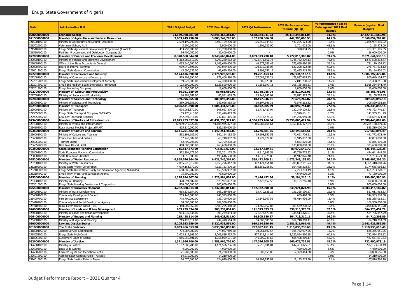| Code                         | Adminstrative Unit                                                     | <b>2021 Original Budget</b>        | 2021 Final Budget                    | 2021 Q4 Performance             | 2021 Performance Year<br>to Date (Q1-Q4) | % Performance Year to<br>Date against 2021 Final<br><b>Budget</b> | <b>Balance (against Final</b><br><b>Budget</b> ) |
|------------------------------|------------------------------------------------------------------------|------------------------------------|--------------------------------------|---------------------------------|------------------------------------------|-------------------------------------------------------------------|--------------------------------------------------|
| 020000000000                 | <b>Economic Sector</b>                                                 | 74,169,968,381.00                  | 72,846,468,381.00                    | 7,678,384,941.03                | 25,419,348,811.04                        | 34.9%                                                             | 47,427,119,569.96                                |
| 021500000000                 | Ministry of Agriculture and Natural Resources                          | 3,003,249,290.00                   | 3,003,249,290.00                     | 107,760,066.58                  | 442,395,000.93                           | 14.7%                                                             | 2,560,854,289.07                                 |
| 021500100100                 | Ministry of Agriculture and Natural Resources                          | 2,509,199,290.00                   | 2,509,199,290.00                     | 106,559,044.58                  | 440,295,173.98                           | 17.5%                                                             | 2,068,904,116.02                                 |
| 021502600100                 | Veterinary School, Achi                                                | 3,900,000.00                       | 3,900,000.00                         | 1,201,022.00                    | 1,701,022.00                             | 43.6%                                                             | 2,198,978.00                                     |
| 021510200100                 | Enugu State Agricultural Development Programme (ENADEP)                | 453,750,000.00                     | 453,750,000.00                       |                                 | 398,804.95                               | 0.1%                                                              | 453,351,195.05                                   |
| 021510400100                 | ertilizer Procurement and Distribution Company Ltd                     | 36,400,000.00                      | 36,400,000.00                        |                                 |                                          | 0.0%                                                              | 36,400,000.00                                    |
| 022000000000                 | Ministry of Finance and Economic Development                           | 8,328,660,844.00                   | 8,348,660,844.00                     | 2,089,373,730.40                | 5,777,016,308.87                         | 69.2%                                                             | 2,571,644,535.13                                 |
| 022000100100                 | Ministry of Finance and Economic Development                           | 6,312,280,612.00                   | 6,292,280,612.00                     | 1,923,471,551.76                | 4,748,752,279.13                         | 75.5%                                                             | 1,543,528,332.87                                 |
| 022000700100                 | Office of the State Accountant- General                                | 1,063,640,000.00                   | 1,103,640,000.00                     | 40,373,086.43                   | 372,469,890.88                           | 33.7%                                                             | 731,170,109.12                                   |
| 022000800100                 | Board of Internal Revenue                                              | 909,049,896.00                     | 909,049,896.00                       | 120,330,336.08                  | 632,298,222.88                           | 69.6%                                                             | 276,751,673.12                                   |
| 022001200100                 | Enugu State Gaming Commission                                          | 43,690,336.00                      | 43,690,336.00                        | 5,198,756.13                    | 23,495,915.98                            | 53.8%                                                             | 20,194,420.02                                    |
| 022200000000<br>022200100100 | Ministry of Commerce and Industry<br>Ministry of Commerce and Industry | 2,174,426,590.00<br>979,406,590.00 | 2,176,926,590.00<br>979,406,590.00   | 49,251,453.14<br>37,089,332.21  | 292,134,110.16<br>178,957,465.73         | 13.4%<br>18.3%                                                    | 1,884,792,479.84<br>800,449,124.27               |
| 022201700100                 | nugu State Investment Development Authority                            | 59,920,000.00                      | 62,420,000.00                        | 605,923.80                      | 7,011,288.92                             | 11.2%                                                             | 55,408,711.08                                    |
| 022201800100                 | Small and Medium Scale Enterprises Promotion                           | 1,123,500,000.00                   | 1,123,500,000.00                     | 11,556,197.13                   | 105, 165, 355.51                         | 9.4%                                                              | 1,018,334,644.49                                 |
| 022201900100                 | Enugu Marketing Company                                                | 11,600,000.00                      | 11,600,000.00                        |                                 | 1,000,000.00                             | 8.6%                                                              | 10,600,000.00                                    |
| 022700000000                 | Ministry of Labour and Productivity                                    | 86,981,689.00                      | 86,981,689.00                        | 13,748,245.04                   | 28,812,925.05                            | 33.1%                                                             | 58,168,763.95                                    |
| 022700100100                 | Ministry of Labour and Productivity                                    | 86,981,689.00                      | 86,981,689.00                        | 13,748,245.04                   | 28,812,925.05                            | 33.1%                                                             | 58,168,763.95                                    |
| 022800000000                 | Ministry of Science and Technology                                     | 389,096,355.00                     | 389,096,355.00                       | 10,197,946.31                   | 79,576,262.82                            | 20.5%                                                             | 309,520,092.18                                   |
| 022800100100                 | Ministry of Science and Technology                                     | 389,096,355.00                     | 389,096,355.00                       | 10,197,946.31                   | 79,576,262.82                            | 20.5%                                                             | 309,520,092.18                                   |
| 022900000000                 | <b>Ministry of Transport</b>                                           | 1,006,431,598.00                   | 1,006,431,598.00                     | 90,492,005.39                   | 280,097,751.84                           | 27.8%                                                             | 726,333,846.16                                   |
| 022900100100                 | Ministry of Transport                                                  | 608,063,870.00                     | 608,063,870.00                       | 52,775,427.04                   | 132,340,129.83                           | 21.8%                                                             | 475,723,740.17                                   |
| 022905300100                 | Enugu State Transport Company ENTRACO                                  | 155,476,413.00                     | 155,476,413.00                       |                                 | 13,520,681.51                            | 8.7%                                                              | 141,955,731.49                                   |
| 22905300200                  | Coal City Transport Services                                           | 242,891,315.00                     | 242,891,315.00                       | 37,716,578.35                   | 134,236,940.50                           | 55.3%                                                             | 108,654,374.50                                   |
| 023400000000                 | Ministry of Works and Infrastructure                                   | 43,825,255,327.00                  | 42,431,255,327.00                    | 4,366,285,166.64                | 15,350,806,427.94                        | 36.2%                                                             | 27,080,448,899.06                                |
| 023400100100                 | Ministry of Works and Infrastructure                                   | 42,999,945,327.00                  | 41,605,945,327.00                    | 4,366,285,166.64                | 15,350,806,427.94                        | 36.9%                                                             | 26,255,138,899.06                                |
| 023410200100                 | Rural Access Mobility Project (RAMP)                                   | 825.310.000.00                     | 825.310.000.00                       |                                 |                                          | 0.0%                                                              | 825,310,000.00                                   |
| 023600000000                 | Ministry of Culture and Tourism                                        | 1,141,251,482.00                   | 1,147,251,482.00                     | 23,276,881.55                   | 230,190,587.51                           | 20.1%                                                             | 917,060,894.49                                   |
| 023600100100                 | Ministry of Culture and Tourism                                        | 562,194,182.00                     | 562,194,182.00                       | 19,998,952.55                   | 70.421.706.51                            | 12.5%                                                             | 491,772,475.49                                   |
| 023600400100                 | Council for Arts and Culture                                           | 57,748,002.00                      | 63,748,002.00                        | 3,277,929.00                    | 15,915,002.00                            | 25.0%                                                             | 47,833,000.00                                    |
| 023605200100                 | Tourism Board                                                          | 52,709,298.00                      | 52,709,298.00                        |                                 | 8,853,879.00                             | 16.8%                                                             | 43,855,419.00                                    |
| 023605200200                 | Nike Lake Resort Hotel                                                 | 468,600,000.00                     | 468,600,000.00                       |                                 | 135,000,000.00                           | 28.8%                                                             | 333,600,000.00                                   |
| 023800000000                 | <b>State Economic Planning Commission</b>                              | 715,817,673.00                     | 715,817,673.00                       | 22,347,839.31                   | 89,672,549.72                            | 12.5%                                                             | 626,145,123.28                                   |
| 023800100100<br>023800400100 | State Economic Planning Commission                                     | 522,201,173.00<br>193,616,500.00   | 522,201,173.00<br>193,616,500.00     | 8,310,863.51<br>14,036,975.80   | 47,759,723.32<br>41,912,826.40           | 9.1%<br>21.6%                                                     | 474,441,449.68<br>151,703,673.60                 |
| 025200000000                 | State Bureau of Statistics<br><b>Ministry of Water Resources</b>       | 6,868,746,364.00                   | 6,921,746,364.00                     | 559,472,709.81                  | 1,673,249,158.80                         | 24.2%                                                             | 5,248,497,205.20                                 |
| 025200100100                 | Ministry of Water Resources                                            | 2,055,276,012.00                   | 2,058,276,012.00                     | 307,121,451.01                  | 706,857,151.74                           | 34.3%                                                             | 1,351,418,860.26                                 |
| 025210200100                 | Enugu State Water Corporation                                          | 4,079,163,370.00                   | 4,129,163,370.00                     | 252,351,258.80                  | 954,498,303.87                           | 23.1%                                                             | 3,174,665,066.13                                 |
| 025210300100                 | Enugu State Rural Water Suply and Sanitation Agency (ENRUWAS)          | 658,506,982.00                     | 658,506,982.00                       | $\sim$                          | 7,223,703.19                             | 1.1%                                                              | 651,283,278.81                                   |
| 025210400100                 | Small Town Water and Sanitation Agency                                 | 75,800,000.00                      | 75,800,000.00                        | $\sim$                          | 4,670,000.00                             | 6.2%                                                              | 71,130,000.00                                    |
| 025300000000                 | Ministry of Housing                                                    | 1,228,994,807.00                   | 1,228,994,807.00                     | 7,426,452.56                    | 38,194,216.10                            | 3.1%                                                              | 1,190,800,590.90                                 |
| 025300100100                 | linistry of Housing                                                    | 428,994,807.00                     | 428,994,807.00                       | 7,426,452.56                    | 38,194,216.10                            | 8.9%                                                              | 390,800,590.90                                   |
| 025301000100                 | inugu State Housing Development Corporation                            | 800.000.000.00                     | 800.000.000.00                       |                                 |                                          | 0.0%                                                              | 800,000,000.00                                   |
| 025400000000                 | <b>Ministry of Rural Development</b>                                   | 4,282,388,014.00                   | 4,237,388,014.00                     | 162,372,990.68                  | 633,971,824.98                           | 15.0%                                                             | 3,603,416,189.02                                 |
| 025400100100                 | Ministry of Rural Development                                          | 668,339,654.00                     | 668,339,654.00                       | 35,770,625.25                   | 151,328,190.67                           | 22.6%                                                             | 517,011,463.33                                   |
| 025400100200                 | Community Development Council                                          | 255,143,000.00                     | 245,593,000.00                       |                                 | 659,490.00                               | 0.3%                                                              | 244,933,510.00                                   |
| 025400700100                 | ire Service Department                                                 | 778,700,000.00                     | 733,700,000.00                       | 23,142,307.56                   | 98,414,936.09                            | 13.4%                                                             | 635,285,063.91                                   |
| 025410200100                 | Community and Social Developmnt Agency                                 | 100,000,000.00                     | 109,550,000.00                       | $\sim$                          |                                          | 0.0%                                                              | 109,550,000.00                                   |
| 025410300100                 | Rural Electrification Board (REB)                                      | 2,480,205,360.00                   | 2,480,205,360.00                     | 103,460,057.87                  | 383,569,208.22                           | 15.5%                                                             | 2,096,636,151.78                                 |
| 026000000000                 | Ministry of Lands and Urban Development                                | 903,239,834.00                     | 903,239,834.00                       | 121,573,873.05                  | 338,513,376.21                           | 37.5%                                                             | 564,726,457.79                                   |
| 026000100100                 | Ministry of Lands and Urban Development                                | 903,239,834.00                     | 903,239,834.00                       | 121,573,873.05                  | 338,513,376.21                           | 37.5%                                                             | 564,726,457.79                                   |
| 026400000000                 | Ministry of Budget and Planning                                        | 215,428,514.00                     | 249,428,514.00                       | 54,805,580.57                   | 164,718,310.11                           | 66.0%                                                             | 84,710,203,89                                    |
| 026400100100<br>030000000000 | Ministry of Budget and Planning                                        | 215,428,514.00<br>5,205,933,559.00 | 249,428,514.00                       | 54,805,580.57<br>939,114,356.80 | 164,718,310.11<br>2,581,511,969.41       | 66.0%<br>49.4%                                                    | 84,710,203.89<br>2,641,421,589.59                |
| 031800000000                 | <b>Law and Justice Sector</b><br><b>The State Judiciary</b>            | 3,833,966,853.00                   | 5,222,933,559.00<br>3,833,966,853.00 | 792,087,451.15                  | 1,915,036,236.60                         | 49.9%                                                             | 1,918,930,616.40                                 |
| 031800100100                 |                                                                        | 774,087,989.00                     | 774,087,989.00                       | 70,061,892.57                   | 105,732,907.25                           | 13.7%                                                             | 668,355,081.75                                   |
| 031805100100                 | Judicial Service Commission<br>Enugu State High Court                  | 2,003,819,363.00                   | 2,003,819,363.00                     | 577,824,814.96                  | 1,220,894,860.18                         | 60.9%                                                             | 782,924,502.82                                   |
| 031805200100                 | Customary Court of Appeal                                              | 1,056,059,501.00                   | 1,056,059,501.00                     | 144,200,743.62                  | 588,408,469.17                           | 55.7%                                                             | 467,651,031.83                                   |
| 032600000000                 | Ministry of Justice                                                    | 1,371,966,706.00                   | 1,388,966,706.00                     | 147,026,905.65                  | 666,475,732.81                           | 48.0%                                                             | 722,490,973.19                                   |
| 032600100100                 | Ministry of Justice                                                    | 1,157,586,706.00                   | 1,174,586,706.00                     | 135,916,891.81                  | 647,463,075.51                           | 55.1%                                                             | 527,123,630.49                                   |
| 032600300100                 | egal Aids Council                                                      | 4.900.000.00                       | 4.900.000.00                         |                                 | 420,000.00                               | 8.6%                                                              | 4,480,000.00                                     |
| 032600700100                 | Citizens' Rights and Mediation Centre                                  | 71,200,000.00                      | 71,200,000.00                        | 300,058.00                      | 2,399,444.00                             | 3.4%                                                              | 68,800,556.00                                    |
| 032601200100                 | Administrator-General/Public Trustees                                  | 14,210,000.00                      | 14,210,000.00                        |                                 |                                          | 0.0%                                                              | 14,210,000.00                                    |
| 032601300100                 | Enugu State Justice Reform Team                                        | 124,070,000.00                     | 124,070,000.00                       | 10,809,955.84                   | 16,193,213.30                            | 13.1%                                                             | 107,876,786.70                                   |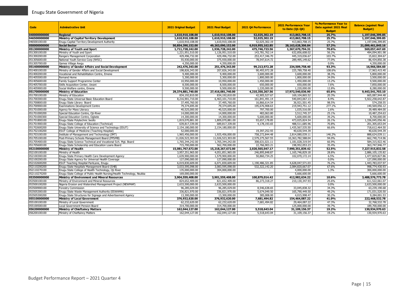| Code                         | <b>Adminstrative Unit</b>                                                | <b>2021 Original Budget</b>      | 2021 Final Budget                | 2021 04 Performance             | <b>2021 Performance Year</b><br>to Date (01-04) | % Performance Year to<br>Date against 2021 Final<br><b>Budget</b> | <b>Balance (against Final</b><br><b>Budget</b> ) |
|------------------------------|--------------------------------------------------------------------------|----------------------------------|----------------------------------|---------------------------------|-------------------------------------------------|-------------------------------------------------------------------|--------------------------------------------------|
| 040000000000                 | <b>Regional</b>                                                          | 1,610,910,108.00                 | 1,610,910,108.00                 | 52,025,302.19                   | 413,863,708.15                                  | 25.7%                                                             | 1,197,046,399.85                                 |
| 046500000000                 | Ministry of Capital Territory Development                                | 1,610,910,108.00                 | 1,610,910,108.00                 | 52,025,302.19                   | 413,863,708.15                                  | 25.7%                                                             | 1,197,046,399.85                                 |
| 046500100100                 | Enugu Capital Territory Development Authority                            | 1,610,910,108.00                 | 1,610,910,108.00                 | 52,025,302.19                   | 413,863,708.15                                  | 25.7%                                                             | 1,197,046,399.85                                 |
| 050000000000                 | <b>Social Sector</b>                                                     | 50,854,390,152.00                | 49,263,090,152.00                | 6,919,955,162.85                | 28,163,628,306.84                               | 57.2%                                                             | 21,099,461,845.16                                |
| 051300000000                 | Ministry of Youth and Sport                                              | 1,711,728,242.00                 | 1,936,728,242.00                 | 475,746,723.56                  | 1,367,670,794.31                                | 70.6%                                                             | 569,057,447.69                                   |
| 051300100100                 | Ministry of Youth and Sport                                              | 1,221,951,510.00                 | 1,126,951,510.00                 | 143,781,762.14                  | 632,856,608.02                                  | 56.2%                                                             | 494,094,901.98                                   |
| 051300200100                 | Rangers Management Corporation                                           | 429,496,732.00                   | 429,496,732.00                   | 253,417,346.70                  | 445,319,036.67                                  | 103.7%                                                            | 15,822,304.67                                    |
| 051305600100                 | National Youth Service Corp (NYSC)                                       | 55,930,000.00                    | 375,930,000.00                   | 78,547,614.72                   | 289,495,149.62                                  | 77.0%                                                             | 86,434,850.38                                    |
| 051305700100                 | Games Village Awgu                                                       | 4,350,000.00                     | 4,350,000.00                     |                                 |                                                 | 0.0%                                                              | 4,350,000.00                                     |
| 051400000000                 | Ministry of Gender Affairs and Social Development                        | 242,476,343.00                   | 251,476,343.00                   | 99,213,972.28                   | 234,509,758.40                                  | 93.3%                                                             | 16,966,584.60                                    |
| 051400100100                 | Ministry of Gender Affairs and Social Development                        | 198,826,343.00                   | 207,826,343.00                   | 90,493,972.28                   | 225,789,758.40                                  | 108.6%                                                            | 17,963,415.40                                    |
| 051400200100                 | Vocational and Rehabilitation Centre, Emene                              | 9,400,000.00                     | 9,400,000.00                     | 3,600,000.00                    | 3,600,000.00                                    | 38.3%                                                             | 5,800,000.00                                     |
| 051405500100                 | Remand Home                                                              | 5,300,000.00                     | 5,300,000.00                     | 1,800,000.00                    | 1,800,000.00                                    | 34.0%                                                             | 3,500,000.00                                     |
| 051405600100                 | Family Support Programme Center                                          | 10,950,000.00                    | 10,950,000.00                    | 1,450,000.00                    | 1,450,000.00                                    | 13.2%                                                             | 9,500,000.00                                     |
| 051405700100                 | Skills Acquisition Center, Uwani                                         | 8,500,000.00                     | 8,500,000.00                     | 650,000.00                      | 650,000.00                                      | 7.6%                                                              | 7,850,000.00                                     |
| 051405900100                 | Social Welfare centre, Emene                                             | 9,500,000.00                     | 9,500,000.00                     | 1,220,000.00                    | 1,220,000.00                                    | 12.8%                                                             | 8,280,000.00                                     |
| 051700000000                 | <b>Ministry of Education</b>                                             | 29,374,881,740.00                | 27,416,081,740.00                | 4,210,350,267.56                | 17,972,540,036.90                               | 65.6%                                                             | 9,443,541,703.10                                 |
| 051700100100                 | Ministry of Education                                                    | 834,192,810.00                   | 834,192,810.00                   | 42,905,527.67                   | 169,104,865.52                                  | 20.3%                                                             | 665,087,944.48                                   |
| 051700300100                 | Enugu State Universal Basic Education Board                              | 8,216,901,710.00                 | 6,463,101,710.00                 | 161,841,491.14                  | 540,843,067.13                                  | 8.4%                                                              | 5,922,258,642.87                                 |
| 051700800100                 | Enugu State Library Board                                                | 37,495,760.00                    | 37,495,760.00                    | 16,866,614.54                   | 36,921,501.45                                   | 98.5%                                                             | 574,258.55                                       |
| 051700900100                 | <b>Examinations Development Centre</b>                                   | 79,374,695.00                    | 79,374,695.00                    | 195,676,908.63                  | 219,943,751.12                                  | 277.1%                                                            | 140,569,056.12                                   |
| 051701000100                 | Agency for Mass Literacy                                                 | 40,525,000.00                    | 40,525,000.00                    | 797,700.00                      | 1,035,516.00                                    | 2.6%                                                              | 39,489,484.00                                    |
| 051701000200                 | Special Education Centre, Oji-River                                      | 14,000,000.00                    | 14,000,000.00                    | 483,063.80                      | 3,512,745.37                                    | 25.1%                                                             | 10,487,254.63                                    |
| 051701000300                 | Special Education Centre, Ogbete                                         | 14,300,000.00                    | 14,300,000.00                    | 5,600,000.00                    | 5,600,000.00                                    | 39.2%                                                             | 8,700,000.00                                     |
| 051701800100                 | Enugu State Polytechnic Iwollo                                           | 1,819,070,881.00                 | 1,809,070,881.00                 | 93,657,178.85                   | 473,025,824.54                                  | 26.1%                                                             | 1,336,045,056.46                                 |
| 051701900100                 | Enugu State College of Education (Technical)                             | 639,817,339.00                   | 689,817,339.00                   | 4,178,193.65                    | 488,511,685.96                                  | 70.8%                                                             | 201,305,653.04                                   |
| 051702600200                 | Enugu State University of Science and Technology (ESUT)                  | 2,154,180,000.00                 | 2,154,180,000.00                 | $\sim$                          | 1,435,567,535.50                                | 66.6%                                                             | 718,612,464.50                                   |
| 051702100200                 | ESUT College of Medicine (Teaching Hospital)                             | 52,000,000.00                    |                                  | 19,397,252.93                   | 40,630,544.39                                   |                                                                   | 40,630,544.39                                    |
| 051703100100                 | Institute of Management and Techonology (IMT)                            | 1,965,456,000.00                 | 1,925,456,000.00                 | 758.272.844.48                  | 2.814.080.039.11                                | 146.2%                                                            | 888,624,039.11                                   |
| 051705100100                 | Post-Primary Schools Management Board (PPSMB)                            | 11,026,523,303.00                | 11,026,523,303.00                | 2,579,275,567.55                | 10,363,782,588.04                               | 94.0%                                                             | 662,740,714.96                                   |
| 051705400100                 | Enugu State Science Technical and Vocational Sch. Mgt. Board             | 1,765,344,242.00                 | 1,765,344,242.00                 | 308,631,021.11                  | 1,181,028,319.54                                | 66.9%                                                             | 584,315,922.46                                   |
| 051705600100                 | Enugu State Scholarship and Education Loans Board                        | 715,700,000.00                   | 562,700,000.00                   | 22,766,903.21                   | 198,952,053.23                                  | 35.4%                                                             | 363,747,946.77                                   |
| 052100000000                 | Ministry of Health                                                       | 15,081,767,672.00                | 15,218,267,672.00                | 2,020,565,047.17                | 7,990,351,839.42                                | 52.5%                                                             | 7,227,915,832.58                                 |
| 052100100100                 | Ministry of Health                                                       | 3,957,351,965.00                 | 4,051,851,965.00                 | 246,895,848.87                  | 1,165,746,829.18                                | 28.8%                                                             | 2,886,105,135.82                                 |
| 052100300100                 | Enugu State Primary Health Care Development Agency                       | 1,639,900,000.00                 | 1,579,900,000.00                 | 50,860,734.25                   | 102,070,172.14                                  | 6.5%                                                              | 1,477,829,827.86                                 |
| 052100200100                 | Enugu State Agency for Universal Health Coverage                         | 127.090.000.00                   | 127.090.000.00                   |                                 |                                                 | 0.0%                                                              | 127,090,000.00                                   |
| 052102600200                 | ESUT Teaching Hospital ParkLane, Enugu                                   | 6,019,830,609.00                 | 6,071,830,609.00                 | 1,190,486,321.85                | 4,628,047,571.03                                | 76.2%                                                             | 1,443,783,037.97                                 |
| 052110200200                 | Enugu State Hospitals Management Board (SHB)                             | 3,033,595,098.00                 | 3,083,595,098.00                 | 532,322,142.20                  | 2,084,820,667.07                                | 67.6%                                                             | 998,774,430.93                                   |
| 052110270100                 | Enugu State College of Health Technology, Oji River                      | 135,000,000.00                   | 304,000,000.00                   | $\sim$                          | 4,000,000.00                                    | 1.3%                                                              | 300,000,000.00                                   |
| 052110270200                 | Enugu State College of Public Health Nursing/Health Technology, Nsukka   | 169,000,000.00                   |                                  |                                 | 5,666,600.00                                    |                                                                   | 5,666,600.00                                     |
| 053500000000                 | Ministry of Environment and Mineral Resources                            | 3,904,559,408.00                 | 3,901,559,408.00                 | 100,879,014.42<br>86.273.318.27 | 412,982,634.22                                  | 10.6%                                                             | 3,488,576,773.78                                 |
| 053500100100                 | Ministry of Environment and Mineral Resources                            | 824,652,409.00                   | 821,652,409.00                   |                                 | 210,130,347.93                                  | 25.6%                                                             | 611,522,061.07                                   |
| 053500100200                 | Nigeria Erosion and Watershed Management Project (NEWMAP)                | 2,633,500,000.00                 | 2,633,500,000.00                 | 8,546,638.65                    | 33,045,838.32                                   | 0.0%<br>34.3%                                                     | 2,633,500,000.00                                 |
| 053500900100                 | <b>Forestry Commission</b>                                               | 96,285,029.00                    | 96,285,029.00                    |                                 |                                                 |                                                                   | 63,239,190.68                                    |
| 053505300100                 | Enugu State Waste Management Authority (ESWAMA)                          | 336,821,970.00                   | 336,821,970.00                   | 5,674,049.50                    | 165,790,449.50                                  | 49.2%                                                             | 171,031,520.50                                   |
| 053505300200                 | Enugu State Structures for Signage and Advertisement Agency              | 13,300,000.00                    | 13,300,000.00                    | 385,008.00                      | 4,015,998.47                                    | 30.2%                                                             | 9,284,001.53                                     |
| 055100000000<br>055100100100 | Ministry of Local Government                                             | 376,932,620.00                   | 376,932,620.00                   | 7,681,494.82                    | 154,464,087.22                                  | 41.0%                                                             | 222,468,532.78                                   |
|                              | Ministry of Local Government                                             | 62,232,620.00                    | 62,232,620.00                    | 7,681,494.82                    | 29,464,087.22<br>125,000,000.00                 | 47.3%<br>39.7%                                                    | 32,768,532.78                                    |
| 055100500100<br>056200000000 | Local Government Pension Board<br><b>Ministry of Chieftaincy Matters</b> | 314,700,000.00<br>162,044,127.00 | 314,700,000.00<br>162,044,127.00 | 5,518,643,04                    | 31,109,156.37                                   | 19.2%                                                             | 189,700,000.00<br>130,934,970.63                 |
| 056200100100                 | Ministry of Chieftaincy Matters                                          | 162,044,127.00                   | 162,044,127.00                   | 5,518,643.04                    | 31,109,156.37                                   | 19.2%                                                             | 130,934,970.63                                   |
|                              |                                                                          |                                  |                                  |                                 |                                                 |                                                                   |                                                  |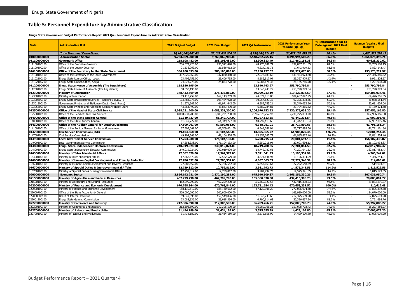#### **Table 5: Personnel Expenditure by Administrative Classification**

#### **Enugu State Government Budget Performance Report 2021 Q4 - Personnel Expenditure by Administrative Classification**

<span id="page-16-0"></span>

| Code                         | <b>Adminstrative Unit</b>                                                               | <b>2021 Original Budget</b>       | 2021 Final Budget                 | 2021 Q4 Performance            | <b>2021 Performance Year</b><br>to Date (01-04) | % Performance Year to<br>Date against 2021 Final<br><b>Budget</b> | <b>Balance (against Final</b><br><b>Budget</b> ) |
|------------------------------|-----------------------------------------------------------------------------------------|-----------------------------------|-----------------------------------|--------------------------------|-------------------------------------------------|-------------------------------------------------------------------|--------------------------------------------------|
|                              | <b>Total Personnel Expenditure</b>                                                      | 38,101,660,000.00                 | 38,107,660,000.00                 | 9,298,686,721.83               | 36,627,130,679.88                               | 96.1%                                                             | 1,480,529,320.12                                 |
| 010000000000                 | <b>Administration Sector</b>                                                            | 9,763,069,900.00                  | 9,763,069,900.00                  | 2,548,782,755.15               | 8,396,994,503.29                                | 86.0%                                                             | 1,366,075,396.71                                 |
| 011100000000                 | Governor's Office                                                                       | 258,108,482.00                    | 258,108,482.00                    | 52.900.813.49                  | 217,480,151.38                                  | 84.3%                                                             | 40.628.330.62                                    |
| 011100100100                 | Office of the Executive Governor                                                        | 236,572,420.00                    | 236,572,420.00                    | 48.276.081.74                  | 199,837,231.85                                  | 84.5%                                                             | 36.735.188.15                                    |
| 011100100200                 | Office of the Deputy Governor                                                           | 21,536,062.00                     | 21,536,062.00                     | 4,624,731.75                   | 17,642,919.53                                   | 81.9%                                                             | 3.893.142.47                                     |
| 016100000000                 | Office of the Secretary to the State Government                                         | 386,100,893,00                    | 386,100,893.00                    | 87.150.177.02                  | 192,927,670.03                                  | 50.0%                                                             | 193,173,222.97                                   |
| 016100100100                 | Office of the Secretary to the State Government                                         | 337,820,360.00                    | 337,820,360.00                    | 72,276,083.62                  | 133,453,973.68                                  | 39.5%                                                             | 204, 366, 386. 32                                |
| 016102100100                 | Enugu State Liaison Office, Lagos                                                       | 23,406,755.00                     | 23,406,755.00                     | 8,586,917.04                   | 33,327,979.57                                   | 142.4%                                                            | 9.921.224.57                                     |
| 016102100200                 | Enugu State Liaison Office, Abuja                                                       | 24,873,778.00                     | 24.873.778.00                     | 6,287,176.36                   | 26, 145, 716. 78                                | 105.1%                                                            | 1.271.938.78                                     |
| 011200000000                 | Enugu State House of Assembly (The Legislature)                                         | 158,850,195.00                    |                                   | 63,840,743.27                  | 253,790,799.84                                  |                                                                   | 253,790,799.84                                   |
| 011200100100                 | Enugu State House of Assembly (The Legislature)                                         | 158,850,195.00                    | $\overline{\phantom{a}}$          | 63,840,743.27                  | 253,790,799.84                                  |                                                                   | 253,790,799.84                                   |
| 012300000000                 | Ministry of Information                                                                 | 378,433,869.00                    | 378,433,869.00                    | 69,009,213.19                  | 219,127,834.59                                  | 57.9%                                                             | 159,306,034.41                                   |
| 012300100100                 | Ministry of Information                                                                 | 169,113,759.00                    | 169,113,759.00                    | 24,872,013.85                  | 104,687,042.95                                  | 61.9%                                                             | 64,426,716.05                                    |
| 012300300100                 | Enugu State Broadcasting Service - Radio/TV ESBS/TV                                     | 103,484,978.00                    | 103,484,978.00                    | 30,957,629.32                  | 62,396,393.36                                   | 60.3%                                                             | 41,088,584.64                                    |
| 012301300100                 | Government Printing and Stationery Dept. (Govt. Press)                                  | 61,971,642.00                     | 61,971,642.00                     | 6,589,785.21                   | 31,340,032.96                                   | 50.6%                                                             | 30,631,609.04                                    |
| 012305500100                 | Enugu State Printing and Publishing Company (Daily Star)                                | 43,863,490.00                     | 43,863,490.00                     | 6,589,784.81                   | 20,704,365.32                                   | 47.2%                                                             | 23, 159, 124.68                                  |
| 012500000000                 | Office of the Head of State Civil Service                                               | 8,088,231,200.00                  | 8,088,231,200.00                  | 2,206,670,752.92               | 7,230,275,033.20                                | 89.4%                                                             | 857,956,166.80                                   |
| 012500100100                 | Office of the Head of State Civil Service                                               | 8,088,231,200.00                  | 8,088,231,200.00                  | 2,206,670,752.92               | 7,230,275,033.20                                | 89.4%                                                             | 857,956,166.80                                   |
| 014000000000                 | <b>Office of the State Auditor General</b>                                              | 61,349,727.00                     | 61,349,727.00                     | 10,797,113.65                  | 43,442,331.54                                   | 70.8%                                                             | 17,907,395.46                                    |
| 014000100100                 | Office of the State Auditor General                                                     | 61,349,727.00                     | 61,349,727.00                     | 10,797,113.65                  | 43,442,331.54                                   | 70.8%                                                             | 17,907,395.46                                    |
| 014100000000                 | Office of the Auditor General for Local Government                                      | 67,509,061.00                     | 67,509,061.00                     | 6,348,081.01                   | 25,717,899.66                                   | 38.1%                                                             | 41,791,161.34                                    |
| 014100100100                 | Office of the Auditor General for Local Government                                      | 67,509,061.00                     | 67,509,061.00                     | 6,348,081.01                   | 25,717,899.66                                   | 38.1%                                                             | 41,791,161.34                                    |
| 014700000000                 | <b>Civil Service Commission (CSC)</b>                                                   | 49,104,568.00                     | 49,104,568.00                     | 13,855,365.72                  | 61,985,822.46                                   | 126.2%                                                            | 12,881,254.46                                    |
| 014700100100                 | Civil Service Commission                                                                | 49,104,568.00                     | 49,104,568.00                     | 13,855,365.72                  | 61,985,822.46                                   | 126.2%                                                            | 12,881,254.46                                    |
| 014900000000                 | <b>Local Government Service Commission</b>                                              | 17,253,938.00                     | 176,104,133.00                    | 5,250,215.94                   | 20,001,694.13                                   | 11.4%                                                             | 156,102,438.87                                   |
| 014900100100                 | ocal Government Service Commission                                                      | 17,253,938.00                     | 176,104,133.00                    | 5,250,215.94                   | 20,001,694.13                                   | 11.4%                                                             | 156, 102, 438.87                                 |
| 014800000000                 | <b>Enugu State Independent Electoral Commission</b>                                     | 240,019,024.00                    | 240,019,024.00                    | 18,749,780.65                  | 77,201,041.53                                   | 32.2%                                                             | 162,817,982.47                                   |
| 014800100100                 | Enuqu State Independent Electoral Commission                                            | 240,019,024.00                    | 240,019,024.00                    | 18,749,780.65                  | 77,201,041.53                                   | 32.2%                                                             | 162,817,982.47                                   |
| 016300000000                 | Ministry of Inter Ministerial Affairs                                                   | 17,562,579.00                     | 17,562,579.00                     | 3,571,641.93                   | 13,196,334.99                                   | 75.1%                                                             | 4,366,244.01                                     |
| 016300100100                 | Ministry of Inter Ministerial Affairs                                                   | 17,562,579.00                     | 17,562,579.00                     | 3,571,641.93                   | 13,196,334.99                                   | 75.1%                                                             | 4,366,244.01                                     |
| 016600000000                 | Ministry of Human Capital Development and Poverty Reduction                             | 27,786,552.00                     | 27,786,552.00                     | 6,657,063.63                   | 27,272,548.39                                   | 98.2%                                                             | 514,003.61                                       |
| 016600100100                 | Ministry of Human Capital Development and Poverty Reduction                             | 27,786,552.00                     | 27,786,552.00                     | 6,657,063.63                   | 27,272,548.39                                   | 98.2%                                                             | 514,003.61                                       |
| 016700000000                 | Ministry of Special Duties & Inergovernmental Affairs                                   | 12,759,812.00                     | 12,759,812.00                     | 3,981,792.73                   | 14,575,341.55                                   | 114.2%                                                            | 1,815,529.55                                     |
| 016700100100<br>020000000000 | Ministry of Special Duties & Inergovernmental Affairs                                   | 12,759,812.00<br>2,866,192,281.00 | 12,759,812.00<br>2,872,192,281.00 | 3,981,792.73<br>675,940,509.87 | 14,575,341.55<br>2,565,156,330.26               | 114.2%<br>89.3%                                                   | 1,815,529.55<br>307,035,950.74                   |
| 021500000000                 | <b>Economic Sector</b><br>Ministry of Agriculture and Natural Resources                 | 462,299,290.00                    | 462,299,290.00                    | 105,360,320.58                 | 432,415,398.23                                  | 93.5%                                                             | 29,883,891.77                                    |
| 021500100100                 | Ministry of Agriculture and Natural Resources                                           | 462,299,290.00                    | 462,299,290.00                    | 105,360,320.58                 | 432,415,398.23                                  | 93.5%                                                             | 29,883,891.77                                    |
| 022000000000                 |                                                                                         | 670,768,844.00                    | 670,768,844.00                    | 123,751,654.43                 | 670,658,231.52                                  | 100.0%                                                            | 110,612.48                                       |
| 022000100100                 | Ministry of Finance and Economic Development                                            | 188,130,612.00                    | 188,130,612.00                    | 67,120,306.20                  | 272,026,004.38                                  | 144.6%                                                            | 83,895,392.38                                    |
| 022000700100                 | Ministry of Finance and Economic Development<br>Office of the State Accountant- General | 300,000,000.00                    | 300,000,000.00                    |                                | 165,930,000.00                                  | 55.3%                                                             | 134,070,000.00                                   |
| 022000800100                 | Board of Internal Revenue                                                               | 159,549,896.00                    | 159,549,896.00                    | 51,840,733.60                  | 212,375,589.90                                  | 133.1%                                                            | 52,825,693.90                                    |
| 022001200100                 | Enugu State Gaming Commission                                                           | 23,088,336.00                     | 23,088,336.00                     | 4,790,614.63                   | 20,326,637.24                                   | 88.0%                                                             | 2,761,698.76                                     |
| 022200000000                 | Ministry of Commerce and Industry                                                       | 212,306,590.00                    | 212,306,590.00                    | 36,289,766.21                  | 157,008,703.73                                  | 74.0%                                                             | 55,297,886.27                                    |
| 022200100100                 | Ministry of Commerce and Industry                                                       | 212,306,590.00                    | 212,306,590.00                    | 36,289,766.21                  | 157,008,703.73                                  | 74.0%                                                             | 55,297,886.27                                    |
| 022700000000                 | Ministry of Labour and Productivity                                                     | 31,434,189.00                     | 31,434,189.00                     | 3,575,655.99                   | 14,429,109.80                                   | 45.9%                                                             | 17,005,079.20                                    |
| 022700100100                 | Ministry of Labour and Productivity                                                     | 31,434,189.00                     | 31,434,189.00                     | 3,575,655.99                   | 14,429,109.80                                   | 45.9%                                                             | 17,005,079.20                                    |
|                              |                                                                                         |                                   |                                   |                                |                                                 |                                                                   |                                                  |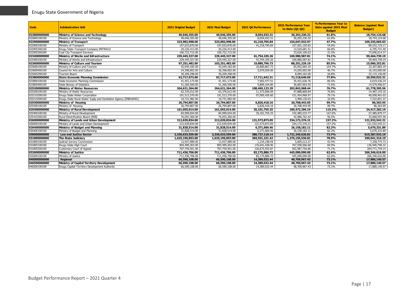| <b>Code</b>  | <b>Adminstrative Unit</b>                                     | <b>2021 Original Budget</b> | 2021 Final Budget | 2021 Q4 Performance | <b>2021 Performance Year</b><br>to Date (Q1-Q4) | % Performance Year to<br>Date against 2021 Final<br><b>Budget</b> | <b>Balance (against Final</b><br><b>Budget</b> ) |
|--------------|---------------------------------------------------------------|-----------------------------|-------------------|---------------------|-------------------------------------------------|-------------------------------------------------------------------|--------------------------------------------------|
| 022800000000 | Ministry of Science and Technology                            | 49,046,355.00               | 49,046,355.00     | 8,054,933.31        | 30,292,230.32                                   | 61.8%                                                             | 18,754,124.68                                    |
| 022800100100 | Ministry of Science and Technology                            | 49,046,355.00               | 49,046,355.00     | 8,054,933.31        | 30,292,230.32                                   | 61.8%                                                             | 18,754,124.68                                    |
| 022900000000 | <b>Ministry of Transport</b>                                  | 323,982,998.00              | 323,982,998.00    | 41,218,795.84       | 154,647,932.97                                  | 47.7%                                                             | 169,335,065.03                                   |
| 022900100100 | Ministry of Transport                                         | 197,033,870.00              | 197,033,870.00    | 41,218,795.84       | 107,501,150.83                                  | 54.6%                                                             | 89,532,719.17                                    |
| 022905300100 | Enugu State Transport Company ENTRACO                         | 20,226,413.00               | 20,226,413.00     | $\sim$              | 13,520,681.51                                   | 66.8%                                                             | 6,705,731.49                                     |
| 022905300200 | Coal City Transport Services                                  | 106,722,715.00              | 106,722,715.00    |                     | 33,626,100.63                                   | 31.5%                                                             | 73,096,614.37                                    |
| 023400000000 | Ministry of Works and Infrastructure                          | 229,445,327.00              | 229,445,327.00    | 41,754,105.26       | 169,980,587.81                                  | 74.1%                                                             | 59,464,739.19                                    |
| 023400100100 | Ministry of Works and Infrastructure                          | 229,445,327.00              | 229,445,327.00    | 41,754,105.26       | 169,980,587.81                                  | 74.1%                                                             | 59,464,739.19                                    |
| 023600000000 | Ministry of Culture and Tourism                               | 97,251,482.00               | 103,251,482.00    | 19,880,796.73       | 88,251,229.19                                   | 85.5%                                                             | 15,000,252.81                                    |
| 023600100100 | Ministry of Culture and Tourism                               | 42,644,182.00               | 42,644,182.00     | 16,800,867,73       | 65,952,065.19                                   | 154.7%                                                            | 23,307,883.19                                    |
| 023600400100 | Council for Arts and Culture                                  | 24,398,002.00               | 30,398,002.00     | 3,079,929.00        | 14,205,002.00                                   | 46.7%                                                             | 16,193,000.00                                    |
| 023605200100 | Tourism Board                                                 | 30,209,298.00               | 30,209,298.00     |                     | 8,094,162.00                                    | 26.8%                                                             | 22,115,136.00                                    |
| 023800000000 | <b>State Economic Planning Commission</b>                     | 92,717,673.00               | 92,717,673.00     | 17,711,642.31       | 72,118,640.69                                   | 77.8%                                                             | 20,599,032.31                                    |
| 023800100100 | State Economic Planning Commission                            | 41,451,173.00               | 41,451,173.00     | 7,902,477.51        | 35,431,636.76                                   | 85.5%                                                             | 6,019,536.24                                     |
| 023800400100 | State Bureau of Statistics                                    | 51,266,500.00               | 51,266,500.00     | 9,809,164.80        | 36,687,003.93                                   | 71.6%                                                             | 14,579,496.07                                    |
| 025200000000 | <b>Ministry of Water Resources</b>                            | 264,621,364,00              | 264,621,364.00    | 108,469,123.29      | 202,842,968.44                                  | 76.7%                                                             | 61,778,395.56                                    |
| 025200100100 | Ministry of Water Resources                                   | 62,376,012.00               | 62,376,012.00     | 11,373,696.69       | 47,888,868.84                                   | 76.8%                                                             | 14,487,143.16                                    |
| 025210200100 | Enugu State Water Corporation                                 | 191,513,370.00              | 191,513,370.00    | 97,095,426.60       | 151,454,968.97                                  | 79.1%                                                             | 40,058,401.03                                    |
| 025210300100 | Enugu State Rural Water Suply and Sanitation Agency (ENRUWAS) | 10,731,982.00               | 10,731,982.00     |                     | 3,499,130.63                                    | 32.6%                                                             | 7,232,851.37                                     |
| 025300000000 | <b>Ministry of Housing</b>                                    | 26,794,807.00               | 26,794,807.00     | 6,826,418.16        | 26,708,443.05                                   | 99.7%                                                             | 86,363.95                                        |
| 025300100100 | Ministry of Housing                                           | 26,794,807.00               | 26,794,807.00     | 6,826,418.16        | 26,708,443.05                                   | 99.7%                                                             | 86,363.95                                        |
| 025400000000 | <b>Ministry of Rural Development</b>                          | 161,055,014.00              | 161,055,014.00    | 35,101,755.25       | 185,472,296.19                                  | 115.2%                                                            | 24,417,282.19                                    |
| 025400100100 | Ministry of Rural Development                                 | 84,999,654.00               | 84,999,654.00     | 35, 101, 755.25     | 142,485,533.77                                  | 167.6%                                                            | 57,485,879.77                                    |
| 025410300100 | Rural Electrification Board (REB)                             | 76,055,360.00               | 76,055,360.00     |                     | 42,986,762.42                                   | 56.5%                                                             | 33,068,597.58                                    |
| 026000000000 | Ministry of Lands and Urban Development                       | 212,639,834.00              | 212,639,834.00    | 121,573,873.05      | 334, 172, 376.21                                | 157.2%                                                            | 121,532,542.21                                   |
| 026000100100 | Ministry of Lands and Urban Development                       | 212,639,834.00              | 212,639,834.00    | 121,573,873.05      | 334,172,376.21                                  | 157.2%                                                            | 121,532,542.21                                   |
| 026400000000 | Ministry of Budget and Planning                               | 31,828,514.00               | 31,828,514.00     | 6,371,669.46        | 26, 158, 182. 11                                | 82.2%                                                             | 5,670,331.89                                     |
| 026400100100 | Ministry of Budget and Planning                               | 31,828,514.00               | 31,828,514.00     | 6,371,669.46        | 26, 158, 182. 11                                | 82.2%                                                             | 5,670,331.89                                     |
| 030000000000 | <b>Law and Justice Sector</b>                                 | 2,336,633,559.00            | 2,336,633,559.00  | 386,727,118.14      | 1,721,245,626.81                                | 73.7%                                                             | 615,387,932.19                                   |
| 031800000000 | The State Judiciary                                           | 1,625,196,853.00            | 1,625,196,853.00  | 304,551,231.42      | 1,276,155,536.81                                | 78.5%                                                             | 349,041,316.19                                   |
| 031800100100 | Judicial Service Commission                                   | 12,937,989.00               | 12,937,989.00     | 1,234,198.59        | 5,609,213.27                                    | 43.4%                                                             | 7,328,775.73                                     |
| 031805100100 | Enugu State High Court                                        | 904,499,363.00              | 904,499,363.00    | 176,641,438.96      | 767,558,566.68                                  | 84.9%                                                             | 136,940,796.32                                   |
| 031805200100 | <b>Customary Court of Appeal</b>                              | 707,759,501.00              | 707,759,501.00    | 126,675,593.87      | 502,987,756.86                                  | 71.1%                                                             | 204,771,744.14                                   |
| 032600000000 | <b>Ministry of Justice</b>                                    | 711,436,706.00              | 711,436,706.00    | 82,175,886.72       | 445,090,090.00                                  | 62.6%                                                             | 266,346,616.00                                   |
| 032600100100 | Ministry of Justice                                           | 711,436,706.00              | 711,436,706.00    | 82,175,886.72       | 445,090,090.00                                  | 62.6%                                                             | 266,346,616.00                                   |
| 040000000000 | Regional                                                      | 66,590,108.00               | 66,590,108.00     | 14,389,032.44       | 48,709,967.43                                   | 73.1%                                                             | 17,880,140.57                                    |
| 046500000000 | Ministry of Capital Territory Development                     | 66,590,108.00               | 66,590,108.00     | 14,389,032.44       | 48,709,967.43                                   | 73.1%                                                             | 17,880,140.57                                    |
| 046500100100 | Enuqu Capital Territory Development Authority                 | 66,590,108.00               | 66,590,108.00     | 14,389,032.44       | 48,709,967.43                                   | 73.1%                                                             | 17,880,140.57                                    |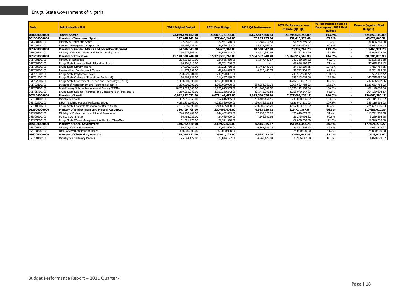| Code         | <b>Adminstrative Unit</b>                                    | <b>2021 Original Budget</b> | 2021 Final Budget | 2021 Q4 Performance      | <b>2021 Performance Year</b><br>to Date (Q1-Q4) | % Performance Year to<br>Date against 2021 Final<br><b>Budget</b> | <b>Balance (against Final</b><br><b>Budget</b> ) |
|--------------|--------------------------------------------------------------|-----------------------------|-------------------|--------------------------|-------------------------------------------------|-------------------------------------------------------------------|--------------------------------------------------|
| 050000000000 | <b>Social Sector</b>                                         | 23,069,174,152.00           | 23,069,174,152.00 | 5,672,847,306.23         | 23,895,024,252.09                               | 103.6%                                                            | 825,850,100.09                                   |
| 051300000000 | Ministry of Youth and Sport                                  | 277,448,242.00              | 277,448,242.00    | 87,255,155.54            | 232,418,378.49                                  | 83.8%                                                             | 45,029,863.51                                    |
| 051300100100 | Ministry of Youth and Sport                                  | 122,951,510.00              | 122,951,510.00    | 21,681,210.54            | 91,904,749.92                                   | 74.7%                                                             | 31,046,760.08                                    |
| 051300200100 | Rangers Management Corporation                               | 154,496,732.00              | 154,496,732.00    | 65,573,945.00            | 140,513,628.57                                  | 90.9%                                                             | 13.983.103.43                                    |
| 051400000000 | Ministry of Gender Affairs and Social Development            | 54,676,343.00               | 54,676,343.00     | 18,630,847.98            | 73,137,267.70                                   | 133.8%                                                            | 18,460,924.70                                    |
| 051400100100 | Ministry of Gender Affairs and Social Development            | 54,676,343.00               | 54,676,343.00     | 18,630,847.98            | 73,137,267.70                                   | 133.8%                                                            | 18,460,924.70                                    |
| 051700000000 | <b>Ministry of Education</b>                                 | 15,178,530,740.00           | 15,178,530,740.00 | 3,584,662,948.28         | 15,869,917,565.98                               | 104.6%                                                            | 691,386,825.98                                   |
| 051700100100 | Ministry of Education                                        | 224.836.810.00              | 224,836,810.00    | 35,647,442.67            | 142.330.559.32                                  | 63.3%                                                             | 82,506,250.68                                    |
| 051700300100 | Enugu State Universal Basic Education Board                  | 96,701,710.00               | 96,701,710.00     |                          | 69,026,180.57                                   | 71.4%                                                             | 27,675,529.43                                    |
| 051700800100 | Enuqu State Library Board                                    | 27,295,760.00               | 27,295,760.00     | 15,763,437.72            | 34,733,519.85                                   | 127.2%                                                            | 7,437,759.85                                     |
| 051700900100 | <b>Examinations Development Centre</b>                       | 41,974,695.00               | 41,974,695.00     | 6,620,447.73             | 26,772,706.92                                   | 63.8%                                                             | 15,201,988.08                                    |
| 051701800100 | Enugu State Polytechnic Iwollo                               | 258,970,881.00              | 248,970,881.00    |                          | 249,567,988.42                                  | 100.2%                                                            | 597,107.42                                       |
| 051701900100 | Enugu State College of Education (Technical)                 | 164,467,339.00              | 214,467,339.00    | $\sim$                   | 355.243.019.06                                  | 165.6%                                                            | 140,775,680.06                                   |
| 051702600200 | Enugu State University of Science and Technology (ESUT)      | 1,450,000,000.00            | 1,450,000,000.00  |                          | 1,207,363,097.04                                | 83.3%                                                             | 242,636,902.96                                   |
| 051703100100 | Institute of Management and Techonology (IMT)                | 1,300,000,000.00            | 1,260,000,000.00  | 668,954,961.78           | 2,293,637,758.93                                | 182.0%                                                            | 1,033,637,758.93                                 |
| 051705100100 | Post-Primary Schools Management Board (PPSMB)                | 10,255,023,303.00           | 10,255,023,303.00 | 2,561,965,567.55         | 10,336,172,188.04                               | 100.8%                                                            | 81,148,885.04                                    |
| 051705400100 | Enugu State Science Technical and Vocational Sch. Mgt. Board | 1,359,260,242.00            | 1,359,260,242.00  | 295,711,090.83           | 1,155,070,547.83                                | 85.0%                                                             | 204,189,694.17                                   |
| 052100000000 | Ministry of Health                                           | 6,872,142,672.00            | 6,872,142,672.00  | 1,925,500,336.20         | 7,327,009,258.17                                | 106.6%                                                            | 454,866,586.17                                   |
| 052100100100 | Ministry of Health                                           | 457,616,965.00              | 457,616,965.00    | 204, 407, 160. 15        | 748.028.396.07                                  | 163.5%                                                            | 290,411,431.07                                   |
| 052102600200 | ESUT Teaching Hospital ParkLane, Enugu                       | 4,232,830,609.00            | 4,232,830,609.00  | 1,190,486,321.85         | 4,621,947,571.03                                | 109.2%                                                            | 389,116,962.03                                   |
| 052110200200 | Enugu State Hospitals Management Board (SHB)                 | 2,181,695,098.00            | 2,181,695,098.00  | 530,606,854.20           | 1.957.033.291.07                                | 89.7%                                                             | 224,661,806.93                                   |
| 053500000000 | Ministry of Environment and Mineral Resources                | 330,409,408.00              | 330,409,408.00    | 44,983,620.92            | 219,724,387.64                                  | 66.5%                                                             | 110,685,020.36                                   |
| 053500100100 | Ministry of Environment and Mineral Resources                | 244,402,409.00              | 244,402,409.00    | 37,437,320.27            | 125,610,653.32                                  | 51.4%                                                             | 118,791,755.68                                   |
| 053500900100 | <b>Forestry Commission</b>                                   | 34,485,029.00               | 34,485,029.00     | 7,546,300.65             | 31,245,434.32                                   | 90.6%                                                             | 3,239,594.68                                     |
| 053505300100 | Enugu State Waste Management Authority (ESWAMA)              | 51,521,970.00               | 51,521,970.00     | $\overline{\phantom{a}}$ | 62.868.300.00                                   | 122.0%                                                            | 11,346,330.00                                    |
| 055100000000 | Ministry of Local Government                                 | 330,922,620.00              | 330,922,620.00    | 6,845,925.27             | 151,851,346.73                                  | 45.9%                                                             | 179,071,273.27                                   |
| 055100100100 | Ministry of Local Government                                 | 30,922,620.00               | 30,922,620.00     | 6,845,925.27             | 26,851,346.73                                   | 86.8%                                                             | 4,071,273.27                                     |
| 055100500100 | Local Government Pension Board                               | 300,000,000.00              | 300,000,000.00    |                          | 125,000,000.00                                  | 41.7%                                                             | 175,000,000.00                                   |
| 056200000000 | Ministry of Chieftaincy Matters                              | 25,044,127.00               | 25,044,127.00     | 4,968,472.04             | 20,966,047.38                                   | 83.7%                                                             | 4,078,079.62                                     |
| 056200100100 | Ministry of Chieftaincy Matters                              | 25,044,127.00               | 25,044,127.00     | 4,968,472.04             | 20,966,047.38                                   | 83.7%                                                             | 4,078,079.62                                     |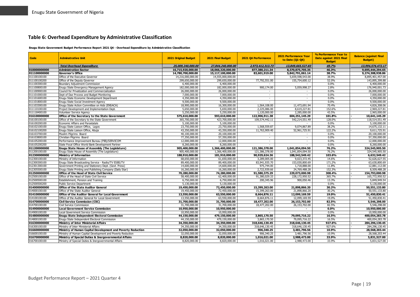#### **Table 6: Overhead Expenditure by Administrative Classification**

#### **Enugu State Government Budget Performance Report 2021 Q4 - Overhead Expenditure by Administrative Classification**

<span id="page-19-0"></span>

| Code         | <b>Adminstrative Unit</b>                                   | 2021 Original Budget | 2021 Final Budget | 2021 Q4 Performance      | 2021 Performance Year<br>to Date (Q1-Q4) | % Performance Year to<br>Date against 2021 Final<br><b>Budget</b> | <b>Balance (against Final</b><br><b>Budget</b> ) |
|--------------|-------------------------------------------------------------|----------------------|-------------------|--------------------------|------------------------------------------|-------------------------------------------------------------------|--------------------------------------------------|
|              | <b>Total Overhead Expenditure</b>                           | 25,009,240,000,00    | 27.844.240.000.00 | 2.973.412.313.73         | 13,849,665,527.83                        | 49.7%                                                             | 13.994.574.472.17                                |
| 010000000000 | <b>Administration Sector</b>                                | 16,715,920,000.00    | 18,066,320,000.00 | 877,380,211.34           | 8.370.875.705.35                         | 46.3%                                                             | 9,695,444,294.65                                 |
| 011100000000 | <b>Governor's Office</b>                                    | 14,780,700,000.00    | 15,117,100,000.00 | 83,601,919.00            | 5,842,791,061.14                         | 38.7%                                                             | 9,274,308,938.86                                 |
| 011100100100 | Office of the Executive Governor                            | 14,216,000,000.00    | 14,555,000,000.00 |                          | 5,659,598,543.00                         | 38.9%                                                             | 8,895,401,457.00                                 |
| 011100100200 | Office of the Deputy Governor                               | 299,650,000.00       | 299,650,000.00    | 77,792,551.00            | 155,754,600.12                           | 52.0%                                                             | 143,895,399.88                                   |
| 011100300100 | Boundary Adjustment Commission                              | 6,400,000.00         | 6,400,000.00      |                          | $\sim$                                   | 0.0%                                                              | 6,400,000.00                                     |
| 011100800100 | Enugu State Emergency Management Agency                     | 182,000,000.00       | 182,000,000.00    | 900,174.00               | 5,059,998.27                             | 2.8%                                                              | 176,940,001.73                                   |
| 011100900100 | Council for Privatization and Commercialization             | 26,000,000.00        | 26,000,000.00     |                          | $\sim$                                   | 0.0%                                                              | 26,000,000.00                                    |
| 011101000100 | Dept of Due Process and Budget Monitoring                   | 7,000,000.00         | 7.000.000.00      | $\sim$                   | $\sim$                                   | 0.0%                                                              | 7.000.000.00                                     |
| 011101600100 | Enuqu State Economic Development Department                 | 4,350,000.00         | 4,350,000.00      | $\sim$                   | $\sim$                                   | 0.0%                                                              | 4,350,000.00                                     |
| 011101800100 | Enugu State Social Investment Agency                        | 9,500,000.00         | 9,500,000.00      |                          |                                          | 0.0%                                                              | 9,500,000.00                                     |
| 011103300100 | Enuqu State Action Committee on Aids (ENSACA)               | 18,900,000.00        | 16,300,000.00     | 1,564,108.00             | 11,473,691.94                            | 70.4%                                                             | 4,826,308.06                                     |
| 011110100100 | Project Development and Implementation Dept.                | 5,650,000.00         | 5,650,000.00      | 2,225,086.00             | 8,619,227.81                             | 152.6%                                                            | 2,969,227.81                                     |
| 011118400100 | Volunteer Service Agency                                    | 5,250,000.00         | 5,250,000.00      | 1,120,000.00             | 2,285,000.00                             | 43.5%                                                             | 2,965,000.00                                     |
| 016100000000 | Office of the Secretary to the State Government             | 575,610,000.00       | 593,610,000.00    | 122,906,911.38           | 604,251,145.29                           | 101.8%                                                            | 10,641,145.29                                    |
| 016100100100 | Office of the Secretary to the State Government             | 365,700,000.00       | 423,700,000.00    | 109,574,442.11           | 542,214,551.49                           | 128.0%                                                            | 118,514,551.49                                   |
| 016100200100 | Economic Affairs and Parastatals                            | 5,100,000.00         | 5.100.000.00      |                          |                                          | 0.0%                                                              | 5.100.000.00                                     |
| 016102100100 | Enugu State Liaison Office, Lagos                           | 23,750,000.00        | 23,750,000.00     | 1,568,559.87             | 9,074,867.89                             | 38.2%                                                             | 14,675,132.11                                    |
| 016102100200 | Enugu State Liaison Office, Abuja                           | 43,350,000.00        | 43,350,000.00     | 11,763,909.40            | 52,961,725.91                            | 122.2%                                                            | 9,611,725.91                                     |
| 016103700100 | Muslim Pilgrims Board                                       | 40,100,000.00        | 20,100,000.00     | $\overline{\phantom{a}}$ | $\sim$                                   | 0.0%                                                              | 20,100,000.00                                    |
| 016103800100 | Christian Pilgrims Board                                    | 77,350,000.00        | 57,350,000.00     | $\sim$                   | $\sim$                                   | 0.0%                                                              | 57,350,000.00                                    |
| 016105200100 | Performance Improvement Bureau (PIB)/SERVICOM               | 12,000,000.00        | 12,000,000.00     | $\sim$                   |                                          | 0.0%                                                              | 12,000,000.00                                    |
| 016105200200 | State Focal Office World Bank Development Partner           | 8,260,000.00         | 8,260,000.00      |                          |                                          | 0.0%                                                              | 8,260,000.00                                     |
| 011200000000 | <b>Enugu State House of Assembly (The Legislature)</b>      | 905,400,000.00       | 1,366,400,000.00  | 121,386,378.00           | 1,041,854,094.50                         | 76.2%                                                             | 324,545,905.50                                   |
| 011200100100 | Enugu State House of Assembly (The Legislature)             | 905,400,000.00       | 1,366,400,000.00  | 121,386,378.00           | 1,041,854,094.50                         | 76.2%                                                             | 324,545,905.50                                   |
| 012300000000 | Ministry of Information                                     | 188,910,000.00       | 181,910,000.00    | 90,929,624.36            | 188,542,549.42                           | 103.6%                                                            | 6,632,549.42                                     |
| 012300100100 | Ministry of Information                                     | 68,650,000.00        | 61,650,000.00     | 3,289,005.00             | 9,023,372.45                             | 14.6%                                                             | 52,626,627.55                                    |
| 012300300100 | Enugu State Broadcasting Service - Radio/TV ESBS/TV         | 89,400,000.00        | 89,400,000.00     | 83,941,935.70            | 153,030,800.69                           | 171.2%                                                            | 63,630,800.69                                    |
| 012301300100 | Government Printing and Stationery Dept. (Govt. Press)      | 14,600,000.00        | 14,600,000.00     | 975,744.00               | 1,718,888.00                             | 11.8%                                                             | 12,881,112.00                                    |
| 012305500100 | Enugu State Printing and Publishing Company (Daily Star)    | 16,260,000.00        | 16,260,000.00     | 2,722,939.66             | 24,769,488.28                            | 152.3%                                                            | 8,509,488.28                                     |
| 012500000000 | <b>Office of the Head of State Civil Service</b>            | 70,280,000.00        | 74,280,000.00     | 91,580,375.29            | 229,073,000.98                           | 308.4%                                                            | 154,793,000.98                                   |
| 012500100100 | Office of the Head of State Civil Service                   | 58,400,000.00        | 62.400.000.00     | 91,380,029.33            | 228,172,950.52                           | 365.7%                                                            | 165,772,950.52                                   |
| 012500500100 | Establishment, Pension and Training                         | 6,750,000.00         | 6,750,000.00      | 200,345.96               | 900,050.46                               | 13.3%                                                             | 5,849,949.54                                     |
| 012500500200 | Public Service Department                                   | 5,130,000.00         | 5,130,000.00      |                          |                                          | 0.0%                                                              | 5,130,000.00                                     |
| 014000000000 | <b>Office of the State Auditor General</b>                  | 19,450,000.00        | 72,450,000.00     | 15,399,263.00            | 21,898,866.20                            | 30.2%                                                             | 50,551,133.80                                    |
| 014000100100 | Office of the State Auditor General                         | 19,450,000.00        | 72,450,000.00     | 15,399,263.00            | 21,898,866.20                            | 30.2%                                                             | 50.551.133.80                                    |
| 014100000000 | <b>Office of the Auditor General for Local Government</b>   | 13,550,000.00        | 63,550,000.00     | 8,664,876.11             | 12,099,169.59                            | 19.0%                                                             | 51,450,830.41                                    |
| 014100100100 | Office of the Auditor General for Local Government          | 13,550,000.00        | 63,550,000.00     | 8,664,876.11             | 12,099,169.59                            | 19.0%                                                             | 51,450,830.41                                    |
| 014700000000 | <b>Civil Service Commission (CSC)</b>                       | 31,700,000.00        | 31,700,000.00     | 18,477,202.00            | 26, 153, 702.00                          | 82.5%                                                             | 5,546,298.00                                     |
| 014700100100 | Civil Service Commission                                    | 31,700,000,00        | 31,700,000.00     | 18,477,202.00            | 26,153,702.00                            | 82.5%                                                             | 5,546,298.00                                     |
| 014900000000 | <b>Local Government Service Commission</b>                  | 10,950,000.00        | 10,950,000.00     |                          |                                          | 0.0%                                                              | 10,950,000.00                                    |
| 014900100100 | Local Government Service Commission                         | 10,950,000.00        | 10,950,000.00     | $\sim$                   |                                          | 0.0%                                                              | 10,950,000.00                                    |
| 014800000000 | <b>Enugu State Independent Electoral Commission</b>         | 44,150,000.00        | 479,150,000.00    | 3,865,170.50             | 79,095,716.22                            | 16.5%                                                             | 400,054,283.78                                   |
| 014800100100 | Enugu State Independent Electoral Commission                | 44,150,000.00        | 479,150,000.00    | 3,865,170.50             | 79,095,716.22                            | 16.5%                                                             | 400,054,283.78                                   |
| 016300000000 | <b>Ministry of Inter Ministerial Affairs</b>                | 34,350,000.00        | 34,350,000.00     | 318,646,130.45           | 318,646,130.45                           | 927.6%                                                            | 284, 296, 130.45                                 |
| 016300100100 | Ministry of Inter Ministerial Affairs                       | 34,350,000.00        | 34,350,000.00     | 318,646,130.45           | 318,646,130.45                           | 927.6%                                                            | 284,296,130.45                                   |
| 016600000000 | Ministry of Human Capital Development and Poverty Reduction | 32,050,000.00        | 32,050,000.00     | 906,340.25               | 3,481,796.56                             | 10.9%                                                             | 28,568,203.44                                    |
| 016600100100 | Ministry of Human Capital Development and Poverty Reduction | 32.050.000.00        | 32,050,000.00     | 906,340.25               | 3,481,796.56                             | 10.9%                                                             | 28,568,203.44                                    |
| 016700000000 | Ministry of Special Duties & Inergovernmental Affairs       | 8,820,000.00         | 8,820,000.00      | 1,016,021.00             | 2,988,473.00                             | 33.9%                                                             | 5,831,527.00                                     |
| 016700100100 | Ministry of Special Duties & Inergovernmental Affairs       | 8,820,000.00         | 8,820,000.00      | 1,016,021.00             | 2,988,473.00                             | 33.9%                                                             | 5,831,527.00                                     |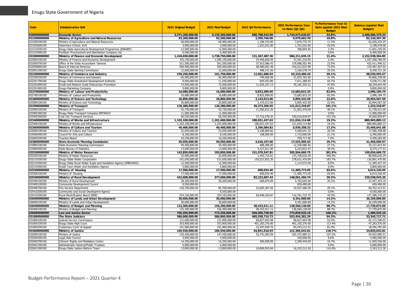| Code                         | <b>Adminstrative Unit</b>                                            | 2021 Original Budget              | 2021 Final Budget                 | 2021 Q4 Performance             | 2021 Performance Year<br>to Date (Q1-Q4) | % Performance Year to<br>Date against 2021 Final<br><b>Budget</b> | <b>Balance (against Final</b><br><b>Budget</b> ) |
|------------------------------|----------------------------------------------------------------------|-----------------------------------|-----------------------------------|---------------------------------|------------------------------------------|-------------------------------------------------------------------|--------------------------------------------------|
| 020000000000                 | <b>Economic Sector</b>                                               | 3,771,260,000.00                  | 5,135,360,000.00                  | 680,788,542.09                  | 1,734,673,620.67                         | 33.8%                                                             | 3,400,686,379.33                                 |
| 021500000000                 | Ministry of Agriculture and Natural Resources                        | 92,200,000.00                     | 92,200,000.00                     | 2,399,746.00                    | 9,979,602.70                             | 10.8%                                                             | 82,220,397.30                                    |
| 021500100100                 | Ministry of Agriculture and Natural Resources                        | 69,900,000.00                     | 69,900,000.00                     | 1,198,724.00                    | 7,879,775.75                             | 11.3%                                                             | 62.020.224.25                                    |
| 021502600100                 | Veterinary School, Achi                                              | 3.900.000.00                      | 3,900,000,00                      | 1,201,022,00                    | 1,701,022,00                             | 43.6%                                                             | 2.198.978.00                                     |
| 021510200100                 | Enugu State Agricultural Development Programme (ENADEP)              | 12,000,000.00                     | 12,000,000.00                     | $\overline{a}$                  | 398,804.95                               | 3.3%                                                              | 11,601,195.05                                    |
| 021510400100                 | Fertilizer Procurement and Distribution Company Ltd                  | 6.400.000.00                      | 6.400.000.00                      |                                 |                                          | 0.0%                                                              | 6.400.000.00                                     |
| 022000000000                 | Ministry of Finance and Economic Development                         | 1,418,650,000.00                  | 2,738,750,000.00                  | 131,267,487.36                  | 586,211,635.15                           | 21.4%                                                             | 2,152,538,364.85                                 |
| 022000100100                 | Ministry of Finance and Economic Development                         | 315,150,000.00                    | 1,595,150,000.00                  | 24,446,656.95                   | 37,941,219.95                            | 2.4%                                                              | 1.557.208.780.05                                 |
| 022000700100                 | Office of the State Accountant- General                              | 521,500,000.00                    | 561,500,000.00                    | 37,923,086.43                   | 129,088,503.48                           | 23.0%                                                             | 432,411,496.52                                   |
| 022000800100                 | Board of Internal Revenue                                            | 569,400,000.00                    | 569,500,000.00                    | 68,489,602.48                   | 416,012,632.98                           | 73.0%                                                             | 153,487,367.02                                   |
| 022001200100                 | Enugu State Gaming Commission                                        | 12,600,000.00                     | 12,600,000.00                     | 408,141.50                      | 3,169,278.74                             | 25.2%                                                             | 9,430,721.26                                     |
| 022200000000                 | Ministry of Commerce and Industry                                    | 159,250,000.00                    | 161,750,000.00                    | 12,961,686.93                   | 63,210,406.43                            | 39.1%                                                             | 98,539,593.57                                    |
| 022200100100                 | Ministry of Commerce and Industry                                    | 66,900,000.00                     | 66,900,000.00                     | 799,566.00                      | 21,033,762.00                            | 31.4%                                                             | 45,866,238.00                                    |
| 022201700100                 | Enugu State Investment Development Authority                         | 9,050,000.00                      | 11,550,000.00                     | 605,923.80                      | 7,011,288.92                             | 60.7%                                                             | 4,538,711.08                                     |
| 022201800100                 | Small and Medium Scale Enterprises Promotion                         | 73,500,000.00                     | 73,500,000.00                     | 11,556,197.13                   | 35, 165, 355. 51                         | 47.8%                                                             | 38,334,644.49                                    |
| 022201900100                 | Enugu Marketing Company                                              | 9,800,000.00                      | 9,800,000.00                      |                                 |                                          | 0.0%                                                              | 9,800,000.00                                     |
| 022700000000                 | Ministry of Labour and Productivity                                  | 16,680,000,00                     | 16,680,000,00                     | 9,832,589,05                    | 13,683,815.25                            | 82.0%                                                             | 2,996,184.75                                     |
| 022700100100                 | Ministry of Labour and Productivity                                  | 16,680,000.00                     | 16,680,000.00                     | 9,832,589.05                    | 13,683,815.25                            | 82.0%                                                             | 2,996,184.75                                     |
| 022800000000                 | Ministry of Science and Technology                                   | 26,800,000,00                     | 26,800,000,00                     | 2.143.013.00                    | 5,895,432.50                             | 22.0%                                                             | 20,904,567.50                                    |
| 022800100100                 | Ministry of Science and Technology                                   | 26,800,000.00                     | 26,800,000.00                     | 2,143,013.00                    | 5,895,432.50                             | 22.0%                                                             | 20,904,567.50                                    |
| 022900000000<br>022900100100 | Ministry of Transport                                                | 120,280,000.00                    | 120,280,000.00                    | 49,273,209.55                   | 121,612,318.87                           | 101.1%                                                            | 1,332,318.87                                     |
|                              | Ministry of Transport                                                | 42,730,000.00                     | 42,730,000.00                     | 11,556,631.20                   | 21,001,479.00                            | 49.1%<br>0.0%                                                     | 21,728,521.00                                    |
| 022905300100                 | Enugu State Transport Company ENTRACO                                | 11.000.000.00                     | 11.000.000.00                     |                                 |                                          |                                                                   | 11.000.000.00                                    |
| 022905300200<br>023400000000 | Coal City Transport Services<br>Ministry of Works and Infrastructure | 66,550,000.00<br>1,102,100,000,00 | 66,550,000.00<br>1,101,600,000,00 | 37,716,578.35<br>180.651.427.63 | 100,610,839.87<br>211,634,114.88         | 151.2%<br>19.2%                                                   | 34,060,839.87<br>889,965,885.12                  |
| 023400100100                 | Ministry of Works and Infrastructure                                 | 1,102,100,000.00                  | 1,101,600,000.00                  | 180,651,427.63                  | 211,634,114.88                           | 19.2%                                                             | 889,965,885.12                                   |
| 023600000000                 | Ministry of Culture and Tourism                                      | 40,400,000,00                     | 40,400,000,00                     | 3,396,084.82                    | 6,939,358,32                             | 17.2%                                                             | 33,460,641.68                                    |
| 023600100100                 | Ministry of Culture and Tourism                                      | 22,050,000.00                     | 22.050.000.00                     | 3.198.084.82                    | 4,469,641.32                             | 20.3%                                                             | 17.580.358.68                                    |
| 023600400100                 | Council for Arts and Culture                                         | 8,100,000.00                      | 8,100,000.00                      | 198,000.00                      | 1,710,000.00                             | 21.1%                                                             | 6,390,000.00                                     |
| 023605200100                 | Tourism Board                                                        | 10,250,000.00                     | 10,250,000.00                     |                                 | 759,717.00                               | 7.4%                                                              | 9,490,283.00                                     |
| 023800000000                 | <b>State Economic Planning Commission</b>                            | 59,050,000.00                     | 59,050,000.00                     | 4,636,197.00                    | 17,553,909.03                            | 29.7%                                                             | 41,496,090.97                                    |
| 023800100100                 | State Economic Planning Commission                                   | 45,450,000.00                     | 45,450,000.00                     | 408,386.00                      | 12,328,086.56                            | 27.1%                                                             | 33,121,913.44                                    |
| 023800400100                 | State Bureau of Statistics                                           | 13,600,000.00                     | 13,600,000.00                     | 4,227,811.00                    | 5,225,822.47                             | 38.4%                                                             | 8,374,177.53                                     |
| 025200000000                 | <b>Ministry of Water Resources</b>                                   | 142,850,000.00                    | 195,850,000.00                    | 151,970,547.81                  | 395,504,669.75                           | 201.9%                                                            | 199,654,669.75                                   |
| 025200100100                 | Ministry of Water Resources                                          | 22,900,000.00                     | 25,900,000.00                     | 1,442,715.61                    | 115,758,626.29                           | 446.9%                                                            | 89,858,626.29                                    |
| 025210200100                 | Enugu State Water Corporation                                        | 101.650.000.00                    | 151.650.000.00                    | 150.527.832.20                  | 278,631,470.90                           | 183.7%                                                            | 126.981.470.90                                   |
| 025210300100                 | Enugu State Rural Water Suply and Sanitation Agency (ENRUWAS)        | 12,500,000.00                     | 12,500,000.00                     | $\sim$                          | 1,114,572.56                             | 8.9%                                                              | 11,385,427.44                                    |
| 025210400100                 | Small Town Water and Sanitation Agency                               | 5,800,000,00                      | 5.800.000.00                      |                                 |                                          | 0.0%                                                              | 5,800,000,00                                     |
| 025300000000                 | Ministry of Housing                                                  | 17,500,000.00                     | 17,500,000.00                     | 600,034.40                      | 11,485,773.05                            | 65.6%                                                             | 6,014,226.95                                     |
| 025300100100                 | Ministry of Housing                                                  | 17,500,000.00                     | 17,500,000.00                     | 600,034.40                      | 11,485,773.05                            | 65.6%                                                             | 6,014,226.95                                     |
| 025400000000                 | <b>Ministry of Rural Development</b>                                 | 422,600,000.00                    | 377,600,000.00                    | 83,222,607.43                   | 148,061,456.74                           | 39.2%                                                             | 229,538,543.26                                   |
| 025400100100                 | Ministry of Rural Development                                        | 28,200,000.00                     | 28,200,000.00                     | 668,870.00                      | 5,702,656.90                             | 20.2%                                                             | 22,497,343.10                                    |
| 025400100200                 | Community Development Council                                        | 9,550,000.00                      |                                   |                                 | 659,490.00                               |                                                                   | 659,490.00                                       |
| 025400700100                 | ire Service Department                                               | 130,700,000.00                    | 85,700,000.00                     | 22,605,307.56                   | 24,937,586.09                            | 29.1%                                                             | 60,762,413.91                                    |
| 025410200100                 | Community and Social Developmnt Agency                               |                                   | 9,550,000.00                      | $\sim$                          |                                          | 0.0%                                                              | 9,550,000.00                                     |
| 025410300100                 | Rural Electrification Board (REB)                                    | 254,150,000.00                    | 254,150,000.00                    | 59,948,429.87                   | 116,761,723.75                           | 45.9%                                                             | 137,388,276.25                                   |
| 026000000000                 | Ministry of Lands and Urban Development                              | 30,600,000.00                     | 30,600,000,00                     |                                 | 4,341,000.00                             | 14.2%                                                             | 26,259,000,00                                    |
| 026000100100                 | Ministry of Lands and Urban Development                              | 30,600,000.00                     | 30,600,000.00                     | $\overline{a}$                  | 4,341,000.00                             | 14.2%                                                             | 26,259,000.00                                    |
| 026400000000                 | Ministry of Budget and Planning                                      | 122,300,000.00                    | 156,300,000.00                    | 48,433,911.11                   | 138,560,128.00                           | 88.7%                                                             | 17,739,872.00                                    |
| 026400100100                 | Ministry of Budget and Planning                                      | 122,300,000.00                    | 156,300,000.00                    | 48,433,911.11                   | 138,560,128.00                           | 88.7%                                                             | 17,739,872.00                                    |
| 030000000000                 | <b>Law and Justice Sector</b>                                        | 756,350,000.00                    | 773,350,000.00                    | 550,409,738.66                  | 774,839,925.10                           | 100.2%                                                            | 1,489,925.10                                     |
| 031800000000                 | The State Judiciary                                                  | 586,800,000.00                    | 586,800,000.00                    | 485,558,719.73                  | 553,454,282.29                           | 94.3%                                                             | 33,345,717.71                                    |
| 031800100100                 | Judicial Service Commission                                          | 131,000,000.00                    | 131,000,000.00                    | 68,827,693.98                   | 68,827,693.98                            | 52.5%                                                             | 62,172,306.02                                    |
| 031805100100                 | Enugu State High Court                                               | 353,900,000.00                    | 353,900,000.00                    | 401,183,376.00                  | 401,183,376.00                           | 113.4%                                                            | 47,283,376.00                                    |
| 031805200100                 | <b>Customary Court of Appeal</b>                                     | 101,900,000.00                    | 101.900.000.00                    | 15,547,649.75                   | 83,443,212.31                            | 81.9%                                                             | 18,456,787.69                                    |
| 032600000000                 | <b>Ministry of Justice</b>                                           | 169,550,000.00                    | 186,550,000.00                    | 64,851,018.93                   | 221,385,642.81                           | 118.7%                                                            | 34,835,642.81                                    |
| 032600100100                 | Ministry of Justice                                                  | 130,450,000.00                    | 147,450,000.00                    | 53,741,005.09                   | 202,372,985.51                           | 137.2%                                                            | 54,922,985.51                                    |
| 032600300100                 | egal Aids Council                                                    | 4,900,000.00                      | 4,900,000.00                      |                                 | 420,000.00                               | 8.6%                                                              | 4,480,000.00                                     |
| 32600700100                  | Citizens' Rights and Mediation Centre                                | 14,350,000.00                     | 14,350,000.00                     | 300,058.00                      | 2,399,444.00                             | 16.7%                                                             | 11,950,556.00                                    |
| 032601200100                 | Administrator-General/Public Trustees                                | 6.000.000.00                      | 6,000,000,00                      |                                 |                                          | 0.0%                                                              | 6.000.000.00                                     |
| 032601300100                 | Enugu State Justice Reform Team                                      | 13.850.000.00                     | 13.850.000.00                     | 10.809.955.84                   | 16.193.213.30                            | 116.9%                                                            | 2.343.213.30                                     |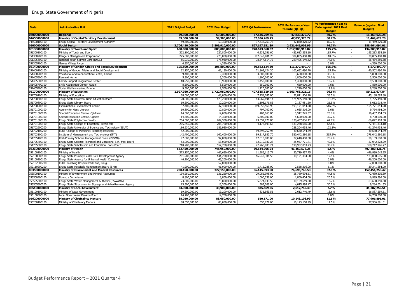| Code                         | <b>Adminstrative Unit</b>                                                | <b>2021 Original Budget</b>      | 2021 Final Budget                | 2021 Q4 Performance            | <b>2021 Performance Year</b><br>to Date (Q1-Q4) | % Performance Year to<br>Date against 2021 Final<br><b>Budget</b> | <b>Balance (against Final</b><br><b>Budget</b> ) |
|------------------------------|--------------------------------------------------------------------------|----------------------------------|----------------------------------|--------------------------------|-------------------------------------------------|-------------------------------------------------------------------|--------------------------------------------------|
| 040000000000                 | <b>Regional</b>                                                          | 59,300,000,00                    | 59,300,000.00                    | 37,636,269.75                  | 47,830,370,72                                   | 80.7%                                                             | 11,469,629,28                                    |
| 046500000000                 | Ministry of Capital Territory Development                                | 59,300,000,00                    | 59,300,000.00                    | 37,636,269.75                  | 47,830,370.72                                   | 80.7%                                                             | 11,469,629.28                                    |
| 046500100100                 | Enuqu Capital Territory Development Authority                            | 59,300,000.00                    | 59,300,000.00                    | 37,636,269.75                  | 47,830,370.72                                   | 80.7%                                                             | 11,469,629.28                                    |
| 050000000000                 | <b>Social Sector</b>                                                     | 3,706,410,000.00                 | 3,809,910,000.00                 | 827,197,551.89                 | 2,921,445,905.99                                | 76.7%                                                             | 888,464,094.01                                   |
| 051300000000                 | Ministry of Youth and Sport                                              | 658,080,000.00                   | 883,080,000.00                   | 270,623,068.02                 | 1,017,383,915.82                                | 115.2%                                                            | 134,303,915.82                                   |
| 051300100100                 | Ministry of Youth and Sport                                              | 322,800,000.00                   | 227,800,000.00                   | 4,232,051.60                   | 423,083,358.10                                  | 185.7%                                                            | 195,283,358.10                                   |
| 051300200100                 | Rangers Management Corporation                                           | 275,000,000.00                   | 275,000,000.00                   | 187,843,401.70                 | 304,805,408.10                                  | 110.8%                                                            | 29,805,408.10                                    |
| 051305600100                 | National Youth Service Corp (NYSC)                                       | 55,930,000.00                    | 375,930,000.00                   | 78,547,614.72                  | 289,495,149.62                                  | 77.0%                                                             | 86,434,850.38                                    |
| 051305700100                 | Games Village Awgu                                                       | 4,350,000.00                     | 4,350,000.00                     |                                |                                                 | 0.0%                                                              | 4,350,000.00                                     |
| 051400000000                 | Ministry of Gender Affairs and Social Development                        | 105,800,000.00                   | 105,800,000.00                   | 80,583,124.30                  | 111,372,490.70                                  | 105.3%                                                            | 5,572,490.70                                     |
| 051400100100                 | Ministry of Gender Affairs and Social Development                        | 62,150,000.00                    | 62,150,000.00                    | 71,863,124.30                  | 102,652,490.70                                  | 165.2%                                                            | 40,502,490.70                                    |
| 051400200100                 | Vocational and Rehabilitation Centre, Emene                              | 9,400,000.00                     | 9,400,000.00                     | 3,600,000.00                   | 3,600,000.00                                    | 38.3%                                                             | 5,800,000.00                                     |
| 051405500100                 | Remand Home                                                              | 5,300,000.00                     | 5,300,000.00                     | 1,800,000.00                   | 1,800,000.00                                    | 34.0%                                                             | 3,500,000.00                                     |
| 051405600100                 | Family Support Programme Center                                          | 10,950,000.00                    | 10,950,000.00                    | 1,450,000.00                   | 1,450,000.00                                    | 13.2%                                                             | 9,500,000.00                                     |
| 051405700100                 | Skills Acquisition Center, Uwani                                         | 8,500,000.00                     | 8,500,000.00                     | 650,000.00                     | 650,000.00                                      | 7.6%                                                              | 7,850,000.00                                     |
| 051405900100                 | Social Welfare centre, Emene                                             | 9,500,000.00                     | 9,500,000.00                     | 1,220,000.00                   | 1,220,000.00                                    | 12.8%                                                             | 8,280,000.00                                     |
| 051700000000                 | <b>Ministry of Education</b>                                             | 1,927,980,000.00                 | 1,722,980,000.00                 | 407,815,519.28                 | 1,663,768,325.16                                | 96.6%                                                             | 59,211,674.84                                    |
| 051700100100                 | Ministry of Education                                                    | 68,000,000.00                    | 68,000,000.00                    | 7,258,085.00                   | 22,811,906.20                                   | 33.5%                                                             | 45,188,093.80                                    |
| 051700300100                 | Enugu State Universal Basic Education Board                              | 120,200,000.00                   | 120,200,000.00                   | 13,969,691.14                  | 121,925,140.80                                  | 101.4%                                                            | 1,725,140.80                                     |
| 051700800100                 | Enugu State Library Board                                                | 10,200,000.00                    | 10,200,000.00                    | 1,103,176.82                   | 2,187,981.60                                    | 21.5%                                                             | 8,012,018.40                                     |
| 051700900100                 | <b>Examinations Development Centre</b>                                   | 37.400.000.00                    | 37,400,000.00                    | 189,056,460.90                 | 193,171,044.20                                  | 516.5%                                                            | 155,771,044.20                                   |
| 051701000100                 | Agency for Mass Literacy                                                 | 10,800,000.00                    | 10,800,000.00                    | 797,700.00                     | 1,035,516.00                                    | 9.6%                                                              | 9,764,484.00                                     |
| 051701000200                 | Special Education Centre, Oji-River                                      | 14,000,000.00                    | 14,000,000.00                    | 483.063.80                     | 3,512,745.37                                    | 25.1%                                                             | 10,487,254.63                                    |
| 051701000300                 | Special Education Centre, Ogbete                                         | 14,300,000.00                    | 14,300,000.00                    | 5,600,000.00                   | 5,600,000.00                                    | 39.2%                                                             | 8,700,000.00                                     |
| 051701800100                 | Enugu State Polytechnic Iwollo                                           | 204,500,000.00                   | 204,500,000.00                   | 23,657,178.85                  | 138,457,836.12                                  | 67.7%                                                             | 66,042,163.88                                    |
| 051701900100                 | Enugu State College of Education (Technical)                             | 205,750,000.00                   | 205,750,000.00                   | 4,178,193.65                   | 133,268,666.90                                  | 64.8%                                                             | 72,481,333.10                                    |
| 051702600200                 | Enugu State University of Science and Technology (ESUT)                  | 186,930,000.00                   | 186,930,000.00                   |                                | 228,204,438.46                                  | 122.1%                                                            | 41,274,438.46                                    |
| 051702100200                 | ESUT College of Medicine (Teaching Hospital)                             | 52,000,000.00                    |                                  | 19,397,252.93                  | 40,630,544.39                                   |                                                                   | 40,630,544.39                                    |
| 051703100100                 | Institute of Management and Techonology (IMT)                            | 142,400,000.00                   | 142,400,000.00                   | 89,317,882.70                  | 520,442,280.18                                  | 365.5%                                                            | 378,042,280.18                                   |
| 051705100100                 | Post-Primary Schools Management Board (PPSMB)                            | 97,800,000.00                    | 97,800,000.00                    | 17,310,000.00                  | 27,610,400.00                                   | 28.2%                                                             | 70,189,600.00                                    |
| 051705400100                 | Enugu State Science Technical and Vocational Sch. Mgt. Board             | 53,000,000.00                    | 53,000,000.00                    | 12,919,930.28                  | 25,957,771.71                                   | 49.0%                                                             | 27,042,228.29                                    |
| 051705600100                 | Enugu State Scholarship and Education Loans Board                        | 710,700,000.00                   | 557,700,000.00                   | 22,766,903.21                  | 198,952,053.23                                  | 35.7%                                                             | 358,747,946.77                                   |
| 052100000000                 | Ministry of Health                                                       | 662,450,000.00                   | 748,950,000.00                   | 30,644,706.24                  | 41,469,578.25                                   | 5.5%                                                              | 707,480,421.75                                   |
| 052100100100<br>052100300100 | Ministry of Health<br>Enugu State Primary Health Care Development Agency | 373,150,000.00<br>201,200,000.00 | 467,650,000.00<br>141,200,000.00 | 11,986,113.74<br>16,943,304.50 | 20,719,957.75                                   | 4.4%<br>12.9%                                                     | 446,930,042.25<br>123,008,695.50                 |
| 052100200100                 | Enugu State Agency for Universal Health Coverage                         | 46,200,000.00                    | 46,200,000.00                    | $\sim$                         | 18,191,304.50<br>$\sim$                         | 0.0%                                                              | 46,200,000.00                                    |
| 052102600200                 | ESUT Teaching Hospital ParkLane, Enugu                                   |                                  | 52,000,000.00                    |                                |                                                 | 0.0%                                                              | 52,000,000.00                                    |
| 052110200200                 | Enugu State Hospitals Management Board (SHB)                             | 41,900,000.00                    | 41,900,000.00                    | 1,715,288.00                   | 2,558,316.00                                    | 6.1%                                                              | 39,341,684.00                                    |
| 053500000000                 | Ministry of Environment and Mineral Resources                            | 230,150,000.00                   | 227,150,000.00                   | 36,145,393.50                  | 74,695,746.58                                   | 32.9%                                                             | 152,454,253.42                                   |
| 053500100100                 | Ministry of Environment and Mineral Resources                            | 134,250,000.00                   | 131,250,000.00                   | 29,085,998.00                  | 58,769,694.61                                   | 44.8%                                                             | 72,480,305.39                                    |
| 053500900100                 | <b>Forestry Commission</b>                                               | 8,800,000.00                     | 8,800,000.00                     | 1,000,338.00                   | 1,800,404.00                                    | 20.5%                                                             | 6,999,596.00                                     |
| 053505300100                 | Enugu State Waste Management Authority (ESWAMA)                          | 73,800,000.00                    | 73,800,000.00                    | 5,674,049.50                   | 10,109,649.50                                   | 13.7%                                                             | 63,690,350.50                                    |
| 053505300200                 | Enugu State Structures for Signage and Advertisement Agency              | 13,300,000.00                    | 13,300,000.00                    | 385,008.00                     | 4,015,998.47                                    | 30.2%                                                             | 9,284,001.53                                     |
| 055100000000                 | <b>Ministry of Local Government</b>                                      | 33,900,000.00                    | 33,900,000.00                    | 835,569.55                     | 2,612,740.49                                    | 7.7%                                                              | 31,287,259.51                                    |
| 055100100100                 | Ministry of Local Government                                             | 19,200,000.00                    | 19,200,000.00                    | 835.569.55                     | 2,612,740.49                                    | 13.6%                                                             | 16,587,259.51                                    |
| 055100500100                 | Local Government Pension Board                                           | 14,700,000.00                    | 14,700,000.00                    |                                |                                                 | 0.0%                                                              | 14,700,000.00                                    |
| 056200000000                 | <b>Ministry of Chieftaincy Matters</b>                                   | 88,050,000.00                    | 88,050,000.00                    | 550,171.00                     | 10,143,108.99                                   | 11.5%                                                             | 77,906,891.01                                    |
| 056200100100                 | Ministry of Chieftaincy Matters                                          | 88,050,000.00                    | 88,050,000.00                    | 550,171.00                     | 10,143,108.99                                   | 11.5%                                                             | 77,906,891.01                                    |
|                              |                                                                          |                                  |                                  |                                |                                                 |                                                                   |                                                  |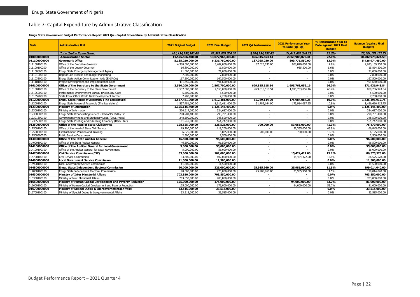#### Table 7: Capital Expenditure by Administrative Classification

#### **Enugu State Government Budget Performance Report 2021 Q4 - Capital Expenditure by Administrative Classification**

<span id="page-22-0"></span>

| Code         | <b>Adminstrative Unit</b>                                   | <b>2021 Original Budget</b> | 2021 Final Budget | 2021 Q4 Performance      | 2021 Performance Year<br>to Date (Q1-Q4) | % Performance Year to<br>Date against 2021 Final<br><b>Budget</b> | <b>Balance (against Final</b><br><b>Budget</b> ) |
|--------------|-------------------------------------------------------------|-----------------------------|-------------------|--------------------------|------------------------------------------|-------------------------------------------------------------------|--------------------------------------------------|
|              | <b>Total Capital Expenditure</b>                            | 101.134.758.500.00          | 99,593,858,500,00 | 5,806,954,758.63         | 21,412,680,348,29                        | 21.5%                                                             | 78.181.178.151.71                                |
| 010000000000 | <b>Administration Sector</b>                                | 11,525,566,400.00           | 13,072,966,400.00 | 895,315,653.44           | 2,869,988,075.41                         | 22.0%                                                             | 10,202,978,324.59                                |
| 011100000000 | <b>Governor's Office</b>                                    | 5,135,250,000.00            | 6,236,750,000.00  | 187,025,030.00           | 809,775,550.00                           | 13.0%                                                             | 5,426,974,450.00                                 |
| 011100100100 | Office of the Executive Governor                            | 4,380,500,000.00            | 5,482,000,000.00  | 187,025,030.00           | 808,840,050.00                           | 14.8%                                                             | 4,673,159,950.00                                 |
| 011100100200 | Office of the Deputy Governor                               | 16,800,000.00               | 16,800,000.00     |                          | 935,500.00                               | 5.6%                                                              | 15,864,500.00                                    |
| 011100800100 | Enugu State Emergency Management Agency                     | 71,000,000.00               | 71,000,000.00     | $\sim$                   | $\overline{\phantom{0}}$                 | 0.0%                                                              | 71,000,000.00                                    |
| 011101000100 | Dept of Due Process and Budget Monitoring                   | 7,800,000.00                | 7,800,000.00      | $\sim$                   |                                          | 0.0%                                                              | 7,800,000.00                                     |
| 011103300100 | Enugu State Action Committee on Aids (ENSACA)               | 167,500,000.00              | 167,500,000.00    | $\sim$                   | $\overline{\phantom{a}}$                 | 0.0%                                                              | 167,500,000.00                                   |
| 011110100100 | Project Development and Implementation Dept.                | 491,650,000.00              | 491,650,000.00    |                          |                                          | 0.0%                                                              | 491,650,000.00                                   |
| 016100000000 | Office of the Secretary to the State Government             | 2,550,200,000.00            | 2,567,700,000.00  | 629,815,518.54           | 1,695,763,056.16                         | 66.0%                                                             | 871,936,943.84                                   |
| 016100100100 | Office of the Secretary to the State Government             | 2,537,500,000.00            | 2,555,000,000.00  | 629,815,518.54           | 1,695,763,056.16                         | 66.4%                                                             | 859,236,943.84                                   |
| 016105200100 | Performance Improvement Bureau (PIB)/SERVICOM               | 5,500,000.00                | 5,500,000.00      |                          |                                          | 0.0%                                                              | 5,500,000.00                                     |
| 016105200200 | State Focal Office World Bank Development Partner           | 7,200,000.00                | 7.200.000.00      | $\sim$                   |                                          | $0.0\%$                                                           | 7,200,000.00                                     |
| 011200000000 | <b>Enugu State House of Assembly (The Legislature)</b>      | 1,537,481,000.00            | 1,612,481,000.00  | 51,789,144.90            | 175,984,087.25                           | 10.9%                                                             | 1,436,496,912.75                                 |
| 011200100100 | Enugu State House of Assembly (The Legislature)             | 1,537,481,000.00            | 1,612,481,000.00  | 51,789,144.90            | 175,984,087.25                           | 10.9%                                                             | 1,436,496,912.75                                 |
| 012300000000 | <b>Ministry of Information</b>                              | 1,125,145,400.00            | 1,125,145,400.00  |                          |                                          | $0.0\%$                                                           | 1,125,145,400.00                                 |
| 012300100100 | Ministry of Information                                     | 324,617,000.00              | 324,617,000.00    | $\sim$                   | $\overline{\phantom{a}}$                 | 0.0%                                                              | 324,617,000.00                                   |
| 012300300100 | Enugu State Broadcasting Service - Radio/TV ESBS/TV         | 290,781,400.00              | 290,781,400.00    | $\overline{\phantom{a}}$ |                                          | 0.0%                                                              | 290,781,400.00                                   |
| 012301300100 | Government Printing and Stationery Dept. (Govt. Press)      | 348,500,000.00              | 348,500,000.00    | $\overline{\phantom{a}}$ |                                          | 0.0%                                                              | 348,500,000.00                                   |
| 012305500100 | Enugu State Printing and Publishing Company (Daily Star)    | 161.247.000.00              | 161,247,000.00    | $\sim$                   |                                          | $0.0\%$                                                           | 161,247,000.00                                   |
| 012500000000 | <b>Office of the Head of State Civil Service</b>            | 128,525,000.00              | 128,525,000.00    | 700,000.00               | 53,055,000.00                            | 41.3%                                                             | 75,470,000.00                                    |
| 012500100100 | Office of the Head of State Civil Service                   | 119,200,000.00              | 119,200,000.00    |                          | 52,355,000.00                            | 43.9%                                                             | 66,845,000.00                                    |
| 012500500100 | Establishment, Pension and Training                         | 6,825,000.00                | 6,825,000.00      | 700,000.00               | 700,000.00                               | 10.3%                                                             | 6,125,000.00                                     |
| 012500500200 | Public Service Department                                   | 2,500,000.00                | 2,500,000.00      |                          |                                          | 0.0%                                                              | 2,500,000.00                                     |
| 014000000000 | <b>Office of the State Auditor General</b>                  | 46,500,000,00               | 96,500,000.00     | $\overline{a}$           | $\blacksquare$                           | 0.0%                                                              | 96,500,000.00                                    |
| 014000100100 | Office of the State Auditor General                         | 46,500,000.00               | 96,500,000.00     | $\overline{\phantom{a}}$ |                                          | 0.0%                                                              | 96,500,000.00                                    |
| 014100000000 | <b>Office of the Auditor General for Local Government</b>   | 5,000,000,00                | 55,000,000,00     | $\overline{\phantom{a}}$ | $\blacksquare$                           | $0.0\%$                                                           | 55,000,000,00                                    |
| 014100100100 | Office of the Auditor General for Local Government          | 5,000,000.00                | 55,000,000.00     | $\sim$                   |                                          | 0.0%                                                              | 55,000,000.00                                    |
| 014700000000 | <b>Civil Service Commission (CSC)</b>                       | 33,600,000.00               | 102,000,000.00    | $\overline{\phantom{a}}$ | 15,424,422.00                            | 15.1%                                                             | 86,575,578.00                                    |
| 014700100100 | Civil Service Commission                                    | 33,600,000,00               | 102.000.000.00    | $\sim$                   | 15,424,422.00                            | 15.1%                                                             | 86,575,578.00                                    |
| 014900000000 | <b>Local Government Service Commission</b>                  | 11,500,000.00               | 11,500,000.00     |                          |                                          | $0.0\%$                                                           | 11,500,000.00                                    |
| 014900100100 | Local Government Service Commission                         | 11,500,000.00               | 11,500,000.00     | $\overline{\phantom{0}}$ |                                          | 0.0%                                                              | 11,500,000.00                                    |
| 014800000000 | Enugu State Independent Electoral Commission                | 90,000,000,00               | 225,000,000,00    | 25,985,960.00            | 25,985,960.00                            | 11.5%                                                             | 199.014.040.00                                   |
| 014800100100 | Enuqu State Independent Electoral Commission                | 90,000,000.00               | 225,000,000.00    | 25,985,960.00            | 25,985,960.00                            | 11.5%                                                             | 199,014,040.00                                   |
| 016300000000 | <b>Ministry of Inter Ministerial Affairs</b>                | 703,850,000.00              | 703,850,000.00    |                          |                                          | $0.0\%$                                                           | 703,850,000.00                                   |
| 016300100100 | Ministry of Inter Ministerial Affairs                       | 703,850,000.00              | 703,850,000.00    | $\sim$                   |                                          | 0.0%                                                              | 703,850,000.00                                   |
| 016600000000 | Ministry of Human Capital Development and Poverty Reduction | 125,000,000.00              | 175,000,000.00    | $\overline{\phantom{a}}$ | 94,000,000,00                            | 53.7%                                                             | 81,000,000,00                                    |
| 016600100100 | Ministry of Human Capital Development and Poverty Reduction | 125,000,000.00              | 175,000,000.00    | $\overline{\phantom{a}}$ | 94,000,000.00                            | 53.7%                                                             | 81,000,000.00                                    |
| 016700000000 | Ministry of Special Duties & Inergovernmental Affairs       | 33,515,000.00               | 33,515,000.00     | $\overline{\phantom{a}}$ |                                          | $0.0\%$                                                           | 33,515,000.00                                    |
| 016700100100 | Ministry of Special Duties & Inergovernmental Affairs       | 33,515,000.00               | 33,515,000.00     | $\sim$                   |                                          | 0.0%                                                              | 33,515,000.00                                    |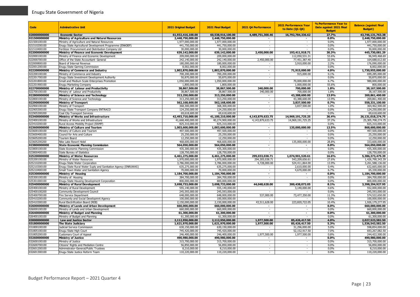| Code                         | <b>Adminstrative Unit</b>                                            | <b>2021 Original Budget</b>     | 2021 Final Budget               | 2021 04 Performance      | 2021 Performance Year<br>to Date (Q1-Q4) | % Performance Year to<br>Date against 2021 Final<br><b>Budget</b> | <b>Balance (against Final</b><br><b>Budget</b> ) |
|------------------------------|----------------------------------------------------------------------|---------------------------------|---------------------------------|--------------------------|------------------------------------------|-------------------------------------------------------------------|--------------------------------------------------|
| 020000000000                 | <b>Economic Sector</b>                                               | 61,932,416,100.00               | 60,538,916,100.00               | 4,489,751,300.46         | 16,792,784,336.62                        | 27.7%                                                             | 43,746,131,763.38                                |
| 021500000000                 | Ministry of Agriculture and Natural Resources                        | 2,448,750,000.00                | 2,448,750,000.00                |                          |                                          | 0.0%                                                              | 2,448,750,000.00                                 |
| 021500100100                 | Ministry of Agriculture and Natural Resources                        | 1,977,000,000.00                | 1,977,000,000.00                | $\overline{\phantom{a}}$ | $\sim$                                   | 0.0%                                                              | 1.977.000.000.00                                 |
| 021510200100                 | Enugu State Agricultural Development Programme (ENADEP)              | 441.750.000.00                  | 441.750.000.00                  | $\sim$                   | $\overline{\phantom{a}}$                 | 0.0%                                                              | 441.750.000.00                                   |
| 021510400100                 | Fertilizer Procurement and Distribution Company Ltd                  | 30,000,000.00                   | 30,000,000.00                   | $\sim$                   | $\overline{\phantom{a}}$                 | 0.0%                                                              | 30,000,000.00                                    |
| 022000000000                 | Ministry of Finance and Economic Development                         | 639,142,000.00                  | 639,142,000.00                  | 2,450,000.00             | 193,411,918.71                           | 30.3%                                                             | 445,730,081.29                                   |
| 022000100100                 | Ministry of Finance and Economic Development                         | 209,000,000.00                  | 209,000,000.00                  |                          | 112,050,531.31                           | 53.6%                                                             | 96,949,468.69                                    |
| 022000700100                 | Office of the State Accountant- General                              | 242,140,000.00                  | 242,140,000.00                  | 2,450,000.00             | 77,451,387.40                            | 32.0%                                                             | 164,688,612.60                                   |
| 022000800100                 | Board of Internal Revenue                                            | 180,000,000.00                  | 180,000,000.00                  |                          | 3,910,000.00                             | 2.2%                                                              | 176.090.000.00                                   |
| 022001200100                 | Enugu State Gaming Commission                                        | 8,002,000.00                    | 8,002,000.00                    | $\sim$                   |                                          | 0.0%                                                              | 8,002,000.00                                     |
| 022200000000                 | Ministry of Commerce and Industry                                    | 1,802,870,000.00                | 1,802,870,000.00                | $\sim$                   | 71,915,000.00                            | 4.0%                                                              | 1,730,955,000.00                                 |
| 022200100100                 | Ministry of Commerce and Industry                                    | 700.200.000.00                  | 700.200.000.00                  | $\sim$                   | 915,000.00                               | 0.1%                                                              | 699,285,000.00                                   |
| 022201700100                 | Enugu State Investment Development Authority                         | 50,870,000.00                   | 50,870,000.00                   | $\sim$                   |                                          | 0.0%                                                              | 50,870,000.00                                    |
| 022201800100                 | Small and Medium Scale Enterprises Promotion                         | 1,050,000,000.00                | 1,050,000,000.00                |                          | 70,000,000.00                            | 6.7%                                                              | 980.000.000.00                                   |
| 022201900100                 | Enugu Marketing Company                                              | 1,800,000.00                    | 1,800,000.00                    | $\sim$                   | 1,000,000.00                             | 55.6%                                                             | 800,000.00                                       |
| 022700000000                 | Ministry of Labour and Productivity                                  | 38,867,500.00                   | 38,867,500.00                   | 340,000.00               | 700,000.00                               | 1.8%                                                              | 38,167,500.00                                    |
| 022700100100                 | Ministry of Labour and Productivity                                  | 38,867,500.00                   | 38,867,500.00                   | 340,000.00               | 700,000.00                               | 1.8%                                                              | 38,167,500.00                                    |
| 022800000000                 | Ministry of Science and Technology                                   | 313,250,000.00                  | 313,250,000.00                  | ۰.                       | 43,388,600,00                            | 13.9%                                                             | 269,861,400.00                                   |
| 022800100100                 | Ministry of Science and Technology                                   | 313,250,000.00                  | 313,250,000.00                  | $\sim$<br>Ξ              | 43,388,600.00                            | 13.9%                                                             | 269,861,400.00                                   |
| 022900000000                 | <b>Ministry of Transport</b>                                         | 562,168,600.00                  | 562,168,600.00                  | $\sim$                   | 3,837,500.00                             | 0.7%                                                              | 558,331,100.00                                   |
| 022900100100                 | Ministry of Transport                                                | 368,300,000.00                  | 368,300,000.00                  |                          | 3,837,500.00                             | 1.0%<br>0.0%                                                      | 364,462,500.00<br>124,250,000.00                 |
| 022905300100<br>022905300200 | Enugu State Transport Company ENTRACO                                | 124,250,000.00<br>69,618,600.00 | 124,250,000.00<br>69,618,600.00 | $\sim$                   | $\overline{\phantom{a}}$                 | 0.0%                                                              | 69,618,600.00                                    |
| 023400000000                 | Coal City Transport Services<br>Ministry of Works and Infrastructure | 42,493,710,000.00               | 41,100,210,000.00               | 4,143,879,633.75         | 14,969,191,725.25                        | 36.4%                                                             | 26,131,018,274.75                                |
| 023400100100                 | Ministry of Works and Infrastructure                                 | 41,668,400,000.00               | 40,274,900,000.00               | 4,143,879,633.75         | 14,969,191,725.25                        | 37.2%                                                             | 25,305,708,274.75                                |
| 023410200100                 | Rural Access Mobility Project (RAMP)                                 | 825.310.000.00                  | 825.310.000.00                  | $\sim$                   |                                          | 0.0%                                                              | 825,310,000.00                                   |
| 023600000000                 | Ministry of Culture and Tourism                                      | 1,003,600,000.00                | 1,003,600,000.00                | $\blacksquare$           | 135,000,000.00                           | 13.5%                                                             | 868,600,000.00                                   |
| 023600100100                 | Ministry of Culture and Tourism                                      | 497,500,000.00                  | 497,500,000.00                  |                          |                                          | 0.0%                                                              | 497,500,000.00                                   |
| 023600400100                 | Council for Arts and Culture                                         | 25,250,000.00                   | 25,250,000.00                   | $\sim$                   | $\sim$                                   | 0.0%                                                              | 25,250,000.00                                    |
| 023605200100                 | Tourism Board                                                        | 12,250,000.00                   | 12.250.000.00                   | $\sim$                   |                                          | 0.0%                                                              | 12,250,000.00                                    |
| 023605200200                 | Nike Lake Resort Hotel                                               | 468,600,000.00                  | 468,600,000.00                  | $\sim$                   | 135,000,000.00                           | 28.8%                                                             | 333,600,000.00                                   |
| 023800000000                 | <b>State Economic Planning Commission</b>                            | 564,050,000.00                  | 564,050,000.00                  | $\sim$                   | $\sim$                                   | 0.0%                                                              | 564,050,000.00                                   |
| 023800100100                 | State Economic Planning Commission                                   | 435,300,000.00                  | 435,300,000.00                  | $\sim$                   | $\overline{\phantom{a}}$                 | 0.0%                                                              | 435,300,000.00                                   |
| 023800400100                 | State Bureau of Statistics                                           | 128,750,000.00                  | 128,750,000.00                  |                          |                                          | 0.0%                                                              | 128,750,000.00                                   |
| 025200000000                 | <b>Ministry of Water Resources</b>                                   | 6,461,275,000,00                | 6,461,275,000.00                | 299.033.038.71           | 1.074.901.520.61                         | 16.6%                                                             | 5,386,373,479.39                                 |
| 025200100100                 | Ministry of Water Resources                                          | 1,970,000,000.00                | 1,970,000,000.00                | 294,305,038.71           | 543,209,656.61                           | 27.6%                                                             | 1,426,790,343.39                                 |
| 025210200100                 | Enuqu State Water Corporation                                        | 3,786,000,000.00                | 3,786,000,000.00                | 4,728,000.00             | 524,411,864.00                           | 13.9%                                                             | 3,261,588,136.00                                 |
| 025210300100                 | Enugu State Rural Water Suply and Sanitation Agency (ENRUWAS)        | 635,275,000.00                  | 635,275,000.00                  | $\sim$                   | 2,610,000.00                             | 0.4%                                                              | 632,665,000.00                                   |
| 025210400100                 | Small Town Water and Sanitation Agency                               | 70.000.000.00                   | 70,000,000.00                   | $\sim$                   | 4,670,000.00                             | 6.7%                                                              | 65.330.000.00                                    |
| 025300000000                 | Ministry of Housing                                                  | 1,184,700,000.00                | 1,184,700,000.00                | $\blacksquare$           | $\sim$                                   | $0.0\%$                                                           | 1,184,700,000.00                                 |
| 025300100100                 | Ministry of Housing                                                  | 384,700,000.00                  | 384,700,000.00                  | τ.                       | τ                                        | 0.0%                                                              | 384,700,000.00                                   |
| 025301000100                 | Enugu State Housing Development Corporation                          | 800,000,000.00                  | 800,000,000.00                  |                          |                                          | 0.0%                                                              | 800,000,000.00                                   |
| 025400000000                 | Ministry of Rural Development                                        | 3,698,733,000.00                | 3,698,733,000.00                | 44,048,628.00            | 300,438,072.05                           | 8.1%                                                              | 3,398,294,927.95                                 |
| 025400100100                 | Ministry of Rural Development                                        | 555,140,000.00                  | 555,140,000.00                  |                          | 3.140.000.00                             | 0.6%                                                              | 552.000.000.00                                   |
| 025400100200                 | Community Development Council                                        | 245,593,000.00                  | 245,593,000.00                  |                          |                                          | 0.0%                                                              | 245.593.000.00                                   |
| 025400700100                 | Fire Service Department                                              | 648,000,000.00                  | 648,000,000.00                  | 537,000.00               | 73,477,350.00                            | 11.3%                                                             | 574,522,650.00                                   |
| 025410200100                 | Community and Social Developmnt Agency                               | 100,000,000.00                  | 100,000,000.00                  |                          |                                          | 0.0%                                                              | 100,000,000.00                                   |
| 025410300100                 | Rural Electrification Board (REB)                                    | 2,150,000,000.00                | 2,150,000,000.00                | 43,511,628.00            | 223,820,722.05                           | 10.4%                                                             | 1,926,179,277.95                                 |
| 026000000000                 | Ministry of Lands and Urban Development                              | 660,000,000.00                  | 660,000,000.00                  |                          |                                          | 0.0%                                                              | 660,000,000,00                                   |
| 026000100100                 | Ministry of Lands and Urban Development                              | 660,000,000.00                  | 660,000,000.00                  | $\sim$                   | $\sim$                                   | 0.0%                                                              | 660,000,000.00                                   |
| 026400000000                 | Ministry of Budget and Planning                                      | 61,300,000.00                   | 61,300,000.00                   | $\sim$                   | $\sim$                                   | 0.0%                                                              | 61,300,000.00                                    |
| 026400100100                 | Ministry of Budget and Planning                                      | 61,300,000.00                   | 61,300,000.00                   |                          |                                          | 0.0%                                                              | 61,300,000.00                                    |
| 030000000000                 | <b>Law and Justice Sector</b>                                        | 2,112,950,000.00                | 2,112,950,000.00                | 1,977,500.00             | 85,426,417.50                            | 4.0%                                                              | 2,027,523,582.50                                 |
| 031800000000                 | The State Judiciary                                                  | 1,621,970,000.00                | 1,621,970,000.00                | 1,977,500.00             | 85,426,417.50                            | 5.3%                                                              | 1,536,543,582.50                                 |
| 031800100100                 | Judicial Service Commission                                          | 630,150,000.00                  | 630,150,000.00                  |                          | 31,296,000.00                            | 5.0%                                                              | 598,854,000.00                                   |
| 031805100100                 | Enugu State High Court                                               | 745,420,000.00                  | 745,420,000.00                  | $\sim$                   | 52,152,917.50                            | 7.0%                                                              | 693,267,082.50                                   |
| 031805200100                 | <b>Customary Court of Appeal</b>                                     | 246,400,000.00                  | 246,400,000.00                  | 1,977,500.00             | 1,977,500.00                             | 0.8%                                                              | 244,422,500.00                                   |
| 032600000000                 | <b>Ministry of Justice</b>                                           | 490,980,000.00                  | 490,980,000.00                  | $\blacksquare$           |                                          | $0.0\%$                                                           | 490,980,000.00                                   |
| 032600100100                 | Ministry of Justice                                                  | 315,700,000.00                  | 315,700,000.00                  | $\sim$                   | $\sim$                                   | 0.0%                                                              | 315,700,000.00                                   |
| 032600700100                 | Citizens' Rights and Mediation Centre                                | 56,850,000.00                   | 56,850,000.00                   |                          |                                          | 0.0%                                                              | 56,850,000.00                                    |
| 032601200100                 | Administrator-General/Public Trustees                                | 8,210,000.00                    | 8,210,000.00                    | $\sim$                   | $\sim$                                   | 0.0%                                                              | 8,210,000.00                                     |
| 032601300100                 | Enugu State Justice Reform Team                                      | 110,220,000.00                  | 110,220,000.00                  | $\sim$                   | $\sim$                                   | 0.0%                                                              | 110,220,000.00                                   |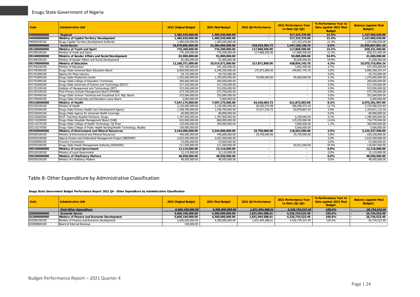| Code         | <b>Adminstrative Unit</b>                                              | <b>2021 Original Budget</b> | 2021 Final Budget | 2021 04 Performance      | <b>2021 Performance Year</b><br>to Date (01-04) | % Performance Year to<br>Date against 2021 Final<br><b>Budget</b> | <b>Balance (against Final</b><br><b>Budget</b> ) |
|--------------|------------------------------------------------------------------------|-----------------------------|-------------------|--------------------------|-------------------------------------------------|-------------------------------------------------------------------|--------------------------------------------------|
| 040000000000 | Regional                                                               | 1,485,020,000.00            | 1,485,020,000.00  | $\overline{\phantom{a}}$ | 317,323,370.00                                  | 21.4%                                                             | 1,167,696,630.00                                 |
| 046500000000 | Ministry of Capital Territory Development                              | 1,485,020,000,00            | 1,485,020,000,00  |                          | 317,323,370.00                                  | 21.4%                                                             | 1,167,696,630.00                                 |
| 046500100100 | Enugu Capital Territory Development Authority                          | 1,485,020,000.00            | 1,485,020,000.00  |                          | 317,323,370.00                                  | 21.4%                                                             | 1,167,696,630.00                                 |
| 050000000000 | <b>Social Sector</b>                                                   | 24,078,806,000.00           | 22,384,006,000.00 | 419,910,304.73           | 1,347,158,148.76                                | 6.0%                                                              | 21,036,847,851.24                                |
| 051300000000 | Ministry of Youth and Sport                                            | 776,200,000.00              | 776,200,000.00    | 117,868,500.00           | 117,868,500.00                                  | 15.2%                                                             | 658,331,500.00                                   |
| 051300100100 | Ministry of Youth and Sport                                            | 776,200,000.00              | 776,200,000.00    | 117,868,500.00           | 117,868,500.00                                  | 15.2%                                                             | 658,331,500.00                                   |
| 051400000000 | Ministry of Gender Affairs and Social Development                      | 82,000,000.00               | 91,000,000.00     |                          | 50,000,000.00                                   | 54.9%                                                             | 41,000,000.00                                    |
| 051400100100 | Ministry of Gender Affairs and Social Development                      | 82,000,000.00               | 91,000,000.00     |                          | 50,000,000.00                                   | 54.9%                                                             | 41,000,000.00                                    |
| 051700000000 | <b>Ministry of Education</b>                                           | 12,268,371,000.00           | 10,514,571,000.00 | 217,871,800.00           | 438,854,145.76                                  | 4.2%                                                              | 10,075,716,854.24                                |
| 051700100100 | Ministry of Education                                                  | 541,356,000.00              | 541.356.000.00    |                          | 3,962,400.00                                    | 0.7%                                                              | 537,393,600.00                                   |
| 051700300100 | Enugu State Universal Basic Education Board                            | 8,000,000,000.00            | 6,246,200,000.00  | 147.871.800.00           | 349,891,745.76                                  | 5.6%                                                              | 5,896,308,254.24                                 |
| 051701000100 | Agency for Mass Literacy                                               | 29,725,000.00               | 29,725,000.00     |                          |                                                 | $0.0\%$                                                           | 29,725,000.00                                    |
| 051701800100 | Enugu State Polytechnic Iwollo                                         | 1,355,600,000.00            | 1,355,600,000.00  | 70,000,000.00            | 85,000,000.00                                   | 6.3%                                                              | 1,270,600,000.00                                 |
| 051701900100 | Enugu State College of Education (Technical)                           | 269,600,000.00              | 269,600,000.00    | $\sim$                   |                                                 | 0.0%                                                              | 269,600,000.00                                   |
| 051702600200 | Enugu State University of Science and Technology (ESUT)                | 517,250,000.00              | 517,250,000.00    | $\overline{\phantom{a}}$ |                                                 | 0.0%                                                              | 517,250,000.00                                   |
| 051703100100 | Institute of Management and Techonology (IMT)                          | 523,056,000.00              | 523,056,000.00    | $\overline{\phantom{a}}$ |                                                 | $0.0\%$                                                           | 523,056,000.00                                   |
| 051705100100 | Post-Primary Schools Management Board (PPSMB)                          | 673,700,000.00              | 673,700,000.00    | $\overline{\phantom{a}}$ |                                                 | $0.0\%$                                                           | 673,700,000.00                                   |
| 051705400100 | Enugu State Science Technical and Vocational Sch. Mgt. Board           | 353,084,000.00              | 353,084,000.00    | $\sim$                   | $\sim$                                          | $0.0\%$                                                           | 353,084,000.00                                   |
| 051705600100 | Enugu State Scholarship and Education Loans Board                      | 5,000,000.00                | 5.000.000.00      |                          |                                                 | 0.0%                                                              | 5,000,000,00                                     |
| 052100000000 | Ministry of Health                                                     | 7,547,175,000.00            | 7,597,175,000.00  | 64,420,004.73            | 621,873,003.00                                  | 8.2%                                                              | 6,975,301,997.00                                 |
| 052100100100 | Ministry of Health                                                     | 3.126.585.000.00            | 3,126,585,000.00  | 30,502,574.98            | 396.998.475.36                                  | 12.7%                                                             | 2,729,586,524.64                                 |
| 052100300100 | Enugu State Primary Health Care Development Agency                     | 1,438,700,000.00            | 1,438,700,000.00  | 33,917,429.75            | 83,878,867.64                                   | 5.8%                                                              | 1,354,821,132.36                                 |
| 052100200100 | Enugu State Agency for Universal Health Coverage                       | 80,890,000.00               | 80,890,000.00     |                          |                                                 | $0.0\%$                                                           | 80.890.000.00                                    |
| 052102600200 | <b>ESUT Teaching Hospital ParkLane, Enugu</b>                          | 1,787,000,000.00            | 1,787,000,000.00  | $\overline{\phantom{a}}$ | 6,100,000.00                                    | 0.3%                                                              | 1,780,900,000.00                                 |
| 052110200200 | Enugu State Hospitals Management Board (SHB)                           | 810,000,000,00              | 860.000.000.00    | $\overline{\phantom{a}}$ | 125,229,060.00                                  | 14.6%                                                             | 734,770,940.00                                   |
| 052110270100 | Enugu State College of Health Technology, Oji River                    | 135,000,000.00              | 304,000,000.00    | $\sim$                   | 4,000,000.00                                    | 1.3%                                                              | 300,000,000.00                                   |
| 052110270200 | Enuqu State College of Public Health Nursing/Health Technology, Nsukka | 169,000,000.00              |                   | $\overline{\phantom{a}}$ | 5,666,600.00                                    |                                                                   | 5,666,600.00                                     |
| 053500000000 | Ministry of Environment and Mineral Resources                          | 3,344,000,000.00            | 3,344,000,000.00  | 19,750,000.00            | 118,562,500.00                                  | 3.5%                                                              | 3,225,437,500.00                                 |
| 053500100100 | Ministry of Environment and Mineral Resources                          | 446,000,000.00              | 446,000,000.00    | 19,750,000.00            | 25,750,000.00                                   | 5.8%                                                              | 420,250,000.00                                   |
| 053500100200 | Nigeria Erosion and Watershed Management Project (NEWMAP)              | 2,633,500,000.00            | 2,633,500,000.00  | $\overline{\phantom{a}}$ |                                                 | 0.0%                                                              | 2,633,500,000.00                                 |
| 053500900100 | <b>Forestry Commission</b>                                             | 53,000,000.00               | 53,000,000.00     | $\sim$                   |                                                 | 0.0%                                                              | 53,000,000.00                                    |
| 053505300100 | Enugu State Waste Management Authority (ESWAMA)                        | 211,500,000.00              | 211,500,000.00    | $\overline{\phantom{a}}$ | 92,812,500.00                                   | 43.9%                                                             | 118,687,500.00                                   |
| 055100000000 | <b>Ministry of Local Government</b>                                    | 12,110,000.00               | 12,110,000.00     | $\overline{\phantom{0}}$ | $\overline{\phantom{a}}$                        | $0.0\%$                                                           | 12,110,000.00                                    |
| 055100100100 | Ministry of Local Government                                           | 12,110,000.00               | 12,110,000.00     | $\sim$                   | $\sim$                                          | $0.0\%$                                                           | 12,110,000.00                                    |
| 056200000000 | <b>Ministry of Chieftaincy Matters</b>                                 | 48,950,000.00               | 48,950,000.00     | $\overline{\phantom{a}}$ | $\sim$                                          | $0.0\%$                                                           | 48,950,000.00                                    |
| 056200100100 | Ministry of Chieftaincy Matters                                        | 48,950,000.00               | 48,950,000.00     | $\overline{\phantom{a}}$ | $\sim$                                          | 0.0%                                                              | 48,950,000.00                                    |

# Table 8: Other Expenditure by Administrative Classification

#### **Enugu State Government Budget Performance Report 2021 Q4 - Other Expenditure by Administrative Classification**

<span id="page-24-0"></span>

| <b>Code</b>  | <b>Adminstrative Unit</b>                    | <b>2021 Original Budget</b> | 2021 Final Budget | 2021 04 Performance | <b>2021 Performance Year</b><br>to Date (01-04) | % Performance Year to<br>Date against 2021 Final<br><b>Budget</b> | <b>Balance (against Final</b><br><b>Budget</b> ) |
|--------------|----------------------------------------------|-----------------------------|-------------------|---------------------|-------------------------------------------------|-------------------------------------------------------------------|--------------------------------------------------|
|              | <b>Total Other Expenditure</b>               | 5,600,100,000,00            | 4,300,000,000.00  | 1.831.904.588.61    | 4,326,734,523.49                                | 100.6%                                                            | 26,734,523,49                                    |
| 020000000000 | <b>Economic Sector</b>                       | 5,600,100,000.00            | 4,300,000,000,00  | 1,831,904,588.61    | 4,326,734,523.49                                | 100.6%                                                            | 26,734,523.49                                    |
| 022000000000 | Ministry of Finance and Economic Development | 5,600,100,000,00            | 4,300,000,000,00  | 1,831,904,588,61    | 4.326.734.523.49                                | 100.6%                                                            | 26,734,523.49                                    |
| 022000100100 | Ministry of Finance and Economic Development | 5,600,000,000.00            | 4,300,000,000.00  | 1,831,904,588.61    | 4,326,734,523.49                                | 100.6%                                                            | 26,734,523.49                                    |
| 022000800100 | Board of Internal Revenue                    | 100,000.00                  |                   |                     |                                                 |                                                                   |                                                  |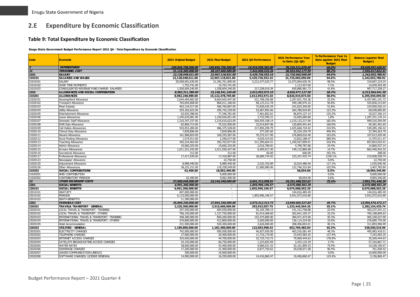# **2.E Expenditure by Economic Classification**

#### **Table 9: Total Expenditure by Economic Classification**

**Enugu State Government Budget Performance Report 2021 Q4 - Total Expenditure by Economic Classification**

<span id="page-25-1"></span><span id="page-25-0"></span>

| <b>Code</b>          | <b>Economic</b>                                 | 2021 Original Budget | 2021 Final Budget          | 2021 Q4 Performance | 2021 Performance Year<br>to Date (Q1-Q4) | % Performance Year to<br>Date against 2021 Final<br><b>Budget</b> | <b>Balance (against Final</b><br><b>Budget</b> ) |
|----------------------|-------------------------------------------------|----------------------|----------------------------|---------------------|------------------------------------------|-------------------------------------------------------------------|--------------------------------------------------|
| $\frac{2}{21}$       | <b>EXPENDITURES</b>                             | 169,845,758,500.00   | 169,845,758,500.00         | 19,910,958,382,80   | 76.216.211.079.49                        | 44.9%                                                             | 93,629,547,420.51                                |
|                      | <b>PERSONNEL COST</b>                           | 31,110,360,000.00    | 38,107,660,000.00          | 7,442,690,525.26    | 30,552,042,177.59                        | 80.2%                                                             | 7,555,617,822.41                                 |
| 2101                 | <b>SALARY</b>                                   | 22,128,048,611.00    | 22,967,118,831.00          | 5,429,736,553.16    | 21,725,065,050.09                        | 94.6%                                                             | 1,242,053,780.91                                 |
| 210101               | <b>SALARIES AND WAGES</b>                       | 22,128,048,611.00    | 22,967,118,831.00          | 5,429,736,553.16    | 21,725,065,050.09                        | 94.6%                                                             | 1,242,053,780.91                                 |
| 21010101             | <b>SALARY</b>                                   | 20,569,691,630.00    | 21,392,761,850.00          | 5,212,477,633.77    | 21,073,064,630.76                        | 98.5%                                                             | 319,697,219.24                                   |
| 21010102             | <b>OVER TIME PAYMENTS</b>                       | 1,752,741.00         | 15,752,741.00              |                     | 1,113,437.60                             | 7.1%                                                              | 14,639,303.40                                    |
| 21010103             | CONSOLIDATED REVENUE FUND CHARGE- SALARIES      | 1,556,604,240.00     | 1,558,604,240.00           | 217,258,919.39      | 650,886,981.73                           | 41.8%                                                             | 907,717,258.27                                   |
| 2102                 | ALLOWANCES AND SOCIAL CONTRIBUTION              | 8,982,311,389.00     | 15,140,541,169.00          | 2,012,953,972.10    | 8,826,977,127.50                         | 58.3%                                                             | 6,313,564,041.50                                 |
| 210201               | <b>ALLOWANCES</b>                               | 8,982,248,989.00     | 15,122,478,769.00          | 2,012,953,972.10    | 8,826,919,073.50                         | 58.4%                                                             | 6,295,559,695.50                                 |
| 21020101             | Housing/Rent Allowance                          | 2,644,404,065.00     | 8,664,942,947.00           | 521,708,359.08      | 2,207,051,755.28                         | 25.5%                                                             | 6,457,891,191.72                                 |
| 21020102             | <b>Transport Allowance</b>                      | 765,604,668.00       | 866,011,186.00             | 98,123,212.78       | 440,180,970.16                           | 50.8%                                                             | 425,830,215.84                                   |
| 21020103             | Meal Subsidy                                    | 463,134,517.00       | 466,760,867.00             | 72,836,635.39       | 241,810,340.85                           | 51.8%                                                             | 224,950,526.15                                   |
| 21020104             | <b>Utility Allowance</b>                        | 293,182,622.00       | 295,742,239.00             | 53,967,992.06       | 364,780,924.85                           | 123.3%                                                            | 69,038,685.85                                    |
| 21020105             | <b>Entertainment Allowance</b>                  | 63,925,398.00        | 77,346,781.00              | 7,461,852.61        | 96,874,127.14                            | 125.2%                                                            | 19,527,346.14                                    |
| 21020106             | Leave allowances                                | 1,245,635,081.00     | 1,230,026,821.00           | 3,732,595.21        | 22,695,685.86                            | 1.8%                                                              | 1,207,331,135.14                                 |
| 21020107             | Domestic Staff Allowance                        | 1,210,347,337.00     | 1,210,616,623.00           | 556,929,108.14      | 2,210,133,217.09                         | 182.6%                                                            | 999,516,594.09                                   |
| 21020108             | Shift Duty Allowance                            | 82,809,713.00        | 75,522,950.00              | 32,014,847.96       | 120,804,441.64                           | 160.0%                                                            | 45,281,491.64                                    |
| 21020109             | Call Duties Allowances                          | 554,053,284.00       | 486,375,528.00             | 217,850,299.79      | 1,025,660,724.42                         | 210.9%                                                            | 539,285,196.42                                   |
| 21020110             | Clinical Duty Allowance                         | 7,839,896.00         | 7,839,896.00               | 377,287.60          | 35,234,159.79                            | 449.4%                                                            | 27,394,263.79                                    |
| 21020111             | <b>Hazard Allowance</b>                         | 161,968,824.00       | 169,255,587.00             | 70,375,417.96       | 276,869,016.46                           | 163.6%                                                            | 107,613,429.46                                   |
| 21020112             | Rural Posting Allowance                         | 1,574,911.00         | 2,346,677.00               | 4,635,414.03        | 13,822,188.47                            | 589.0%                                                            | 11,475,511.47                                    |
| 21020113             | <b>Teaching Allowance</b>                       | 392,224,463.00       | 392,703,977.00             | 311,395,664.51      | 1,250,557,009.91                         | 318.4%                                                            | 857,853,032.91                                   |
| 21020114             | Admin Allowance                                 | 19,660,325.00        | 19,660,325.00              | 2,016,789.81        | 4,799,787.86                             | 24.4%                                                             | 14,860,537.14                                    |
| 21020115             | <b>Arrears Allowances</b>                       | 1,011,251,343.00     | 1,011,556,427.00           | 6,405,017.40        | 149,115,884.68                           | 14.7%                                                             | 862,440,542.32                                   |
| 21020116             | Secretarial Allowance                           | 312.00               | 312.00                     | 60.00               | 600.00                                   | 192.3%                                                            | 288.00                                           |
| 21020117<br>21020123 | Professional Allowance                          | 17,417,639.00        | 17,418,887.00<br>22,750.00 | 28,689,724.92       | 233, 257, 425.74                         | 1339.1%<br>0.0%                                                   | 215,838,538.74<br>22,750.00                      |
| 21020125             | Newspaper Allowance                             | 8,989,440.00         | 8,989,440.00               | 2,532,702.89        | 10,524,480.46                            | 117.1%                                                            | 1,535,040.46                                     |
| 21020126             | <b>Inducement Allowance</b><br>Other Allowances | 38,225,151.00        | 119,338,549.00             | 21,900,989.96       | 122,746,332.84                           | 102.9%                                                            | 3,407,783.84                                     |
| 210202               | SOCIAL CONTRIBUTIONS                            | 62,400.00            | 18,062,400.00              |                     | 58,054.00                                | 0.3%                                                              | 18,004,346.00                                    |
| 21020201             | NHIS CONTRIBUTION                               |                      | 9,000,000.00               | $\sim$              |                                          | 0.0%                                                              | 9,000,000.00                                     |
| 21020202             | <b>CONTRIBUTORY PENSION</b>                     | 62,400.00            | 9,062,400.00               | $\sim$              | 58,054.00                                | 0.6%                                                              | 9,004,346.00                                     |
| 22                   | <b>OTHER RECURRENT COSTS</b>                    | 37,600,640,000.00    | 32,144,240,000.00          | 6,661,313,098.91    | 24, 251, 488, 553. 61                    | 75.4%                                                             | 7,892,751,446.39                                 |
| 2201                 | <b>SOCIAL BENEFITS</b>                          | 6,991,300,000.00     | $\overline{\phantom{a}}$   | 1,855,996,196.57    | 6,075,088,502.29                         |                                                                   | 6,075,088,502.29                                 |
| 220101               | <b>SOCIAL BENEFITS</b>                          | 6,991,300,000.00     | $\overline{\phantom{a}}$   | 1,855,996,196.57    | 6,075,088,502.29                         |                                                                   | 6,075,088,502.29                                 |
| 22010101             | <b>GRATUITY</b>                                 | 847,000,000.00       | $\sim$                     |                     | 144,016,485.49                           |                                                                   | 144,016,485.49                                   |
| 22010102             | <b>PENSION</b>                                  | 6,133,000,000.00     | $\sim$                     | 1,855,996,196.57    | 5,931,072,016.80                         |                                                                   | 5,931,072,016.80                                 |
| 22010103             | <b>DEATH BENEFITS</b>                           | 11,300,000.00        | $\sim$                     |                     |                                          |                                                                   |                                                  |
| 2202                 | <b>OVERHEAD COST</b>                            | 25,009,240,000.00    | 27,844,240,000.00          | 2,973,412,313.73    | 13,849,665,527.83                        | 49.7%                                                             | 13,994,574,472.17                                |
| 220201               | TRAVEL& TRANSPORT - GENERAL                     | 2,220,300,000.00     | 3,515,600,000.00           | 293,932,057.75      | 1,233,445,564.26                         | 35.1%                                                             | 2,282,154,435.74                                 |
| 22020101             | LOCAL TRAVEL & TRANSPORT: TRAINING              | 257,550,000.00       | 604,550,000.00             | 55, 165, 789. 15    | 141,312,758.88                           | 23.4%                                                             | 463,237,241.12                                   |
| 22020102             | LOCAL TRAVEL & TRANSPORT: OTHERS                | 706,150,000.00       | 1,127,750,000.00           | 81,014,468.60       | 362,641,105.37                           | 32.2%                                                             | 765,108,894.63                                   |
| 22020103             | INTERNATIONAL TRAVEL & TRANSPORT: TRAINING      | 448,300,000.00       | 850,200,000.00             | 152,475,800.00      | 384,971,473.00                           | 45.3%                                                             | 465,228,527.00                                   |
| 22020104             | INTERNATIONAL TRAVEL & TRANSPORT: OTHERS        | 576,800,000.00       | 412,800,000.00             | 2,650,000.00        | 136,114,224.00                           | 33.0%                                                             | 276,685,776.00                                   |
| 22020105             | Hotel Accommodation                             | 231.500.000.00       | 520,300,000.00             | 2,626,000.00        | 208,406,003.01                           | 40.1%                                                             | 311,893,996.99                                   |
| 220202               | <b>UTILITIES - GENERAL</b>                      | 1,189,800,000.00     | 1,181,400,000.00           | 123,693,998.42      | 652,769,483.04                           | 55.3%                                                             | 528,630,516.96                                   |
| 22020201             | <b>ELECTRICITY CHARGES</b>                      | 742,000,000.00       | 959,500,000.00             | 46,927,650.00       | 463,516,581.49                           | 48.3%                                                             | 495,983,418.51                                   |
| 22020202             | <b>TELEPHONE CHARGES</b>                        | 27,000,000.00        | 26,400,000.00              | 11,716,170.00       | 33,643,583.25                            | 127.4%                                                            | 7,243,583.25                                     |
| 22020203             | <b>INTERNET ACCESS CHARGES</b>                  | 325,650,000.00       | 44,700,000.00              | 32,725,710.72       | 79,969,444.63                            | 178.9%                                                            | 35,269,444.63                                    |
| 22020204             | SATELLITE BROADCASTING ACCESS CHARGES           | 24,150,000.00        | 60,750,000.00              | 1,223,825.09        | 3.433.132.29                             | 5.7%                                                              | 57.316.867.71                                    |
| 22020205             | <b>WATER RATES</b>                              | 38,600,000.00        | 42,400,000.00              | 9,806,031.52        | 32,161,809.33                            | 75.9%                                                             | 10,238,190.67                                    |
| 22020206             | <b>SEWERAGE CHARGES</b>                         | 17,200,000.00        | 21,400,000.00              | 6,877,750.62        | 20,638,071.58                            | 96.4%                                                             | 761,928.42                                       |
| 22020207             | LEASED COMMUNICATION LINES(S)                   | 300,000.00           | 10,000,000.00              |                     |                                          | 0.0%                                                              | 10,000,000.00                                    |
| 22020208             | SOFTWARE CHARGES/ LICENSE RENEWAL               | 14,900,000.00        | 16,250,000.00              | 14,416,860.47       | 19,406,860.47                            | 119.4%                                                            | 3,156,860.47                                     |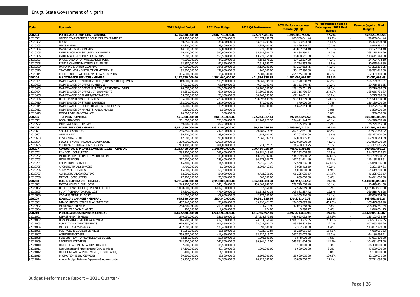| Code                 | Economic                                                                   | <b>2021 Original Budget</b>      | 2021 Final Budget                | 2021 Q4 Performance            | 2021 Performance Year<br>to Date (Q1-Q4) | % Performance Year to<br>Date against 2021 Final<br><b>Budget</b> | <b>Balance (against Final</b><br><b>Budget</b> ) |
|----------------------|----------------------------------------------------------------------------|----------------------------------|----------------------------------|--------------------------------|------------------------------------------|-------------------------------------------------------------------|--------------------------------------------------|
| 220203               | <b>MATERIALS &amp; SUPPLIES - GENERAL</b>                                  | 1,755,330,000.00                 | 2,007,730,000.00                 | 372,957,781.15                 | 1,348,200,756.47                         | 67.2%                                                             | 659,529,243.53                                   |
| 22020301             | OFFICE STATIONERIES / COMPUTER CONSUMABLES                                 | 695,200,000.00                   | 606,700,000.00                   | 202,074,159.74                 | 686,539,641.44                           | 113.2%                                                            | 79,839,641.44                                    |
| 22020302             | <b>BOOKS</b>                                                               | 40,250,000.00                    | 33,800,000.00                    | 43,845,203.80                  | 52,173,603.80                            | 154.4%                                                            | 18,373,603.80                                    |
| 22020303             | <b>NEWSPAPERS</b>                                                          | 13,800,000.00                    | 23,800,000.00                    | 3,355,400.00                   | 16,829,219.77                            | 70.7%                                                             | 6,970,780.23                                     |
| 22020304             | <b>MAGAZINES &amp; PERIODICALS</b>                                         | 14,530,000.00                    | 19,880,000.00                    | 1,929,000.00                   | 40,057,354.40                            | 201.5%                                                            | 20,177,354.40                                    |
| 22020305<br>22020306 | PRINTING OF NON SECURITY DOCUMENTS<br>PRINTING OF SECURITY DOCUMENTS       | 179,400,000.00<br>87,500,000.00  | 390.000.000.00<br>155,500,000.00 | 55,589,936.71<br>13,221,551.00 | 121.884.750.71<br>36,858,751.00          | 31.3%<br>23.7%                                                    | 268,115,249.29<br>118,641,249.00                 |
| 22020307             | DRUGS/LABORATORY/MEDICAL SUPPLIES                                          | 46,200,000.00                    | 44,200,000.00                    | 4,152,876.20                   | 19,492,227.90                            | 44.1%                                                             | 24,707,772.10                                    |
| 22020308             | FIELD & CAMPING MATERIALS SUPPLIES                                         | 92,850,000.00                    | 92,850,000.00                    | 7,618,653.70                   | 12,774,353.70                            | 13.8%                                                             | 80,075,646.30                                    |
| 2020309              | UNIFORMS & OTHER CLOTHING                                                  | 197,000,000.00                   | 184,500,000,00                   | 3,127,200.00                   | 87,297,663.75                            | 47.3%                                                             | 97,202,336.25                                    |
| 22020310             | TEACHING AIDS / INSTRUCTION MATERIALS                                      | 53,600,000.00                    | 139,900,000.00                   | 360,000.00                     | 20,147,590.00                            | 14.4%                                                             | 119,752,410.00                                   |
| 22020311             | FOOD STUFF / CATERING MATERIALS SUPPLIES                                   | 335,000,000.00                   | 316,600,000.00                   | 37,683,800.00                  | 254,145,600.00                           | 80.3%                                                             | 62,454,400.00                                    |
| 220204               | <b>MAINTENANCE SERVICES - GENERAL</b>                                      | 1,127,760,000.00                 | 1,304,060,000.00                 | 421,556,838.85                 | 1,282,007,904.57                         | 98.3%                                                             | 22,052,095.43                                    |
| 2020401              | MAINTENANCE OF MOTOR VEHICLE / TRANSPORT EQUIPMENT                         | 419,000,000.00                   | 519,900,000.00                   | 99,561,391.41                  | 363,170,788.49                           | 69.9%                                                             | 156,729,211.51                                   |
| 2020402              | MAINTENANCE OF OFFICE FURNITURE                                            | 87.010.000.00                    | 95,910,000.00                    | 9,949,009.45                   | 36,151,849.45                            | 37.7%                                                             | 59,758,150.55                                    |
| 22020403             | MAINTENANCE OF OFFICE BUILDING / RESIDENTIAL OTRS                          | 128,650,000.00                   | 174,350,000.00                   | 36,786,360.00                  | 159, 133, 301. 15                        | 91.3%                                                             | 15,216,698.85                                    |
| 22020404             | MAINTENANCE OF OFFICE / IT EQUIPMENTS                                      | 64,350,000.00                    | 67,650,000.00                    | 35,399,345.00                  | 255,716,730.87                           | 378.0%                                                            | 188,066,730.87                                   |
| 22020405             | MAINTENANCE OF PLANTS/GENERATORS                                           | 65,050,000.00                    | 73,950,000.00                    | 34,963,583.00                  | 67,174,601.11                            | 90.8%                                                             | 6,775,398.89                                     |
| 22020406             | OTHER MAINTENANCE SERVICES                                                 | 195,000,000.00                   | 223,600,000.00                   | 203,897,149.99                 | 398,113,289.50                           | 178.0%                                                            | 174,513,289.50                                   |
| 22020410<br>22020411 | MAINTENANCE OF STREET LIGHTINGS<br>MAINTENANCE OF COMMUNICATION EQUIPMENTS | 132,000,000.00<br>24,900,000.00  | 127,000,000.00<br>19,900,000.00  | 870,000.00<br>130,000.00       | 870,000.00<br>1,677,344.00               | 0.7%<br>8.4%                                                      | 126,130,000.00                                   |
| 22020412             | MAINTENANCE OF MARKETS/PUBLIC PLACES                                       | 1,500,000.00                     | 1,500,000.00                     |                                |                                          | 0.0%                                                              | 18,222,656.00<br>1,500,000.00                    |
| 2020413              | MINOR ROAD MAINTENANCE                                                     | 10,300,000.00                    | 300,000.00                       |                                |                                          | 0.0%                                                              | 300,000.00                                       |
| 220205               | <b>TRAINING - GENERAL</b>                                                  | 591,000,000.00                   | 661,150,000.00                   | 172,263,927.33                 | 397,846,599.52                           | 60.2%                                                             | 263,303,400.48                                   |
| 22020501             | <b>LOCAL TRAINING</b>                                                      | 501.600.000.00                   | 578,950,000.00                   | 172,263,927.33                 | 394, 421, 144. 52                        | 68.1%                                                             | 184,528,855.48                                   |
| 2020502              | INTERNATIONAL TRAINING                                                     | 89,400,000.00                    | 82,200,000.00                    | $\sim$                         | 3,425,455.00                             | 4.2%                                                              | 78,774,545.00                                    |
| 220206               | OTHER SERVICES - GENERAL                                                   | 8,521,750,000.00                 | 8,611,800,000.00                 | 190,160,286.84                 | 3,959,502,710.34                         | 46.0%                                                             | 4,652,297,289.66                                 |
| 22020601             | SECURITY SERVICES                                                          | 236,350,000.00                   | 242,400,000.00                   | 29,488,718.98                  | 202,492,641.98                           | 83.5%                                                             | 39,907,358.02                                    |
| 22020602             | <b>OFFICE RENT</b>                                                         | 89,200,000.00                    | 88,000,000.00                    | 1,588,600.00                   | 22,702,600.00                            | 25.8%                                                             | 65,297,400.00                                    |
| 22020603             | <b>RESIDENTIAL RENT</b>                                                    | 42,800,000.00                    | 95,800,000.00                    | 7,368,392.11                   | 12,869,285.11                            | 13.4%                                                             | 82,930,714.89                                    |
| 22020604             | SECURITY VOTE (INCLUDING OPERATIONS)                                       | 7,200,000,000.00                 | 7,200,800,000.00                 |                                | 3,000,000,000.00                         | 41.7%                                                             | 4,200,800,000.00                                 |
| 2020605              | CLEANING & FUMIGATION SERVICES                                             | 953,400,000.00                   | 984,800,000.00                   | 151,714,575.75                 | 721,438,183.25                           | 73.3%                                                             | 263, 361, 816.75                                 |
| 220207               | CONSULTING & PROFESSIONAL SERVICES - GENERAL<br>FINANCIAL CONSULTING       | 1,233,400,000.00                 | 1,241,900,000.00                 | 179,436,226.69                 | 741,036,396.85                           | 59.7%<br>32.9%                                                    | 500,863,603.15                                   |
| 22020701<br>22020702 | INFORMATION TECHNOLOGY CONSULTING                                          | 785,700,000.00<br>54,400,000.00  | 766,600,000.00<br>38,000,000.00  | 56,381,019.66<br>13,228,397.85 | 252,352,079.68<br>141,729,980.82         | 373.0%                                                            | 514,247,920.32<br>103,729,980.82                 |
| 22020703             | <b>LEGAL SERVICES</b>                                                      | 277,600,000.00                   | 283,400,000.00                   | 34,978,926.74                  | 167,261,411.49                           | 59.0%                                                             | 116, 138, 588.51                                 |
| 22020704             | <b>ENGINEERING SERVICES</b>                                                | 16,400,000.00                    | 11,500,000.00                    | 62,716,213.75                  | 77,548,786.50                            | 674.3%                                                            | 66,048,786.50                                    |
| 2020705              | ARCHITECTURAL SERVICES                                                     | 3,700,000.00                     | 6,300,000.00                     | 2,908,412.69                   | 3,908,412.69                             | 62.0%                                                             | 2,391,587.31                                     |
| 22020706             | SURVEYING SERVICES                                                         | 15,500,000.00                    | 55,700,000.00                    |                                | 1,080,800.00                             | 1.9%                                                              | 54,619,200.00                                    |
| 22020707             | AGRICULTURAL CONSULTING                                                    | 52,900,000.00                    | 54,900,000.00                    | 8,723,256.00                   | 96,295,925.67                            | 175.4%                                                            | 41,395,925.67                                    |
| 2020708              | MEDICAL CONSULTING                                                         | 27,200,000.00                    | 25,500,000.00                    | 500,000.00                     | 859,000.00                               | 3.4%                                                              | 24,641,000.00                                    |
| 220208               | FUEL & LUBRICANTS - GENERAL                                                | 1,781,200,000.00                 | 2,110,000,000.00                 | 486,513,983.68                 | 661,111,141.12                           | 31.3%                                                             | 1,448,888,858.88                                 |
| 22020801             | MOTOR VEHICLE FUEL COST                                                    | 545,400,000.00                   | 540.150.000.00                   | 430,809,942.33                 | 529,720,568.40                           | 98.1%                                                             | 10.429.431.60                                    |
| 22020802             | OTHER TRANSPORT EQUIPMENT FUEL COST                                        | 1,038,500,000.00                 | 1,032,450,000.00                 | 612,650.00                     | 7,576,069.00                             | 0.7%                                                              | 1,024,873,931.00                                 |
| 22020803             | PLANT / GENERATOR FUEL COST                                                | 95,300,000.00                    | 475,400,000.00                   | 52,318,391.35                  | 108,881,287.72                           | 22.9%                                                             | 366,518,712.28                                   |
| 22020806             | COOKING GAS/FUEL COST                                                      | 102,000,000.00                   | 62,000,000.00                    | 2,773,000.00                   | 14,933,216.00                            | 24.1%                                                             | 47,066,784.00                                    |
| 220209<br>22020901   | FINA NCIAL CHARGES - GENERAL<br>BANK CHARGES (OTHER THAN INTEREST)         | 695,840,000.00<br>437,440,000.00 | 280,340,000.00<br>28,890,000.00  | 90,911,315.66<br>89,996,421.76 | 176,373,140.73<br>134,335,893.90         | 62.9%<br>465.0%                                                   | 103,966,859.27<br>105,445,893.90                 |
| 22020902             | <b>INSURANCE PREMIUM</b>                                                   | 258,300,000.00                   | 250,400,000.00                   | 914,719.90                     | 42,033,248.56                            | 16.8%                                                             | 208, 366, 751.44                                 |
| 22020904             | OTHER CRF BANK CHARGES                                                     | 100,000.00                       | 1,050,000.00                     | 174.00                         | 3,998.27                                 | 0.4%                                                              | 1,046,001.73                                     |
| 220210               | MISCELLANEOUS EXPENSES GENERAL                                             | 5,892,860,000.00                 | 6,930,260,000.00                 | 641,985,897.36                 | 3,397,371,830.93                         | 49.0%                                                             | 3,532,888,169.07                                 |
| 2021001              | <b>REFRESHMENT &amp; MEALS</b>                                             | 370.050.000.00                   | 356,550,000.00                   | 137,532,873.61                 | 481,653,032.79                           | 135.1%                                                            | 125,103,032.79                                   |
| 22021002             | HONORARIUM & SITTING ALLOWANCE                                             | 346,200,000.00                   | 417,200,000.00                   | 174,014,050.42                 | 1,181,783,735.55                         | 283.3%                                                            | 764,583,735.55                                   |
| 22021003             | PUBLICITY & ADVERTISEMENTS                                                 | 479,750,000.00                   | 601,550,000.00                   | 28,037,540.74                  | 193,586,802.80                           | 32.2%                                                             | 407,963,197.20                                   |
| 22021004             | MEDICAL EXPENSES-LOCAL                                                     | 437,800,000.00                   | 520,400,000.00                   | 593,600.00                     | 7,332,730.00                             | 1.4%                                                              | 513,067,270.00                                   |
| 2021006              | POSTAGES & COURIER SERVICES                                                | 11,950,000.00                    | 13,550,000.00                    | 7,023,717.84                   | 18,230,031.33                            | 134.5%                                                            | 4,680,031.33                                     |
| 22021007             | <b>WELFARE PACKAGES</b>                                                    | 369,650,000.00                   | 411,450,000.00                   | 193,930,615.70                 | 367,263,007.29                           | 89.3%                                                             | 44,186,992.71                                    |
| 22021008             | SUBSCRIPTION TO PROFESSIONAL BODIES                                        | 52,150,000.00                    | 50,850,000.00                    | 1,002,600.00                   | 3,848,900.00                             | 7.6%                                                              | 47,001,100.00                                    |
| 2021009              | <b>SPORTING ACTIVITIES</b><br>DIRECT TEACHING & LABORATORY COST            | 342,500,000.00                   | 242,500,000.00                   | 39,861,210.00                  | 346,531,674.00                           | 142.9%                                                            | 104,031,674.00                                   |
| 22021010<br>2021011  | Recruitment and Appointment (Service wide)                                 | 7,780,000.00<br>57,100,000.00    | 36,500,000.00<br>49,100,000.00   | 1,000,000.00                   | 100,000.00<br>1,600,000.00               | 0.3%<br>3.3%                                                      | 36,400,000.00<br>47.500.000.00                   |
| 2021012              | DISCIPLINE AND APPOINTMENT (SERVICE WIDE)                                  | 1,100,000.00                     | 1,100,000.00                     |                                |                                          | 0.0%                                                              | 1,100,000.00                                     |
| 22021013             | PROMOTION (SERVICE WIDE)                                                   | 39,500,000.00                    | 13,500,000.00                    | 2,598,000.00                   | 25,690,075.00                            | 190.3%                                                            | 12,190,075.00                                    |
| 22021014             | Annual Budget Defence Expenses & Administration                            | 59,730,000.00                    | 74,530,000.00                    | 14,428,850.00                  | 16,808,300.62                            | 22.6%                                                             | 57,721,699.38                                    |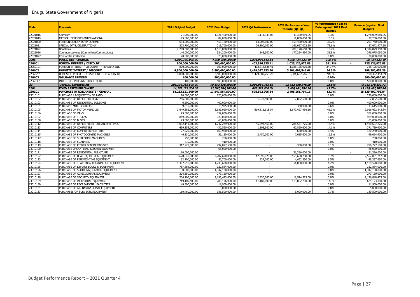| <b>Code</b> | <b>Economic</b>                               | 2021 Original Budget | 2021 Final Budget | 2021 Q4 Performance      | <b>2021 Performance Year</b><br>to Date (Q1-Q4) | % Performance Year to<br>Date against 2021 Final<br><b>Budget</b> | <b>Balance (against Final</b><br><b>Budget</b> ) |
|-------------|-----------------------------------------------|----------------------|-------------------|--------------------------|-------------------------------------------------|-------------------------------------------------------------------|--------------------------------------------------|
| 22021016    | Servicom                                      | 21,900,000.00        | 1,321,400,000.00  | 1,111,339.05             | 43,300,919.05                                   | 3.3%                                                              | 1,278,099,080.95                                 |
| 22021019    | MEDICAL EXPENSES-INTERNATIONAL                | 95.000.000.00        | 89,000,000.00     |                          | 11,800,000.00                                   | 13.3%                                                             | 77,200,000.00                                    |
| 22021020    | FOREIGN SCHOLARSHIP SCHEME                    | 633,000,000.00       | 453,180,000.00    | 13,906,000.00            | 159,420,000.00                                  | 35.2%                                                             | 293,760,000.00                                   |
| 22021021    | SPECIAL DAYS/CELEBRATIONS                     | 203,700,000.00       | 218,700,000.00    | 26,800,000,00            | 161,027,022.50                                  | 73.6%                                                             | 57,672,977.50                                    |
| 22021022    | <b>Donations</b>                              | 2,200,000,000.00     | 1,515,000,000.00  |                          | 200,170,650.00                                  | 13.2%                                                             | 1,314,829,350.00                                 |
| 22021026    | Common services (Committee/Commissions)       | 144,000,000.00       | 524,200,000.00    | 145,500.00               | 177,224,950.00                                  | 33.8%                                                             | 346,975,050.00                                   |
| 22021027    | Cost of IGR Collection                        | 20,000,000.00        | 20,000,000.00     |                          |                                                 | 0.0%                                                              | 20,000,000.00                                    |
| 2206        | <b>PUBLIC DEBT CHARGES</b>                    | 5,600,100,000.00     | 4,300,000,000.00  | 1,831,904,588.61         | 4,326,734,523.49                                | 100.6%                                                            | 26,734,523.49                                    |
| 220601      | <b>FOREIGN INTEREST / DISCOUNT</b>            | 800,000,000.00       | 300,000,000.00    | 402,816,835.41           | 1,025,126,976.88                                | 341.7%                                                            | 725,126,976.88                                   |
| 22060101    | FOREIGN INTEREST / DISCOUNT - TREASURY BILL   | 800,000,000.00       | 300,000,000.00    | 402,816,835.41           | 1,025,126,976.88                                | 341.7%                                                            | 725,126,976.88                                   |
| 220602      | DOMESTIC INTEREST / DISCOUNT                  | 4,800,000,000.00     | 3,500,000,000.00  | 1,429,087,753.20         | 3,301,607,546.61                                | 94.3%                                                             | 198,392,453.39                                   |
| 22060201    | DOMESTIC INTEREST / DISCOUNT - TREASURY BILL  | 4,800,000,000,00     | 3.500.000.000.00  | 1,429,087,753.20         | 3,301,607,546.61                                | 94.3%                                                             | 198, 392, 453. 39                                |
| 220603      | <b>INSURA NCE PREMIUM</b>                     | 100,000.00           | 500,000,000.00    | $\sim$                   | ۰.                                              | $0.0\%$                                                           | 500,000,000.00                                   |
| 22060301    | <b>INTEREST - INTERNAL PUBLIC DEBT</b>        | 100,000.00           | 500,000,000.00    | $\sim$                   |                                                 | 0.0%                                                              | 500,000,000,00                                   |
| 23          | <b>CAPITAL EXPENDITURE</b>                    | 101.134.758.500.00   | 99,593,858,500,00 | 5,806,954,758,63         | 21,412,680,348,29                               | 21.5%                                                             | 78.181.178.151.71                                |
| 2301        | <b>FIXED ASSETS PURCHASED</b>                 | 14,283,121,500.00    | 17,547,564,500.00 | 698,592,906.54           | 2,408,161,794.16                                | 13.7%                                                             | 15,139,402,705.84                                |
| 230101      | <b>PURCHASE OF FIXED ASSETS - GENERAL</b>     | 14,283,121,500.00    | 17,547,564,500.00 | 698,592,906.54           | 2,408,161,794.16                                | 13.7%                                                             | 15,139,402,705.84                                |
| 23010101    | PURCHASE / ACQUISITION OF LAND                | 70,000,000.00        | 220,000,000.00    |                          |                                                 | 0.0%                                                              | 220,000,000.00                                   |
| 23010102    | PURCHASE OF OFFICE BUILDINGS                  | 256.800.000.00       |                   | 1,977,500.00             | 2,892,500.00                                    |                                                                   | 2,892,500.00                                     |
| 23010103    | PURCHASE OF RESIDENTIAL BUILDINGS             | 6,200,000.00         | 400,000,000.00    |                          |                                                 | 0.0%                                                              | 400,000,000.00                                   |
| 23010104    | PURCHASE MOTOR CYCLES                         | 9,510,000.00         | 13.975.000.00     | $\sim$                   | 360,000,00                                      | 2.6%                                                              | 13,615,000.00                                    |
| 23010105    | PURCHASE OF MOTOR VEHICLES                    | 3,649,385,000.00     | 3,686,920,000.00  | 619,815,518.54           | 1,670,497,456.16                                | 45.3%                                                             | 2,016,422,543.84                                 |
| 23010106    | PURCHASE OF VANS                              | 25,000,000.00        | 352,000,000.00    | $\overline{\phantom{a}}$ |                                                 | 0.0%                                                              | 352,000,000.00                                   |
| 23010107    | <b>PURCHASE OF TRUCKS</b>                     | 859,000,000.00       | 929,000,000.00    | $\sim$                   | $\sim$                                          | 0.0%                                                              | 929,000,000.00                                   |
| 23010108    | <b>PURCHASE OF BUSES</b>                      | 143,000,000.00       | 63,000,000.00     | $\overline{\phantom{a}}$ |                                                 | 0.0%                                                              | 63,000,000.00                                    |
| 23010112    | PURCHASE OF OFFICE FURNITURE AND FITTINGS     | 1,092,141,000.00     | 1,747,249,000.00  | 45,793,460.00            | 286,551,775.00                                  | 16.4%                                                             | 1,460,697,225.00                                 |
| 23010113    | PURCHASE OF COMPUTERS                         | 439,155,000.00       | 432,560,000.00    | 1,303,500.00             | 60,820,600.00                                   | 14.1%                                                             | 371,739,400.00                                   |
| 23010114    | PURCHASE OF COMPUTER PRINTERS                 | 27.925.000.00        | 160,920,000.00    | $\sim$                   | 680,000.00                                      | 0.4%                                                              | 160.240.000.00                                   |
| 23010115    | PURCHASE OF PHOTOCOPYING MACHINES             | 46,830,000.00        | 56,130,000.00     | 2,450,000.00             | 7,035,600.00                                    | 12.5%                                                             | 49,094,400.00                                    |
| 23010117    | PURCHASE OF SHREDDING MACHINES                | 250,000.00           | 250.000.00        | $\sim$                   | $\sim$                                          | 0.0%                                                              | 250,000,00                                       |
| 23010118    | PURCHASE OF SCANNERS                          | 410,000.00           | 410,000.00        | $\sim$                   |                                                 | 0.0%                                                              | 410,000.00                                       |
| 23010119    | PURCHASE OF POWER GENERATING SET              | 312,227,500.00       | 297,027,500.00    | $\sim$                   | 300,000,00                                      | 0.1%                                                              | 296,727,500.00                                   |
| 23010120    | PURCHASE OFCANTEEN / KITCHEN EQUIPMENT        |                      | 68,000,000.00     | $\sim$                   |                                                 | 0.0%                                                              | 68,000,000.00                                    |
| 23010121    | PURCHASE OF RESIDENTIAL FURNITURE             | 110,000,000,00       |                   | $\sim$                   | 31,296,000.00                                   |                                                                   | 31.296.000.00                                    |
| 23010122    | PURCHASE OF HEALTH / MEDICAL EQUIPMENT        | 3,628,840,000.00     | 2,707,690,000.00  | 12,598,928.00            | 155,608,288.00                                  | 5.7%                                                              | 2,552,081,712.00                                 |
| 23010123    | PURCHASE OF FIRE FIGHTING EQUIPMENT           | 52,700,000.00        | 52,700,000.00     | 537,000.00               | 4,462,350.00                                    | 8.5%                                                              | 48,237,650.00                                    |
| 23010124    | PURCHASE OF TEACHING / LEARNING AID EQUIPMENT | 1,307,918,600.00     | 1,230,600,000.00  | $\blacksquare$           | 51,080,000.00                                   | 4.2%                                                              | 1,179,520,000.00                                 |
| 23010125    | PURCHASE OF LIBRARY BOOKS & EQUIPMENT         | 757,884,000.00       | 322,884,000.00    | $\sim$                   |                                                 | 0.0%                                                              | 322,884,000.00                                   |
| 23010126    | PURCHASE OF SPORTING / GAMING EQUIPMENT       | 30,000,000.00        | 1,347,100,000.00  | $\sim$                   | $\sim$                                          | 0.0%                                                              | 1,347,100,000.00                                 |
| 23010127    | PURCHASE OF AGRICULTURAL EQUIPMENT            | 224,350,000.00       | 273,150,000.00    | $\sim$                   |                                                 | 0.0%                                                              | 273,150,000.00                                   |
| 23010128    | PURCHASE OF SECURITY EQUIPMENT                | 204,706,000.00       | 2,195,423,000.00  | 2,930,000.00             | 18,574,525.00                                   | 0.8%                                                              | 2,176,848,475.00                                 |
| 23010129    | PURCHASE OF INDUSTRIAL EQUIPMENT              | 719,109,400.00       | 788,176,000.00    | 11,187,000.00            | 113,002,700.00                                  | 14.3%                                                             | 675,173,300.00                                   |
| 23010130    | PURCHASE OF RECREATIONAL FACILITIES           | 149,300,000.00       | 11,900,000.00     | $\sim$                   | $\sim$                                          | 0.0%                                                              | 11,900,000.00                                    |
| 23010131    | PURCHASE OF AIR NAVIGATIONAL EQUIPMENT        |                      | 5,000,000.00      | $\sim$                   |                                                 | 0.0%                                                              | 5,000,000.00                                     |
| 23010133    | PURCHASES OF SURVEYING EOUIPMENT              | 160,480,000,00       | 185,500,000,00    | $\sim$                   | 5,000,000.00                                    | 2.7%                                                              | 180.500.000.00                                   |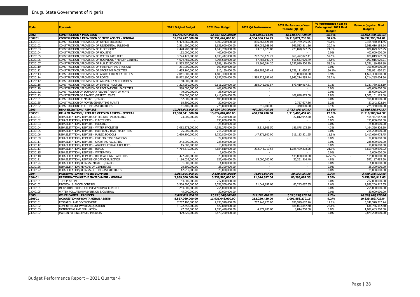| <b>Code</b> | <b>Economic</b>                                        | 2021 Original Budget | 2021 Final Budget | 2021 Q4 Performance      | <b>2021 Performance Year</b><br>to Date $(Q1-Q4)$ | % Performance Year to<br>Date against 2021 Final<br><b>Budget</b> | <b>Balance (against Final</b><br><b>Budget</b> ) |
|-------------|--------------------------------------------------------|----------------------|-------------------|--------------------------|---------------------------------------------------|-------------------------------------------------------------------|--------------------------------------------------|
| 2302        | <b>CONSTRUCTION / PROVISION</b>                        | 61,736,427,000.00    | 52,951,662,000.00 | 4,364,866,114.95         | 16,118,871,738.99                                 | 30.4%                                                             | 36,832,790,261.01                                |
| 230201      | CONSTRUCTION / PROVISION OF FIXED ASSETS - GENERAL     | 61,736,427,000.00    | 52,951,662,000.00 | 4,364,866,114.95         | 16,118,871,738.99                                 | 30.4%                                                             | 36,832,790,261.01                                |
| 23020101    | CONSTRUCTION / PROVISION OF OFFICE BUILDINGS           | 5,474,860,000.00     | 4,300,200,000.00  | 836,462,826.03           | 2,134,749,545.55                                  | 49.6%                                                             | 2,165,450,454.45                                 |
| 23020102    | CONSTRUCTION / PROVISION OF RESIDENTIAL BUILDINGS      | 2,561,600,000.00     | 2,635,000,000.00  | 539,086,368.06           | 546, 583, 811.36                                  | 20.7%                                                             | 2,088,416,188.64                                 |
| 23020103    | CONSTRUCTION / PROVISION OF ELECTRICITY                | 2,428,700,000.00     | 1,048,700,000.00  | 43,511,628.00            | 223,820,722.05                                    | 21.3%                                                             | 824,879,277.95                                   |
| 23020104    | CONSTRUCTION / PROVISION OF HOUSING                    | 152,000,000.00       | 402.000.000.00    |                          |                                                   | 0.0%                                                              | 402.000.000.00                                   |
| 23020105    | CONSTRUCTION / PROVISION OF WATER FACILITIES           | 3,724,122,000.00     | 1,830,442,000.00  | 292,058,179.21           | 960,422,022.11                                    | 52.5%                                                             | 870,019,977.89                                   |
| 23020106    | CONSTRUCTION / PROVISION OF HOSPITALS / HEALTH CENTRES | 4,624,785,000.00     | 4,908,650,000.00  | 87,488,649.74            | 811,633,070.79                                    | 16.5%                                                             | 4,097,016,929.21                                 |
| 23020107    | CONSTRUCTION / PROVISION OF PUBLIC SCHOOLS             | 11,563,950,000.00    | 5,589,110,000.00  | 13,366,094.20            | 3,257,920,500.20                                  | 58.3%                                                             | 2,331,189,499.80                                 |
| 23020110    | CONSTRUCTION / PROVISION OF FIRE FIGHTING STATIONS     | 231,000,000.00       | 100,000,000.00    |                          |                                                   | 0.0%                                                              | 100,000,000,00                                   |
| 23020112    | CONSTRUCTION / PROVISION OF SPORTING FACILITIES        | 1,435,160,000.00     | 910,160,000.00    | 696,283,367.48           | 1,239,111,650.82                                  | 136.1%                                                            | 328,951,650.82                                   |
| 23020113    | CONSTRUCTION / PROVISION OF AGRICULTURAL FACILITIES    | 2,041,300,000.00     | 1,683,300,000.00  | $\sim$                   | 15,000,000.00                                     | 0.9%                                                              | 1,668,300,000.00                                 |
| 23020114    | CONSTRUCTION / PROVISION OF ROADS                      | 18,922,800,000.00    | 17,657,500,000.00 | 1,598,223,992.66         | 5,943,214,395.44                                  | 33.7%                                                             | 11,714,285,604.56                                |
| 23020117    | CONSTRUCTION / PROVISION OF AIR-PORT / AERODROMES      | 150,000,000.00       |                   |                          |                                                   |                                                                   |                                                  |
| 23020118    | CONSTRUCTION / PROVISION OF INFRASTRUCTURE             | 7,223,950,000.00     | 9,611,200,000.00  | 258,045,009.57           | 873,419,467.81                                    | 9.1%                                                              | 8,737,780,532.19                                 |
| 23020119    | CONSTRUCTION / PROVISION OF RECREATIONAL FACILITIES    | 580,000,000.00       | 408,000,000.00    | $\sim$                   | $\sim$                                            | 0.0%                                                              | 408,000,000.00                                   |
| 23020122    | CONSTRUCTION OF BOUNDARY PILLARS/ RIGHT OF WAYS        | 70,000,000.00        | 38,600,000.00     | $\sim$                   |                                                   | 0.0%                                                              | 38,600,000.00                                    |
| 23020123    | CONSTRUCTION OF TRAFFIC / STREET LIGHTS                | 200,000,000.00       | 1,415,000,000.00  | $\sim$                   | 109,898,875.00                                    | 7.8%                                                              | 1,305,101,125.00                                 |
| 23020124    | CONSTRUCTION OF MARKETS/PARKS                          | 152,000,000.00       | 108,000,000.00    | $\sim$                   | $\sim$                                            | 0.0%                                                              | 108,000,000.00                                   |
| 23020125    | CONSTRUCTION OF POWER GENERATING PLANTS                | 18,800,000.00        | 30.000.000.00     | $\sim$                   | 2,757,677.86                                      | 9.2%                                                              | 27.242.322.14                                    |
| 23020127    | CONSTRUCTION OF ICT INFRASTRUCTURES                    | 181,400,000.00       | 275,800,000.00    | 340,000,00               | 340,000.00                                        | 0.1%                                                              | 275,460,000.00                                   |
| 2303        | <b>REHABILITATION / REPAIRS</b>                        | 12,388,641,000.00    | 13,624,084,000.00 | 460,230,420.08           | 1,713,495,457.63                                  | 12.6%                                                             | 11,910,588,542.37                                |
| 230301      | REHABILITATION / REPAIRS OF FIXED ASSETS - GENERAL     | 12,388,641,000.00    | 13,624,084,000.00 | 460,230,420.08           | 1,713,495,457.63                                  | 12.6%                                                             | 11,910,588,542.37                                |
| 23030101    | REHABILITATION / REPAIRS OF RESIDENTIAL BUILDING       | 23,000,000.00        | 438,250,000.00    | $\sim$                   | 22,812,942.50                                     | 5.2%                                                              | 415,437,057.50                                   |
| 23030102    | REHABILITATION / REPAIRS - ELECTRICITY                 |                      | 195,000,000.00    | $\sim$                   |                                                   | 0.0%                                                              | 195,000,000.00                                   |
| 23030103    | REHABILITATION / REPAIRS - HOUSING                     |                      | 25,000,000.00     |                          |                                                   | 0.0%                                                              | 25,000,000.00                                    |
| 23030104    | REHABILITATION / REPAIRS - WATER FACILITIES            | 3,082,275,000.00     | 4,351,275,000.00  | 5,314,909.50             | 186,878,173.50                                    | 4.3%                                                              | 4,164,396,826.50                                 |
| 23030105    | REHABILITATION / REPAIRS - HOSPITAL / HEALTH CENTRES   | 25,000,000.00        | 218,200,000.00    | $\sim$                   | $\sim$                                            | 0.0%                                                              | 218,200,000.00                                   |
| 23030106    | REHABILITATION / REPAIRS - PUBLIC SCHOOLS              | 2,630,800,000.00     | 2,730,800,000.00  | 147,871,800.00           | 313,133,521.25                                    | 11.5%                                                             | 2,417,666,478.75                                 |
| 23030109    | REHABILITATION / REPAIRS - FIRE FIGHTING STATIONS      |                      | 29,000,000.00     |                          |                                                   | 0.0%                                                              | 29,000,000,00                                    |
| 23030111    | REHABILITATION / REPAIRS - SPORTING FACILITIES         | 243,000,000.00       | 238,000,000.00    | $\sim$                   | $\sim$                                            | 0.0%                                                              | 238,000,000.00                                   |
| 23030112    | REHABILITATION / REPAIRS - AGRICICULTURAL FACILITIES   | 15,000,000,00        | 10,000,000.00     | $\sim$                   | $\sim$                                            | 0.0%                                                              | 10,000,000.00                                    |
| 23030113    | REHABILITATION / REPAIRS - ROADS                       | 4,714,310,000.00     | 4,684,810,000.00  | 292,043,710.58           | 1,025,409,303.98                                  | 21.9%                                                             | 3,659,400,696.02                                 |
| 23030115    | REHABILITATION / REPAIRS - WATER-WAY                   |                      | 2,000,000.00      |                          |                                                   | 0.0%                                                              | 2,000,000.00                                     |
| 23030118    | REHABILITATION / REPAIRS - RECREATIONAL FACILITIES     | 427,700,000.00       | 20,000,000.00     | $\sim$                   | 135,000,000.00                                    | 675.0%                                                            | 115,000,000.00                                   |
| 23030121    | REHABILITATION / REPAIRS OF OFFICE BUILDINGS           | 1,186,039,000.00     | 627,449,000.00    | 15,000,000.00            | 30,261,516.40                                     | 4.8%                                                              | 597,187,483.60                                   |
| 23030124    | REHABILITATION/REPAIRS- MARKETS/PARKS                  | 1,000,000.00         | 1,000,000.00      | $\sim$                   |                                                   | 0.0%                                                              | 1,000,000.00                                     |
| 23030126    | REHABILITATION/REPAIRS OF CEMETERIES                   | 28,300,000.00        | 28,300,000.00     | $\overline{\phantom{a}}$ | $\sim$                                            | 0.0%                                                              | 28,300,000.00                                    |
| 23030127    | REHABILITATION/REPAIRS- ICT INFRASTRUCTURES            | 12,217,000.00        | 25,000,000.00     | $\sim$                   | $\sim$                                            | 0.0%                                                              | 25,000,000.00                                    |
| 2304        | PRESERVATION OF THE ENVIRONMENT                        | 3,859,500,000.00     | 3,539,500,000.00  | 71,044,897.06            | 80,293,087.35                                     | 2.3%                                                              | 3,459,206,912.65                                 |
| 230401      | PRESERVATION OF THE ENVIRONMENT - GENERAL              | 3,859,500,000.00     | 3,539,500,000.00  | 71,044,897.06            | 80,293,087.35                                     | 2.3%                                                              | 3,459,206,912,65                                 |
| 23040101    | <b>TREE PLANTING</b>                                   | 54,000,000.00        | 217,000,000.00    |                          |                                                   | 0.0%                                                              | 217,000,000.00                                   |
| 23040102    | EROSION & FLOOD CONTROL                                | 3,506,500,000.00     | 3,038,500,000.00  | 71,044,897.06            | 80,293,087.35                                     | 2.6%                                                              | 2,958,206,912.65                                 |
| 23040104    | INDUSTRIAL POLLUTION PREVENTION & CONTROL              | 254,000,000.00       | 254,000,000.00    | $\sim$                   | $\sim$                                            | 0.0%                                                              | 254,000,000.00                                   |
| 23040105    | WATER POLLUTION PREVENTION & CONTROL                   | 45,000,000.00        | 30,000,000.00     | $\sim$                   |                                                   | 0.0%                                                              | 30,000,000.00                                    |
| 2305        | OTHER CAPITAL PROJECTS                                 | 8,867,069,000.00     | 11,931,048,000.00 | 212,220,420.00           | 1,091,858,270.16                                  | 9.2%                                                              | 10,839,189,729.84                                |
| 230501      | A CQUISITION OF NON TANGIBLE ASSETS                    | 8,867,069,000.00     | 11,931,048,000.00 | 212,220,420.00           | 1,091,858,270.16                                  | 9.2%                                                              | 10,839,189,729.84                                |
| 23050101    | RESEARCH AND DEVELOPMENT                               | 7,267,100,000.00     | 7,138,520,000.00  | 207,243,220.00           | 896,949,682.76                                    | 12.6%                                                             | 6,241,570,317.24                                 |
| 23050102    | COMPUTER SOFTWARE ACQUISITION                          | 1,122,656,000.00     | 822,830,000.00    |                          | 186,093,887.40                                    | 22.6%                                                             | 636,736,112.60                                   |
| 23050103    | MONITORING AND EVALUATION                              | 47,593,000.00        | 1,090,498,000.00  | 4,977,200.00             | 8,814,700.00                                      | 0.8%                                                              | 1,081,683,300.00                                 |
| 23050107    | MARGIN FOR INCREASES IN COSTS                          | 429,720,000.00       | 2,879,200,000.00  | $\sim$                   | $\sim$                                            | 0.0%                                                              | 2,879,200,000.00                                 |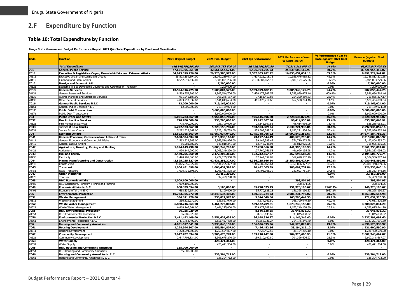# **2.F Expenditure by Function**

#### **Table 10: Total Expenditure by Function**

**Enugu State Government Budget Performance Report 2021 Q4 - Total Expenditure by Functional Classification**

<span id="page-29-1"></span><span id="page-29-0"></span>

| Code          | <b>Function</b>                                                       | <b>2021 Original Budget</b>        | 2021 Final Budget                  | 2021 Q4 Performance                | <b>2021 Performance Year</b><br>to Date (Q1-Q4) | % Performance Year to<br>Date against 2021 Final<br><b>Budget</b> | <b>Balance (against Final</b><br><b>Budget</b> ) |
|---------------|-----------------------------------------------------------------------|------------------------------------|------------------------------------|------------------------------------|-------------------------------------------------|-------------------------------------------------------------------|--------------------------------------------------|
|               | <b>Total Expenditure</b>                                              | 169,845,758,500.00                 | 169,845,758,500.00                 | 19,910,958,382.80                  | 76, 216, 211, 079.49                            | 44.9%                                                             | 93,629,547,420.51                                |
| 701           | <b>General Public Service</b>                                         | 47,651,395,951.00                  | 42,561,554,574.00                  | 6,496,904,765.03                   | 25,839,600,160.93                               | 60.7%                                                             | 16,721,954,413.07                                |
| 7011          | Executive & Legislative Organ, Financial Affairs and External Affairs | 34,045,379,226.00                  | 26,726,380,973.00                  | 3,537,805,282.92                   | 16,833,651,031.18                               | 63.0%                                                             | 9,892,729,941.82                                 |
| 70111         | Executive Organ and Legislative Organs                                | 25,503,359,594.00                  | 23,740,289,677.00                  | 1,407,222,218.75                   | 10,953,476,455.32                               | 46.1%                                                             | 12,786,813,221.68                                |
| 70112         | Financial and Fiscal Affairs                                          | 8,542,019,632.00                   | 2,986,091,296.00                   | 2,130,583,064.17                   | 5,880,174,575.86                                | 196.9%                                                            | 2,894,083,279.86                                 |
| 7012          | <b>Foreign and Economic Aid</b>                                       |                                    | 7,200,000.00                       |                                    |                                                 | 0.0%                                                              | 7,200,000.00                                     |
| 70121         | Economic Aid to Developing Countries and Countries in Transition      |                                    | 7,200,000.00                       |                                    |                                                 | 0.0%                                                              | 7,200,000.00                                     |
| 7013          | <b>General Services</b>                                               | 13,594,016,725.00                  | 9,508,804,577.00                   | 2,959,099,482.11                   | 9,005,949,129.75                                | 94.7%                                                             | 502,855,447.25                                   |
| 70131         | <b>General Personnel Services</b>                                     | 8,569,559,706.00                   | 1,902,544,706.00                   | 2,420,475,847.57                   | 7,788,999,475.46                                | 409.4%                                                            | 5,886,454,769.46                                 |
| 70132         | Overall Planning and Statistical Services                             | 931,246,187.00                     | 965,246,187.00                     | 77,153,419.88                      | 254,390,859.83                                  | 26.4%                                                             | 710,855,327.17                                   |
| 70133         | Other General Services                                                | 4,093,210,832.00                   | 6,641,013,684.00                   | 461,470,214.66                     | 962,558,794.46                                  | 14.5%                                                             | 5,678,454,889.54                                 |
| 7016          | <b>General Public Services N.E.C</b>                                  | 12,000,000.00                      | 719,169,024.00                     | $\sim$<br>$\sim$                   | $\overline{\phantom{a}}$                        | $0.0\%$                                                           | 719,169,024.00                                   |
| 70161<br>7017 | General Public Services N.E.C                                         | 12,000,000.00                      | 719,169,024.00                     |                                    |                                                 | 0.0%                                                              | 719,169,024.00                                   |
|               | <b>Public Debt Transactions</b>                                       | $\sim$                             | 5,600,000,000.00                   | $\sim$                             | $\blacksquare$                                  | $0.0\%$                                                           | 5,600,000,000.00                                 |
| 70171<br>703  | <b>Public Debt Transactions</b>                                       |                                    | 5,600,000,000.00                   |                                    |                                                 | 0.0%                                                              | 5,600,000,000.00                                 |
| 7032          | <b>Public Order and Safety</b><br><b>Fire Protection Services</b>     | 6,051,223,667.00<br>778,700,000.00 | 5,956,858,789.00<br>733,700,000.00 | 976,645,696.80<br>23,142,307.56    | 2,728,636,872.93<br>98,414,936.09               | 45.8%<br>13.4%                                                    | 3,228,221,916.07<br>635,285,063.91               |
| 70321         | <b>Fire Protection Services</b>                                       | 778,700,000,00                     | 733,700,000.00                     | 23,142,307.56                      | 98,414,936.09                                   | 13.4%                                                             | 635,285,063.91                                   |
| 7033          |                                                                       | 5,272,523,667.00                   | 5,223,158,789.00                   | 953,503,389.24                     | 2,630,221,936.84                                | 50.4%                                                             | 2,592,936,852.16                                 |
| 70331         | <b>Justice &amp; Law Courts</b><br>Justice & Law Courts               | 5,272,523,667.00                   | 5,223,158,789.00                   | 953,503,389.24                     | 2,630,221,936.84                                | 50.4%                                                             | 2,592,936,852.16                                 |
| 704           | <b>Economic Affairs</b>                                               | 53,623,985,863.00                  | 51,667,034,040.00                  | 4,775,748,066.22                   | 16,992,849,256.67                               | 32.9%                                                             | 34,674,184,783.33                                |
| 7041          | General Economic, Commercial and Labour Affairs                       | 2,650,504,634.00                   | 2,716,333,167.00                   | 73,197,644.49                      | 400,523,298.03                                  | 14.7%                                                             | 2,315,809,868.97                                 |
| 70411         | General Economic and Commercial Affairs                               | 2,563,522,945.00                   | 2,569,514,926.00                   | 59,449,399.45                      | 371,710,372.98                                  | 14.5%                                                             | 2,197,804,553.02                                 |
| 70412         | General Labour Affairs                                                | 86,981,689.00                      | 146,818,241.00                     | 13,748,245.04                      | 28,812,925.05                                   | 19.6%                                                             | 118,005,315.95                                   |
| 7042          | Agriculture, Forestry, Fishing and Hunting                            | 1,994,149,290.00                   | 3,003,249,290.00                   | 107,760,066.58                     | 441,996,195.98                                  | 14.7%                                                             | 2,561,253,094.02                                 |
| 70421         | Agriculture                                                           | 1,994,149,290.00                   | 3,003,249,290.00                   | 107,760,066.58                     | 441,996,195.98                                  | 14.7%                                                             | 2,561,253,094.02                                 |
| 7043          | <b>Fuel and Energy</b>                                                | 2,470,205,360.00                   | 2,472,205,360.00                   | 102,242,557.87                     | 367,698,587.26                                  | 14.9%                                                             | 2,104,506,772.74                                 |
| 70435         | Electricity                                                           | 2,470,205,360.00                   | 2,472,205,360.00                   | 102,242,557.87                     | 367,698,587.26                                  | 14.9%                                                             | 2,104,506,772.74                                 |
| 7044          | Mining, Manufacturing and Construction                                | 43,825,255,327.00                  | 42,431,255,327.00                  | 4,366,285,166.64                   | 15,350,806,427.94                               | 36.2%                                                             | 27,080,448,899.06                                |
| 70443         | Construction                                                          | 43,825,255,327.00                  | 42,431,255,327.00                  | 4,366,285,166.64                   | 15,350,806,427.94                               | 36.2%                                                             | 27,080,448,899.06                                |
| 7045          | <b>Transport</b>                                                      | 1,006,431,598.00                   | 1,006,431,598.00                   | 90,492,005.39                      | 280,097,751.84                                  | 27.8%                                                             | 726,333,846.16                                   |
| 70451         | Road Transport                                                        | 1,006,431,598.00                   | 1,006,431,598.00                   | 90,492,005.39                      | 280,097,751.84                                  | 27.8%                                                             | 726,333,846.16                                   |
| 7047          | <b>Other Industries</b>                                               | $\sim$                             | 32,459,298.00                      | $\sim$                             |                                                 | 0.0%                                                              | 32,459,298.00                                    |
| 70473         | Tourism                                                               |                                    | 32,459,298.00                      | $\sim$                             |                                                 | 0.0%                                                              | 32.459.298.00                                    |
| 7048          | <b>R&amp;D Economic Affairs</b>                                       | 1,009,100,000.00                   | $\sim$                             | $\sim$                             | 398,804.95                                      |                                                                   | 398,804.95                                       |
| 70482         | R&D Agriculture, Forestry, Fishing and Hunting                        | 1,009,100,000.00                   |                                    |                                    | 398,804.95                                      |                                                                   | 398,804.95                                       |
| 7049          | Economic Affairs N. E. C                                              | 668,339,654.00                     | 5,100,000.00                       | 35,770,625.25                      | 151,328,190.67                                  | 2967.2%                                                           | 146,228,190.67                                   |
| 70491         | Economic Affairs N. E. C                                              | 668,339,654.00                     | 5,100,000.00                       | 35,770,625.25                      | 151,328,190.67                                  | 2967.2%                                                           | 146,228,190.67                                   |
| 705           | <b>Environmental Protection</b>                                       | 10,773,305,772.00                  | 10,349,534,408.00                  | 660,351,724.23                     | 2,086,231,793.02                                | 20.2%                                                             | 8,263,302,614.98                                 |
| 7051          | <b>Waste Management</b>                                               | 336,821,970.00                     | 336,821,970.00                     | 5,674,049.50                       | 165,790,449.50                                  | 49.2%                                                             | 171,031,520.50                                   |
| 70511         | Waste Management                                                      | 336,821,970.00                     | 336,821,970.00                     | 5,674,049.50                       | 165,790,449.50                                  | 49.2%                                                             | 171,031,520.50                                   |
| 7052          | <b>Waste Water Management</b>                                         | 6,868,746,364.00                   | 6,461,275,000.00                   | 559,472,709.81                     | 1,673,249,158.80                                | 25.9%                                                             | 4,788,025,841.20                                 |
| 70521         | Waste Water Management                                                | 6,868,746,364.00                   | 6,461,275,000.00                   | 559,472,709.81                     | 1,673,249,158.80                                | 25.9%                                                             | 4,788,025,841.20                                 |
| 7055          | <b>R&amp;D Environmental Protection</b>                               | 96,285,029.00                      | $\overline{\phantom{a}}$           | 8,546,638.65                       | 33,045,838.32                                   |                                                                   | 33,045,838.32                                    |
| 70551         | R&D Environmental Protection                                          | 96,285,029.00                      |                                    | 8,546,638.65                       | 33,045,838.32                                   |                                                                   | 33,045,838.32                                    |
| 7056          | <b>Environmental Protection N.E.C.</b>                                | 3,471,452,409.00                   | 3,551,437,438.00                   | 86,658,326.27                      | 214,146,346.40                                  | 6.0%                                                              | 3,337,291,091.60                                 |
| 70561         | Environmental Protection N.E.C.                                       | 3,471,452,409.00                   | 3,551,437,438.00                   | 86,658,326.27                      | 214,146,346.40                                  | 6.0%                                                              | 3,337,291,091.60                                 |
| 706           | <b>Housing and Community Amenities</b>                                | 4,031,697,641.00                   | 5,333,046,157.00                   | 166,636,595.36                     | 742,520,823.03                                  | 13.9%                                                             | 4,590,525,333.97                                 |
| 7061          | <b>Housing Development</b>                                            | 1,228,994,807.00                   | 1,259,594,807.00                   | 7,426,452.56                       | 38,194,216.10                                   | 3.0%                                                              | 1,221,400,590.90                                 |
| 70611<br>7062 | <b>Housing Development</b>                                            | 1,228,994,807.00                   | 1,259,594,807.00                   | 7,426,452.56                       | 38,194,216.10                                   | 3.0%                                                              | 1,221,400,590.90                                 |
|               | <b>Community Development</b>                                          | 2,647,702,834.00                   | 3,306,675,274.00                   | 159,210,142.80                     | 704,326,606.93                                  | 21.3%                                                             | 2,602,348,667.07                                 |
| 70621<br>7063 | <b>Community Development</b>                                          | 2,647,702,834.00                   | 3,306,675,274.00<br>428,471,364.00 | 159,210,142.80                     | 704,326,606.93                                  | 21.3%<br>0.0%                                                     | 2,602,348,667.07                                 |
| 70631         | <b>Water Supply</b><br><b>Water Supply</b>                            | $\overline{\phantom{0}}$           | 428,471,364.00                     | $\overline{\phantom{a}}$<br>$\sim$ | $\sim$                                          | 0.0%                                                              | 428, 471, 364.00<br>428,471,364.00               |
| 7065          | <b>R&amp;D Housing and Community Amenities</b>                        | 155,000,000.00                     |                                    | $\overline{\phantom{a}}$           |                                                 |                                                                   |                                                  |
| 70651         | R&D Housing and Community Amenities                                   | 155,000,000.00                     |                                    | $\sim$                             | $\sim$                                          |                                                                   | $\sim$                                           |
| 7066          | Housing and Community Amenities N. E. C.                              |                                    | 338,304,712.00                     | $\sim$                             | $\sim$                                          | 0.0%                                                              | 338,304,712.00                                   |
| 70661         | Housing and Community Amenities N. E. C                               | $\sim$                             | 338,304,712.00                     | $\sim$                             | $\sim$                                          | 0.0%                                                              | 338,304,712.00                                   |
|               |                                                                       |                                    |                                    |                                    |                                                 |                                                                   |                                                  |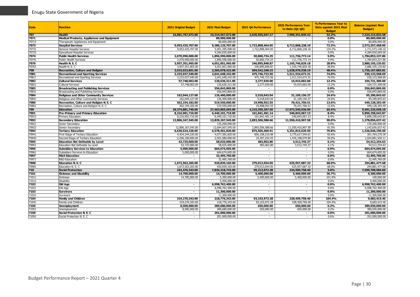| Code  | <b>Function</b>                                   | <b>2021 Original Budget</b> | 2021 Final Budget | 2021 Q4 Performance | <b>2021 Performance Year</b><br>to Date (Q1-Q4) | % Performance Year to<br>Date against 2021 Final<br><b>Budget</b> | <b>Balance (against Final</b><br><b>Budget</b> ) |
|-------|---------------------------------------------------|-----------------------------|-------------------|---------------------|-------------------------------------------------|-------------------------------------------------------------------|--------------------------------------------------|
| 707   | <b>Health</b>                                     | 15,081,767,672.00           | 15,314,567,672.00 | 2,020,565,047.17    | 7,990,351,839.42                                | 52.2%                                                             | 7,324,215,832.58                                 |
| 7071  | <b>Medical Products, Appliances and Equipment</b> |                             | 80,000,000.00     |                     |                                                 | $0.0\%$                                                           | 80,000,000.00                                    |
| 70713 | Therapeutic Appliances and Equipment              |                             | 80,000,000.00     | $\sim$              |                                                 | 0.0%                                                              | 80,000,000.00                                    |
| 7073  | <b>Hospital Services</b>                          | 9,053,425,707.00            | 9,286,125,707.00  | 1,722,808,464.05    | 6,712,868,238.10                                | 72.3%                                                             | 2,573,257,468.90                                 |
| 70731 | General Hospital Services                         | 9,053,425,707.00            | 5,001,295,098.00  | 1,722,808,464.05    | 6,712,868,238.10                                | 134.2%                                                            | 1,711,573,140.10                                 |
| 70732 | Specialized Hospital Services                     |                             | 4,284,830,609.00  | $\sim$              |                                                 | 0.0%                                                              | 4,284,830,609.00                                 |
| 7074  | <b>Public Health Services</b>                     | 2,070,990,000.00            | 1,896,590,000.00  | 50,860,734.25       | 111,736,772.14                                  | 5.9%                                                              | 1,784,853,227.86                                 |
| 70741 | <b>Public Health Services</b>                     | 2,070,990,000.00            | 1,896,590,000.00  | 50,860,734.25       | 111,736,772.14                                  | 5.9%                                                              | 1,784,853,227.86                                 |
| 7076  | Health N. E. C                                    | 3,957,351,965.00            | 4,051,851,965.00  | 246,895,848.87      | 1,165,746,829.18                                | 28.8%                                                             | 2,886,105,135.82                                 |
| 70761 | Health N. E. C                                    | 3,957,351,965.00            | 4,051,851,965.00  | 246,895,848.87      | 1,165,746,829.18                                | 28.8%                                                             | 2,886,105,135.82                                 |
| 708   | <b>Recreation, Culture and Religion</b>           | 3,015,023,851.00            | 3,365,078,422.00  | 504,542,248.15      | 1,628,970,538.19                                | 48.4%                                                             | 1,736,107,883.81                                 |
| 7081  | <b>Recreational and Sporting Services</b>         | 2,233,037,540.00            | 2,041,648,242.00  | 475,746,723.56      | 1,511,524,673.31                                | 74.0%                                                             | 530,123,568.69                                   |
| 70811 | Recreational and Sporting Services                | 2,233,037,540.00            | 2,041,648,242.00  | 475,746,723.56      | 1,511,524,673.31                                | 74.0%                                                             | 530,123,568.69                                   |
| 7082  | <b>Cultural Services</b>                          | 57,748,002.00               | 120,636,311.00    | 3,277,929.00        | 15,915,002.00                                   | 13.2%                                                             | 104,721,309.00                                   |
| 70821 | <b>Cultural Services</b>                          | 57,748,002.00               | 120,636,311.00    | 3,277,929.00        | 15,915,002.00                                   | 13.2%                                                             | 104,721,309.00                                   |
| 7083  | <b>Broadcasting and Publishing Services</b>       | $\sim$                      | 556,843,869.00    | $\sim$              | $\sim$                                          | $0.0\%$                                                           | 556,843,869.00                                   |
| 70831 | Broadcasting and Publishing Services              |                             | 556.843.869.00    | $\sim$              |                                                 | 0.0%                                                              | 556,843,869.00                                   |
| 7084  | <b>Religious and Other Community Services</b>     | 162,044,127.00              | 126,400,000.00    | 5,518,643.04        | 31,109,156.37                                   | 24.6%                                                             | 95,290,843.63                                    |
| 70841 | Religious and Other Community Services            | 162.044.127.00              | 126,400,000.00    | 5,518,643.04        | 31,109,156.37                                   | 24.6%                                                             | 95,290,843.63                                    |
| 7086  | Recreation, Culture and Religion N. E. C          | 562,194,182.00              | 519,550,000.00    | 19,998,952.55       | 70,421,706.51                                   | 13.6%                                                             | 449,128,293.49                                   |
| 70861 | Recreation, Culture and Religion N. E. C          | 562,194,182.00              | 519,550,000.00    | 19,998,952.55       | 70,421,706.51                                   | 13.6%                                                             | 449,128,293.49                                   |
| 709   | <b>Education</b>                                  | 29,374,881,740.00           | 27,463,865,695.00 | 4,210,350,267.56    | 17,972,540,036.90                               | 65.4%                                                             | 9,491,325,658.10                                 |
| 7091  | Pre-Primary and Primary Education                 | 8,216,901,710.00            | 6,440,101,710.00  | 161,841,491.14      | 540,843,067.13                                  | 8.4%                                                              | 5,899,258,642.87                                 |
| 70912 | Primary Education                                 | 8,216,901,710.00            | 6,440,101,710.00  | 161,841,491.14      | 540,843,067.13                                  | 8.4%                                                              | 5,899,258,642.87                                 |
| 7092  | <b>Secondary Education</b>                        | 12,806,167,545.00           | 12,829,267,545.00 | 2,893,506,588.66    | 11,550,410,907.58                               | 90.0%                                                             | 1,278,856,637.42                                 |
| 70921 | Junior Secondary                                  |                             | 135,200,000.00    |                     |                                                 | 0.0%                                                              | 135,200,000.00                                   |
| 70922 | Senior Secondary                                  | 12,806,167,545.00           | 12,694,067,545.00 | 2,893,506,588.66    | 11,550,410,907.58                               | 91.0%                                                             | 1,143,656,637.42                                 |
| 7094  | <b>Tertiary Education</b>                         | 6,630,524,220.00            | 6,578,461,820.00  | 875,505,469.91      | 5,251,815,629.50                                | 79.8%                                                             | 1,326,646,190.50                                 |
| 70941 | First Stage of Tertiary Education                 | 4,424,344,220.00            | 4,077,381,820.00  | 856,108,216.98      | 3,775,617,549.61                                | 92.6%                                                             | 301,764,270.39                                   |
| 70942 | Second Stage of Tertiary Education                | 2.206.180.000.00            | 2.501.080.000.00  | 19,397,252.93       | 1,476,198,079.89                                | 59.0%                                                             | 1,024,881,920.11                                 |
| 7095  | <b>Education Not Definable by Level</b>           | 43,725,000.00               | 58,025,000.00     | 483,063.80          | 3,512,745.37                                    | 6.1%                                                              | 54,512,254.63                                    |
| 70951 | Education Not Definable by Level                  | 43,725,000.00               | 58,025,000.00     | 483,063.80          | 3,512,745.37                                    | 6.1%                                                              | 54,512,254.63                                    |
| 7096  | <b>Subsidiary Services to Education</b>           | 5,000,000.00                | 604,674,695.00    | $\blacksquare$      |                                                 | 0.0%                                                              | 604,674,695.00                                   |
| 70961 | Subsidiary Services to Education                  | 5,000,000.00                | 604,674,695.00    | $\sim$              |                                                 | 0.0%                                                              | 604,674,695.00                                   |
| 7097  | <b>R&amp;D Education</b>                          | $\blacksquare$              | 32,495,760.00     | $\blacksquare$      | $\sim$                                          | $0.0\%$                                                           | 32,495,760.00                                    |
| 70971 | <b>R&amp;D Education</b>                          |                             | 32,495,760.00     | $\sim$              |                                                 | 0.0%                                                              | 32,495,760.00                                    |
| 7098  | <b>Education N. E. C.</b>                         | 1,672,563,265.00            | 920,839,165.00    | 279,013,654.05      | 625,957,687.32                                  | 68.0%                                                             | 294,881,477.68                                   |
| 70981 | Education N. E. C                                 | 1,672,563,265.00            | 920,839,165.00    | 279,013,654.05      | 625,957,687.32                                  | 68.0%                                                             | 294,881,477.68                                   |
| 710   | <b>Social Protection</b>                          | 242,476,343.00              | 7,834,218,743.00  | 99,213,972.28       | 234,509,758.40                                  | 3.0%                                                              | 7,599,708,984.60                                 |
| 7101  | <b>Sickness and Disability</b>                    | 14,700,000.00               | 14,700,000.00     | 5,400,000.00        | 5,400,000.00                                    | 36.7%                                                             | 9,300,000.00                                     |
| 71011 | <b>Sickness</b>                                   | 14,700,000.00               | 5,300,000.00      | 5,400,000,00        | 5,400,000.00                                    | 101.9%                                                            | 100,000.00                                       |
| 71012 | Disability                                        | $\sim$                      | 9,400,000.00      | $\sim$              | $\sim$                                          | 0.0%                                                              | 9,400,000.00                                     |
| 7102  | Old Age                                           | $\blacksquare$              | 6,998,762,400.00  | $\blacksquare$      |                                                 | $0.0\%$                                                           | 6,998,762,400.00                                 |
| 71021 | Old Age                                           | $\sim$                      | 6,998,762,400.00  | $\sim$              | $\sim$                                          | 0.0%                                                              | 6,998,762,400.00                                 |
| 7103  | <b>Survivors</b>                                  | $\sim$                      | 11,300,000.00     | ۰.                  | $\sim$                                          | $0.0\%$                                                           | 11,300,000.00                                    |
| 71031 | Survivors                                         |                             | 11,300,000.00     |                     |                                                 | 0.0%                                                              | 11,300,000,00                                    |
| 7104  | <b>Family and Children</b>                        | 219,276,343.00              | 218,776,343.00    | 93,163,972.28       | 228,459,758.40                                  | 104.4%                                                            | 9,683,415.40                                     |
| 71041 | Family and Children                               | 219,276,343.00              | 218,776,343.00    | 93,163,972.28       | 228,459,758.40                                  | 104.4%                                                            | 9,683,415.40                                     |
| 7105  | <b>Unemployment</b>                               | 8,500,000.00                | 389,680,000.00    | 650,000.00          | 650,000.00                                      | 0.2%                                                              | 389,030,000.00                                   |
| 71051 | Unemployment                                      | 8,500,000.00                | 389,680,000.00    | 650,000.00          | 650,000.00                                      | 0.2%                                                              | 389,030,000.00                                   |
| 7109  | Social Protection N. E. C                         | $\sim$                      | 201,000,000.00    | $\sim$              | $\sim$                                          | $0.0\%$                                                           | 201,000,000.00                                   |
| 71091 | Social Protection N. E. C                         | $\sim$                      | 201,000,000.00    | $\sim$              |                                                 | 0.0%                                                              | 201,000,000.00                                   |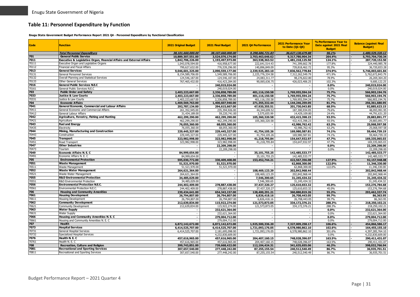## **Table 11: Personnel Expenditure by Function**

**Enugu State Government Budget Performance Report 2021 Q4 - Personnel Expenditure by Functional Classification**

<span id="page-31-0"></span>

| <b>Total Personnel Expenditure</b><br>38.101.660.000.00<br>38,107,660,000,00<br>9.298.686.721.83<br>36.627.130.679.88<br>96.1%<br>701<br><b>General Public Service</b><br>10,889,307,551.00<br>3,524,076,174.00<br>2,703,463,646.62<br>9,317,780,904.34<br>264.4%<br>Executive & Legislative Organ, Financial Affairs and External Affairs<br>7011<br>1,481,218,125.50<br>124.1%<br>1,842,706,226.00<br>1,193,497,973.00<br>363,538,363.52<br>70111<br>Executive Organ and Legislative Organs<br>177.8%<br>1,043,078,594.00<br>416,958,677.00<br>222,641,514.43<br>741,399,662.78<br>739,818,462.72<br>95.3%<br>70112<br>Financial and Fiscal Affairs<br>799,627,632.00<br>776,539,296.00<br>140,896,849.09<br>7013<br><b>General Services</b><br>374.9%<br>9,046,601,325.00<br>2,090,559,177.00<br>2,339,925,283.10<br>7,836,562,778.84<br>70131<br>General Personnel Services<br>7,312,262,549.79<br>8,154,589,706.00<br>1,549,589,706.00<br>2,225,776,334.58<br>471.9%<br>70132<br>Overall Planning and Statistical Services<br>124,546,187.00<br>24,083,311.77<br>98.276.822.80<br>78.9%<br>124,546,187.00<br>70133<br>Other General Services<br>767,465,432.00<br>416,423,284.00<br>90,065,636.75<br>426,023,406.25<br>102.3%<br>7016<br>General Public Services N.E.C<br>240,019,024.00<br>0.0%<br>General Public Services N.E.C<br>70161<br>240,019,024.00<br>0.0%<br>703<br><b>Public Order and Safety</b><br>2,403,223,667.00<br>2,336,858,789.00<br>401,116,150.58<br>1,769,955,594.24<br>75.7%<br>7033<br>Justice & Law Courts<br>2,403,223,667.00<br>2,336,858,789.00<br>401,116,150.58<br>1,769,955,594.24<br>75.7%<br>70331<br>Justice & Law Courts<br>2,403,223,667.00<br>2,336,858,789.00<br>401,116,150.58<br>1,769,955,594.24<br>75.7%<br>704<br><b>Economic Affairs</b><br>1,469,569,763.00<br>1,400,607,940.00<br>271,355,332.44<br>1,144,246,259.05<br>81.7% | <b>Balance (against Final</b><br><b>Budget</b> ) |
|-----------------------------------------------------------------------------------------------------------------------------------------------------------------------------------------------------------------------------------------------------------------------------------------------------------------------------------------------------------------------------------------------------------------------------------------------------------------------------------------------------------------------------------------------------------------------------------------------------------------------------------------------------------------------------------------------------------------------------------------------------------------------------------------------------------------------------------------------------------------------------------------------------------------------------------------------------------------------------------------------------------------------------------------------------------------------------------------------------------------------------------------------------------------------------------------------------------------------------------------------------------------------------------------------------------------------------------------------------------------------------------------------------------------------------------------------------------------------------------------------------------------------------------------------------------------------------------------------------------------------------------------------------------------------------------------------------------------------------------------------------------------------------------------------------------------------------------------------------------------------------------|--------------------------------------------------|
|                                                                                                                                                                                                                                                                                                                                                                                                                                                                                                                                                                                                                                                                                                                                                                                                                                                                                                                                                                                                                                                                                                                                                                                                                                                                                                                                                                                                                                                                                                                                                                                                                                                                                                                                                                                                                                                                                   | 1,480.529.320.12                                 |
|                                                                                                                                                                                                                                                                                                                                                                                                                                                                                                                                                                                                                                                                                                                                                                                                                                                                                                                                                                                                                                                                                                                                                                                                                                                                                                                                                                                                                                                                                                                                                                                                                                                                                                                                                                                                                                                                                   | 5,793,704,730.34                                 |
|                                                                                                                                                                                                                                                                                                                                                                                                                                                                                                                                                                                                                                                                                                                                                                                                                                                                                                                                                                                                                                                                                                                                                                                                                                                                                                                                                                                                                                                                                                                                                                                                                                                                                                                                                                                                                                                                                   | 287,720,152.50                                   |
|                                                                                                                                                                                                                                                                                                                                                                                                                                                                                                                                                                                                                                                                                                                                                                                                                                                                                                                                                                                                                                                                                                                                                                                                                                                                                                                                                                                                                                                                                                                                                                                                                                                                                                                                                                                                                                                                                   | 324,440,985.78                                   |
|                                                                                                                                                                                                                                                                                                                                                                                                                                                                                                                                                                                                                                                                                                                                                                                                                                                                                                                                                                                                                                                                                                                                                                                                                                                                                                                                                                                                                                                                                                                                                                                                                                                                                                                                                                                                                                                                                   | 36,720,833.28                                    |
|                                                                                                                                                                                                                                                                                                                                                                                                                                                                                                                                                                                                                                                                                                                                                                                                                                                                                                                                                                                                                                                                                                                                                                                                                                                                                                                                                                                                                                                                                                                                                                                                                                                                                                                                                                                                                                                                                   | 5,746,003,601.84                                 |
|                                                                                                                                                                                                                                                                                                                                                                                                                                                                                                                                                                                                                                                                                                                                                                                                                                                                                                                                                                                                                                                                                                                                                                                                                                                                                                                                                                                                                                                                                                                                                                                                                                                                                                                                                                                                                                                                                   | 5,762,672,843.79                                 |
|                                                                                                                                                                                                                                                                                                                                                                                                                                                                                                                                                                                                                                                                                                                                                                                                                                                                                                                                                                                                                                                                                                                                                                                                                                                                                                                                                                                                                                                                                                                                                                                                                                                                                                                                                                                                                                                                                   | 26,269,364.20                                    |
|                                                                                                                                                                                                                                                                                                                                                                                                                                                                                                                                                                                                                                                                                                                                                                                                                                                                                                                                                                                                                                                                                                                                                                                                                                                                                                                                                                                                                                                                                                                                                                                                                                                                                                                                                                                                                                                                                   | 9,600,122.25                                     |
|                                                                                                                                                                                                                                                                                                                                                                                                                                                                                                                                                                                                                                                                                                                                                                                                                                                                                                                                                                                                                                                                                                                                                                                                                                                                                                                                                                                                                                                                                                                                                                                                                                                                                                                                                                                                                                                                                   | 240,019,024.00                                   |
|                                                                                                                                                                                                                                                                                                                                                                                                                                                                                                                                                                                                                                                                                                                                                                                                                                                                                                                                                                                                                                                                                                                                                                                                                                                                                                                                                                                                                                                                                                                                                                                                                                                                                                                                                                                                                                                                                   | 240,019,024.00                                   |
|                                                                                                                                                                                                                                                                                                                                                                                                                                                                                                                                                                                                                                                                                                                                                                                                                                                                                                                                                                                                                                                                                                                                                                                                                                                                                                                                                                                                                                                                                                                                                                                                                                                                                                                                                                                                                                                                                   | 566,903,194.76                                   |
|                                                                                                                                                                                                                                                                                                                                                                                                                                                                                                                                                                                                                                                                                                                                                                                                                                                                                                                                                                                                                                                                                                                                                                                                                                                                                                                                                                                                                                                                                                                                                                                                                                                                                                                                                                                                                                                                                   | 566,903,194.76                                   |
|                                                                                                                                                                                                                                                                                                                                                                                                                                                                                                                                                                                                                                                                                                                                                                                                                                                                                                                                                                                                                                                                                                                                                                                                                                                                                                                                                                                                                                                                                                                                                                                                                                                                                                                                                                                                                                                                                   | 566,903,194.76                                   |
|                                                                                                                                                                                                                                                                                                                                                                                                                                                                                                                                                                                                                                                                                                                                                                                                                                                                                                                                                                                                                                                                                                                                                                                                                                                                                                                                                                                                                                                                                                                                                                                                                                                                                                                                                                                                                                                                                   | 256,361,680.95                                   |
| 7041<br>General Economic, Commercial and Labour Affairs<br>292,787,134.00<br>294,615,667.00<br>47,920,355.51<br>201,730,043.85<br>68.5%                                                                                                                                                                                                                                                                                                                                                                                                                                                                                                                                                                                                                                                                                                                                                                                                                                                                                                                                                                                                                                                                                                                                                                                                                                                                                                                                                                                                                                                                                                                                                                                                                                                                                                                                           | 92,885,623.15                                    |
| 70411<br>General Economic and Commercial Affairs<br>261,352,945.00<br>44,344,699.52<br>235,394,926.00<br>187,300,934.05<br>79.6%                                                                                                                                                                                                                                                                                                                                                                                                                                                                                                                                                                                                                                                                                                                                                                                                                                                                                                                                                                                                                                                                                                                                                                                                                                                                                                                                                                                                                                                                                                                                                                                                                                                                                                                                                  | 48,093,991.95                                    |
| 70412<br>General Labour Affairs<br>3,575,655.99<br>31,434,189.00<br>59,220,741.00<br>14,429,109.80<br>24.4%                                                                                                                                                                                                                                                                                                                                                                                                                                                                                                                                                                                                                                                                                                                                                                                                                                                                                                                                                                                                                                                                                                                                                                                                                                                                                                                                                                                                                                                                                                                                                                                                                                                                                                                                                                       | 44,791,631.20                                    |
| 7042<br>Agriculture, Forestry, Fishing and Hunting<br>462,299,290.00<br>462,299,290.00<br>105,360,320.58<br>432,415,398.23<br>93.5%                                                                                                                                                                                                                                                                                                                                                                                                                                                                                                                                                                                                                                                                                                                                                                                                                                                                                                                                                                                                                                                                                                                                                                                                                                                                                                                                                                                                                                                                                                                                                                                                                                                                                                                                               | 29,883,891.77                                    |
| 70421<br>Agriculture<br>462,299,290.00<br>462,299,290.00<br>105,360,320.58<br>432,415,398.23<br>93.5%                                                                                                                                                                                                                                                                                                                                                                                                                                                                                                                                                                                                                                                                                                                                                                                                                                                                                                                                                                                                                                                                                                                                                                                                                                                                                                                                                                                                                                                                                                                                                                                                                                                                                                                                                                             | 29,883,891.77                                    |
| 7043<br><b>Fuel and Energy</b><br>76,055,360.00<br>68,055,360.00<br>42,986,762.42<br>63.2%<br>$\overline{\phantom{a}}$                                                                                                                                                                                                                                                                                                                                                                                                                                                                                                                                                                                                                                                                                                                                                                                                                                                                                                                                                                                                                                                                                                                                                                                                                                                                                                                                                                                                                                                                                                                                                                                                                                                                                                                                                            | 25,068,597.58                                    |
| 70435<br>76,055,360.00<br>68,055,360.00<br>42,986,762.42<br>63.2%<br>Electricitv                                                                                                                                                                                                                                                                                                                                                                                                                                                                                                                                                                                                                                                                                                                                                                                                                                                                                                                                                                                                                                                                                                                                                                                                                                                                                                                                                                                                                                                                                                                                                                                                                                                                                                                                                                                                  | 25,068,597.58                                    |
| 7044<br>Mining, Manufacturing and Construction<br>229,445,327.00<br>229,445,327.00<br>169,980,587.81<br>74.1%<br>41,754,105.26                                                                                                                                                                                                                                                                                                                                                                                                                                                                                                                                                                                                                                                                                                                                                                                                                                                                                                                                                                                                                                                                                                                                                                                                                                                                                                                                                                                                                                                                                                                                                                                                                                                                                                                                                    | 59,464,739.19                                    |
| 70443<br>229,445,327.00<br>Construction<br>229,445,327.00<br>41,754,105.26<br>169,980,587.81<br>74.1%                                                                                                                                                                                                                                                                                                                                                                                                                                                                                                                                                                                                                                                                                                                                                                                                                                                                                                                                                                                                                                                                                                                                                                                                                                                                                                                                                                                                                                                                                                                                                                                                                                                                                                                                                                             | 59,464,739.19                                    |
| 7045<br><b>Transport</b><br>323,982,998.00<br>323,982,998.00<br>41,218,795.84<br>154,647,932.97<br>47.7%                                                                                                                                                                                                                                                                                                                                                                                                                                                                                                                                                                                                                                                                                                                                                                                                                                                                                                                                                                                                                                                                                                                                                                                                                                                                                                                                                                                                                                                                                                                                                                                                                                                                                                                                                                          | 169,335,065.03                                   |
| 70451<br>323,982,998.00<br>154,647,932.97<br>Road Transport<br>323,982,998.00<br>47.7%<br>41,218,795.84<br>7047<br><b>Other Industries</b>                                                                                                                                                                                                                                                                                                                                                                                                                                                                                                                                                                                                                                                                                                                                                                                                                                                                                                                                                                                                                                                                                                                                                                                                                                                                                                                                                                                                                                                                                                                                                                                                                                                                                                                                        | 169,335,065.03                                   |
| 22,209,298.00<br>0.0%                                                                                                                                                                                                                                                                                                                                                                                                                                                                                                                                                                                                                                                                                                                                                                                                                                                                                                                                                                                                                                                                                                                                                                                                                                                                                                                                                                                                                                                                                                                                                                                                                                                                                                                                                                                                                                                             | 22,209,298.00                                    |
| 70473<br>22,209,298.00<br>Tourism<br>0.0%<br>7049<br>Economic Affairs N. E. C                                                                                                                                                                                                                                                                                                                                                                                                                                                                                                                                                                                                                                                                                                                                                                                                                                                                                                                                                                                                                                                                                                                                                                                                                                                                                                                                                                                                                                                                                                                                                                                                                                                                                                                                                                                                     | 22,209,298.00                                    |
| 84,999,654.00<br>35,101,755.25<br>142,485,533.77<br>Economic Affairs N. E. C<br>70491<br>84,999,654.00<br>35,101,755.25<br>142,485,533.77                                                                                                                                                                                                                                                                                                                                                                                                                                                                                                                                                                                                                                                                                                                                                                                                                                                                                                                                                                                                                                                                                                                                                                                                                                                                                                                                                                                                                                                                                                                                                                                                                                                                                                                                         | 142,485,533.77<br>142,485,533.77                 |
| <b>Environmental Protection</b><br>705<br>127.9%<br>595,030,772,00<br>153,452,744.21<br>422,567,356,08                                                                                                                                                                                                                                                                                                                                                                                                                                                                                                                                                                                                                                                                                                                                                                                                                                                                                                                                                                                                                                                                                                                                                                                                                                                                                                                                                                                                                                                                                                                                                                                                                                                                                                                                                                            | 92,157,948.08                                    |
| 330,409,408.00<br>7051<br><b>Waste Management</b><br>122.0%                                                                                                                                                                                                                                                                                                                                                                                                                                                                                                                                                                                                                                                                                                                                                                                                                                                                                                                                                                                                                                                                                                                                                                                                                                                                                                                                                                                                                                                                                                                                                                                                                                                                                                                                                                                                                       | 11,346,330.00                                    |
| 51,521,970.00<br>51,521,970.00<br>62,868,300.00<br>70511<br>Waste Management<br>51,521,970.00<br>62,868,300.00<br>122.0%                                                                                                                                                                                                                                                                                                                                                                                                                                                                                                                                                                                                                                                                                                                                                                                                                                                                                                                                                                                                                                                                                                                                                                                                                                                                                                                                                                                                                                                                                                                                                                                                                                                                                                                                                          |                                                  |
| 51,521,970.00<br>7052<br><b>Waste Water Management</b><br>108,469,123.29<br>202,842,968.44                                                                                                                                                                                                                                                                                                                                                                                                                                                                                                                                                                                                                                                                                                                                                                                                                                                                                                                                                                                                                                                                                                                                                                                                                                                                                                                                                                                                                                                                                                                                                                                                                                                                                                                                                                                        | 11,346,330.00<br>202,842,968.44                  |
| 264,621,364.00<br>70521<br>202,842,968.44<br>Waste Water Management<br>108,469,123.29                                                                                                                                                                                                                                                                                                                                                                                                                                                                                                                                                                                                                                                                                                                                                                                                                                                                                                                                                                                                                                                                                                                                                                                                                                                                                                                                                                                                                                                                                                                                                                                                                                                                                                                                                                                             | 202,842,968.44                                   |
| 264,621,364.00<br>7055<br><b>R&amp;D Environmental Protection</b><br>31,245,434.32<br>34,485,029.00<br>7,546,300.65                                                                                                                                                                                                                                                                                                                                                                                                                                                                                                                                                                                                                                                                                                                                                                                                                                                                                                                                                                                                                                                                                                                                                                                                                                                                                                                                                                                                                                                                                                                                                                                                                                                                                                                                                               | 31,245,434.32                                    |
| '0551<br><b>R&amp;D Environmental Protection</b><br>34,485,029.00<br>7,546,300.65<br>31,245,434.32                                                                                                                                                                                                                                                                                                                                                                                                                                                                                                                                                                                                                                                                                                                                                                                                                                                                                                                                                                                                                                                                                                                                                                                                                                                                                                                                                                                                                                                                                                                                                                                                                                                                                                                                                                                | 31,245,434.32                                    |
| 7056<br><b>Environmental Protection N.E.C.</b><br>244,402,409.00<br>278,887,438.00<br>37,437,320.27<br>125,610,653.32<br>45.0%                                                                                                                                                                                                                                                                                                                                                                                                                                                                                                                                                                                                                                                                                                                                                                                                                                                                                                                                                                                                                                                                                                                                                                                                                                                                                                                                                                                                                                                                                                                                                                                                                                                                                                                                                    | 153,276,784.68                                   |
| '0561<br>Environmental Protection N.E.C.<br>244,402,409.00<br>278,887,438.00<br>37,437,320.27<br>125,610,653.32<br>45.0%                                                                                                                                                                                                                                                                                                                                                                                                                                                                                                                                                                                                                                                                                                                                                                                                                                                                                                                                                                                                                                                                                                                                                                                                                                                                                                                                                                                                                                                                                                                                                                                                                                                                                                                                                          | 153,276,784.68                                   |
| 706<br><b>Housing and Community Amenities</b><br>654,343,157.00<br>55.2%<br>239,434,641.00<br>128,400,291.21<br>360,880,819.26                                                                                                                                                                                                                                                                                                                                                                                                                                                                                                                                                                                                                                                                                                                                                                                                                                                                                                                                                                                                                                                                                                                                                                                                                                                                                                                                                                                                                                                                                                                                                                                                                                                                                                                                                    | 293,462,337.74                                   |
| 7061<br><b>Housing Development</b><br>26,794,807.00<br>26,794,807.00<br>6,826,418.16<br>26,708,443.05<br>99.7%                                                                                                                                                                                                                                                                                                                                                                                                                                                                                                                                                                                                                                                                                                                                                                                                                                                                                                                                                                                                                                                                                                                                                                                                                                                                                                                                                                                                                                                                                                                                                                                                                                                                                                                                                                    | 86,363.95                                        |
| 70611<br><b>Housing Development</b><br>26,794,807.00<br>26,794,807.00<br>6,826,418.16<br>26,708,443.05<br>99.7%                                                                                                                                                                                                                                                                                                                                                                                                                                                                                                                                                                                                                                                                                                                                                                                                                                                                                                                                                                                                                                                                                                                                                                                                                                                                                                                                                                                                                                                                                                                                                                                                                                                                                                                                                                   | 86,363.95                                        |
| 7062<br><b>Community Development</b><br>115,922,274.00<br>121,573,873.05<br>334,172,376.21<br>212,639,834.00<br>288.3%                                                                                                                                                                                                                                                                                                                                                                                                                                                                                                                                                                                                                                                                                                                                                                                                                                                                                                                                                                                                                                                                                                                                                                                                                                                                                                                                                                                                                                                                                                                                                                                                                                                                                                                                                            | 218,250,102.21                                   |
| 70621<br>Community Development<br>288.3%<br>212.639.834.00<br>115,922,274.00<br>121,573,873.05<br>334,172,376.21                                                                                                                                                                                                                                                                                                                                                                                                                                                                                                                                                                                                                                                                                                                                                                                                                                                                                                                                                                                                                                                                                                                                                                                                                                                                                                                                                                                                                                                                                                                                                                                                                                                                                                                                                                  | 218,250,102.21                                   |
| 7063<br>232,621,364.00<br><b>Water Supply</b><br>0.0%                                                                                                                                                                                                                                                                                                                                                                                                                                                                                                                                                                                                                                                                                                                                                                                                                                                                                                                                                                                                                                                                                                                                                                                                                                                                                                                                                                                                                                                                                                                                                                                                                                                                                                                                                                                                                             | 232,621,364.00                                   |
| '0631<br><b>Water Supply</b><br>232,621,364.00<br>0.0%<br>$\overline{\phantom{a}}$                                                                                                                                                                                                                                                                                                                                                                                                                                                                                                                                                                                                                                                                                                                                                                                                                                                                                                                                                                                                                                                                                                                                                                                                                                                                                                                                                                                                                                                                                                                                                                                                                                                                                                                                                                                                | 232,621,364.00                                   |
| 7066<br>Housing and Community Amenities N. E. C<br>279,004,712.00<br>0.0%                                                                                                                                                                                                                                                                                                                                                                                                                                                                                                                                                                                                                                                                                                                                                                                                                                                                                                                                                                                                                                                                                                                                                                                                                                                                                                                                                                                                                                                                                                                                                                                                                                                                                                                                                                                                         | 279,004,712.00                                   |
| 70661<br>Housing and Community Amenities N. E. C<br>279.004.712.00<br>0.0%                                                                                                                                                                                                                                                                                                                                                                                                                                                                                                                                                                                                                                                                                                                                                                                                                                                                                                                                                                                                                                                                                                                                                                                                                                                                                                                                                                                                                                                                                                                                                                                                                                                                                                                                                                                                        | 279,004,712.00                                   |
| 707<br>Health<br>6,872,142,672.00<br>106.6%<br>6,872,142,672.00<br>1,925,500,336.20<br>7,327,009,258.17                                                                                                                                                                                                                                                                                                                                                                                                                                                                                                                                                                                                                                                                                                                                                                                                                                                                                                                                                                                                                                                                                                                                                                                                                                                                                                                                                                                                                                                                                                                                                                                                                                                                                                                                                                           | 454,866,586.17                                   |
| 7073<br><b>Hospital Services</b><br>6,414,525,707.00<br>6,414,525,707.00<br>1,721,093,176.05<br>6,578,980,862.10<br>102.6%                                                                                                                                                                                                                                                                                                                                                                                                                                                                                                                                                                                                                                                                                                                                                                                                                                                                                                                                                                                                                                                                                                                                                                                                                                                                                                                                                                                                                                                                                                                                                                                                                                                                                                                                                        | 164,455,155.10                                   |
| 70731<br>General Hospital Services<br>6,414,525,707.00<br>2,181,695,098.00<br>1,721,093,176.05<br>6,578,980,862.10<br>301.6%                                                                                                                                                                                                                                                                                                                                                                                                                                                                                                                                                                                                                                                                                                                                                                                                                                                                                                                                                                                                                                                                                                                                                                                                                                                                                                                                                                                                                                                                                                                                                                                                                                                                                                                                                      | 4,397,285,764.10                                 |
| 70732<br>Specialized Hospital Services<br>4.232.830.609.00<br>0.0%                                                                                                                                                                                                                                                                                                                                                                                                                                                                                                                                                                                                                                                                                                                                                                                                                                                                                                                                                                                                                                                                                                                                                                                                                                                                                                                                                                                                                                                                                                                                                                                                                                                                                                                                                                                                                | 4,232,830,609.00                                 |
| 7076<br>Health N. E. C<br>457,616,965.00<br>457,616,965.00<br>204,407,160.15<br>748,028,396.07<br>163.5%                                                                                                                                                                                                                                                                                                                                                                                                                                                                                                                                                                                                                                                                                                                                                                                                                                                                                                                                                                                                                                                                                                                                                                                                                                                                                                                                                                                                                                                                                                                                                                                                                                                                                                                                                                          |                                                  |
| 0761<br>Health N. E. C<br>457,616,965.00<br>457,616,965.00<br>204, 407, 160. 15<br>748,028,396.07<br>163.5%                                                                                                                                                                                                                                                                                                                                                                                                                                                                                                                                                                                                                                                                                                                                                                                                                                                                                                                                                                                                                                                                                                                                                                                                                                                                                                                                                                                                                                                                                                                                                                                                                                                                                                                                                                       |                                                  |
| 708<br><b>Recreation, Culture and Religion</b><br>399,743,851.00<br>739,668,422.00<br>112,104,424.31<br>341,635,655.06<br>46.2%                                                                                                                                                                                                                                                                                                                                                                                                                                                                                                                                                                                                                                                                                                                                                                                                                                                                                                                                                                                                                                                                                                                                                                                                                                                                                                                                                                                                                                                                                                                                                                                                                                                                                                                                                   | 290,411,431.07                                   |
| 7081<br><b>Recreational and Sporting Services</b><br>307,657,540.00<br>277,448,242.00<br>87,255,155.54<br>240,512,540.49<br>86.7%                                                                                                                                                                                                                                                                                                                                                                                                                                                                                                                                                                                                                                                                                                                                                                                                                                                                                                                                                                                                                                                                                                                                                                                                                                                                                                                                                                                                                                                                                                                                                                                                                                                                                                                                                 | 290,411,431.07                                   |
| 70811<br>Recreational and Sporting Services<br>307,657,540.00<br>277,448,242.00<br>87,255,155.54<br>240,512,540.49<br>86.7%                                                                                                                                                                                                                                                                                                                                                                                                                                                                                                                                                                                                                                                                                                                                                                                                                                                                                                                                                                                                                                                                                                                                                                                                                                                                                                                                                                                                                                                                                                                                                                                                                                                                                                                                                       | 398,032,766.94<br>36,935,701.51                  |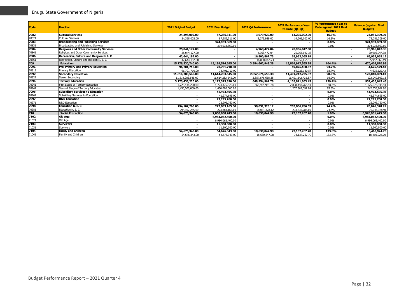| <b>Code</b> | <b>Function</b>                               | <b>2021 Original Budget</b> | 2021 Final Budget | 2021 Q4 Performance | <b>2021 Performance Year</b><br>to Date (Q1-Q4) | % Performance Year to<br>Date against 2021 Final<br><b>Budget</b> | <b>Balance (against Final</b><br><b>Budget</b> ) |
|-------------|-----------------------------------------------|-----------------------------|-------------------|---------------------|-------------------------------------------------|-------------------------------------------------------------------|--------------------------------------------------|
| 7082        | <b>Cultural Services</b>                      | 24,398,002.00               | 87,286,311.00     | 3,079,929.00        | 14,205,002.00                                   | 16.3%                                                             | 73,081,309.00                                    |
| 70821       | <b>Cultural Services</b>                      | 24,398,002.00               | 87,286,311.00     | 3,079,929.00        | 14,205,002.00                                   | 16.3%                                                             | 73,081,309.00                                    |
| 7083        | <b>Broadcasting and Publishing Services</b>   |                             | 374,933,869.00    |                     |                                                 | $0.0\%$                                                           | 374,933,869.00                                   |
| 70831       | Broadcasting and Publishing Services          |                             | 374,933,869.00    |                     |                                                 | 0.0%                                                              | 374,933,869.00                                   |
| 7084        | <b>Religious and Other Community Services</b> | 25.044.127.00               |                   | 4,968,472.04        | 20.966.047.38                                   |                                                                   | 20,966,047.38                                    |
| 70841       | Religious and Other Community Services        | 25.044.127.00               |                   | 4.968.472.04        | 20.966.047.38                                   |                                                                   | 20.966.047.38                                    |
| 7086        | Recreation, Culture and Religion N. E. C.     | 42,644,182.00               |                   | 16,800,867.73       | 65,952,065.19                                   |                                                                   | 65,952,065.19                                    |
| 70861       | Recreation, Culture and Religion N. E. C.     | 42.644.182.00               |                   | 16.800.867.73       | 65,952,065.19                                   |                                                                   | 65,952,065.19                                    |
| 709         | <b>Education</b>                              | 15,178,530,740.00           | 15,199,514,695.00 | 3,584,662,948,28    | 15,869,917,565,98                               | 104.4%                                                            | 670,402,870.98                                   |
| 7091        | Pre-Primary and Primary Education             | 96,701,710.00               | 73,701,710.00     |                     | 69,026,180.57                                   | 93.7%                                                             | 4,675,529.43                                     |
| 70912       | Primary Education                             | 96.701.710.00               | 73.701.710.00     |                     | 69.026.180.57                                   | 93.7%                                                             | 4,675,529.43                                     |
| 7092        | <b>Secondary Education</b>                    | 11,614,283,545.00           | 11,614,283,545.00 | 2,857,676,658.38    | 11,491,242,735.87                               | 98.9%                                                             | 123,040,809.13                                   |
| 70922       | Senior Secondary                              | 11,614,283,545.00           | 11,614,283,545.00 | 2,857,676,658.38    | 11,491,242,735.87                               | 98.9%                                                             | 123,040,809.13                                   |
| 7094        | <b>Tertiary Education</b>                     | 3,173,438,220.00            | 3,173,375,820.00  | 668,954,961.78      | 4,105,811,863.45                                | 129.4%                                                            | 932,436,043.45                                   |
| 70941       | First Stage of Tertiary Education             | 1.723.438.220.00            | 1.723.375.820.00  | 668.954.961.78      | 2.898.448.766.41                                | 168.2%                                                            | 1,175,072,946.41                                 |
| 70942       | Second Stage of Tertiary Education            | 1,450,000,000.00            | 1,450,000,000.00  |                     | 1,207,363,097.04                                | 83.3%                                                             | 242,636,902.96                                   |
| 7096        | <b>Subsidiary Services to Education</b>       |                             | 41,974,695.00     |                     |                                                 | $0.0\%$                                                           | 41,974,695.00                                    |
| 70961       | Subsidiary Services to Education              |                             | 41,974,695.00     |                     |                                                 | 0.0%                                                              | 41,974,695.00                                    |
| 7097        | <b>R&amp;D Education</b>                      |                             | 22,295,760.00     |                     |                                                 | $0.0\%$                                                           | 22,295,760.00                                    |
| 70971       | <b>R&amp;D Education</b>                      |                             | 22.295.760.00     |                     |                                                 | 0.0%                                                              | 22,295,760.00                                    |
| 7098        | <b>Education N.E.C.</b>                       | 294,107,265.00              | 273,883,165.00    | 58,031,328.12       | 203,836,786.09                                  | 74.4%                                                             | 70,046,378.91                                    |
| 70981       | Education N. E. C                             | 294,107,265.00              | 273.883.165.00    | 58.031.328.12       | 203.836.786.09                                  | 74.4%                                                             | 70,046,378.91                                    |
| 710         | <b>Social Protection</b>                      | 54,676,343.00               | 7,050,038,743.00  | 18,630,847.98       | 73,137,267.70                                   | 1.0%                                                              | 6,976,901,475.30                                 |
| 7102        | Old Age                                       |                             | 6,984,062,400.00  |                     |                                                 | $0.0\%$                                                           | 6,984,062,400.00                                 |
| 71021       | Old Age                                       |                             | 6,984,062,400.00  |                     |                                                 | 0.0%                                                              | 6,984,062,400.00                                 |
| 7103        | <b>Survivors</b>                              |                             | 11,300,000.00     |                     |                                                 | $0.0\%$                                                           | 11,300,000.00                                    |
| 71031       | Survivors                                     |                             | 11,300,000.00     |                     |                                                 | 0.0%                                                              | 11,300,000.00                                    |
| 7104        | <b>Family and Children</b>                    | 54,676,343.00               | 54,676,343.00     | 18,630,847.98       | 73,137,267.70                                   | 133.8%                                                            | 18,460,924.70                                    |
| 71041       | Family and Children                           | 54,676,343.00               | 54,676,343.00     | 18,630,847.98       | 73,137,267.70                                   | 133.8%                                                            | 18,460,924.70                                    |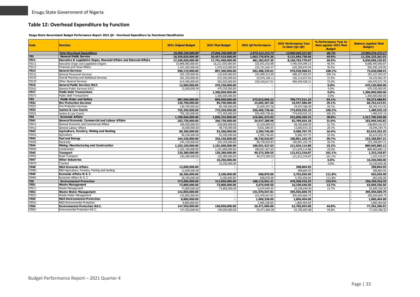## **Table 12: Overhead Expenditure by Function**

**Enugu State Government Budget Performance Report 2021 Q4 - Overhead Expenditure by Functional Classification**

<span id="page-33-0"></span>

| Code  | <b>Function</b>                                                       | <b>2021 Original Budget</b> | 2021 Final Budget        | 2021 04 Performance | <b>2021 Performance Year</b><br>to Date (01-04) | % Performance Year to<br>Date against 2021 Final<br><b>Budget</b> | <b>Balance (against Final</b><br><b>Budget</b> ) |
|-------|-----------------------------------------------------------------------|-----------------------------|--------------------------|---------------------|-------------------------------------------------|-------------------------------------------------------------------|--------------------------------------------------|
|       | <b>Total Overhead Expenditure</b>                                     | 25,009,240,000,00           | 27.844.240.000.00        | 2,973,412,313,73    | 13,849,665,527,83                               | 49.7%                                                             | 13.994.574.472.17                                |
| 701   | <b>General Public Service</b>                                         | 18,359,820,000.00           | 20,467,910,000.00        | 1,063,770,876.36    | 9,131,684,738.98                                | 44.6%                                                             | 11,336,225,261.02                                |
| 7011  | Executive & Legislative Organ, Financial Affairs and External Affairs | 17,349,650,000,00           | 17,791,460,000.00        | 481,282,637.35      | 8,160,763,770.07                                | 45.9%                                                             | 9,630,696,229.93                                 |
| 70111 | Executive Organ and Legislative Organs                                | 15,898,000,000.00           | 16,221,050,000.00        | 325,951,010.88      | 7,540,554,099.13                                | 46.5%                                                             | 8,680,495,900.87                                 |
| 70112 | Financial and Fiscal Affairs                                          | 1,451,650,000.00            | 1,570,410,000.00         | 155,331,626.47      | 620,209,670.94                                  | 39.5%                                                             | 950,200,329.06                                   |
| 7013  | <b>General Services</b>                                               | 998,170,000.00              | 897,300,000.00           | 582,488,239.01      | 970,920,968.91                                  | 108.2%                                                            | 73,620,968.91                                    |
| 70131 | General Personnel Services                                            | 202,330,000.00              | 116,930,000.00           | 193,999,512.99      | 408,257,503.67                                  | 349.1%                                                            | 291,327,503.67                                   |
| 70132 | Overall Planning and Statistical Services                             | 181,350,000.00              | 215,350,000.00           | 53,070,108.11       | 156,114,037.03                                  | 72.5%                                                             | 59,235,962.97                                    |
| 70133 | Other General Services                                                | 614,490,000,00              | 565.020.000.00           | 335,418,617.91      | 406,549,428.21                                  | 72.0%                                                             | 158,470,571.79                                   |
| 7016  | <b>General Public Services N.E.C</b>                                  | 12,000,000.00               | 479,150,000.00           |                     |                                                 | $0.0\%$                                                           | 479,150,000.00                                   |
| 70161 | General Public Services N.E.C                                         | 12.000.000.00               | 479,150,000.00           |                     | $\sim$                                          | 0.0%                                                              | 479.150.000.00                                   |
| 7017  | <b>Public Debt Transactions</b>                                       |                             | 1,300,000,000.00         |                     |                                                 | 0.0%                                                              | 1,300,000,000.00                                 |
| 70171 | <b>Public Debt Transactions</b>                                       |                             | 1,300,000,000,00         |                     |                                                 | 0.0%                                                              | 1.300.000.000.00                                 |
| 703   | <b>Public Order and Safety</b>                                        | 887,050,000.00              | 859,050,000.00           | 573,015,046.22      | 799,777,511.19                                  | 93.1%                                                             | 59,272,488.81                                    |
| 7032  | <b>Fire Protection Services</b>                                       | 130,700,000,00              | 85,700,000,00            | 22,605,307.56       | 24,937,586.09                                   | 29.1%                                                             | 60,762,413.91                                    |
| 70321 | <b>Fire Protection Services</b>                                       | 130,700,000.00              | 85,700,000.00            | 22,605,307.56       | 24,937,586.09                                   | 29.1%                                                             | 60,762,413.91                                    |
| 7033  | <b>Justice &amp; Law Courts</b>                                       | 756,350,000.00              | 773,350,000.00           | 550,409,738.66      | 774,839,925.10                                  | 100.2%                                                            | 1,489,925.10                                     |
| 70331 | Justice & Law Courts                                                  | 756,350,000.00              | 773,350,000.00           | 550,409,738.66      | 774,839,925.10                                  | 100.2%                                                            | 1,489,925.10                                     |
| 704   | <b>Economic Affairs</b>                                               | 1,789,660,000.00            | 1,850,310,000.00         | 316,661,472.03      | 532,609,450.32                                  | 28.8%                                                             | 1,317,700,549.68                                 |
| 7041  | General Economic, Commercial and Labour Affairs                       | 202,730,000.00              | 266,730,000.00           | 24,937,288.98       | 82,789,654.18                                   | 31.0%                                                             | 183,940,345.82                                   |
| 70411 | General Economic and Commercial Affairs                               | 186,050,000.00              | 218,000,000.00           | 15,104,699.93       | 69,105,838.93                                   | 31.7%                                                             | 148,894,161.07                                   |
| 70412 | General Labour Affairs                                                | 16,680,000.00               | 48,730,000.00            | 9,832,589.05        | 13,683,815.25                                   | 28.1%                                                             | 35,046,184.75                                    |
| 7042  | Agriculture, Forestry, Fishing and Hunting                            | 80,200,000.00               | 92,200,000.00            | 2,399,746.00        | 9,580,797.75                                    | 10.4%                                                             | 82,619,202.25                                    |
| 70421 | Agriculture                                                           | 80,200,000.00               | 92,200,000.00            | 2,399,746.00        | 9.580.797.75                                    | 10.4%                                                             | 82,619,202.25                                    |
| 7043  | <b>Fuel and Energy</b>                                                | 244,150,000.00              | 254,150,000.00           | 58,730,929.87       | 100,891,102.79                                  | 39.7%                                                             | 153,258,897.21                                   |
| 70435 | Electricity                                                           | 244,150,000.00              | 254,150,000.00           | 58,730,929.87       | 100.891.102.79                                  | 39.7%                                                             | 153,258,897.21                                   |
| 7044  | Mining, Manufacturing and Construction                                | 1.102.100.000.00            | 1,101,600,000.00         | 180,651,427.63      | 211,634,114.88                                  | 19.2%                                                             | 889,965,885.12                                   |
| 70443 | Construction                                                          | 1,102,100,000.00            | 1,101,600,000.00         | 180,651,427.63      | 211,634,114.88                                  | 19.2%                                                             | 889,965,885.12                                   |
| 7045  | <b>Transport</b>                                                      | 120,280,000.00              | 120,280,000.00           | 49,273,209.55       | 121,612,318.87                                  | 101.1%                                                            | 1,332,318.87                                     |
| 70451 | Road Transport                                                        | 120,280,000.00              | 120,280,000.00           | 49.273.209.55       | 121,612,318.87                                  | 101.1%                                                            | 1,332,318.87                                     |
| 7047  | <b>Other Industries</b>                                               |                             | 10,250,000,00            |                     |                                                 | 0.0%                                                              | 10,250,000,00                                    |
| 70473 | Tourism                                                               |                             | 10,250,000.00            |                     |                                                 | 0.0%                                                              | 10,250,000.00                                    |
| 7048  | <b>R&amp;D Economic Affairs</b>                                       | 12,000,000.00               |                          |                     | 398,804.95                                      |                                                                   | 398,804.95                                       |
| 70482 | R&D Agriculture, Forestry, Fishing and Hunting                        | 12,000,000.00               |                          |                     | 398,804.95                                      |                                                                   | 398,804.95                                       |
| 7049  | <b>Economic Affairs N. E. C</b>                                       | 28,200,000.00               | 5,100,000.00             | 668,870.00          | 5,702,656.90                                    | 111.8%                                                            | 602,656.90                                       |
| 70491 | Economic Affairs N. E. C                                              | 28,200,000.00               | 5.100.000.00             | 668,870.00          | 5,702,656.90                                    | 111.8%                                                            | 602,656.90                                       |
| 705   | <b>Environmental Protection</b>                                       | 373,000,000.00              | 213,850,000.00           | 188,115,941.31      | 470,200,416.33                                  | 219.9%                                                            | 256,350,416.33                                   |
| 7051  | <b>Waste Management</b>                                               | 73,800,000.00               | 73,800,000.00            | 5,674,049.50        | 10,109,649.50                                   | 13.7%                                                             | 63,690,350.50                                    |
| 70511 | <b>Waste Management</b>                                               | 73,800,000.00               | 73,800,000.00            | 5,674,049.50        | 10,109,649.50                                   | 13.7%                                                             | 63,690,350.50                                    |
| 7052  | <b>Waste Water Management</b>                                         | 142,850,000.00              |                          | 151,970,547.81      | 395,504,669.75                                  |                                                                   | 395,504,669.75                                   |
| 70521 | Waste Water Management                                                | 142,850,000.00              |                          | 151,970,547.81      | 395,504,669.75                                  |                                                                   | 395,504,669.75                                   |
| 7055  | <b>R&amp;D Environmental Protection</b>                               | 8,800,000.00                | $\overline{\phantom{a}}$ | 1,000,338.00        | 1,800,404.00                                    |                                                                   | 1,800,404.00                                     |
| 70551 | R&D Environmental Protection                                          | 8,800,000.00                |                          | 1,000,338.00        | 1,800,404.00                                    |                                                                   | 1,800,404.00                                     |
| 7056  | <b>Environmental Protection N.E.C.</b>                                | 147,550,000.00              | 140,050,000.00           | 29,471,006.00       | 62,785,693.08                                   | 44.8%                                                             | 77,264,306.92                                    |
| 70561 | Environmental Protection N.E.C.                                       | 147.550.000.00              | 140.050.000.00           | 29.471.006.00       | 62.785.693.08                                   | 44.8%                                                             | 77,264,306.92                                    |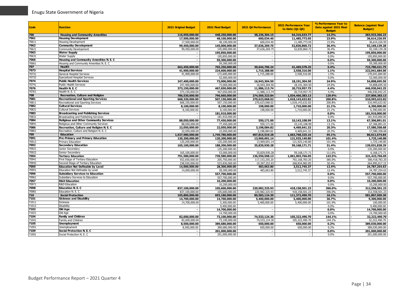| Code          | <b>Function</b>                                                | 2021 Original Budget           | 2021 Final Budget                | 2021 Q4 Performance | <b>2021 Performance Year</b><br>to Date (Q1-Q4) | % Performance Year to<br>Date against 2021 Final<br><b>Budget</b> | <b>Balance (against Final</b><br><b>Budget</b> ) |
|---------------|----------------------------------------------------------------|--------------------------------|----------------------------------|---------------------|-------------------------------------------------|-------------------------------------------------------------------|--------------------------------------------------|
| 706           | <b>Housing and Community Amenities</b>                         | 116,950,000.00                 | 448,250,000.00                   | 38,236,304.15       | 64,316,633.77                                   | 14.3%                                                             | 383,933,366.23                                   |
| 7061          | <b>Housing Development</b>                                     | 17,500,000.00                  | 48,100,000.00                    | 600,034.40          | 11,485,773.05                                   | 23.9%                                                             | 36,614,226.95                                    |
| 70611         | Housing Development                                            | 17,500,000.00                  | 48.100.000.00                    | 600,034.40          | 11,485,773.05                                   | 23.9%                                                             | 36,614,226.95                                    |
| 7062          | <b>Community Development</b>                                   | 99,450,000.00                  | 145,000,000.00                   | 37,636,269.75       | 52,830,860.72                                   | 36.4%                                                             | 92,169,139.28                                    |
| 70621         | <b>Community Development</b>                                   | 99,450,000.00                  | 145,000,000.00                   | 37,636,269.75       | 52,830,860.72                                   | 36.4%                                                             | 92,169,139.28                                    |
| 7063          | <b>Water Supply</b>                                            |                                | 195,850,000.00                   |                     |                                                 | 0.0%                                                              | 195,850,000.00                                   |
| 70631         | <b>Water Supply</b>                                            |                                | 195,850,000.00                   |                     |                                                 | 0.0%                                                              | 195.850.000.00                                   |
| 7066          | Housing and Community Amenities N. E. C                        |                                | 59,300,000,00                    |                     | $\blacksquare$                                  | 0.0%                                                              | 59,300,000,00                                    |
| 70661         | Housing and Community Amenities N. E. C                        |                                | 59,300,000.00                    |                     |                                                 | 0.0%                                                              | 59,300,000.00                                    |
| 707           | Health                                                         | 662,450,000.00                 | 765,250,000.00                   | 30,644,706.24       | 41,469,578.25                                   | 5.4%                                                              | 723,780,421.75                                   |
| 7073          | <b>Hospital Services</b>                                       | 41,900,000,00                  | 224,600,000,00                   | 1,715,288.00        | 2,558,316.00                                    | 1.1%                                                              | 222.041.684.00                                   |
| 70731         | <b>General Hospital Services</b>                               | 41,900,000.00                  | 172,600,000.00                   | 1,715,288.00        | 2,558,316.00                                    | 1.5%                                                              | 170,041,684.00                                   |
| 70732         | Specialized Hospital Services                                  |                                | 52,000,000.00                    |                     |                                                 | 0.0%                                                              | 52,000,000.00                                    |
| 7074          | <b>Public Health Services</b>                                  | 247,400,000.00                 | 73,000,000.00                    | 16,943,304.50       | 18,191,304.50                                   | 24.9%                                                             | 54,808,695.50                                    |
| 70741         | <b>Public Health Services</b>                                  | 247,400,000.00                 | 73,000,000.00                    | 16,943,304.50       | 18,191,304.50                                   | 24.9%                                                             | 54,808,695.50                                    |
| 7076          | Health N. E. C                                                 | 373,150,000.00                 | 467,650,000.00                   | 11,986,113.74       | 20,719,957.75                                   | 4.4%                                                              | 446,930,042.25                                   |
| 70761         | Health N. E. C                                                 | 373,150,000.00                 | 467,650,000.00                   | 11,986,113.74       | 20,719,957.75                                   | 4.4%                                                              | 446,930,042.25                                   |
| 708<br>7081   | <b>Recreation, Culture and Religion</b>                        | 786,530,000.00                 | 796,660,000.00                   | 274,569,323.84      | 1,034,466,383.13                                | 129.9%                                                            | 237,806,383.13                                   |
|               | <b>Recreational and Sporting Services</b>                      | 668,330,000,00                 | 507,150,000.00                   | 270,623,068.02      | 1,018,143,632.82                                | 200.8%                                                            | 510,993,632.82                                   |
| 70811<br>7082 | Recreational and Sporting Services<br><b>Cultural Services</b> | 668,330,000.00                 | 507,150,000.00                   | 270,623,068.02      | 1,018,143,632.82                                | 200.8%<br>21.1%                                                   | 510,993,632.82<br>6,390,000,00                   |
| 70821         | <b>Cultural Services</b>                                       | 8,100,000.00                   | 8,100,000,00                     | 198,000.00          | 1,710,000.00                                    |                                                                   |                                                  |
| 7083          | <b>Broadcasting and Publishing Services</b>                    | 8,100,000.00                   | 8,100,000.00                     | 198,000.00          | 1,710,000.00                                    | 21.1%<br>0.0%                                                     | 6,390,000.00<br>181,910,000.00                   |
| 70831         | Broadcasting and Publishing Services                           |                                | 181,910,000.00<br>181,910,000.00 |                     |                                                 | 0.0%                                                              | 181,910,000.00                                   |
| 7084          | <b>Religious and Other Community Services</b>                  |                                |                                  | 550,171.00          |                                                 | 13.1%                                                             |                                                  |
| 70841         | Religious and Other Community Services                         | 88,050,000.00<br>88,050,000.00 | 77,450,000.00<br>77,450,000.00   | 550,171.00          | 10,143,108.99<br>10.143.108.99                  | 13.1%                                                             | 67,306,891.01<br>67,306,891.01                   |
| 7086          | Recreation, Culture and Religion N. E. C                       | 22,050,000.00                  | 22,050,000.00                    | 3,198,084.82        | 4,469,641.32                                    | 20.3%                                                             | 17,580,358.68                                    |
| 70861         | Recreation, Culture and Religion N. E. C                       | 22,050,000.00                  | 22,050,000.00                    | 3,198,084.82        | 4,469,641.32                                    | 20.3%                                                             | 17,580,358.68                                    |
| 709           | <b>Education</b>                                               | 1,927,980,000.00               | 1,749,780,000.00                 | 407,815,519.28      | 1,663,768,325.16                                | 95.1%                                                             | 86,011,674.84                                    |
| 7091          | Pre-Primary and Primary Education                              | 120,200,000.00                 | 120,200,000.00                   | 13,969,691.14       | 121,925,140.80                                  | 101.4%                                                            | 1,725,140.80                                     |
| 70912         | <b>Primary Education</b>                                       | 120,200,000.00                 | 120,200,000.00                   | 13,969,691.14       | 121,925,140.80                                  | 101.4%                                                            | 1,725,140.80                                     |
| 7092          | <b>Secondary Education</b>                                     | 165,100,000.00                 | 188,200,000,00                   | 35,829,930.28       | 59,168,171.71                                   | 31.4%                                                             | 129.031.828.29                                   |
| 70921         | Junior Secondary                                               |                                | 135,200,000.00                   |                     |                                                 | 0.0%                                                              | 135,200,000.00                                   |
| 70922         | Senior Secondary                                               | 165,100,000.00                 | 53.000.000.00                    | 35.829.930.28       | 59.168.171.71                                   | 111.6%                                                            | 6.168.171.71                                     |
| 7094          | <b>Tertiary Education</b>                                      | 791,580,000.00                 | 739,580,000.00                   | 136,550,508.13      | 1,061,003,766.05                                | 143.5%                                                            | 321,423,766.05                                   |
| 70941         | First Stage of Tertiary Education                              | 552,650,000.00                 | 205,750,000.00                   | 117,153,255.20      | 792,168,783.20                                  | 385.0%                                                            | 586,418,783.20                                   |
| 70942         | Second Stage of Tertiary Education                             | 238,930,000.00                 | 533,830,000.00                   | 19,397,252.93       | 268,834,982.85                                  | 50.4%                                                             | 264,995,017.15                                   |
| 7095          | <b>Education Not Definable by Level</b>                        | 14,000,000.00                  | 28,300,000.00                    | 483,063.80          | 3,512,745.37                                    | 12.4%                                                             | 24,787,254.63                                    |
| 70951         | Education Not Definable by Level                               | 14,000,000.00                  | 28,300,000.00                    | 483,063.80          | 3,512,745.37                                    | 12.4%                                                             | 24,787,254.63                                    |
| 7096          | <b>Subsidiary Services to Education</b>                        |                                | 557,700,000.00                   |                     |                                                 | 0.0%                                                              | 557,700,000.00                                   |
| 70961         | Subsidiary Services to Education                               | $\sim$                         | 557,700,000.00                   |                     | $\sim$                                          | 0.0%                                                              | 557,700,000.00                                   |
| 7097          | <b>R&amp;D Education</b>                                       | $\sim$                         | 10,200,000.00                    |                     | $\sim$                                          | 0.0%                                                              | 10,200,000.00                                    |
| 70971         | <b>R&amp;D Education</b>                                       |                                | 10,200,000.00                    |                     |                                                 | 0.0%                                                              | 10,200,000.00                                    |
| 7098          | <b>Education N. E. C.</b>                                      | 837,100,000.00                 | 105,600,000.00                   | 220,982,325.93      | 418,158,501.23                                  | 396.0%                                                            | 312,558,501.23                                   |
| 70981         | Education N. E. C                                              | 837,100,000.00                 | 105,600,000.00                   | 220,982,325.93      | 418,158,501.23                                  | 396.0%                                                            | 312,558,501.23                                   |
| 710           | <b>Social Protection</b>                                       | 105,800,000.00                 | 693,180,000.00                   | 80,583,124.30       | 111,372,490.70                                  | 16.1%                                                             | 581,807,509.30                                   |
| 7101          | <b>Sickness and Disability</b>                                 | 14,700,000.00                  | 14,700,000.00                    | 5,400,000.00        | 5,400,000.00                                    | 36.7%                                                             | 9,300,000,00                                     |
| 71011         | <b>Sickness</b>                                                | 14,700,000.00                  | 5.300.000.00                     | 5,400,000,00        | 5,400,000.00                                    | 101.9%                                                            | 100,000.00                                       |
| 71012         | <b>Disability</b>                                              |                                | 9,400,000.00                     |                     |                                                 | 0.0%                                                              | 9,400,000.00                                     |
| 7102<br>71021 | Old Age                                                        |                                | 14,700,000.00                    |                     |                                                 | 0.0%                                                              | 14,700,000.00                                    |
| 7104          | Old Age<br><b>Family and Children</b>                          | 82,600,000.00                  | 14,700,000.00<br>73,100,000.00   | 74,533,124.30       | 105,322,490.70                                  | 0.0%<br>144.1%                                                    | 14,700,000.00<br>32,222,490.70                   |
| 71041         | Family and Children                                            | 82.600.000.00                  | 73,100,000.00                    | 74,533,124.30       | 105,322,490.70                                  | 144.1%                                                            | 32,222,490.70                                    |
| 7105          | <b>Unemployment</b>                                            | 8,500,000.00                   | 389,680,000.00                   | 650,000.00          | 650,000.00                                      | 0.2%                                                              | 389,030,000.00                                   |
| 71051         | Unemployment                                                   | 8,500,000.00                   | 389,680,000.00                   | 650,000.00          | 650,000.00                                      | 0.2%                                                              | 389.030.000.00                                   |
| 7109          | Social Protection N. E. C                                      |                                | 201,000,000.00                   |                     |                                                 | 0.0%                                                              | 201,000,000.00                                   |
| 71091         | Social Protection N. E. C                                      |                                | 201,000,000.00                   |                     |                                                 | 0.0%                                                              | 201,000,000.00                                   |
|               |                                                                |                                |                                  |                     |                                                 |                                                                   |                                                  |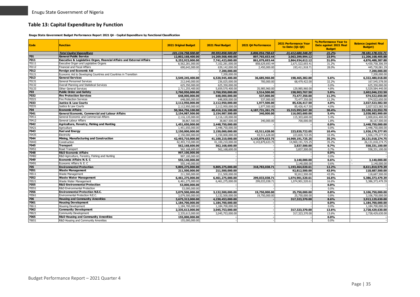## **Table 13: Capital Expenditure by Function**

**Enugu State Government Budget Performance Report 2021 Q4 - Capital Expenditure by Functional Classification**

<span id="page-35-0"></span>

| <b>Code</b>   | <b>Function</b>                                                         | <b>2021 Original Budget</b>          | 2021 Final Budget                    | 2021 Q4 Performance | 2021 Performance Year<br>to Date (Q1-Q4) | % Performance Year to<br>Date against 2021 Final<br><b>Budget</b> | <b>Balance (against Final</b><br><b>Budget</b> ) |
|---------------|-------------------------------------------------------------------------|--------------------------------------|--------------------------------------|---------------------|------------------------------------------|-------------------------------------------------------------------|--------------------------------------------------|
|               | <b>Total Capital Expenditure</b>                                        | 101.134.758.500.00                   | 99,593,858,500,00                    | 5,806,954,758,63    | 21,412,680,348,29                        | 21.2%                                                             | 78, 181, 178, 151, 71                            |
| 701           | <b>General Public Service</b>                                           | 12,802,168,400.00                    | 14,269,568,400.00                    | 897,765,653.44      | 3,063,399,994.12                         | 23.9%                                                             | 11,206,168,405.88                                |
| 7011          | Executive & Legislative Organ, Financial Affairs and External Affairs   | 9,252,923,000.00                     | 7,741,423,000.00                     | 861,079,693.44      | 2,864,934,612.12                         | 31.0%                                                             | 4,876,488,387.88                                 |
| 70111         | Executive Organ and Legislative Organs                                  | 8,562,281,000.00                     | 7,102,281,000.00                     | 858,629,693.44      | 2,671,522,693.41                         | 31.2%                                                             | 4,430,758,306.59                                 |
| 70112         | Financial and Fiscal Affairs                                            | 690,642,000.00                       | 639,142,000.00                       | 2,450,000.00        | 193,411,918.71                           | 28.0%                                                             | 445,730,081.29                                   |
| 7012          | <b>Foreign and Economic Aid</b>                                         |                                      | 7,200,000.00                         |                     |                                          |                                                                   | 7,200,000.00                                     |
| 70121         | Economic Aid to Developing Countries and Countries in Transition        |                                      | 7,200,000.00                         |                     |                                          |                                                                   | 7,200,000.00                                     |
| 7013          | <b>General Services</b>                                                 | 3,549,245,400.00                     | 6,520,945,400.00                     | 36,685,960.00       | 198,465,382.00                           | 5.6%                                                              | 6,322,480,018.00                                 |
| 70131         | <b>General Personnel Services</b>                                       | 212,640,000.00                       | 236,025,000.00                       | 700,000.00          | 68,479,422.00                            | 32.2%                                                             | 167,545,578.00                                   |
| 70132         | Overall Planning and Statistical Services                               | 625,350,000.00                       | 625,350,000.00                       |                     |                                          | 0.0%                                                              | 625,350,000.00                                   |
| 70133         | Other General Services                                                  | 2,711,255,400.00                     | 5,659,570,400.00                     | 35.985.960.00       | 129,985,960.00                           | 4.8%                                                              | 5,529,584,440.00                                 |
| 703           | <b>Public Order and Safety</b>                                          | 2,760,950,000.00                     | 2,760,950,000.00                     | 2,514,500.00        | 158,903,767.50                           | 5.8%                                                              | 2,602,046,232.50                                 |
| 7032          | <b>Fire Protection Services</b>                                         | 648,000,000.00                       | 648,000,000.00                       | 537,000.00          | 73,477,350.00                            | 11.3%                                                             | 574,522,650.00                                   |
| 70321         | <b>Fire Protection Services</b>                                         | 648,000,000,00                       | 648,000,000,00                       | 537,000.00          | 73,477,350.00                            | 11.3%                                                             | 574,522,650.00                                   |
| 7033          | <b>Justice &amp; Law Courts</b>                                         | 2,112,950,000.00                     | 2,112,950,000.00                     | 1,977,500.00        | 85,426,417.50                            | 4.0%                                                              | 2,027,523,582.50                                 |
| 70331         | Justice & Law Courts                                                    | 2,112,950,000.00                     | 2,112,950,000.00                     | 1,977,500.00        | 85,426,417.50                            | 4.0%                                                              | 2.027.523.582.50                                 |
| 704           | <b>Economic Affairs</b>                                                 | 50,364,756,100.00                    | 48,416,116,100.00                    | 4,187,731,261.75    | 15,315,993,547.30                        | 30.4%                                                             | 33,100,122,552.70                                |
| 7041          | General Economic, Commercial and Labour Affairs                         | 2,154,987,500.00                     | 2,154,987,500.00                     | 340,000.00          | 116,003,600.00                           | 5.4%                                                              | 2,038,983,900.00                                 |
| 70411         | General Economic and Commercial Affairs                                 | 2,116,120,000.00                     | 2,116,120,000.00                     |                     | 115,303,600.00                           | 5.4%                                                              | 2,000,816,400.00                                 |
| 70412         | General Labour Affairs                                                  | 38,867,500.00                        | 38,867,500.00                        | 340,000.00          | 700,000.00                               | 1.8%                                                              | 38,167,500.00                                    |
| 7042          | Agriculture, Forestry, Fishing and Hunting                              | 1,451,650,000.00                     | 2,448,750,000.00                     |                     |                                          | 0.0%                                                              | 2,448,750,000.00                                 |
| 70421         | Agriculture                                                             | 1.451.650.000.00                     | 2,448,750,000.00                     |                     |                                          | 0.0%                                                              | 2.448.750.000.00                                 |
| 7043          | <b>Fuel and Energy</b>                                                  | 2,150,000,000.00                     | 2,150,000,000.00                     | 43,511,628.00       | 223,820,722.05                           | 10.4%                                                             | 1,926,179,277.95                                 |
| 70435         | Electricity                                                             | 2,150,000,000.00                     | 2,150,000,000.00                     | 43,511,628.00       | 223,820,722.05                           | 10.4%                                                             | 1,926,179,277.95                                 |
| 7044          | Mining, Manufacturing and Construction                                  | 42,493,710,000.00                    | 41,100,210,000.00                    | 4,143,879,633.75    | 14,969,191,725.25                        | 35.2%                                                             | 26,131,018,274.75                                |
| 70443         | Construction                                                            | 42,493,710,000.00                    | 41,100,210,000.00                    | 4,143,879,633.75    | 14,969,191,725.25                        | 35.2%                                                             | 26,131,018,274.75                                |
| 7045          | <b>Transport</b>                                                        | 562,168,600.00                       | 562,168,600.00                       |                     | 3,837,500.00                             | 0.7%                                                              | 558,331,100,00                                   |
| 70451         | Road Transport                                                          | 562,168,600.00                       | 562,168,600.00                       |                     | 3.837.500.00                             | 0.7%                                                              | 558,331,100.00                                   |
| 7048          | <b>R&amp;D Economic Affairs</b>                                         | 997,100,000.00                       |                                      |                     |                                          | 0.0%                                                              |                                                  |
| 70482         | R&D Agriculture, Forestry, Fishing and Hunting                          | 997,100,000.00                       |                                      |                     |                                          | 0.0%                                                              |                                                  |
| 7049          | <b>Economic Affairs N. E. C</b>                                         | 555,140,000.00                       |                                      |                     | 3,140,000.00                             | 0.6%                                                              | 3,140,000.00                                     |
| 70491         | Economic Affairs N. E. C                                                | 555,140,000.00                       |                                      |                     | 3,140,000.00                             | 0.6%                                                              | 3.140.000.00                                     |
| 705           | <b>Environmental Protection</b>                                         | 9,805,275,000.00                     | 9,805,275,000.00                     | 318,783,038.71      | 1,193,464,020.61                         | 12.2%                                                             | 8,611,810,979.39                                 |
| 7051          | <b>Waste Management</b>                                                 | 211,500,000.00                       | 211,500,000.00                       |                     | 92,812,500.00                            | 43.9%                                                             | 118,687,500.00                                   |
| 70511         | Waste Management                                                        | 211,500,000.00                       | 211,500,000.00                       |                     | 92,812,500.00                            | 43.9%                                                             | 118,687,500.00                                   |
| 7052<br>70521 | <b>Waste Water Management</b>                                           | 6,461,275,000.00                     | 6,461,275,000.00                     | 299,033,038.71      | 1,074,901,520.61                         | 16.6%                                                             | 5,386,373,479.39                                 |
| 7055          | Waste Water Management                                                  | 6,461,275,000.00                     | 6.461.275.000.00                     | 299.033.038.71      | 1,074,901,520.61                         | 16.6%                                                             | 5,386,373,479.39                                 |
| 70551         | <b>R&amp;D Environmental Protection</b><br>R&D Environmental Protection | 53,000,000.00                        |                                      |                     |                                          | 0.0%<br>0.0%                                                      |                                                  |
| 7056          | <b>Environmental Protection N.E.C.</b>                                  | 53,000,000.00                        |                                      |                     |                                          | 0.8%                                                              |                                                  |
| 70561         | Environmental Protection N.E.C                                          | 3,079,500,000.00                     | 3,132,500,000.00                     | 19,750,000.00       | 25,750,000.00                            |                                                                   | 3,106,750,000.00                                 |
| 706           | <b>Housing and Community Amenities</b>                                  | 3,079,500,000.00<br>3,675,313,000.00 | 3,132,500,000.00<br>4,230,453,000.00 | 19,750,000.00       | 25,750,000.00<br>317,323,370.00          | 0.8%<br>8.6%                                                      | 3,106,750,000.00<br>3,913,129,630.00             |
| 7061          | <b>Housing Development</b>                                              | 1,184,700,000.00                     | 1.184.700.000.00                     |                     |                                          | 0.0%                                                              | 1,184,700,000.00                                 |
| 70611         | <b>Housing Development</b>                                              | 1,184,700,000.00                     | 1,184,700,000.00                     |                     |                                          | 0.0%                                                              | 1,184,700,000.00                                 |
| 7062          | <b>Community Development</b>                                            | 2,335,613,000.00                     | 3,045,753,000.00                     |                     | 317,323,370.00                           | 13.6%                                                             |                                                  |
| 70621         | <b>Community Development</b>                                            |                                      |                                      |                     | 317,323,370.00                           | 13.6%                                                             | 2,728,429,630.00<br>2,728,429,630.00             |
| 7065          | <b>R&amp;D Housing and Community Amenities</b>                          | 2,335,613,000.00<br>155,000,000.00   | 3,045,753,000.00                     |                     |                                          | 0.0%                                                              |                                                  |
| 70651         | R&D Housing and Community Amenities                                     | 155,000,000.00                       |                                      |                     |                                          | 0.0%                                                              |                                                  |
|               |                                                                         |                                      |                                      |                     |                                          |                                                                   |                                                  |